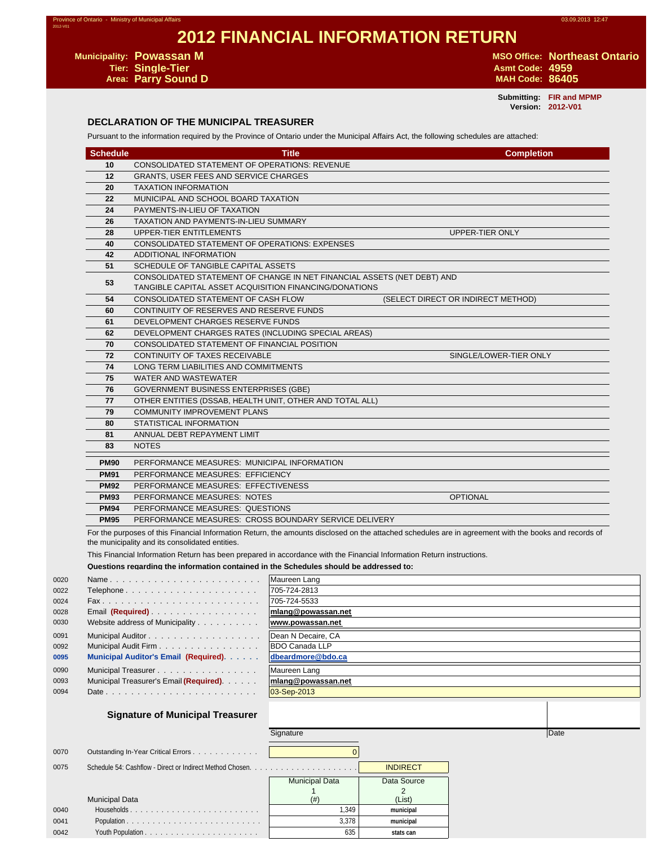# **2012 FINANCIAL INFORMATION RETURN**

**Tier: Single-Tier Asmt Code: 4959 Parry Sound D** 

**Municipality: Powassan M Municipality: Powassan M M MSO Office: Northeast Ontario** 

**Submitting: FIR and MPMP Version: 2012-V01**

### **DECLARATION OF THE MUNICIPAL TREASURER**

Pursuant to the information required by the Province of Ontario under the Municipal Affairs Act, the following schedules are attached:

| <b>Schedule</b> | <b>Title</b>                                                                                                                      | <b>Completion</b>                  |
|-----------------|-----------------------------------------------------------------------------------------------------------------------------------|------------------------------------|
| 10              | <b>CONSOLIDATED STATEMENT OF OPERATIONS: REVENUE</b>                                                                              |                                    |
| 12              | <b>GRANTS, USER FEES AND SERVICE CHARGES</b>                                                                                      |                                    |
| 20              | <b>TAXATION INFORMATION</b>                                                                                                       |                                    |
| 22              | MUNICIPAL AND SCHOOL BOARD TAXATION                                                                                               |                                    |
| 24              | PAYMENTS-IN-LIEU OF TAXATION                                                                                                      |                                    |
| 26              | <b>TAXATION AND PAYMENTS-IN-LIEU SUMMARY</b>                                                                                      |                                    |
| 28              | UPPER-TIER ENTITLEMENTS                                                                                                           | UPPER-TIER ONLY                    |
| 40              | CONSOLIDATED STATEMENT OF OPERATIONS: EXPENSES                                                                                    |                                    |
| 42              | ADDITIONAL INFORMATION                                                                                                            |                                    |
| 51              | SCHEDULE OF TANGIBLE CAPITAL ASSETS                                                                                               |                                    |
| 53              | CONSOLIDATED STATEMENT OF CHANGE IN NET FINANCIAL ASSETS (NET DEBT) AND<br>TANGIBLE CAPITAL ASSET ACQUISITION FINANCING/DONATIONS |                                    |
| 54              | CONSOLIDATED STATEMENT OF CASH FLOW                                                                                               | (SELECT DIRECT OR INDIRECT METHOD) |
| 60              | CONTINUITY OF RESERVES AND RESERVE FUNDS                                                                                          |                                    |
| 61              | DEVELOPMENT CHARGES RESERVE FUNDS                                                                                                 |                                    |
| 62              | DEVELOPMENT CHARGES RATES (INCLUDING SPECIAL AREAS)                                                                               |                                    |
| 70              | CONSOLIDATED STATEMENT OF FINANCIAL POSITION                                                                                      |                                    |
| 72              | <b>CONTINUITY OF TAXES RECEIVABLE</b>                                                                                             | SINGLE/LOWER-TIER ONLY             |
| 74              | LONG TERM LIABILITIES AND COMMITMENTS                                                                                             |                                    |
| 75              | WATER AND WASTEWATER                                                                                                              |                                    |
| 76              | <b>GOVERNMENT BUSINESS ENTERPRISES (GBE)</b>                                                                                      |                                    |
| 77              | OTHER ENTITIES (DSSAB, HEALTH UNIT, OTHER AND TOTAL ALL)                                                                          |                                    |
| 79              | <b>COMMUNITY IMPROVEMENT PLANS</b>                                                                                                |                                    |
| 80              | STATISTICAL INFORMATION                                                                                                           |                                    |
| 81              | ANNUAL DEBT REPAYMENT LIMIT                                                                                                       |                                    |
| 83              | <b>NOTES</b>                                                                                                                      |                                    |
| <b>PM90</b>     | PERFORMANCE MEASURES: MUNICIPAL INFORMATION                                                                                       |                                    |
| <b>PM91</b>     | PERFORMANCE MEASURES: EFFICIENCY                                                                                                  |                                    |
| <b>PM92</b>     | PERFORMANCE MEASURES: EFFECTIVENESS                                                                                               |                                    |
| <b>PM93</b>     | PERFORMANCE MEASURES: NOTES                                                                                                       | <b>OPTIONAL</b>                    |
| <b>PM94</b>     | PERFORMANCE MEASURES: QUESTIONS                                                                                                   |                                    |
| <b>PM95</b>     | PERFORMANCE MEASURES: CROSS BOUNDARY SERVICE DELIVERY                                                                             |                                    |

For the purposes of this Financial Information Return, the amounts disclosed on the attached schedules are in agreement with the books and records of the municipality and its consolidated entities.

This Financial Information Return has been prepared in accordance with the Financial Information Return instructions.

#### **Questions regarding the information contained in the Schedules should be addressed to:**

| 0020 | Name                                    | Maureen Lang               |
|------|-----------------------------------------|----------------------------|
| 0022 | Telephone                               | 705-724-2813               |
| 0024 |                                         | 705-724-5533               |
| 0028 | Email (Required)                        | mlang@powassan.net         |
| 0030 | Website address of Municipality         | www.powassan.net           |
| 0091 |                                         | Dean N Decaire, CA         |
| 0092 | Municipal Audit Firm                    | <b>BDO Canada LLP</b>      |
| 0095 | Municipal Auditor's Email (Required).   | dbeardmore@bdo.ca          |
| 0090 | Municipal Treasurer.                    | Maureen Lang               |
| 0093 | Municipal Treasurer's Email (Required). | mlang@powassan.net         |
| 0094 |                                         | $ 03 - \text{Sep} - 2013 $ |
|      |                                         |                            |

#### **Signature of Municipal Treasurer**

|      |                                     | Signature             |                 | Date |  |
|------|-------------------------------------|-----------------------|-----------------|------|--|
| 0070 | Outstanding In-Year Critical Errors |                       |                 |      |  |
| 0075 |                                     |                       | <b>INDIRECT</b> |      |  |
|      |                                     | <b>Municipal Data</b> | Data Source     |      |  |
|      |                                     |                       |                 |      |  |
|      | <b>Municipal Data</b>               | (# )                  | (List)          |      |  |
| 0040 |                                     | 1.349                 | municipal       |      |  |
| 0041 |                                     | 3,378                 | municipal       |      |  |
| 0042 |                                     | 635                   | stats can       |      |  |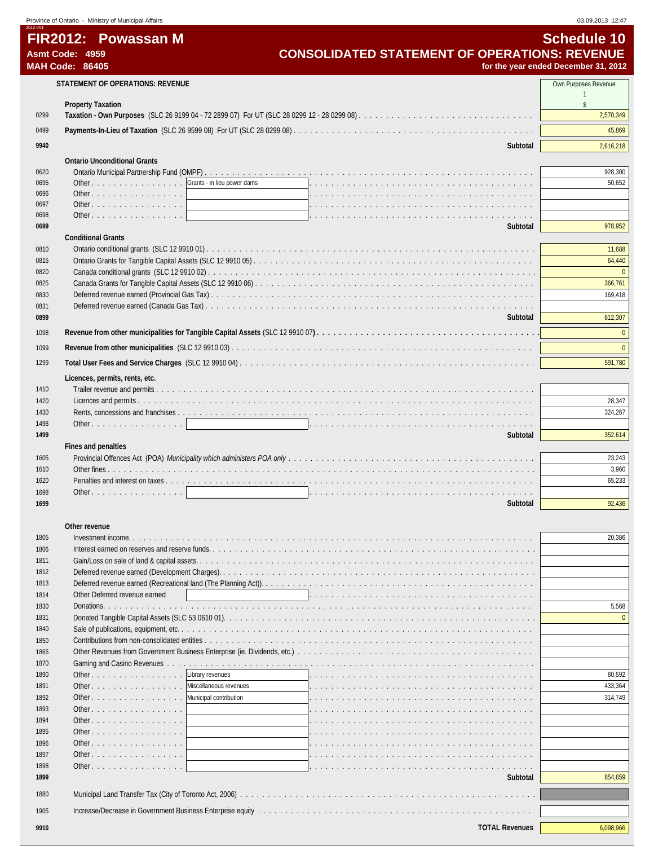|              | Province of Ontario - Ministry of Municipal Affairs                  |                                                      | 03.09.2013 12:47                     |
|--------------|----------------------------------------------------------------------|------------------------------------------------------|--------------------------------------|
|              | FIR2012: Powassan M                                                  |                                                      | <b>Schedule 10</b>                   |
|              | Asmt Code: 4959<br><b>MAH Code: 86405</b>                            | <b>CONSOLIDATED STATEMENT OF OPERATIONS: REVENUE</b> | for the year ended December 31, 2012 |
|              |                                                                      |                                                      |                                      |
|              | STATEMENT OF OPERATIONS: REVENUE                                     |                                                      | Own Purposes Revenue<br>$\mathbf{1}$ |
|              | <b>Property Taxation</b>                                             |                                                      | s.                                   |
| 0299         |                                                                      |                                                      | 2,570,349                            |
| 0499         |                                                                      |                                                      | 45,869                               |
| 9940         |                                                                      | Subtotal                                             | 2,616,218                            |
|              |                                                                      |                                                      |                                      |
| 0620         | <b>Ontario Unconditional Grants</b>                                  |                                                      | 928,300                              |
| 0695         | Other Grants - in lieu power dams                                    |                                                      | 50,652                               |
| 0696         | Other<br><u> 1989 - Andrea Station Barbara, amerikan per</u>         |                                                      |                                      |
| 0697         | Other $\ldots$ $\ldots$ $\ldots$ $\ldots$ $\ldots$ $\ldots$ $\ldots$ |                                                      |                                      |
| 0698         | Other $\ldots$ $\ldots$ $\ldots$ $\ldots$ $\ldots$ $\ldots$          |                                                      |                                      |
| 0699         |                                                                      | Subtotal                                             | 978,952                              |
| 0810         | <b>Conditional Grants</b>                                            |                                                      | 11,688                               |
| 0815         |                                                                      |                                                      | 64,440                               |
| 0820         |                                                                      |                                                      | $\Omega$                             |
| 0825         |                                                                      |                                                      | 366,761                              |
| 0830         |                                                                      |                                                      | 169,418                              |
| 0831         |                                                                      |                                                      |                                      |
| 0899         |                                                                      | Subtotal                                             | 612,307                              |
| 1098         |                                                                      |                                                      | $\Omega$                             |
| 1099         |                                                                      |                                                      | $\Omega$                             |
| 1299         |                                                                      |                                                      | 591,780                              |
|              | Licences, permits, rents, etc.                                       |                                                      |                                      |
| 1410         |                                                                      |                                                      |                                      |
| 1420         |                                                                      |                                                      | 28,347                               |
| 1430         |                                                                      |                                                      | 324,267                              |
| 1498         | Other                                                                |                                                      |                                      |
| 1499         |                                                                      | Subtotal                                             | 352,614                              |
|              | Fines and penalties                                                  |                                                      |                                      |
| 1605<br>1610 |                                                                      |                                                      | 23,243<br>3,960                      |
| 1620         |                                                                      |                                                      | 65,233                               |
| 1698         | Other                                                                |                                                      |                                      |
| 1699         |                                                                      | Subtotal                                             | 92,436                               |
|              |                                                                      |                                                      |                                      |
|              | Other revenue                                                        |                                                      |                                      |
| 1805         |                                                                      |                                                      | 20,386                               |
| 1806         |                                                                      | Interest earned on reserves and reserve funds.       |                                      |
| 1811<br>1812 |                                                                      |                                                      |                                      |
|              |                                                                      |                                                      |                                      |

| 1806 |                               |  |         |
|------|-------------------------------|--|---------|
| 1811 |                               |  |         |
| 1812 |                               |  |         |
| 1813 |                               |  |         |
| 1814 | Other Deferred revenue earned |  |         |
| 1830 |                               |  | 5.568   |
| 1831 |                               |  |         |
| 1840 |                               |  |         |
| 1850 |                               |  |         |
| 1865 |                               |  |         |
| 1870 |                               |  |         |
| 1890 | Other   Library revenues      |  | 80,592  |
| 1891 | Other Niscellaneous revenues  |  | 433.364 |
| 1892 | Other Municipal contribution  |  | 314.749 |
| 1893 |                               |  |         |

| 1011 |                                                             |          |         |
|------|-------------------------------------------------------------|----------|---------|
| 1812 |                                                             |          |         |
| 1813 |                                                             |          |         |
| 1814 | Other Deferred revenue earned                               |          |         |
| 1830 |                                                             |          | 5,568   |
| 1831 |                                                             |          |         |
| 1840 |                                                             |          |         |
| 1850 |                                                             |          |         |
| 1865 |                                                             |          |         |
| 1870 |                                                             |          |         |
| 1890 | Other   Library revenues                                    |          | 80.592  |
| 1891 | Other Niscellaneous revenues                                |          | 433.364 |
| 1892 | Other Municipal contribution                                |          | 314.749 |
| 1893 |                                                             |          |         |
| 1894 | Other $\vert$                                               |          |         |
| 1895 |                                                             |          |         |
| 1896 | Other $\vert$                                               |          |         |
| 1897 |                                                             |          |         |
| 1898 | Other $\ldots$ $\ldots$ $\ldots$ $\ldots$ $\ldots$ $\ldots$ |          |         |
| 1899 |                                                             | Subtotal | 854,659 |
| 1880 |                                                             |          |         |
|      |                                                             |          |         |
| 1905 |                                                             |          |         |

| <b>TOTAL Revenues</b><br>9910 | 5.098.966 |
|-------------------------------|-----------|
|-------------------------------|-----------|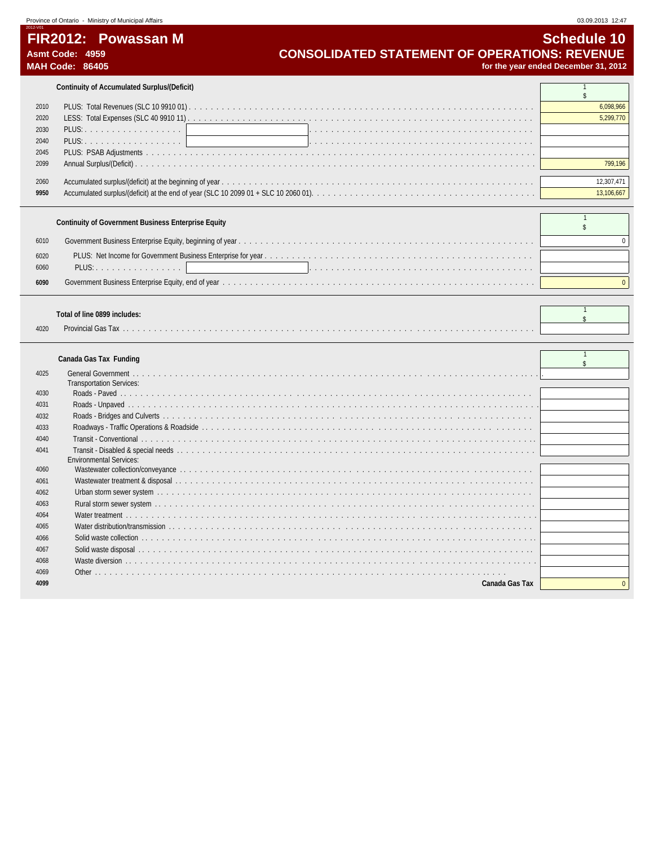# **FIR2012: Powassan M** Schedule 10<br>CONSOLIDATED STATEMENT OF OPERATIONS: REVENUE Asmt Code: 4959 Asmt Code: 4959<br> **CONSOLIDATED STATEMENT OF OPERATIONS: REVENUE**<br>
for the year ended December 31, 2012<br> **CONSOLIDATED STATEMENT OF OPERATIONS: REVENUE**

for the year ended December 31, 2012

**Continuity of Accumulated Surplus/(Deficit)** 1

| 2010 |         |            |
|------|---------|------------|
| 2020 |         | 5,299,770  |
| 2030 | PLUS: 1 |            |
| 2040 |         |            |
| 2045 |         |            |
| 2099 |         |            |
|      |         |            |
| 2060 |         | 12.307.471 |
| 9950 |         | 3.106.667  |

| Continuity of Government Business Enterprise Equity |         |  |  |
|-----------------------------------------------------|---------|--|--|
| 6010                                                |         |  |  |
| 6020<br>6060                                        | PLUS: 1 |  |  |
| 6090                                                |         |  |  |

## **Total of line 0899 includes:** <sup>1</sup>

|      | 1919191111099771119199997 |  |
|------|---------------------------|--|
| 4020 | Provincial Gas<br>.       |  |

# **Canada Gas Tax Funding**

| 4025 |                                 |  |
|------|---------------------------------|--|
|      | <b>Transportation Services:</b> |  |
| 4030 |                                 |  |
| 4031 |                                 |  |
| 4032 |                                 |  |
| 4033 |                                 |  |
| 4040 |                                 |  |
| 4041 |                                 |  |
|      | <b>Environmental Services:</b>  |  |
| 4060 |                                 |  |
| 4061 |                                 |  |
| 4062 |                                 |  |
| 4063 |                                 |  |
| 4064 |                                 |  |
| 4065 |                                 |  |
| 4066 |                                 |  |
| 4067 |                                 |  |
| 4068 |                                 |  |
| 4069 |                                 |  |
| 4099 | Canada Gas Tax                  |  |
|      |                                 |  |

 $\blacksquare$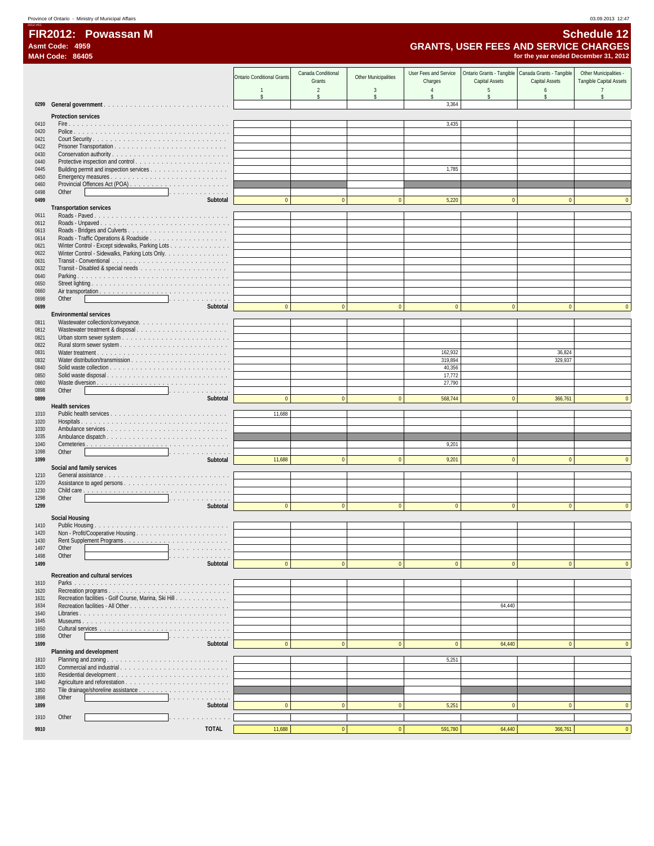# **FIR2012: Powassan M Schedule 12 Asmt Code: 4959 GRANTS, USER FEES AND SERVICE CHARGES**

|              | <b>MAH Code: 86405</b>                                                                                                                                                                                                                              |                                   |                    |                             |                       |                | for the year ended December 31, 2012                 |                         |
|--------------|-----------------------------------------------------------------------------------------------------------------------------------------------------------------------------------------------------------------------------------------------------|-----------------------------------|--------------------|-----------------------------|-----------------------|----------------|------------------------------------------------------|-------------------------|
|              |                                                                                                                                                                                                                                                     |                                   | Canada Conditional |                             | User Fees and Service |                | Ontario Grants - Tangible   Canada Grants - Tangible | Other Municipalities -  |
|              |                                                                                                                                                                                                                                                     | <b>Ontario Conditional Grants</b> | Grants             | <b>Other Municipalities</b> | Charges               | Capital Assets | Capital Assets                                       | Tangible Capital Assets |
|              |                                                                                                                                                                                                                                                     | $\overline{1}$                    | $\overline{2}$     | $\overline{3}$              | $\overline{4}$        | 5              | 6                                                    |                         |
| 0299         |                                                                                                                                                                                                                                                     | $\mathsf{\$}$                     | \$                 | $\mathbb{S}$                | \$<br>3,364           | $\mathsf{\$}$  | \$                                                   | \$                      |
|              |                                                                                                                                                                                                                                                     |                                   |                    |                             |                       |                |                                                      |                         |
| 0410         | Protection services                                                                                                                                                                                                                                 |                                   |                    |                             | 3,435                 |                |                                                      |                         |
| 0420         |                                                                                                                                                                                                                                                     |                                   |                    |                             |                       |                |                                                      |                         |
| 0421         |                                                                                                                                                                                                                                                     |                                   |                    |                             |                       |                |                                                      |                         |
| 0422<br>0430 |                                                                                                                                                                                                                                                     |                                   |                    |                             |                       |                |                                                      |                         |
| 0440         |                                                                                                                                                                                                                                                     |                                   |                    |                             |                       |                |                                                      |                         |
| 0445         |                                                                                                                                                                                                                                                     |                                   |                    |                             | 1,785                 |                |                                                      |                         |
| 0450<br>0460 |                                                                                                                                                                                                                                                     |                                   |                    |                             |                       |                |                                                      |                         |
| 0498         | Other<br>the contract of the contract of the contract of the contract of the contract of the contract of the contract of                                                                                                                            |                                   |                    |                             |                       |                |                                                      |                         |
| 0499         | Subtotal                                                                                                                                                                                                                                            | $\mathbf{0}$                      | $\mathbf{0}$       | $\mathbf{0}$                | 5,220                 | $\overline{0}$ | $\Omega$                                             |                         |
|              | <b>Transportation services</b>                                                                                                                                                                                                                      |                                   |                    |                             |                       |                |                                                      |                         |
| 0611<br>0612 |                                                                                                                                                                                                                                                     |                                   |                    |                             |                       |                |                                                      |                         |
| 0613         |                                                                                                                                                                                                                                                     |                                   |                    |                             |                       |                |                                                      |                         |
| 0614         |                                                                                                                                                                                                                                                     |                                   |                    |                             |                       |                |                                                      |                         |
| 0621<br>0622 | Winter Control - Except sidewalks, Parking Lots<br>Winter Control - Sidewalks, Parking Lots Only.                                                                                                                                                   |                                   |                    |                             |                       |                |                                                      |                         |
| 0631         |                                                                                                                                                                                                                                                     |                                   |                    |                             |                       |                |                                                      |                         |
| 0632         |                                                                                                                                                                                                                                                     |                                   |                    |                             |                       |                |                                                      |                         |
| 0640<br>0650 |                                                                                                                                                                                                                                                     |                                   |                    |                             |                       |                |                                                      |                         |
| 0660         |                                                                                                                                                                                                                                                     |                                   |                    |                             |                       |                |                                                      |                         |
| 0698         | Other<br>.                                                                                                                                                                                                                                          |                                   |                    |                             |                       |                |                                                      |                         |
| 0699         | Subtotal<br><b>Environmental services</b>                                                                                                                                                                                                           | $\mathbf{0}$                      | $\mathbf{0}$       | $\bf{0}$                    | $\mathbf{0}$          | $\overline{0}$ | $\mathbf{0}$                                         | $\mathbf{0}$            |
| 0811         |                                                                                                                                                                                                                                                     |                                   |                    |                             |                       |                |                                                      |                         |
| 0812         |                                                                                                                                                                                                                                                     |                                   |                    |                             |                       |                |                                                      |                         |
| 0821<br>0822 |                                                                                                                                                                                                                                                     |                                   |                    |                             |                       |                |                                                      |                         |
| 0831         |                                                                                                                                                                                                                                                     |                                   |                    |                             | 162,932               |                | 36,824                                               |                         |
| 0832         |                                                                                                                                                                                                                                                     |                                   |                    |                             | 319,894               |                | 329,937                                              |                         |
| 0840         |                                                                                                                                                                                                                                                     |                                   |                    |                             | 40,356<br>17,772      |                |                                                      |                         |
| 0850<br>0860 |                                                                                                                                                                                                                                                     |                                   |                    |                             | 27,790                |                |                                                      |                         |
| 0898         | Other<br>and the contract of the contract of the contract of the contract of the contract of the contract of the contract of the contract of the contract of the contract of the contract of the contract of the contract of the contra             |                                   |                    |                             |                       |                |                                                      |                         |
| 0899         | Subtotal                                                                                                                                                                                                                                            | $\pmb{0}$                         | $\pmb{0}$          | $\bf 0$                     | 568,744               | $\overline{0}$ | 366,761                                              | $\mathbf{0}$            |
| 1010         | <b>Health services</b>                                                                                                                                                                                                                              | 11,688                            |                    |                             |                       |                |                                                      |                         |
| 1020         |                                                                                                                                                                                                                                                     |                                   |                    |                             |                       |                |                                                      |                         |
| 1030<br>1035 |                                                                                                                                                                                                                                                     |                                   |                    |                             |                       |                |                                                      |                         |
| 1040         |                                                                                                                                                                                                                                                     |                                   |                    |                             | 9,201                 |                |                                                      |                         |
| 1098         | Other<br>the contract of the contract of the contract of the contract of the contract of the contract of the contract of                                                                                                                            |                                   |                    |                             |                       |                |                                                      |                         |
| 1099         | Subtotal                                                                                                                                                                                                                                            | 11,688                            | $\mathbf{0}$       | $\mathbf{0}$                | 9,201                 | $\overline{0}$ | $\Omega$                                             | $\mathbf{0}$            |
| 1210         | Social and family services                                                                                                                                                                                                                          |                                   |                    |                             |                       |                |                                                      |                         |
| 1220         |                                                                                                                                                                                                                                                     |                                   |                    |                             |                       |                |                                                      |                         |
| 1230         |                                                                                                                                                                                                                                                     |                                   |                    |                             |                       |                |                                                      |                         |
| 1298<br>1299 | and the contract of the contract of the contract of the contract of the contract of the contract of the contract of the contract of the contract of the contract of the contract of the contract of the contract of the contra<br>Other<br>Subtotal | $\mathbf{0}$                      | $\mathbf{0}$       | $\mathbf{0}$                | $\mathbf{0}$          | $\overline{0}$ | $\overline{0}$                                       | $\mathbf{0}$            |
|              | <b>Social Housing</b>                                                                                                                                                                                                                               |                                   |                    |                             |                       |                |                                                      |                         |
| 1410         |                                                                                                                                                                                                                                                     |                                   |                    |                             |                       |                |                                                      |                         |
| 1420         | Non - Profit/Cooperative Housing                                                                                                                                                                                                                    |                                   |                    |                             |                       |                |                                                      |                         |
| 1430<br>1497 | Other<br>.                                                                                                                                                                                                                                          |                                   |                    |                             |                       |                |                                                      |                         |
| 1498         | Other<br>.                                                                                                                                                                                                                                          |                                   |                    |                             |                       |                |                                                      |                         |
| 1499         | Subtotal                                                                                                                                                                                                                                            | $\mathbf{0}$                      | $\mathbf{0}$       | $\mathbf{0}$                | $\mathbf{0}$          | $\overline{0}$ | $\overline{0}$                                       | $\mathbf{0}$            |
|              | Recreation and cultural services                                                                                                                                                                                                                    |                                   |                    |                             |                       |                |                                                      |                         |
| 1610         |                                                                                                                                                                                                                                                     |                                   |                    |                             |                       |                |                                                      |                         |
| 1620<br>1631 | Recreation facilities - Golf Course, Marina, Ski Hill                                                                                                                                                                                               |                                   |                    |                             |                       |                |                                                      |                         |
| 1634         |                                                                                                                                                                                                                                                     |                                   |                    |                             |                       | 64,440         |                                                      |                         |
| 1640         |                                                                                                                                                                                                                                                     |                                   |                    |                             |                       |                |                                                      |                         |
| 1645<br>1650 |                                                                                                                                                                                                                                                     |                                   |                    |                             |                       |                |                                                      |                         |
| 1698         | Other<br>.                                                                                                                                                                                                                                          |                                   |                    |                             |                       |                |                                                      |                         |
| 1699         | Subtotal                                                                                                                                                                                                                                            | $\mathbf{0}$                      | $\mathbf{0}$       | $\mathbf{0}$                | $\mathbf{0}$          | 64,440         | $\overline{0}$                                       | $\mathbf{0}$            |
| 1810         | Planning and development                                                                                                                                                                                                                            |                                   |                    |                             | 5,251                 |                |                                                      |                         |
| 1820         |                                                                                                                                                                                                                                                     |                                   |                    |                             |                       |                |                                                      |                         |
| 1830         |                                                                                                                                                                                                                                                     |                                   |                    |                             |                       |                |                                                      |                         |
| 1840<br>1850 |                                                                                                                                                                                                                                                     |                                   |                    |                             |                       |                |                                                      |                         |
| 1898         | Other<br>and a series and a series of                                                                                                                                                                                                               |                                   |                    |                             |                       |                |                                                      |                         |
| 1899         | Subtotal                                                                                                                                                                                                                                            | $\mathbf{0}$                      | $\mathbf{0}$       | $\mathbf{0}$                | 5,251                 | $\overline{0}$ | $\mathbf{0}$                                         | $\mathbf{0}$            |
| 1910         | Other<br>and a series and a series of                                                                                                                                                                                                               |                                   |                    |                             |                       |                |                                                      |                         |
| 9910         | <b>TOTAL</b>                                                                                                                                                                                                                                        | 11,688                            | $\overline{0}$     | $\pmb{0}$                   | 591,780               | 64,440         | 366,761                                              | $\mathbf{0}$            |
|              |                                                                                                                                                                                                                                                     |                                   |                    |                             |                       |                |                                                      |                         |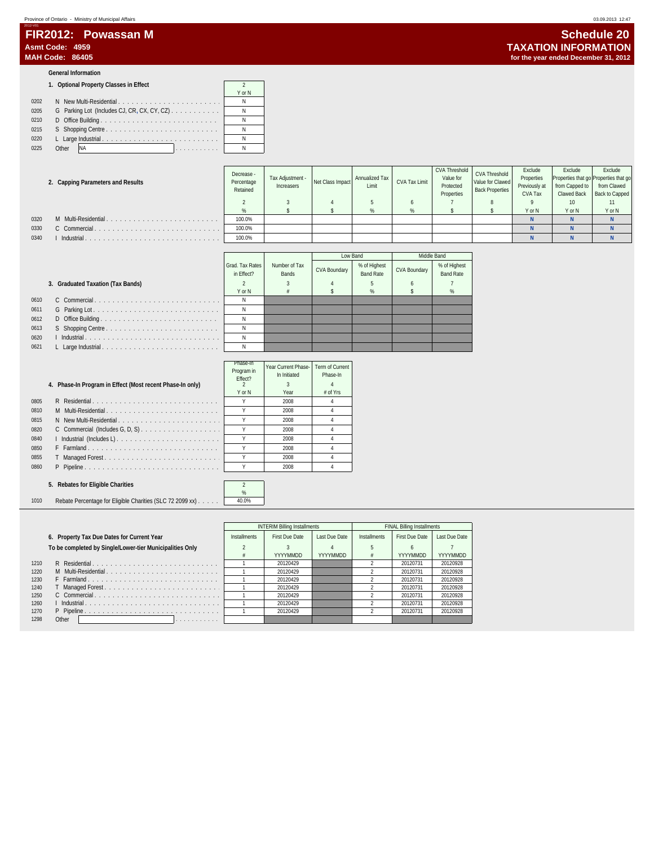| FIR2012: Powassan M | Schedule 20                          |
|---------------------|--------------------------------------|
| Asmt Code: 4959     | <b>TAXATION INFORMATION</b>          |
| MAH Code: 86405     | for the year ended December 31, 2012 |

#### **General Information**

2012-V01

| 1. Optional Property Classes in Effect |  |
|----------------------------------------|--|
|----------------------------------------|--|

|      |                                                                    | Y or N |
|------|--------------------------------------------------------------------|--------|
| 0202 | N New Multi-Residential                                            | N      |
| 0205 | G Parking Lot (Includes CJ, CR, CX, CY, CZ) $\ldots \ldots \ldots$ | N      |
| 0210 | D Office Building                                                  | Ν      |
| 0215 |                                                                    |        |
| 0220 |                                                                    | Ν      |
| 0225 | Other<br><b>INA</b><br>. 1                                         |        |

#### **2. Capping Parameters and Results**

|      | 2. Capping Parameters and Results | <b>DOM ARMA</b><br>Percentage<br>Retained | Tax Adiustment -<br>Increasers | Net Class Impact | Annualized Tax<br>Limit | CVA Tax Limit | Value for<br>Protected<br>Properties | Value for Clawed<br><b>Back Properties</b> | Properties<br>Previously at<br>CVA Tax | from Capped to<br>Clawed Back | Properties that go Properties that go<br>from Clawed<br>Back to Capped |
|------|-----------------------------------|-------------------------------------------|--------------------------------|------------------|-------------------------|---------------|--------------------------------------|--------------------------------------------|----------------------------------------|-------------------------------|------------------------------------------------------------------------|
|      |                                   |                                           |                                |                  |                         |               |                                      |                                            |                                        | 10                            |                                                                        |
|      |                                   |                                           |                                |                  |                         |               |                                      |                                            | Y or N                                 | Y or N                        | Y or N                                                                 |
| 0320 | M Multi-Residential               | 100.0%                                    |                                |                  |                         |               |                                      |                                            |                                        |                               |                                                                        |
| 0330 | C Commercial.                     | 100.0%                                    |                                |                  |                         |               |                                      |                                            |                                        |                               |                                                                        |
| 0340 | Industrial                        | 100.0%                                    |                                |                  |                         |               |                                      |                                            |                                        |                               |                                                                        |

CVA Threshold

CVA Threshold Value for Clawed

Exclude Properties

|                                   |                               |                        |              | Low Band                  |                     | Middle Band                      |
|-----------------------------------|-------------------------------|------------------------|--------------|---------------------------|---------------------|----------------------------------|
|                                   | Grad, Tax Rates<br>in Fffect? | Number of Tax<br>Bands | CVA Boundary | % of Highest<br>Band Rate | <b>CVA Boundary</b> | % of Highest<br><b>Band Rate</b> |
| 3. Graduated Taxation (Tax Bands) |                               |                        |              |                           |                     |                                  |
|                                   | Y or N                        |                        |              | %                         |                     | %                                |
|                                   |                               |                        |              |                           |                     |                                  |
|                                   |                               |                        |              |                           |                     |                                  |
|                                   |                               |                        |              |                           |                     |                                  |
|                                   |                               |                        |              |                           |                     |                                  |
|                                   |                               |                        |              |                           |                     |                                  |
|                                   |                               |                        |              |                           |                     |                                  |

Tax Adjustment -

Decrease - Percentage

| 0610 |  | N   |
|------|--|-----|
| 0611 |  | N   |
| 0612 |  | N   |
| 0613 |  | N   |
| 0620 |  | N   |
| 0621 |  | - N |

|      |                                                           | Phase-In<br>Program in<br>Fffect? | Year Current Phase-<br>In Initiated | Term of Current<br>Phase-In |
|------|-----------------------------------------------------------|-----------------------------------|-------------------------------------|-----------------------------|
|      | 4. Phase-In Program in Effect (Most recent Phase-In only) |                                   |                                     |                             |
|      |                                                           | Y or N                            | Year                                | $#$ of Yrs                  |
| 0805 | R Residential                                             |                                   | 2008                                |                             |
| 0810 | M Multi-Residential                                       |                                   | 2008                                |                             |
| 0815 | N New Multi-Residential                                   |                                   | 2008                                |                             |
| 0820 |                                                           |                                   | 2008                                |                             |
| 0840 |                                                           |                                   | 2008                                |                             |
| 0850 | F Farmland                                                |                                   | 2008                                |                             |
| 0855 |                                                           |                                   | 2008                                |                             |
| 0860 | P Pipeline                                                |                                   | 2008                                |                             |

#### **5. Rebates for Eligible Charities** 2

1010 Rebate Percentage for Eligible Charities (SLC 72 2099 xx) . . . . . . 40.0%

|      |                                                          |                     | <b>INTERIM Billing Installments</b> |               |              | <b>FINAL Billing Installments</b> |               |
|------|----------------------------------------------------------|---------------------|-------------------------------------|---------------|--------------|-----------------------------------|---------------|
|      | 6. Property Tax Due Dates for Current Year               | <b>Installments</b> | <b>First Due Date</b>               | Last Due Date | Installments | First Due Date                    | Last Due Date |
|      | To be completed by Single/Lower-tier Municipalities Only |                     |                                     |               |              |                                   |               |
|      |                                                          |                     | YYYYMMDD                            | YYYYMMDD      |              | YYYYMMDD                          | YYYYMMDD      |
| 1210 | R Residential                                            |                     | 20120429                            |               |              | 20120731                          | 20120928      |
| 1220 | M Multi-Residential                                      |                     | 20120429                            |               |              | 20120731                          | 20120928      |
| 1230 | F Farmland                                               |                     | 20120429                            |               |              | 20120731                          | 20120928      |
| 1240 |                                                          |                     | 20120429                            |               |              | 20120731                          | 20120928      |
| 1250 |                                                          |                     | 20120429                            |               |              | 20120731                          | 20120928      |
| 1260 |                                                          |                     | 20120429                            |               |              | 20120731                          | 20120928      |
| 1270 |                                                          |                     | 20120429                            |               |              | 20120731                          | 20120928      |
| 1298 | Other<br>.                                               |                     |                                     |               |              |                                   |               |

 $\%$ 

Exclude

**Exclude**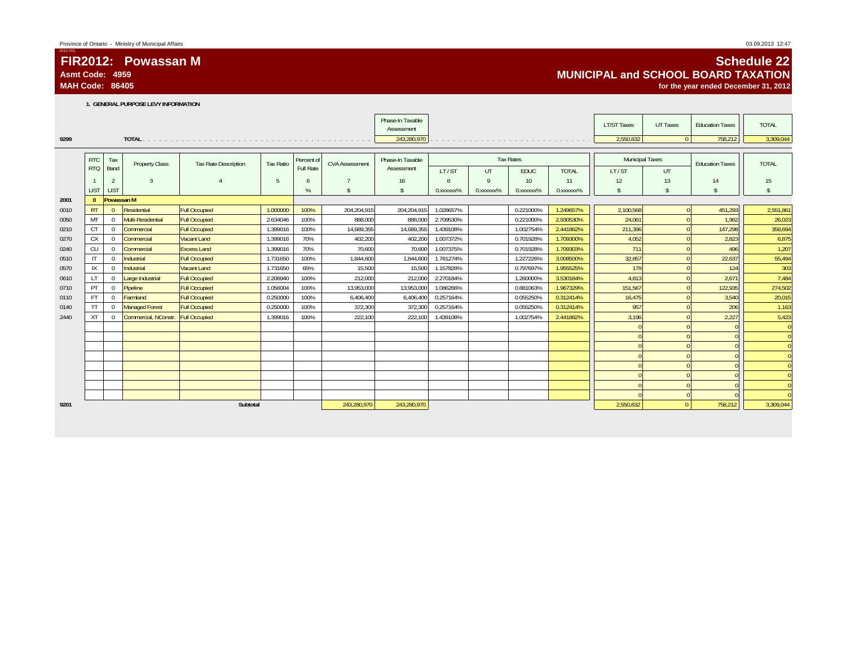## **FIR2012: Powassan MAsmt Code: 4959**

**MAH Code: 86405**

2012-V01

## **Schedule 22 MUNICIPAL and SCHOOL BOARD TAXATIONfor the year ended December 31, 2012**

**1. GENERAL PURPOSE LEVY INFORMATION**

|      |              |                |                       |                             |           |            |                       | Phase-In Taxable<br>Assessment |                       |                         |                       |              | <b>LT/ST Taxes</b>     | UT Taxes       | <b>Education Taxes</b> | <b>TOTAL</b>   |
|------|--------------|----------------|-----------------------|-----------------------------|-----------|------------|-----------------------|--------------------------------|-----------------------|-------------------------|-----------------------|--------------|------------------------|----------------|------------------------|----------------|
| 9299 |              |                |                       |                             |           |            |                       | 243,280,970                    |                       |                         |                       |              | 2,550,832              | $\overline{0}$ | 758,212                | 3,309,044      |
|      |              |                |                       |                             |           |            |                       |                                |                       |                         |                       |              |                        |                |                        |                |
|      | <b>RTC</b>   | Tax            | <b>Property Class</b> | <b>Tax Rate Description</b> | Tax Ratio | Percent of | <b>CVA Assessment</b> | Phase-In Taxable               |                       |                         | <b>Tax Rates</b>      |              | <b>Municipal Taxes</b> |                | <b>Education Taxes</b> | <b>TOTAL</b>   |
|      | <b>RTQ</b>   | Band           |                       |                             |           | Full Rate  |                       | Assessment                     | LT/ST                 | UT                      | <b>EDUC</b>           | <b>TOTAL</b> | LT/ST                  | <b>UT</b>      |                        |                |
|      |              | $\overline{2}$ | $\mathbf{3}$          |                             | 5         | 6          |                       | 16                             |                       | Q                       | 10                    | 11           | 12                     | 13             | 14                     | 15             |
|      | <b>LIST</b>  | <b>LIST</b>    |                       |                             |           | %          | <sup>\$</sup>         | s                              | 0.XXXXXX <sup>%</sup> | 0. XXXXXX <sup>96</sup> | 0.XXXXXX <sup>%</sup> | 0.xxxxxx%    | $\mathbf{s}$           | $\mathsf{\$}$  | $\mathbf{s}$           | $\mathsf{\$}$  |
| 2001 | $\Omega$     | Powassan M     |                       |                             |           |            |                       |                                |                       |                         |                       |              |                        |                |                        |                |
| 0010 | <b>RT</b>    | $\Omega$       | Residential           | <b>Full Occupied</b>        | 1.000000  | 100%       | 204,204,915           | 204,204,915                    | 1.028657%             |                         | 0.221000%             | 1.249657%    | 2,100,568              | $\overline{0}$ | 451,293                | 2,551,861      |
| 0050 | MT           | $\Omega$       | Multi-Residential     | <b>Full Occupied</b>        | 2.634046  | 100%       | 888.000               | 888,000                        | 2.709530%             |                         | 0.221000%             | 2.930530%    | 24.061                 |                | 1.962                  | 26,023         |
| 0210 | <b>CT</b>    | $\Omega$       | Commercial            | <b>Full Occupied</b>        | 1.399016  | 100%       | 14.689.355            | 14,689,355                     | 1.439108%             |                         | 1.002754%             | 2.441862%    | 211,396                |                | 147,298                | 358,694        |
| 0270 | <b>CX</b>    | $\overline{0}$ | Commercial            | <b>Vacant Land</b>          | 1.399016  | 70%        | 402,200               | 402,200                        | 1.007372%             |                         | 0.701928%             | 1.709300%    | 4,052                  |                | 2,823                  | 6,875          |
| 0240 | CU           | $\Omega$       | Commercial            | <b>Excess Land</b>          | 1.399016  | 70%        | 70,600                | 70,600                         | 1.007375%             |                         | 0.701928%             | 1.709303%    | 711                    |                | 496                    | 1,207          |
| 0510 | $\mathsf{I}$ | $\Omega$       | Industrial            | <b>Full Occupied</b>        | 1.731650  | 100%       | 1,844,600             | 1,844,600                      | 1.781274%             |                         | 1.227226%             | 3.008500%    | 32,857                 |                | 22,637                 | 55,494         |
| 0570 | IX           | $\Omega$       | Industrial            | <b>Vacant Land</b>          | 1.731650  | 65%        | 15,500                | 15,500                         | 1.157828%             |                         | 0.797697%             | 1.955525%    | 179                    |                | 124                    | 303            |
| 0610 | $\mathsf{I}$ | $\Omega$       | Large Industrial      | <b>Full Occupied</b>        | 2.206940  | 100%       | 212,000               | 212,000                        | 2.270184%             |                         | 1.260000%             | 3.530184%    | 4,813                  |                | 2,671                  | 7,484          |
| 0710 | PT           | $\overline{0}$ | Pipeline              | <b>Full Occupied</b>        | 1.056004  | 100%       | 13,953,000            | 13,953,000                     | 1.086266%             |                         | 0.881063%             | 1.967329%    | 151,567                |                | 122,935                | 274,502        |
| 0110 | <b>FT</b>    | $^{\circ}$     | Farmland              | <b>Full Occupied</b>        | 0.250000  | 100%       | 6,406,400             | 6,406,400                      | 0.257164%             |                         | 0.055250%             | 0.312414%    | 16,475                 |                | 3,540                  | 20,015         |
| 0140 | <b>TT</b>    | $^{\circ}$     | <b>Managed Forest</b> | <b>Full Occupied</b>        | 0.250000  | 100%       | 372,300               | 372.300                        | 0.257164%             |                         | 0.055250%             | 0.312414%    | 957                    |                | 206                    | 1,163          |
| 2440 | <b>XT</b>    | $\Omega$       | Commercial, NConstr.  | <b>Full Occupied</b>        | 1.399016  | 100%       | 222,100               | 222,100                        | 1.439108%             |                         | 1.002754%             | 2.441862%    | 3,196                  |                | 2,227                  | 5,423          |
|      |              |                |                       |                             |           |            |                       |                                |                       |                         |                       |              |                        |                |                        | $\overline{0}$ |
|      |              |                |                       |                             |           |            |                       |                                |                       |                         |                       |              |                        |                |                        | $\overline{0}$ |
|      |              |                |                       |                             |           |            |                       |                                |                       |                         |                       |              |                        |                |                        | $\overline{0}$ |
|      |              |                |                       |                             |           |            |                       |                                |                       |                         |                       |              |                        |                |                        | $\overline{0}$ |
|      |              |                |                       |                             |           |            |                       |                                |                       |                         |                       |              |                        |                |                        | $\overline{0}$ |
|      |              |                |                       |                             |           |            |                       |                                |                       |                         |                       |              |                        |                |                        | $\overline{0}$ |
|      |              |                |                       |                             |           |            |                       |                                |                       |                         |                       |              |                        |                |                        | $\Omega$       |
|      |              |                |                       |                             |           |            |                       |                                |                       |                         |                       |              |                        |                |                        | $\overline{0}$ |
| 9201 |              |                |                       | Subtotal                    |           |            | 243,280,970           | 243,280,970                    |                       |                         |                       |              | 2,550,832              | $\Omega$       | 758,212                | 3,309,044      |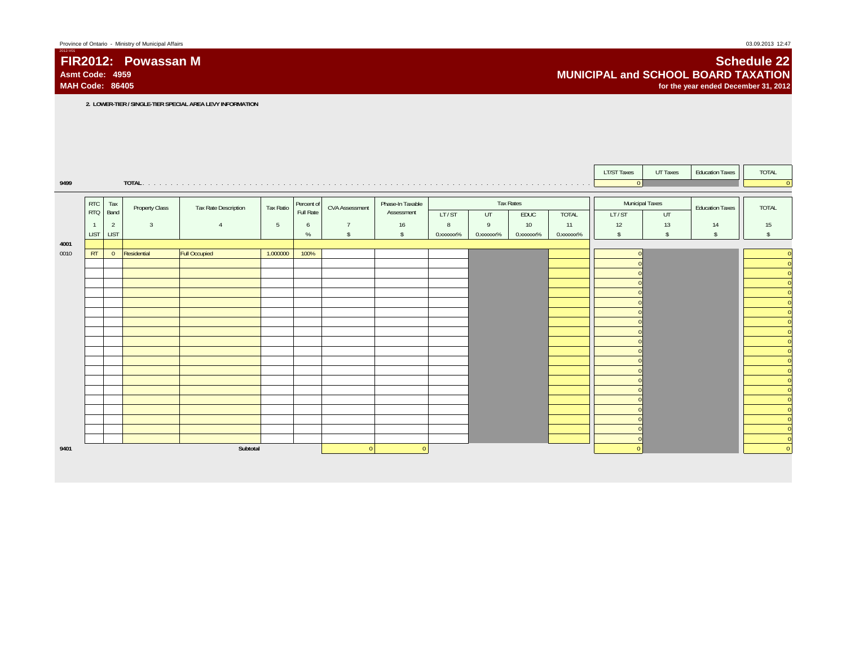**MAH Code: 86405**

**FIR2012: Powassan M**

2012-V01

## **Schedule 22 MUNICIPAL and SCHOOL BOARD TAXATIONfor the year ended December 31, 2012**

**2. LOWER-TIER / SINGLE-TIER SPECIAL AREA LEVY INFORMATION**

|              |                |                |                       |                      |                 |            |                       |                  |           |           |                  |           | <b>LT/ST Taxes</b>       | UT Taxes      | <b>Education Taxes</b> | <b>TOTAL</b>                                         |
|--------------|----------------|----------------|-----------------------|----------------------|-----------------|------------|-----------------------|------------------|-----------|-----------|------------------|-----------|--------------------------|---------------|------------------------|------------------------------------------------------|
| 9499         |                |                |                       |                      |                 |            |                       |                  |           |           |                  |           | $\overline{\phantom{0}}$ |               |                        | $\Omega$                                             |
|              | <b>RTC</b>     | Tax            |                       |                      | Tax Ratio       | Percent of | <b>CVA Assessment</b> | Phase-In Taxable |           |           | <b>Tax Rates</b> |           | Municipal Taxes          |               |                        | <b>TOTAL</b>                                         |
|              | <b>RTQ</b>     | Band           | <b>Property Class</b> | Tax Rate Description |                 | Full Rate  |                       | Assessment       | LT/ST     | UT        | EDUC             | TOTAL     | LT/ST                    | UT            | <b>Education Taxes</b> |                                                      |
|              | $\overline{1}$ | $\overline{2}$ | $\overline{3}$        | $\overline{A}$       | $5\phantom{.0}$ | 6          | $\overline{7}$        | 16               | 8         | 9         | 10 <sup>°</sup>  | 11        | 12                       | 13            | 14                     | 15                                                   |
|              | <b>LIST</b>    | <b>LIST</b>    |                       |                      |                 | %          | $\sqrt[6]{5}$         | s.               | 0.xxxxxx% | 0.xxxxxx% | 0.xxxxxx%        | 0.xxxxxx% | $\mathsf{\$}$            | $\mathsf{\$}$ | $\mathbf{s}$           | $\mathbf{\hat{s}}$                                   |
| 4001<br>0010 | RT             | $\overline{0}$ | Residential           | <b>Full Occupied</b> | 1.000000        | 100%       |                       |                  |           |           |                  |           |                          |               |                        |                                                      |
|              |                |                |                       |                      |                 |            |                       |                  |           |           |                  |           |                          |               |                        | $\overline{0}$<br>$\overline{0}$                     |
|              |                |                |                       |                      |                 |            |                       |                  |           |           |                  |           |                          |               |                        | $\overline{0}$                                       |
|              |                |                |                       |                      |                 |            |                       |                  |           |           |                  |           |                          |               |                        | $\overline{0}$                                       |
|              |                |                |                       |                      |                 |            |                       |                  |           |           |                  |           |                          |               |                        | $\overline{\phantom{a}}$                             |
|              |                |                |                       |                      |                 |            |                       |                  |           |           |                  |           |                          |               |                        | $\overline{\phantom{a}}$                             |
|              |                |                |                       |                      |                 |            |                       |                  |           |           |                  |           |                          |               |                        | $\overline{\phantom{a}}$<br>$\overline{\phantom{a}}$ |
|              |                |                |                       |                      |                 |            |                       |                  |           |           |                  |           |                          |               |                        | e.<br>$\overline{0}$                                 |
|              |                |                |                       |                      |                 |            |                       |                  |           |           |                  |           |                          |               |                        | $\overline{0}$                                       |
|              |                |                |                       |                      |                 |            |                       |                  |           |           |                  |           |                          |               |                        | $\overline{\phantom{a}}$                             |
|              |                |                |                       |                      |                 |            |                       |                  |           |           |                  |           |                          |               |                        | ÷<br>$\overline{0}$                                  |
|              |                |                |                       |                      |                 |            |                       |                  |           |           |                  |           |                          |               |                        | $\overline{\phantom{a}}$                             |
|              |                |                |                       |                      |                 |            |                       |                  |           |           |                  |           |                          |               |                        | $\overline{\phantom{a}}$                             |
|              |                |                |                       |                      |                 |            |                       |                  |           |           |                  |           |                          |               |                        | $\overline{0}$<br>$\overline{\phantom{a}}$           |
|              |                |                |                       |                      |                 |            |                       |                  |           |           |                  |           |                          |               |                        | $\overline{\mathbf{0}}$                              |
|              |                |                |                       |                      |                 |            |                       |                  |           |           |                  |           |                          |               |                        | e e<br>$\overline{0}$                                |
|              |                |                |                       |                      |                 |            |                       |                  |           |           |                  |           |                          |               |                        | $\overline{0}$                                       |
|              |                |                |                       |                      |                 |            |                       |                  |           |           |                  |           |                          |               |                        | $\overline{0}$                                       |
| 9401         |                |                |                       | Subtotal             |                 |            | $\Omega$              | $\overline{0}$   |           |           |                  |           |                          |               |                        | $\overline{0}$                                       |
|              |                |                |                       |                      |                 |            |                       |                  |           |           |                  |           |                          |               |                        |                                                      |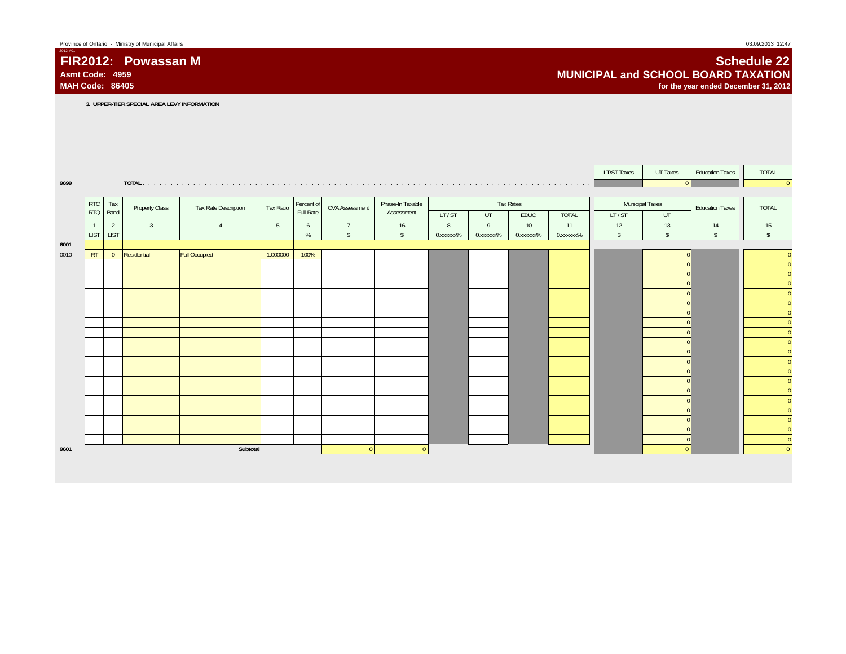**MAH Code: 86405**

**FIR2012: Powassan M**

2012-V01

## **Schedule 22 MUNICIPAL and SCHOOL BOARD TAXATIONfor the year ended December 31, 2012**

**3. UPPER-TIER SPECIAL AREA LEVY INFORMATION**

|      |                          |                               |                |                      |                 |                         |                       |                                |                |           |                              |                    | <b>LT/ST Taxes</b> | UT Taxes            | <b>Education Taxes</b> | TOTAL                                                |
|------|--------------------------|-------------------------------|----------------|----------------------|-----------------|-------------------------|-----------------------|--------------------------------|----------------|-----------|------------------------------|--------------------|--------------------|---------------------|------------------------|------------------------------------------------------|
| 9699 |                          |                               | TOTAL.         |                      |                 |                         |                       |                                |                |           |                              |                    |                    | $\vert$ 0           |                        | $\overline{0}$                                       |
|      |                          |                               |                |                      |                 |                         |                       |                                |                |           |                              |                    |                    |                     |                        |                                                      |
|      | <b>RTC</b><br><b>RTQ</b> | Tax<br>Band                   | Property Class | Tax Rate Description | Tax Ratio       | Percent of<br>Full Rate | <b>CVA Assessment</b> | Phase-In Taxable<br>Assessment |                |           | <b>Tax Rates</b>             |                    |                    | Municipal Taxes     | <b>Education Taxes</b> | <b>TOTAL</b>                                         |
|      | $\overline{1}$           |                               | $\overline{3}$ | $\overline{A}$       |                 |                         | $\overline{7}$        |                                | LT/ST          | UT<br>9   | EDUC                         | <b>TOTAL</b><br>11 | LT/ST              | UT                  |                        |                                                      |
|      | <b>LIST</b>              | $\overline{2}$<br><b>LIST</b> |                |                      | $5\phantom{.0}$ | 6<br>$\%$               | $\mathsf{\$}$         | 16<br>$\mathsf{s}$             | 8<br>0.xxxxxx% | 0.xxxxxx% | 10 <sup>°</sup><br>0.xxxxxx% | 0.xxxxxx%          | 12<br>$\sqrt[6]{}$ | 13<br>$\mathsf{\$}$ | 14<br>$\mathsf{s}$     | 15<br>$\mathbf{\hat{S}}$                             |
| 6001 |                          |                               |                |                      |                 |                         |                       |                                |                |           |                              |                    |                    |                     |                        |                                                      |
| 0010 | RT                       | $\overline{0}$                | Residential    | <b>Full Occupied</b> | 1.000000        | 100%                    |                       |                                |                |           |                              |                    |                    |                     |                        | $\overline{0}$                                       |
|      |                          |                               |                |                      |                 |                         |                       |                                |                |           |                              |                    |                    |                     |                        | $\overline{0}$                                       |
|      |                          |                               |                |                      |                 |                         |                       |                                |                |           |                              |                    |                    |                     |                        | $\overline{0}$                                       |
|      |                          |                               |                |                      |                 |                         |                       |                                |                |           |                              |                    |                    |                     |                        | $\overline{0}$<br>$\overline{\phantom{a}}$           |
|      |                          |                               |                |                      |                 |                         |                       |                                |                |           |                              |                    |                    |                     |                        | $\overline{\phantom{a}}$                             |
|      |                          |                               |                |                      |                 |                         |                       |                                |                |           |                              |                    |                    |                     |                        | $\overline{\phantom{a}}$                             |
|      |                          |                               |                |                      |                 |                         |                       |                                |                |           |                              |                    |                    |                     |                        | $\overline{\overline{\phantom{0}}\phantom{0}}$       |
|      |                          |                               |                |                      |                 |                         |                       |                                |                |           |                              |                    |                    |                     |                        | e e c<br>$\overline{0}$                              |
|      |                          |                               |                |                      |                 |                         |                       |                                |                |           |                              |                    |                    |                     |                        | $\overline{\phantom{a}}$                             |
|      |                          |                               |                |                      |                 |                         |                       |                                |                |           |                              |                    |                    |                     |                        | $\overline{\phantom{a}}$                             |
|      |                          |                               |                |                      |                 |                         |                       |                                |                |           |                              |                    |                    |                     |                        | $\overline{\phantom{a}}$<br>$\overline{\phantom{a}}$ |
|      |                          |                               |                |                      |                 |                         |                       |                                |                |           |                              |                    |                    |                     |                        | $\overline{\ }$ 0                                    |
|      |                          |                               |                |                      |                 |                         |                       |                                |                |           |                              |                    |                    |                     |                        | $\overline{0}$                                       |
|      |                          |                               |                |                      |                 |                         |                       |                                |                |           |                              |                    |                    |                     |                        | $\overline{\phantom{a}}$                             |
|      |                          |                               |                |                      |                 |                         |                       |                                |                |           |                              |                    |                    |                     |                        | $\overline{\phantom{a}}$                             |
|      |                          |                               |                |                      |                 |                         |                       |                                |                |           |                              |                    |                    |                     |                        | $\overline{0}$                                       |
|      |                          |                               |                |                      |                 |                         |                       |                                |                |           |                              |                    |                    |                     |                        | $\overline{0}$                                       |
|      |                          |                               |                |                      |                 |                         |                       |                                |                |           |                              |                    |                    |                     |                        | $\overline{0}$<br>e e                                |
| 9601 |                          |                               |                | Subtotal             |                 |                         | $\Omega$              | $\Omega$                       |                |           |                              |                    |                    | $\Omega$            |                        | $\overline{0}$                                       |
|      |                          |                               |                |                      |                 |                         |                       |                                |                |           |                              |                    |                    |                     |                        |                                                      |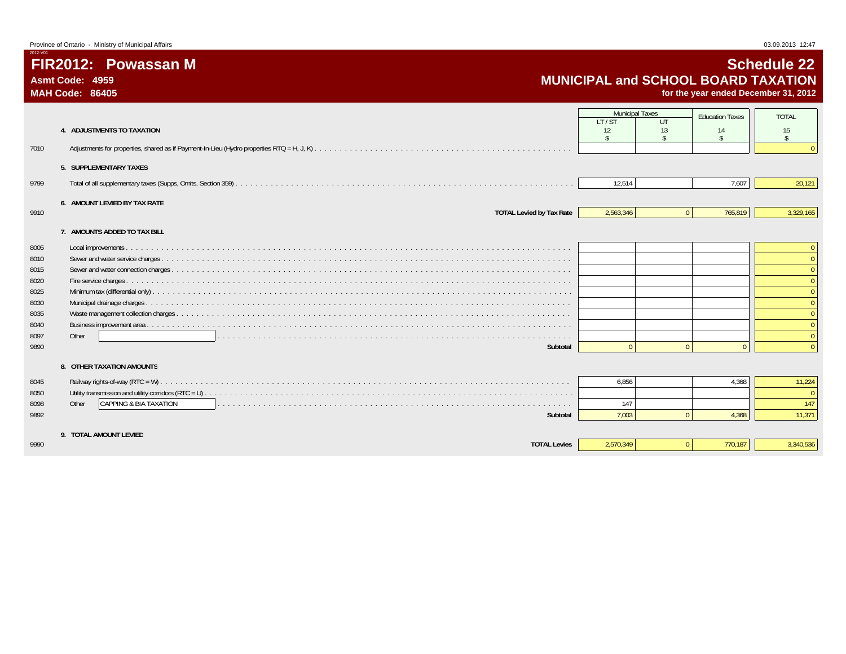**FIR2012: Powassan M**

 $2012 -$ 

# **Schedule 22 MUNICIPAL and SCHOOL BOARD TAXATION**

|                                                                              | <b>MAH Code: 86405</b>                                                         |                                                               |                | for the year ended December 31, 2012 |                                          |
|------------------------------------------------------------------------------|--------------------------------------------------------------------------------|---------------------------------------------------------------|----------------|--------------------------------------|------------------------------------------|
|                                                                              | 4. ADJUSTMENTS TO TAXATION                                                     | <b>Municipal Taxes</b><br>LT/ST<br>12<br>$\ddot{\mathcal{L}}$ | UT<br>13       | <b>Education Taxes</b><br>14         | <b>TOTAL</b><br>15<br>$\mathbf{\hat{S}}$ |
| 7010                                                                         | 5. SUPPLEMENTARY TAXES                                                         |                                                               |                |                                      |                                          |
| 9799                                                                         |                                                                                | 12,514                                                        |                | 7,607                                | 20,121                                   |
| 9910                                                                         | 6. AMOUNT LEVIED BY TAX RATE<br><b>TOTAL Levied by Tax Rate</b>                | 2,563,346                                                     | $\overline{0}$ | 765,819                              | 3,329,165                                |
| 8005<br>8010<br>8015<br>8020<br>8025<br>8030<br>8035<br>8040<br>8097<br>9890 | 7. AMOUNTS ADDED TO TAX BILL<br>Other<br>Subtotal<br>8. OTHER TAXATION AMOUNTS |                                                               | $\mathbf{0}$   | $\Omega$                             |                                          |
| 8045<br>8050<br>8098<br>9892                                                 | CAPPING & BIA TAXATION<br>Other<br>Subtotal                                    | 6.856<br>147<br>7,003                                         | $\Omega$       | 4,368<br>4.368                       | 11,224<br>147<br>11,371                  |
| 9990                                                                         | 9. TOTAL AMOUNT LEVIED<br><b>TOTAL Levies</b>                                  | 2,570,349                                                     | $\overline{0}$ | 770.187                              | 3,340,536                                |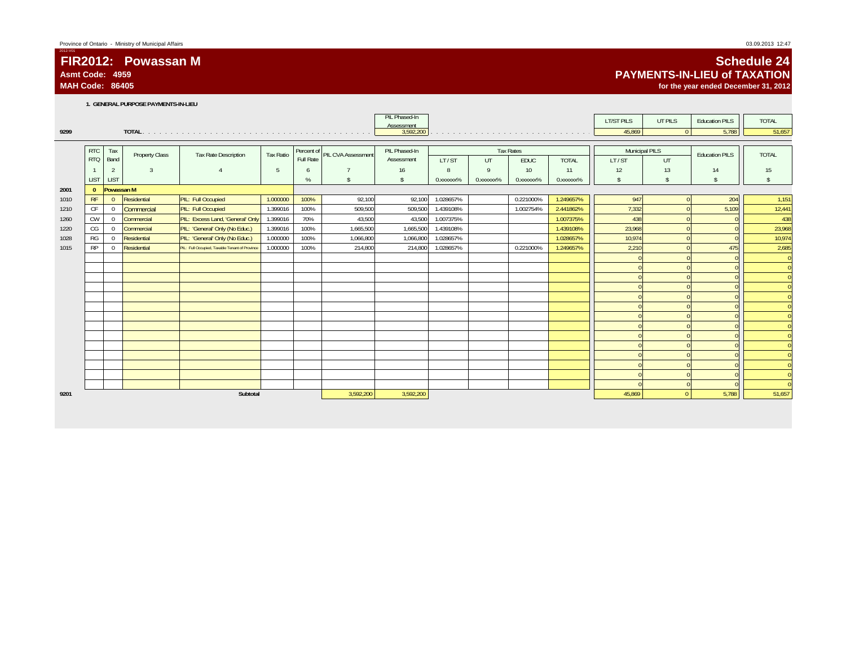# **FIR2012: Powassan M**

**Asmt Code: 4959MAH Code: 86405**

2012-V01

# **Schedule 24 PAYMENTS-IN-LIEU of TAXATION**

**for the year ended December 31, 2012**

**1. GENERAL PURPOSE PAYMENTS-IN-LIEU**

|      |              |                |                       |                                                |           |            |                           | PIL Phased-In<br>Assessment |           |                        |                  |              | <b>LT/ST PILS</b>     | UT PILS            | <b>Education PILS</b> | <b>TOTAL</b>             |
|------|--------------|----------------|-----------------------|------------------------------------------------|-----------|------------|---------------------------|-----------------------------|-----------|------------------------|------------------|--------------|-----------------------|--------------------|-----------------------|--------------------------|
| 9299 |              |                |                       |                                                |           |            |                           | 3,592,200                   |           |                        |                  |              | 45,869                | $\overline{0}$     | 5,788                 | 51,657                   |
|      |              |                |                       |                                                |           |            |                           |                             |           |                        |                  |              |                       |                    |                       |                          |
|      | <b>RTC</b>   | Tax            | <b>Property Class</b> | <b>Tax Rate Description</b>                    | Tax Ratio | Percent of | <b>PIL CVA Assessment</b> | PIL Phased-In               |           |                        | <b>Tax Rates</b> |              | <b>Municipal PILS</b> |                    | <b>Education PILS</b> | <b>TOTAL</b>             |
|      | <b>RTQ</b>   | Band           |                       |                                                |           | Full Rate  |                           | Assessment                  | LT/ST     | <b>UT</b>              | <b>EDUC</b>      | <b>TOTAL</b> | LT/ST                 | UT                 |                       |                          |
|      |              | $\overline{2}$ | $\overline{3}$        |                                                | 5         | 6          |                           | 16                          | 8         | $\mathsf{q}$           | 10               | 11           | 12                    | 13                 | 14                    | 15                       |
|      | <b>LIST</b>  | <b>LIST</b>    |                       |                                                |           | %          |                           | s.                          | 0.xxxxxx% | 0. XXXXXX <sup>%</sup> | 0.xxxxxx%        | 0.xxxxxx%    | <sup>\$</sup>         | $\mathbf{\hat{S}}$ | $\hat{\mathcal{L}}$   | $\mathbf{\hat{S}}$       |
| 2001 | $\mathbf{0}$ | Powassan M     |                       |                                                |           |            |                           |                             |           |                        |                  |              |                       |                    |                       |                          |
| 1010 | <b>RF</b>    | $\Omega$       | Residential           | PIL: Full Occupied                             | 1.000000  | 100%       | 92,100                    | 92,100                      | 1.028657% |                        | 0.221000%        | 1.249657%    | 947                   |                    | 204                   | 1,151                    |
| 1210 | CF           | $\Omega$       | Commercial            | PIL: Full Occupied                             | 1.399016  | 100%       | 509,500                   | 509,500                     | 1.439108% |                        | 1.002754%        | 2.441862%    | 7,332                 |                    | 5,109                 | 12,441                   |
| 1260 | <b>CW</b>    | $\Omega$       | Commercial            | PIL: Excess Land, 'General' Only               | 1.399016  | 70%        | 43,500                    | 43,500                      | 1.007375% |                        |                  | 1.007375%    | 438                   |                    |                       | 438                      |
| 1220 | CG           | $\Omega$       | Commercial            | PIL: 'General' Only (No Educ.)                 | 1.399016  | 100%       | 1,665,500                 | 1,665,500                   | 1.439108% |                        |                  | 1.439108%    | 23,968                |                    |                       | 23,968                   |
| 1028 | RG           | $\Omega$       | Residential           | PIL: 'General' Only (No Educ.)                 | 1.000000  | 100%       | 1,066,800                 | 1,066,800                   | 1.028657% |                        |                  | 1.028657%    | 10,974                |                    |                       | 10,974                   |
| 1015 | <b>RP</b>    | $\Omega$       | Residential           | PIL: Full Occupied, Taxable Tenant of Province | 1.000000  | 100%       | 214,800                   | 214,800                     | 1.028657% |                        | 0.221000%        | 1.249657%    | 2,210                 |                    | 475                   | 2,685                    |
|      |              |                |                       |                                                |           |            |                           |                             |           |                        |                  |              |                       |                    |                       | $\overline{0}$           |
|      |              |                |                       |                                                |           |            |                           |                             |           |                        |                  |              |                       |                    |                       | $\overline{\phantom{a}}$ |
|      |              |                |                       |                                                |           |            |                           |                             |           |                        |                  |              |                       |                    |                       | $\overline{0}$           |
|      |              |                |                       |                                                |           |            |                           |                             |           |                        |                  |              |                       |                    |                       | $\overline{0}$           |
|      |              |                |                       |                                                |           |            |                           |                             |           |                        |                  |              |                       |                    |                       | $\overline{0}$           |
|      |              |                |                       |                                                |           |            |                           |                             |           |                        |                  |              |                       |                    |                       | $\overline{0}$           |
|      |              |                |                       |                                                |           |            |                           |                             |           |                        |                  |              |                       |                    |                       | $\overline{0}$           |
|      |              |                |                       |                                                |           |            |                           |                             |           |                        |                  |              |                       |                    |                       | $\overline{0}$           |
|      |              |                |                       |                                                |           |            |                           |                             |           |                        |                  |              |                       |                    |                       | $\overline{0}$           |
|      |              |                |                       |                                                |           |            |                           |                             |           |                        |                  |              |                       |                    |                       | $\overline{0}$           |
|      |              |                |                       |                                                |           |            |                           |                             |           |                        |                  |              |                       |                    |                       | $\overline{0}$           |
|      |              |                |                       |                                                |           |            |                           |                             |           |                        |                  |              |                       |                    |                       | $\overline{0}$           |
|      |              |                |                       |                                                |           |            |                           |                             |           |                        |                  |              | $\overline{0}$        |                    |                       |                          |
|      |              |                |                       |                                                |           |            |                           |                             |           |                        |                  |              |                       | $\Omega$           |                       | $\overline{0}$           |
| 9201 |              |                |                       | Subtotal                                       |           |            | 3,592,200                 | 3,592,200                   |           |                        |                  |              | 45,869                | $\overline{0}$     | 5,788                 | 51,657                   |
|      |              |                |                       |                                                |           |            |                           |                             |           |                        |                  |              |                       |                    |                       |                          |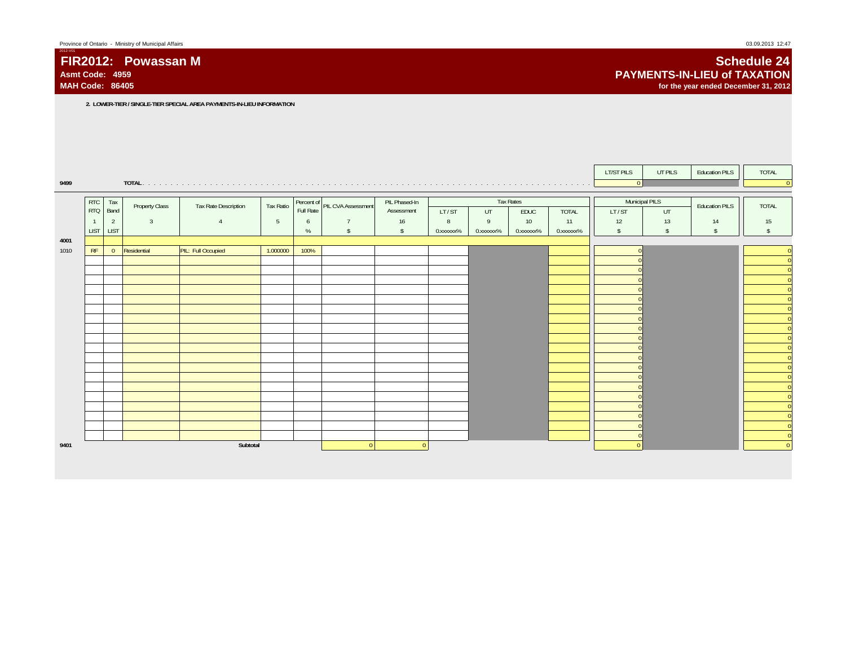**MAH Code: 86405**

**FIR2012: Powassan M**

2012-V01

## **Schedule 24 PAYMENTS-IN-LIEU of TAXATIONfor the year ended December 31, 2012**

**2. LOWER-TIER / SINGLE-TIER SPECIAL AREA PAYMENTS-IN-LIEU INFORMATION**

|      |                |                |                |                      |                 |      |                               |                |           |           |           |              | LT/ST PILS     | UT PILS        | <b>Education PILS</b> | TOTAL              |
|------|----------------|----------------|----------------|----------------------|-----------------|------|-------------------------------|----------------|-----------|-----------|-----------|--------------|----------------|----------------|-----------------------|--------------------|
| 9499 |                |                |                |                      |                 |      |                               |                |           |           |           |              | $\overline{0}$ |                |                       | $\Omega$           |
|      | <b>RTC</b>     | Tax            |                |                      |                 |      |                               | PIL Phased-In  |           |           | Tax Rates |              |                | Municipal PILS |                       |                    |
|      | <b>RTQ</b>     | Band           | Property Class | Tax Rate Description | Tax Ratio       |      | Percent of PIL CVA Assessment | Assessment     | LT/ST     | UT        | EDUC      | <b>TOTAL</b> | LT/ST          | UT             | <b>Education PILS</b> | <b>TOTAL</b>       |
|      | $\overline{1}$ | $\overline{2}$ | $\overline{3}$ | $\overline{4}$       | $5\phantom{.0}$ | 6    | $\overline{7}$                | 16             | 8         | 9         | 10        | 11           | 12             | 13             | 14                    | 15                 |
|      | <b>LIST</b>    | <b>LIST</b>    |                |                      |                 | %    | $\mathsf{\$}$                 | $\mathsf{S}$   | 0.xxxxxx% | 0.xxxxxx% | 0.xxxxxx% | 0.xxxxxx%    | $\mathcal{S}$  | $\sqrt{2}$     | $\mathsf{s}$          | $\mathbf{\hat{S}}$ |
| 4001 |                |                |                |                      |                 |      |                               |                |           |           |           |              |                |                |                       |                    |
| 1010 | RF             | $\overline{0}$ | Residential    | PIL: Full Occupied   | 1.000000        | 100% |                               |                |           |           |           |              |                |                |                       | $\Omega$           |
|      |                |                |                |                      |                 |      |                               |                |           |           |           |              |                |                |                       |                    |
|      |                |                |                |                      |                 |      |                               |                |           |           |           |              |                |                |                       |                    |
|      |                |                |                |                      |                 |      |                               |                |           |           |           |              |                |                |                       |                    |
|      |                |                |                |                      |                 |      |                               |                |           |           |           |              |                |                |                       |                    |
|      |                |                |                |                      |                 |      |                               |                |           |           |           |              |                |                |                       |                    |
|      |                |                |                |                      |                 |      |                               |                |           |           |           |              |                |                |                       | $\Omega$           |
|      |                |                |                |                      |                 |      |                               |                |           |           |           |              |                |                |                       |                    |
|      |                |                |                |                      |                 |      |                               |                |           |           |           |              |                |                |                       |                    |
|      |                |                |                |                      |                 |      |                               |                |           |           |           |              |                |                |                       |                    |
|      |                |                |                |                      |                 |      |                               |                |           |           |           |              |                |                |                       |                    |
|      |                |                |                |                      |                 |      |                               |                |           |           |           |              |                |                |                       |                    |
|      |                |                |                |                      |                 |      |                               |                |           |           |           |              |                |                |                       | $\Omega$           |
|      |                |                |                |                      |                 |      |                               |                |           |           |           |              |                |                |                       |                    |
|      |                |                |                |                      |                 |      |                               |                |           |           |           |              |                |                |                       |                    |
|      |                |                |                |                      |                 |      |                               |                |           |           |           |              |                |                |                       |                    |
|      |                |                |                |                      |                 |      |                               |                |           |           |           |              |                |                |                       | $\Omega$           |
| 9401 |                |                |                | Subtotal             |                 |      | $\Omega$                      | $\overline{0}$ |           |           |           |              |                |                |                       | $\Omega$           |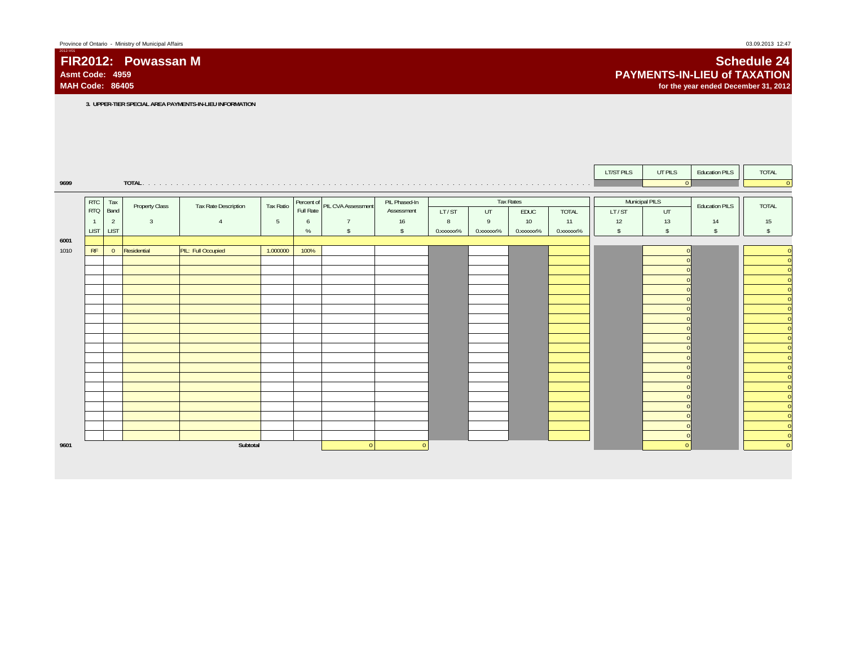**MAH Code: 86405**

**FIR2012: Powassan M**

2012-V01

## **Schedule 24 PAYMENTS-IN-LIEU of TAXATIONfor the year ended December 31, 2012**

**3. UPPER-TIER SPECIAL AREA PAYMENTS-IN-LIEU INFORMATION**

|      |                          |                               |                |                      |                 |           |                               |                    |                          |           |                  |                    | LT/ST PILS          | UT PILS             | <b>Education PILS</b> | TOTAL        |
|------|--------------------------|-------------------------------|----------------|----------------------|-----------------|-----------|-------------------------------|--------------------|--------------------------|-----------|------------------|--------------------|---------------------|---------------------|-----------------------|--------------|
| 9699 |                          |                               | TOTAL.         |                      |                 |           |                               |                    |                          |           |                  |                    |                     | $\vert$ 0           |                       | $\Omega$     |
|      |                          |                               |                |                      |                 |           |                               |                    |                          |           |                  |                    |                     |                     |                       |              |
|      | <b>RTC</b><br><b>RTQ</b> | Tax<br>Band                   | Property Class | Tax Rate Description | Tax Ratio       | Full Rate | Percent of PIL CVA Assessment | PIL Phased-In      |                          |           | <b>Tax Rates</b> |                    |                     | Municipal PILS      | <b>Education PILS</b> | <b>TOTAL</b> |
|      | $\overline{1}$           |                               | $\overline{3}$ | $\overline{4}$       | $5\phantom{.0}$ |           | $\overline{7}$                | Assessment         | LT/ST<br>$8\phantom{.0}$ | UT<br>9   | EDUC<br>10       | <b>TOTAL</b><br>11 | LT/ST               | UT                  |                       |              |
|      | <b>LIST</b>              | $\overline{2}$<br><b>LIST</b> |                |                      |                 | 6<br>$\%$ | $\sqrt{2}$                    | 16<br>$\mathsf{s}$ | 0.xxxxxx%                | 0.xxxxxx% | 0.xxxxxx%        | 0.xxxxxx%          | 12<br>$\mathsf{\$}$ | 13<br>$\mathsf{\$}$ | 14<br>$\mathsf{s}$    | 15           |
| 6001 |                          |                               |                |                      |                 |           |                               |                    |                          |           |                  |                    |                     |                     |                       |              |
| 1010 | RF                       | $\mathbf{0}$                  | Residential    | PIL: Full Occupied   | 1.000000        | 100%      |                               |                    |                          |           |                  |                    |                     |                     |                       |              |
|      |                          |                               |                |                      |                 |           |                               |                    |                          |           |                  |                    |                     |                     |                       | $\Omega$     |
|      |                          |                               |                |                      |                 |           |                               |                    |                          |           |                  |                    |                     |                     |                       |              |
|      |                          |                               |                |                      |                 |           |                               |                    |                          |           |                  |                    |                     |                     |                       | $\Omega$     |
|      |                          |                               |                |                      |                 |           |                               |                    |                          |           |                  |                    |                     |                     |                       |              |
|      |                          |                               |                |                      |                 |           |                               |                    |                          |           |                  |                    |                     |                     |                       |              |
|      |                          |                               |                |                      |                 |           |                               |                    |                          |           |                  |                    |                     |                     |                       |              |
|      |                          |                               |                |                      |                 |           |                               |                    |                          |           |                  |                    |                     |                     |                       |              |
|      |                          |                               |                |                      |                 |           |                               |                    |                          |           |                  |                    |                     |                     |                       |              |
|      |                          |                               |                |                      |                 |           |                               |                    |                          |           |                  |                    |                     |                     |                       |              |
|      |                          |                               |                |                      |                 |           |                               |                    |                          |           |                  |                    |                     |                     |                       |              |
|      |                          |                               |                |                      |                 |           |                               |                    |                          |           |                  |                    |                     |                     |                       |              |
|      |                          |                               |                |                      |                 |           |                               |                    |                          |           |                  |                    |                     |                     |                       |              |
|      |                          |                               |                |                      |                 |           |                               |                    |                          |           |                  |                    |                     |                     |                       |              |
|      |                          |                               |                |                      |                 |           |                               |                    |                          |           |                  |                    |                     |                     |                       |              |
|      |                          |                               |                |                      |                 |           |                               |                    |                          |           |                  |                    |                     |                     |                       |              |
|      |                          |                               |                |                      |                 |           |                               |                    |                          |           |                  |                    |                     |                     |                       |              |
|      |                          |                               |                |                      |                 |           |                               |                    |                          |           |                  |                    |                     |                     |                       | $\Omega$     |
| 9601 |                          |                               |                | Subtotal             |                 |           | $\Omega$                      | $\Omega$           |                          |           |                  |                    |                     |                     |                       | $\mathbf{0}$ |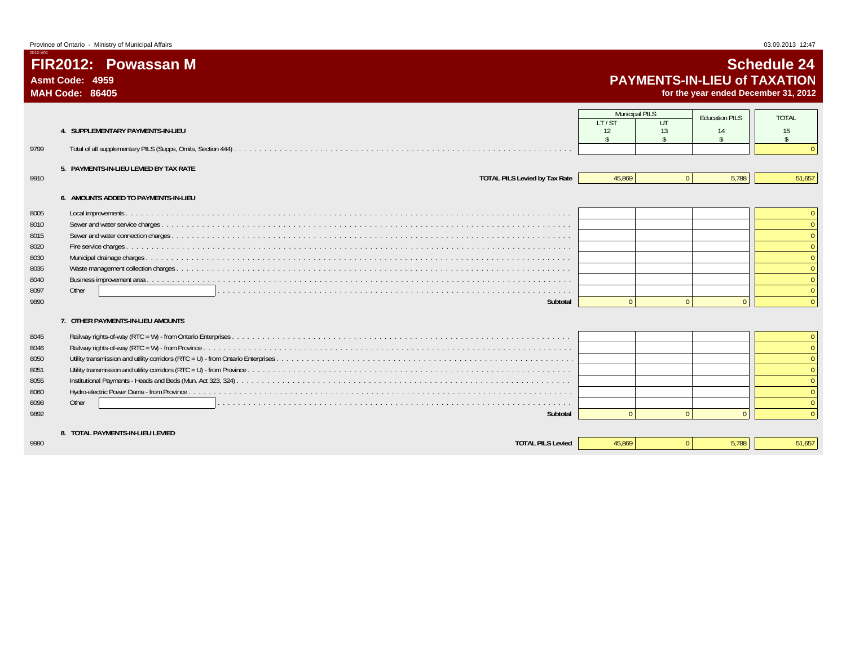**MAH Code: 86405**

2012-V01

# **Schedule 24 PAYMENTS-IN-LIEU of TAXATION**

**for the year ended December 31, 2012**

|                                                |                                      | <b>Municipal PILS</b>    |              | <b>Education PILS</b>    | <b>TOTAL</b>             |
|------------------------------------------------|--------------------------------------|--------------------------|--------------|--------------------------|--------------------------|
|                                                |                                      | IT/ST                    | $U$ T        |                          |                          |
| 4. SUPPLEMENTARY PAYMENTS-IN-LIEU              |                                      | 12<br>$\hat{\mathbf{S}}$ | 13           | 14<br>$\hat{\mathbf{r}}$ | 15<br>$\hat{\mathbf{s}}$ |
| 9799                                           |                                      |                          |              |                          |                          |
|                                                |                                      |                          |              |                          |                          |
| 5. PAYMENTS-IN-LIEU LEVIED BY TAX RATE<br>9910 | <b>TOTAL PILS Levied by Tax Rate</b> | 45.869                   | $\mathbf{0}$ | 5,788                    | 51,657                   |
|                                                |                                      |                          |              |                          |                          |
| 6. AMOUNTS ADDED TO PAYMENTS-IN-LIEU           |                                      |                          |              |                          |                          |
| 8005                                           |                                      |                          |              |                          | $\overline{0}$           |
| 8010                                           |                                      |                          |              |                          | $\Omega$                 |
| 8015                                           |                                      |                          |              |                          | $\overline{0}$           |
| 8020                                           |                                      |                          |              |                          | $\Omega$                 |
| 8030                                           |                                      |                          |              |                          | $\theta$                 |
| 8035                                           |                                      |                          |              |                          | $\Omega$                 |
| 8040                                           |                                      |                          |              |                          | $\Omega$                 |
| 8097<br>Other                                  |                                      |                          |              |                          | $\Omega$                 |
| 9890                                           | Subtotal                             | $\cap$                   | $\Omega$     | $\Omega$                 | $\mathbf{0}$             |
| 7. OTHER PAYMENTS-IN-LIEU AMOUNTS              |                                      |                          |              |                          |                          |
| 8045                                           |                                      |                          |              |                          | $\overline{0}$           |
| 8046                                           |                                      |                          |              |                          | $\Omega$                 |
| 8050                                           |                                      |                          |              |                          | $\Omega$                 |
| 8051                                           |                                      |                          |              |                          | $\Omega$                 |
| 8055                                           |                                      |                          |              |                          | $\Omega$                 |
| 8060                                           |                                      |                          |              |                          | $\mathbf{0}$             |
| Other<br>8098                                  |                                      |                          |              |                          | $\Omega$                 |
| 9892                                           | Subtotal                             | $\Omega$                 | $\Omega$     |                          | $\Omega$                 |
|                                                |                                      |                          |              |                          |                          |
| 8. TOTAL PAYMENTS-IN-LIEU LEVIED               |                                      |                          |              |                          |                          |
| 9990                                           | <b>TOTAL PILS Levied</b>             | 45.869                   | $\Omega$     | 5.788                    | 51,657                   |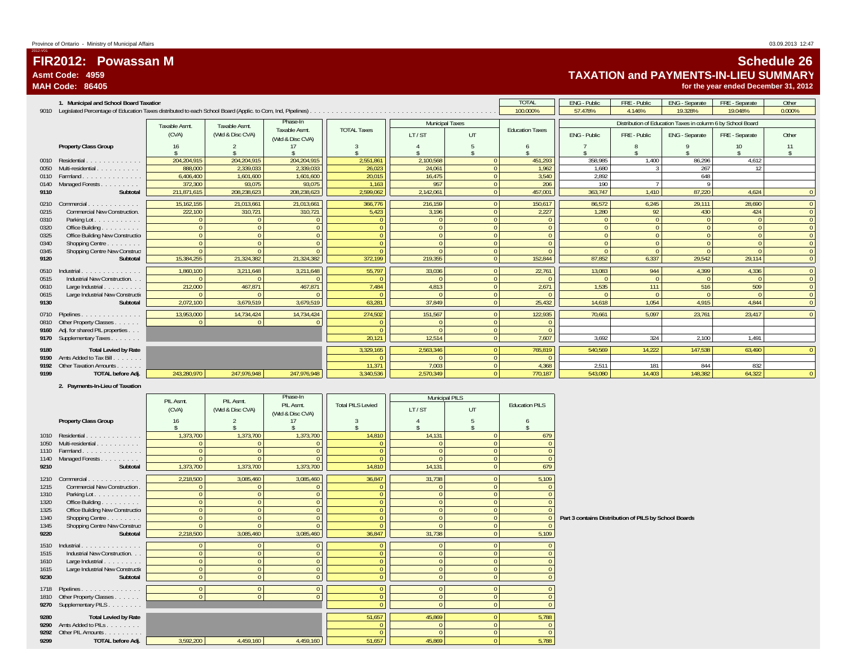# **FIR2012: Powassan MAsmt Code: 4959**

**MAH Code: 86405**

2012-V01

# **Schedule 26 TAXATION and PAYMENTS-IN-LIEU SUMMARY**

**for the year ended December 31, 2012**

| <b>TOTAL</b><br>FRE - Public<br>Other<br><b>ENG - Public</b><br>ENG - Separate<br>FRE - Separate<br>1. Municipal and School Board Taxation<br>100.000%<br>57.478%<br>0.000%<br>4.146%<br>19.328%<br>19.048%<br>Phase-In<br>Distribution of Education Taxes in column 6 by School Board<br><b>Municipal Taxes</b><br>Taxable Asmt.<br>Taxable Asmt.<br>Taxable Asmt.<br><b>TOTAL Taxes</b><br><b>Education Taxes</b><br>(CVA)<br>(Wtd & Disc CVA)<br>LT/ST<br>UT<br>ENG - Public<br>FRE - Public<br>ENG - Separate<br>Other<br>FRE - Separate<br>(Wtd & Disc CVA)<br><b>Property Class Group</b><br>16<br>204.204.915<br>204,204,915<br>204,204,915<br>2,551,861<br>2,100,568<br>451,293<br>358,985<br>1.400<br>86,296<br>4,612<br>Residential<br>$\Omega$<br>0010<br>.<br>1,962<br>267<br>888,000<br>2,339,033<br>2,339,033<br>24,061<br>$\Omega$<br>1,680<br>12<br>Multi-residential<br>26,023<br>0050<br>$\overline{0}$<br>Farmland.<br>6.406.400<br>3.540<br>2.892<br>648<br>1.601.600<br>1,601,600<br>20.015<br>16.475<br>0110<br>.<br>$\overline{0}$<br>372,300<br>93.075<br>93.075<br>957<br>206<br>190<br>Managed Forests<br>1,163<br>0140<br>$\overline{0}$<br>208,238,623<br>208,238,623<br>363,747<br>1,410<br>87,220<br>Subtotal<br>211,871,615<br>2,599,062<br>2,142,061<br>457,001<br>4,624<br>9110<br>$\Omega$<br>21,013,661<br>216,159<br>28,690<br>15,162,155<br>21,013,661<br>366,776<br>$\overline{0}$<br>150,617<br>86.572<br>6,245<br>29,111<br>$\mathbf{0}$<br>Commercial<br>0210<br>design and a state of the<br>2,227<br>1,280<br>92<br>424<br><b>Commercial New Construction.</b><br>222,100<br>310,721<br>310,721<br>3,196<br>430<br>5,423<br>$\Omega$<br>0215<br>$\mathbf{0}$<br>Parking Lot.<br>$\Omega$<br>$\Omega$<br>0310<br>Office Building<br>0320<br>$\Omega$<br>$\overline{0}$<br>$\Omega$<br>$\Omega$<br>$\Omega$<br>$\Omega$<br>$\Omega$<br>Office Building New Construction<br>0325<br>$\Omega$<br>$\Omega$<br>$\Omega$<br>$\overline{0}$<br>$\Omega$<br>$\Omega$<br>$\Omega$<br>$\overline{0}$<br>Shopping Centre<br>$\Omega$<br>$\Omega$<br>0340<br>$\Omega$<br>$\Omega$<br>$\Omega$<br>$\Omega$<br>0345<br>Shopping Centre New Construct<br>$\overline{0}$<br>$\Omega$<br>$\Omega$<br>$\Omega$<br>$\Omega$<br>$\overline{0}$<br>6.337<br>87.852<br>15.384.255<br>21.324.382<br>21.324.382<br>372,199<br>219.355<br>152,844<br>29.542<br>29.114<br>9120<br>Subtotal<br>1,860,100<br>3,211,648<br>3,211,648<br>55,797<br>33,036<br>22,761<br>13,083<br>944<br>4,399<br>4,336<br>$\Omega$<br>Industrial.<br>$\Omega$<br>0510<br>.<br>$\overline{0}$<br>Industrial New Construction<br>$\Omega$<br>$\Omega$<br>$\Omega$<br>$\mathbf{0}$<br>0515<br>$\Omega$<br>212,000<br>509<br>467,871<br>467,871<br>7,484<br>2,671<br>1,535<br>516<br>Large Industrial<br>4,813<br>$\Omega$<br>111<br>0610<br>$\mathbf{0}$<br>$\overline{0}$<br>Large Industrial New Constructio<br>$\Omega$<br>0615<br>$\Omega$<br>$\Omega$<br>$\Omega$<br>$\overline{0}$<br>2,072,100<br>63,281<br>25,432<br>14,618<br>1,054<br>4,915<br>4,844<br>9130<br>3,679,519<br>3,679,519<br>37,849<br>Subtotal<br>$\Omega$<br>13,953,000<br>14,734,424<br>274,502<br>151.567<br>$\overline{0}$<br>122,935<br>70.661<br>5.097<br>23.761<br>0710 Pipelines.<br>14,734,424<br>23.417<br>a dia ana ana ana ana an<br>0810 Other Property Classes<br>$\Omega$<br>$\Omega$<br>9160 Adj. for shared PIL properties<br>$\overline{0}$<br>$\overline{0}$<br>20,121<br>7,607<br>9170 Supplementary Taxes<br>12,514<br>324<br>3,692<br>2,100<br>1,491<br><b>Total Levied by Rate</b><br>3,329,165<br>2,563,346<br>765,819<br>14.222<br>0 <sup>1</sup><br>540.569<br>147.538<br>63,490<br>9180<br>$\overline{0}$<br>9190 Amts Added to Tax Bill.<br>.<br>$\overline{0}$<br>7.003<br>4.368<br>832<br>9192 Other Taxation Amounts<br>11,371<br>2.511<br>181<br>844<br>64.322<br>243,280,970<br>247,976,948<br>247,976,948<br>3,340,536<br>2,570,349<br>$\Omega$<br>770.187<br>543.080<br>14.403<br>148.382<br>TOTAL before Adj.<br>$\Omega$<br>9199 |  |  |  |  |  |  |  |
|----------------------------------------------------------------------------------------------------------------------------------------------------------------------------------------------------------------------------------------------------------------------------------------------------------------------------------------------------------------------------------------------------------------------------------------------------------------------------------------------------------------------------------------------------------------------------------------------------------------------------------------------------------------------------------------------------------------------------------------------------------------------------------------------------------------------------------------------------------------------------------------------------------------------------------------------------------------------------------------------------------------------------------------------------------------------------------------------------------------------------------------------------------------------------------------------------------------------------------------------------------------------------------------------------------------------------------------------------------------------------------------------------------------------------------------------------------------------------------------------------------------------------------------------------------------------------------------------------------------------------------------------------------------------------------------------------------------------------------------------------------------------------------------------------------------------------------------------------------------------------------------------------------------------------------------------------------------------------------------------------------------------------------------------------------------------------------------------------------------------------------------------------------------------------------------------------------------------------------------------------------------------------------------------------------------------------------------------------------------------------------------------------------------------------------------------------------------------------------------------------------------------------------------------------------------------------------------------------------------------------------------------------------------------------------------------------------------------------------------------------------------------------------------------------------------------------------------------------------------------------------------------------------------------------------------------------------------------------------------------------------------------------------------------------------------------------------------------------------------------------------------------------------------------------------------------------------------------------------------------------------------------------------------------------------------------------------------------------------------------------------------------------------------------------------------------------------------------------------------------------------------------------------------------------------------------------------------------------------------------------------------------------------------------------------------------------------------------------------------------------------------------------------------------------------------------------------------------------------------------------------------------------------------------------------------------------------------------------------------------------------------------------------------|--|--|--|--|--|--|--|
|                                                                                                                                                                                                                                                                                                                                                                                                                                                                                                                                                                                                                                                                                                                                                                                                                                                                                                                                                                                                                                                                                                                                                                                                                                                                                                                                                                                                                                                                                                                                                                                                                                                                                                                                                                                                                                                                                                                                                                                                                                                                                                                                                                                                                                                                                                                                                                                                                                                                                                                                                                                                                                                                                                                                                                                                                                                                                                                                                                                                                                                                                                                                                                                                                                                                                                                                                                                                                                                                                                                                                                                                                                                                                                                                                                                                                                                                                                                                                                                                                                        |  |  |  |  |  |  |  |
|                                                                                                                                                                                                                                                                                                                                                                                                                                                                                                                                                                                                                                                                                                                                                                                                                                                                                                                                                                                                                                                                                                                                                                                                                                                                                                                                                                                                                                                                                                                                                                                                                                                                                                                                                                                                                                                                                                                                                                                                                                                                                                                                                                                                                                                                                                                                                                                                                                                                                                                                                                                                                                                                                                                                                                                                                                                                                                                                                                                                                                                                                                                                                                                                                                                                                                                                                                                                                                                                                                                                                                                                                                                                                                                                                                                                                                                                                                                                                                                                                                        |  |  |  |  |  |  |  |
|                                                                                                                                                                                                                                                                                                                                                                                                                                                                                                                                                                                                                                                                                                                                                                                                                                                                                                                                                                                                                                                                                                                                                                                                                                                                                                                                                                                                                                                                                                                                                                                                                                                                                                                                                                                                                                                                                                                                                                                                                                                                                                                                                                                                                                                                                                                                                                                                                                                                                                                                                                                                                                                                                                                                                                                                                                                                                                                                                                                                                                                                                                                                                                                                                                                                                                                                                                                                                                                                                                                                                                                                                                                                                                                                                                                                                                                                                                                                                                                                                                        |  |  |  |  |  |  |  |
|                                                                                                                                                                                                                                                                                                                                                                                                                                                                                                                                                                                                                                                                                                                                                                                                                                                                                                                                                                                                                                                                                                                                                                                                                                                                                                                                                                                                                                                                                                                                                                                                                                                                                                                                                                                                                                                                                                                                                                                                                                                                                                                                                                                                                                                                                                                                                                                                                                                                                                                                                                                                                                                                                                                                                                                                                                                                                                                                                                                                                                                                                                                                                                                                                                                                                                                                                                                                                                                                                                                                                                                                                                                                                                                                                                                                                                                                                                                                                                                                                                        |  |  |  |  |  |  |  |
|                                                                                                                                                                                                                                                                                                                                                                                                                                                                                                                                                                                                                                                                                                                                                                                                                                                                                                                                                                                                                                                                                                                                                                                                                                                                                                                                                                                                                                                                                                                                                                                                                                                                                                                                                                                                                                                                                                                                                                                                                                                                                                                                                                                                                                                                                                                                                                                                                                                                                                                                                                                                                                                                                                                                                                                                                                                                                                                                                                                                                                                                                                                                                                                                                                                                                                                                                                                                                                                                                                                                                                                                                                                                                                                                                                                                                                                                                                                                                                                                                                        |  |  |  |  |  |  |  |
|                                                                                                                                                                                                                                                                                                                                                                                                                                                                                                                                                                                                                                                                                                                                                                                                                                                                                                                                                                                                                                                                                                                                                                                                                                                                                                                                                                                                                                                                                                                                                                                                                                                                                                                                                                                                                                                                                                                                                                                                                                                                                                                                                                                                                                                                                                                                                                                                                                                                                                                                                                                                                                                                                                                                                                                                                                                                                                                                                                                                                                                                                                                                                                                                                                                                                                                                                                                                                                                                                                                                                                                                                                                                                                                                                                                                                                                                                                                                                                                                                                        |  |  |  |  |  |  |  |
|                                                                                                                                                                                                                                                                                                                                                                                                                                                                                                                                                                                                                                                                                                                                                                                                                                                                                                                                                                                                                                                                                                                                                                                                                                                                                                                                                                                                                                                                                                                                                                                                                                                                                                                                                                                                                                                                                                                                                                                                                                                                                                                                                                                                                                                                                                                                                                                                                                                                                                                                                                                                                                                                                                                                                                                                                                                                                                                                                                                                                                                                                                                                                                                                                                                                                                                                                                                                                                                                                                                                                                                                                                                                                                                                                                                                                                                                                                                                                                                                                                        |  |  |  |  |  |  |  |
|                                                                                                                                                                                                                                                                                                                                                                                                                                                                                                                                                                                                                                                                                                                                                                                                                                                                                                                                                                                                                                                                                                                                                                                                                                                                                                                                                                                                                                                                                                                                                                                                                                                                                                                                                                                                                                                                                                                                                                                                                                                                                                                                                                                                                                                                                                                                                                                                                                                                                                                                                                                                                                                                                                                                                                                                                                                                                                                                                                                                                                                                                                                                                                                                                                                                                                                                                                                                                                                                                                                                                                                                                                                                                                                                                                                                                                                                                                                                                                                                                                        |  |  |  |  |  |  |  |
|                                                                                                                                                                                                                                                                                                                                                                                                                                                                                                                                                                                                                                                                                                                                                                                                                                                                                                                                                                                                                                                                                                                                                                                                                                                                                                                                                                                                                                                                                                                                                                                                                                                                                                                                                                                                                                                                                                                                                                                                                                                                                                                                                                                                                                                                                                                                                                                                                                                                                                                                                                                                                                                                                                                                                                                                                                                                                                                                                                                                                                                                                                                                                                                                                                                                                                                                                                                                                                                                                                                                                                                                                                                                                                                                                                                                                                                                                                                                                                                                                                        |  |  |  |  |  |  |  |
|                                                                                                                                                                                                                                                                                                                                                                                                                                                                                                                                                                                                                                                                                                                                                                                                                                                                                                                                                                                                                                                                                                                                                                                                                                                                                                                                                                                                                                                                                                                                                                                                                                                                                                                                                                                                                                                                                                                                                                                                                                                                                                                                                                                                                                                                                                                                                                                                                                                                                                                                                                                                                                                                                                                                                                                                                                                                                                                                                                                                                                                                                                                                                                                                                                                                                                                                                                                                                                                                                                                                                                                                                                                                                                                                                                                                                                                                                                                                                                                                                                        |  |  |  |  |  |  |  |
|                                                                                                                                                                                                                                                                                                                                                                                                                                                                                                                                                                                                                                                                                                                                                                                                                                                                                                                                                                                                                                                                                                                                                                                                                                                                                                                                                                                                                                                                                                                                                                                                                                                                                                                                                                                                                                                                                                                                                                                                                                                                                                                                                                                                                                                                                                                                                                                                                                                                                                                                                                                                                                                                                                                                                                                                                                                                                                                                                                                                                                                                                                                                                                                                                                                                                                                                                                                                                                                                                                                                                                                                                                                                                                                                                                                                                                                                                                                                                                                                                                        |  |  |  |  |  |  |  |
|                                                                                                                                                                                                                                                                                                                                                                                                                                                                                                                                                                                                                                                                                                                                                                                                                                                                                                                                                                                                                                                                                                                                                                                                                                                                                                                                                                                                                                                                                                                                                                                                                                                                                                                                                                                                                                                                                                                                                                                                                                                                                                                                                                                                                                                                                                                                                                                                                                                                                                                                                                                                                                                                                                                                                                                                                                                                                                                                                                                                                                                                                                                                                                                                                                                                                                                                                                                                                                                                                                                                                                                                                                                                                                                                                                                                                                                                                                                                                                                                                                        |  |  |  |  |  |  |  |
|                                                                                                                                                                                                                                                                                                                                                                                                                                                                                                                                                                                                                                                                                                                                                                                                                                                                                                                                                                                                                                                                                                                                                                                                                                                                                                                                                                                                                                                                                                                                                                                                                                                                                                                                                                                                                                                                                                                                                                                                                                                                                                                                                                                                                                                                                                                                                                                                                                                                                                                                                                                                                                                                                                                                                                                                                                                                                                                                                                                                                                                                                                                                                                                                                                                                                                                                                                                                                                                                                                                                                                                                                                                                                                                                                                                                                                                                                                                                                                                                                                        |  |  |  |  |  |  |  |
|                                                                                                                                                                                                                                                                                                                                                                                                                                                                                                                                                                                                                                                                                                                                                                                                                                                                                                                                                                                                                                                                                                                                                                                                                                                                                                                                                                                                                                                                                                                                                                                                                                                                                                                                                                                                                                                                                                                                                                                                                                                                                                                                                                                                                                                                                                                                                                                                                                                                                                                                                                                                                                                                                                                                                                                                                                                                                                                                                                                                                                                                                                                                                                                                                                                                                                                                                                                                                                                                                                                                                                                                                                                                                                                                                                                                                                                                                                                                                                                                                                        |  |  |  |  |  |  |  |
|                                                                                                                                                                                                                                                                                                                                                                                                                                                                                                                                                                                                                                                                                                                                                                                                                                                                                                                                                                                                                                                                                                                                                                                                                                                                                                                                                                                                                                                                                                                                                                                                                                                                                                                                                                                                                                                                                                                                                                                                                                                                                                                                                                                                                                                                                                                                                                                                                                                                                                                                                                                                                                                                                                                                                                                                                                                                                                                                                                                                                                                                                                                                                                                                                                                                                                                                                                                                                                                                                                                                                                                                                                                                                                                                                                                                                                                                                                                                                                                                                                        |  |  |  |  |  |  |  |
|                                                                                                                                                                                                                                                                                                                                                                                                                                                                                                                                                                                                                                                                                                                                                                                                                                                                                                                                                                                                                                                                                                                                                                                                                                                                                                                                                                                                                                                                                                                                                                                                                                                                                                                                                                                                                                                                                                                                                                                                                                                                                                                                                                                                                                                                                                                                                                                                                                                                                                                                                                                                                                                                                                                                                                                                                                                                                                                                                                                                                                                                                                                                                                                                                                                                                                                                                                                                                                                                                                                                                                                                                                                                                                                                                                                                                                                                                                                                                                                                                                        |  |  |  |  |  |  |  |
|                                                                                                                                                                                                                                                                                                                                                                                                                                                                                                                                                                                                                                                                                                                                                                                                                                                                                                                                                                                                                                                                                                                                                                                                                                                                                                                                                                                                                                                                                                                                                                                                                                                                                                                                                                                                                                                                                                                                                                                                                                                                                                                                                                                                                                                                                                                                                                                                                                                                                                                                                                                                                                                                                                                                                                                                                                                                                                                                                                                                                                                                                                                                                                                                                                                                                                                                                                                                                                                                                                                                                                                                                                                                                                                                                                                                                                                                                                                                                                                                                                        |  |  |  |  |  |  |  |
|                                                                                                                                                                                                                                                                                                                                                                                                                                                                                                                                                                                                                                                                                                                                                                                                                                                                                                                                                                                                                                                                                                                                                                                                                                                                                                                                                                                                                                                                                                                                                                                                                                                                                                                                                                                                                                                                                                                                                                                                                                                                                                                                                                                                                                                                                                                                                                                                                                                                                                                                                                                                                                                                                                                                                                                                                                                                                                                                                                                                                                                                                                                                                                                                                                                                                                                                                                                                                                                                                                                                                                                                                                                                                                                                                                                                                                                                                                                                                                                                                                        |  |  |  |  |  |  |  |
|                                                                                                                                                                                                                                                                                                                                                                                                                                                                                                                                                                                                                                                                                                                                                                                                                                                                                                                                                                                                                                                                                                                                                                                                                                                                                                                                                                                                                                                                                                                                                                                                                                                                                                                                                                                                                                                                                                                                                                                                                                                                                                                                                                                                                                                                                                                                                                                                                                                                                                                                                                                                                                                                                                                                                                                                                                                                                                                                                                                                                                                                                                                                                                                                                                                                                                                                                                                                                                                                                                                                                                                                                                                                                                                                                                                                                                                                                                                                                                                                                                        |  |  |  |  |  |  |  |
|                                                                                                                                                                                                                                                                                                                                                                                                                                                                                                                                                                                                                                                                                                                                                                                                                                                                                                                                                                                                                                                                                                                                                                                                                                                                                                                                                                                                                                                                                                                                                                                                                                                                                                                                                                                                                                                                                                                                                                                                                                                                                                                                                                                                                                                                                                                                                                                                                                                                                                                                                                                                                                                                                                                                                                                                                                                                                                                                                                                                                                                                                                                                                                                                                                                                                                                                                                                                                                                                                                                                                                                                                                                                                                                                                                                                                                                                                                                                                                                                                                        |  |  |  |  |  |  |  |
|                                                                                                                                                                                                                                                                                                                                                                                                                                                                                                                                                                                                                                                                                                                                                                                                                                                                                                                                                                                                                                                                                                                                                                                                                                                                                                                                                                                                                                                                                                                                                                                                                                                                                                                                                                                                                                                                                                                                                                                                                                                                                                                                                                                                                                                                                                                                                                                                                                                                                                                                                                                                                                                                                                                                                                                                                                                                                                                                                                                                                                                                                                                                                                                                                                                                                                                                                                                                                                                                                                                                                                                                                                                                                                                                                                                                                                                                                                                                                                                                                                        |  |  |  |  |  |  |  |
|                                                                                                                                                                                                                                                                                                                                                                                                                                                                                                                                                                                                                                                                                                                                                                                                                                                                                                                                                                                                                                                                                                                                                                                                                                                                                                                                                                                                                                                                                                                                                                                                                                                                                                                                                                                                                                                                                                                                                                                                                                                                                                                                                                                                                                                                                                                                                                                                                                                                                                                                                                                                                                                                                                                                                                                                                                                                                                                                                                                                                                                                                                                                                                                                                                                                                                                                                                                                                                                                                                                                                                                                                                                                                                                                                                                                                                                                                                                                                                                                                                        |  |  |  |  |  |  |  |
|                                                                                                                                                                                                                                                                                                                                                                                                                                                                                                                                                                                                                                                                                                                                                                                                                                                                                                                                                                                                                                                                                                                                                                                                                                                                                                                                                                                                                                                                                                                                                                                                                                                                                                                                                                                                                                                                                                                                                                                                                                                                                                                                                                                                                                                                                                                                                                                                                                                                                                                                                                                                                                                                                                                                                                                                                                                                                                                                                                                                                                                                                                                                                                                                                                                                                                                                                                                                                                                                                                                                                                                                                                                                                                                                                                                                                                                                                                                                                                                                                                        |  |  |  |  |  |  |  |
|                                                                                                                                                                                                                                                                                                                                                                                                                                                                                                                                                                                                                                                                                                                                                                                                                                                                                                                                                                                                                                                                                                                                                                                                                                                                                                                                                                                                                                                                                                                                                                                                                                                                                                                                                                                                                                                                                                                                                                                                                                                                                                                                                                                                                                                                                                                                                                                                                                                                                                                                                                                                                                                                                                                                                                                                                                                                                                                                                                                                                                                                                                                                                                                                                                                                                                                                                                                                                                                                                                                                                                                                                                                                                                                                                                                                                                                                                                                                                                                                                                        |  |  |  |  |  |  |  |
|                                                                                                                                                                                                                                                                                                                                                                                                                                                                                                                                                                                                                                                                                                                                                                                                                                                                                                                                                                                                                                                                                                                                                                                                                                                                                                                                                                                                                                                                                                                                                                                                                                                                                                                                                                                                                                                                                                                                                                                                                                                                                                                                                                                                                                                                                                                                                                                                                                                                                                                                                                                                                                                                                                                                                                                                                                                                                                                                                                                                                                                                                                                                                                                                                                                                                                                                                                                                                                                                                                                                                                                                                                                                                                                                                                                                                                                                                                                                                                                                                                        |  |  |  |  |  |  |  |
|                                                                                                                                                                                                                                                                                                                                                                                                                                                                                                                                                                                                                                                                                                                                                                                                                                                                                                                                                                                                                                                                                                                                                                                                                                                                                                                                                                                                                                                                                                                                                                                                                                                                                                                                                                                                                                                                                                                                                                                                                                                                                                                                                                                                                                                                                                                                                                                                                                                                                                                                                                                                                                                                                                                                                                                                                                                                                                                                                                                                                                                                                                                                                                                                                                                                                                                                                                                                                                                                                                                                                                                                                                                                                                                                                                                                                                                                                                                                                                                                                                        |  |  |  |  |  |  |  |
|                                                                                                                                                                                                                                                                                                                                                                                                                                                                                                                                                                                                                                                                                                                                                                                                                                                                                                                                                                                                                                                                                                                                                                                                                                                                                                                                                                                                                                                                                                                                                                                                                                                                                                                                                                                                                                                                                                                                                                                                                                                                                                                                                                                                                                                                                                                                                                                                                                                                                                                                                                                                                                                                                                                                                                                                                                                                                                                                                                                                                                                                                                                                                                                                                                                                                                                                                                                                                                                                                                                                                                                                                                                                                                                                                                                                                                                                                                                                                                                                                                        |  |  |  |  |  |  |  |
|                                                                                                                                                                                                                                                                                                                                                                                                                                                                                                                                                                                                                                                                                                                                                                                                                                                                                                                                                                                                                                                                                                                                                                                                                                                                                                                                                                                                                                                                                                                                                                                                                                                                                                                                                                                                                                                                                                                                                                                                                                                                                                                                                                                                                                                                                                                                                                                                                                                                                                                                                                                                                                                                                                                                                                                                                                                                                                                                                                                                                                                                                                                                                                                                                                                                                                                                                                                                                                                                                                                                                                                                                                                                                                                                                                                                                                                                                                                                                                                                                                        |  |  |  |  |  |  |  |
|                                                                                                                                                                                                                                                                                                                                                                                                                                                                                                                                                                                                                                                                                                                                                                                                                                                                                                                                                                                                                                                                                                                                                                                                                                                                                                                                                                                                                                                                                                                                                                                                                                                                                                                                                                                                                                                                                                                                                                                                                                                                                                                                                                                                                                                                                                                                                                                                                                                                                                                                                                                                                                                                                                                                                                                                                                                                                                                                                                                                                                                                                                                                                                                                                                                                                                                                                                                                                                                                                                                                                                                                                                                                                                                                                                                                                                                                                                                                                                                                                                        |  |  |  |  |  |  |  |
|                                                                                                                                                                                                                                                                                                                                                                                                                                                                                                                                                                                                                                                                                                                                                                                                                                                                                                                                                                                                                                                                                                                                                                                                                                                                                                                                                                                                                                                                                                                                                                                                                                                                                                                                                                                                                                                                                                                                                                                                                                                                                                                                                                                                                                                                                                                                                                                                                                                                                                                                                                                                                                                                                                                                                                                                                                                                                                                                                                                                                                                                                                                                                                                                                                                                                                                                                                                                                                                                                                                                                                                                                                                                                                                                                                                                                                                                                                                                                                                                                                        |  |  |  |  |  |  |  |
|                                                                                                                                                                                                                                                                                                                                                                                                                                                                                                                                                                                                                                                                                                                                                                                                                                                                                                                                                                                                                                                                                                                                                                                                                                                                                                                                                                                                                                                                                                                                                                                                                                                                                                                                                                                                                                                                                                                                                                                                                                                                                                                                                                                                                                                                                                                                                                                                                                                                                                                                                                                                                                                                                                                                                                                                                                                                                                                                                                                                                                                                                                                                                                                                                                                                                                                                                                                                                                                                                                                                                                                                                                                                                                                                                                                                                                                                                                                                                                                                                                        |  |  |  |  |  |  |  |
|                                                                                                                                                                                                                                                                                                                                                                                                                                                                                                                                                                                                                                                                                                                                                                                                                                                                                                                                                                                                                                                                                                                                                                                                                                                                                                                                                                                                                                                                                                                                                                                                                                                                                                                                                                                                                                                                                                                                                                                                                                                                                                                                                                                                                                                                                                                                                                                                                                                                                                                                                                                                                                                                                                                                                                                                                                                                                                                                                                                                                                                                                                                                                                                                                                                                                                                                                                                                                                                                                                                                                                                                                                                                                                                                                                                                                                                                                                                                                                                                                                        |  |  |  |  |  |  |  |
|                                                                                                                                                                                                                                                                                                                                                                                                                                                                                                                                                                                                                                                                                                                                                                                                                                                                                                                                                                                                                                                                                                                                                                                                                                                                                                                                                                                                                                                                                                                                                                                                                                                                                                                                                                                                                                                                                                                                                                                                                                                                                                                                                                                                                                                                                                                                                                                                                                                                                                                                                                                                                                                                                                                                                                                                                                                                                                                                                                                                                                                                                                                                                                                                                                                                                                                                                                                                                                                                                                                                                                                                                                                                                                                                                                                                                                                                                                                                                                                                                                        |  |  |  |  |  |  |  |
|                                                                                                                                                                                                                                                                                                                                                                                                                                                                                                                                                                                                                                                                                                                                                                                                                                                                                                                                                                                                                                                                                                                                                                                                                                                                                                                                                                                                                                                                                                                                                                                                                                                                                                                                                                                                                                                                                                                                                                                                                                                                                                                                                                                                                                                                                                                                                                                                                                                                                                                                                                                                                                                                                                                                                                                                                                                                                                                                                                                                                                                                                                                                                                                                                                                                                                                                                                                                                                                                                                                                                                                                                                                                                                                                                                                                                                                                                                                                                                                                                                        |  |  |  |  |  |  |  |

#### **2. Payments-In-Lieu of Taxation**

|      |                                  | PIL Asmt.      | PIL Asmt.        | Phase-In                      |                          | <b>Municipal PILS</b> |              |                       |                                                       |
|------|----------------------------------|----------------|------------------|-------------------------------|--------------------------|-----------------------|--------------|-----------------------|-------------------------------------------------------|
|      |                                  | (CVA)          | (Wtd & Disc CVA) | PIL Asmt.<br>(Wtd & Disc CVA) | <b>Total PILS Levied</b> | LT/ST                 | UT           | <b>Education PILS</b> |                                                       |
|      | <b>Property Class Group</b>      | 16             |                  |                               |                          |                       |              |                       |                                                       |
|      |                                  |                |                  |                               |                          |                       |              |                       |                                                       |
|      | 1010 Residential                 | 1,373,700      | 1,373,700        | 1,373,700                     | 14,810                   | 14,131                | $\Omega$     | 679                   |                                                       |
| 1050 | Multi-residential                | $\Omega$       |                  |                               |                          |                       | $\Omega$     |                       |                                                       |
|      | 1110 Farmland                    | $\mathbf{0}$   |                  |                               |                          |                       | $\Omega$     |                       |                                                       |
| 1140 | Managed Forests                  | $\Omega$       |                  |                               |                          |                       | $\Omega$     | $\Omega$              |                                                       |
| 9210 | Subtotal                         | 1,373,700      | 1,373,700        | 1,373,700                     | 14,810                   | 14,131                | $\mathbf{0}$ | 679                   |                                                       |
| 1210 | Commercial                       | 2,218,500      | 3,085,460        | 3,085,460                     | 36,847                   | 31,738                | $\Omega$     | 5,109                 |                                                       |
| 1215 | Commercial New Construction.     | $\mathbf{0}$   |                  |                               | $\Omega$                 |                       | $\mathbf{0}$ |                       |                                                       |
| 1310 | Parking Lot.                     | $\Omega$       |                  |                               |                          |                       | $\Omega$     |                       |                                                       |
| 1320 | Office Building                  | $\mathbf{0}$   |                  |                               |                          |                       | $\Omega$     |                       |                                                       |
| 1325 | Office Building New Construction | $\mathbf{0}$   |                  |                               |                          |                       | $\Omega$     |                       |                                                       |
| 1340 | Shopping Centre                  | $\Omega$       |                  |                               |                          |                       | $\Omega$     |                       | Part 3 contains Distribution of PILS by School Boards |
| 1345 | Shopping Centre New Construct    | $\Omega$       |                  |                               |                          |                       | $\Omega$     |                       |                                                       |
| 9220 | Subtotal                         | 2,218,500      | 3,085,460        | 3,085,460                     | 36,847                   | 31,738                | $\mathbf{0}$ | 5,109                 |                                                       |
| 1510 | Industrial<br>.                  | $\mathbf{0}$   |                  |                               |                          |                       | $\Omega$     |                       |                                                       |
| 1515 | Industrial New Construction.     | $\mathbf{0}$   |                  |                               |                          |                       | $\Omega$     |                       |                                                       |
| 1610 | Large Industrial                 | $\overline{0}$ |                  |                               |                          |                       | $\Omega$     |                       |                                                       |
| 1615 | Large Industrial New Constructio | $\mathbf{0}$   | $\Omega$         |                               | $\Omega$                 |                       | $\Omega$     |                       |                                                       |
| 9230 | Subtotal                         | $\Omega$       | $\Omega$         | $\Omega$                      | $\Omega$                 |                       | $\Omega$     | $\Omega$              |                                                       |
|      | 1718 Pipelines                   | $\mathbf{0}$   |                  |                               | $\overline{0}$           |                       | $\mathbf{0}$ |                       |                                                       |
|      | 1810 Other Property Classes      | $\Omega$       | $\Omega$         |                               | $\theta$                 |                       | $\mathbf{0}$ |                       |                                                       |
|      | 9270 Supplementary PILS          |                |                  |                               |                          |                       | $\Omega$     | $\Omega$              |                                                       |
|      |                                  |                |                  |                               |                          |                       |              |                       |                                                       |
| 9280 | <b>Total Levied by Rate</b>      |                |                  |                               | 51,657                   | 45,869                | $\Omega$     | 5,788                 |                                                       |
| 9290 | Amts Added to PILs               |                |                  |                               |                          |                       | $\Omega$     |                       |                                                       |
|      | 9292 Other PIL Amounts           |                |                  |                               |                          |                       | $\Omega$     |                       |                                                       |
| 9299 | TOTAL before Adj.                | 3,592,200      | 4,459,160        | 4,459,160                     | 51,657                   | 45,869                | $\Omega$     | 5,788                 |                                                       |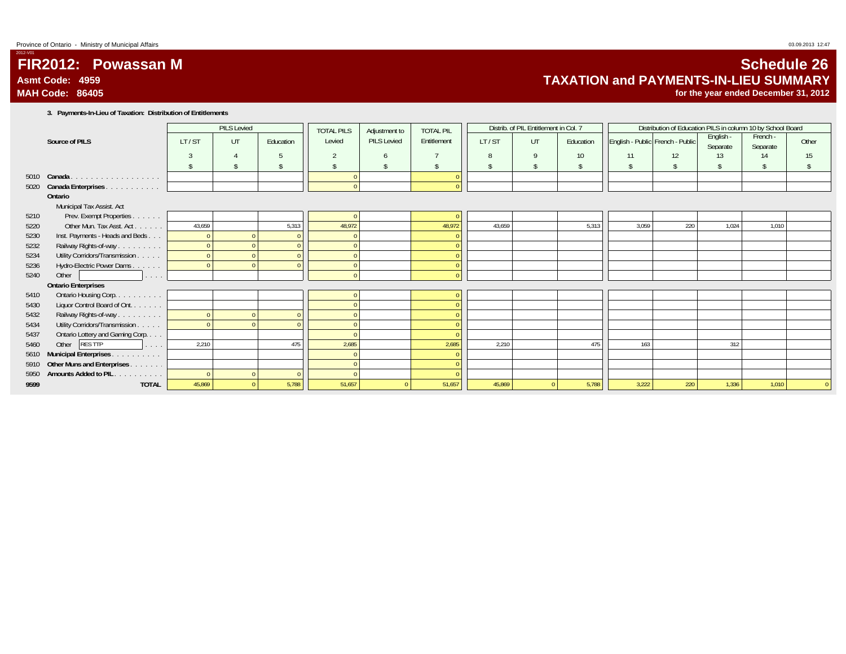**MAH Code: 86405**

**FIR2012: Powassan M**

2012-V01

# **Schedule 26 TAXATION and PAYMENTS-IN-LIEU SUMMARY**

**for the year ended December 31, 2012**

**3. Payments-In-Lieu of Taxation: Distribution of Entitlements**

|      |                                                          |        | <b>PILS Levied</b> |           | <b>TOTAL PILS</b> | Adjustment to | <b>TOTAL PIL</b> |        | Distrib. of PIL Entitlement in Col. 7 |                    |       | Distribution of Education PILS in column 10 by School Board |                       |                      |               |
|------|----------------------------------------------------------|--------|--------------------|-----------|-------------------|---------------|------------------|--------|---------------------------------------|--------------------|-------|-------------------------------------------------------------|-----------------------|----------------------|---------------|
|      | Source of PILS                                           | LT/ST  | UT                 | Education | Levied            | PILS Levied   | Entitlement      | LT/ST  | <b>UT</b>                             | Education          |       | English - Public French - Public                            | English -<br>Separate | French -<br>Separate | Other         |
|      |                                                          |        |                    |           |                   |               |                  | 8      | 9                                     | 10                 | 11    | 12                                                          | 13                    | 14                   | 15            |
|      |                                                          |        |                    |           |                   |               |                  |        | \$                                    | $\hat{\mathbf{S}}$ | \$    | $\mathsf{\$}$                                               | $\mathbf{\hat{S}}$    | $\mathsf{\$}$        | $\hat{\zeta}$ |
|      | 5010 Canada.<br>.                                        |        |                    |           |                   |               |                  |        |                                       |                    |       |                                                             |                       |                      |               |
| 5020 | Canada Enterprises.<br>المالم المالم المالم المالم المال |        |                    |           | $\Omega$          |               | $\Omega$         |        |                                       |                    |       |                                                             |                       |                      |               |
|      | Ontario                                                  |        |                    |           |                   |               |                  |        |                                       |                    |       |                                                             |                       |                      |               |
|      | Municipal Tax Assist. Act                                |        |                    |           |                   |               |                  |        |                                       |                    |       |                                                             |                       |                      |               |
| 5210 | Prev. Exempt Properties.<br><b>Service</b>               |        |                    |           | $\Omega$          |               | $\Omega$         |        |                                       |                    |       |                                                             |                       |                      |               |
| 5220 | Other Mun. Tax Asst. Act.<br><b>Service</b>              | 43,659 |                    | 5,313     | 48,972            |               | 48,972           | 43.659 |                                       | 5,313              | 3.059 | 220                                                         | 1,024                 | 1,010                |               |
| 5230 | Inst. Payments - Heads and Beds                          |        |                    |           |                   |               |                  |        |                                       |                    |       |                                                             |                       |                      |               |
| 5232 | Railway Rights-of-way                                    |        |                    |           |                   |               | $\Omega$         |        |                                       |                    |       |                                                             |                       |                      |               |
| 5234 | Utility Corridors/Transmission                           |        |                    |           |                   |               | $\Omega$         |        |                                       |                    |       |                                                             |                       |                      |               |
| 5236 | Hydro-Electric Power Dams.<br>and a series               |        |                    |           | $\Omega$          |               | $\theta$         |        |                                       |                    |       |                                                             |                       |                      |               |
| 5240 | Other<br>a sa sa                                         |        |                    |           |                   |               | $\theta$         |        |                                       |                    |       |                                                             |                       |                      |               |
|      | <b>Ontario Enterprises</b>                               |        |                    |           |                   |               |                  |        |                                       |                    |       |                                                             |                       |                      |               |
| 5410 | Ontario Housing Corp.                                    |        |                    |           |                   |               | $\theta$         |        |                                       |                    |       |                                                             |                       |                      |               |
| 5430 | Liquor Control Board of Ont.                             |        |                    |           |                   |               | $\Omega$         |        |                                       |                    |       |                                                             |                       |                      |               |
| 5432 | Railway Rights-of-way                                    |        |                    |           |                   |               | $\theta$         |        |                                       |                    |       |                                                             |                       |                      |               |
| 5434 | Utility Corridors/Transmission.<br>a sa sa               |        |                    |           |                   |               |                  |        |                                       |                    |       |                                                             |                       |                      |               |
| 5437 | Ontario Lottery and Gaming Corp                          |        |                    |           |                   |               |                  |        |                                       |                    |       |                                                             |                       |                      |               |
| 5460 | Other<br><b>RES TTP</b><br>and a series                  | 2,210  |                    | 475       | 2,685             |               | 2,685            | 2,210  |                                       | 475                | 163   |                                                             | 312                   |                      |               |
| 5610 | <b>Municipal Enterprises.</b><br>and a series and        |        |                    |           |                   |               | $\theta$         |        |                                       |                    |       |                                                             |                       |                      |               |
| 5910 | Other Muns and Enterprises.<br>and a state               |        |                    |           |                   |               |                  |        |                                       |                    |       |                                                             |                       |                      |               |
| 5950 | Amounts Added to PIL<br>and a series and                 |        |                    |           |                   |               |                  |        |                                       |                    |       |                                                             |                       |                      |               |
| 9599 | <b>TOTAL</b>                                             | 45,869 |                    | 5,788     | 51,657            |               | 51,657           | 45,869 |                                       | 5,788              | 3,222 | 220                                                         | 1,336                 | 1,010                |               |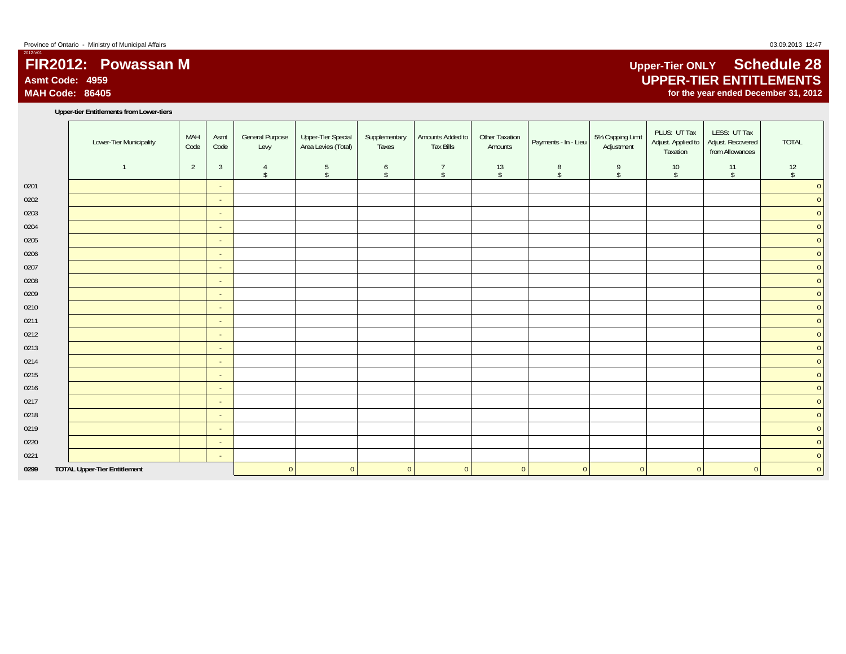# **FIR2012: Powassan MAsmt Code: 4959MAH Code: 86405**

#### **Upper-tier Entitlements from Lower-tiers**

|      | Lower-Tier Municipality             | MAH<br>Code    | Asmt<br>Code   | <b>General Purpose</b><br>Levy | Upper-Tier Special<br>Area Levies (Total) | Supplementary<br>Taxes | Amounts Added to<br><b>Tax Bills</b> | Other Taxation<br>Amounts | Payments - In - Lieu | 5% Capping Limit<br>Adjustment | PLUS: UT Tax<br>Adjust. Applied to<br>Taxation | LESS: UT Tax<br>Adjust. Recovered<br>from Allowances | TOTAL              |
|------|-------------------------------------|----------------|----------------|--------------------------------|-------------------------------------------|------------------------|--------------------------------------|---------------------------|----------------------|--------------------------------|------------------------------------------------|------------------------------------------------------|--------------------|
|      |                                     | $\overline{2}$ | $\overline{3}$ | 4<br>$\mathsf{\$}$             | 5<br>$\mathsf{s}$                         | 6<br>$\sqrt{2}$        | $\overline{7}$<br>$\mathsf{\$}$      | 13<br>$\sqrt$             | 8<br>$\mathsf{\$}$   | 9<br>$\sqrt{2}$                | 10<br>$\mathsf{\$}$                            | 11<br>$\mathsf{\$}$                                  | 12<br>$\sqrt[6]{}$ |
| 0201 |                                     |                | $\sim$         |                                |                                           |                        |                                      |                           |                      |                                |                                                |                                                      | $\overline{0}$     |
| 0202 |                                     |                | $\sim$         |                                |                                           |                        |                                      |                           |                      |                                |                                                |                                                      | $\overline{0}$     |
| 0203 |                                     |                | $\sim$         |                                |                                           |                        |                                      |                           |                      |                                |                                                |                                                      | $\overline{0}$     |
| 0204 |                                     |                | $\sim$         |                                |                                           |                        |                                      |                           |                      |                                |                                                |                                                      | $\mathbf{0}$       |
| 0205 |                                     |                | $\sim$         |                                |                                           |                        |                                      |                           |                      |                                |                                                |                                                      | $\mathbf{0}$       |
| 0206 |                                     |                | $\sim$         |                                |                                           |                        |                                      |                           |                      |                                |                                                |                                                      | $\mathbf{0}$       |
| 0207 |                                     |                | $\sim$         |                                |                                           |                        |                                      |                           |                      |                                |                                                |                                                      | $\mathbf{0}$       |
| 0208 |                                     |                | $\sim$         |                                |                                           |                        |                                      |                           |                      |                                |                                                |                                                      | $\mathbf{0}$       |
| 0209 |                                     |                | $\sim$         |                                |                                           |                        |                                      |                           |                      |                                |                                                |                                                      | $\overline{0}$     |
| 0210 |                                     |                | $\sim$         |                                |                                           |                        |                                      |                           |                      |                                |                                                |                                                      | $\mathbf{0}$       |
| 0211 |                                     |                | $\sim$         |                                |                                           |                        |                                      |                           |                      |                                |                                                |                                                      | $\overline{0}$     |
| 0212 |                                     |                | $\sim$         |                                |                                           |                        |                                      |                           |                      |                                |                                                |                                                      | $\mathbf{0}$       |
| 0213 |                                     |                | $\sim$         |                                |                                           |                        |                                      |                           |                      |                                |                                                |                                                      | $\overline{0}$     |
| 0214 |                                     |                | $\sim$         |                                |                                           |                        |                                      |                           |                      |                                |                                                |                                                      | $\mathbf{0}$       |
| 0215 |                                     |                | $\sim$         |                                |                                           |                        |                                      |                           |                      |                                |                                                |                                                      | $\overline{0}$     |
| 0216 |                                     |                | $\sim$         |                                |                                           |                        |                                      |                           |                      |                                |                                                |                                                      | $\mathbf{0}$       |
| 0217 |                                     |                | $\sim$         |                                |                                           |                        |                                      |                           |                      |                                |                                                |                                                      | $\mathbf{0}$       |
| 0218 |                                     |                | $\sim$         |                                |                                           |                        |                                      |                           |                      |                                |                                                |                                                      | $\overline{0}$     |
| 0219 |                                     |                | $\sim$         |                                |                                           |                        |                                      |                           |                      |                                |                                                |                                                      | $\mathbf{0}$       |
| 0220 |                                     |                | $\sim$         |                                |                                           |                        |                                      |                           |                      |                                |                                                |                                                      | $\mathbf{0}$       |
| 0221 |                                     |                | $\sim$         |                                |                                           |                        |                                      |                           |                      |                                |                                                |                                                      | $\mathbf{0}$       |
| 0299 | <b>TOTAL Upper-Tier Entitlement</b> |                |                | $\mathbf{0}$                   | $\overline{0}$                            | $\overline{0}$         | $\overline{0}$                       | $\overline{0}$            | $\overline{0}$       | $\overline{0}$                 | $\overline{0}$                                 | $\overline{0}$                                       | $\overline{0}$     |

# **Upper-Tier ONLY Schedule 28 UPPER-TIER ENTITLEMENTS for the year ended December 31, 2012**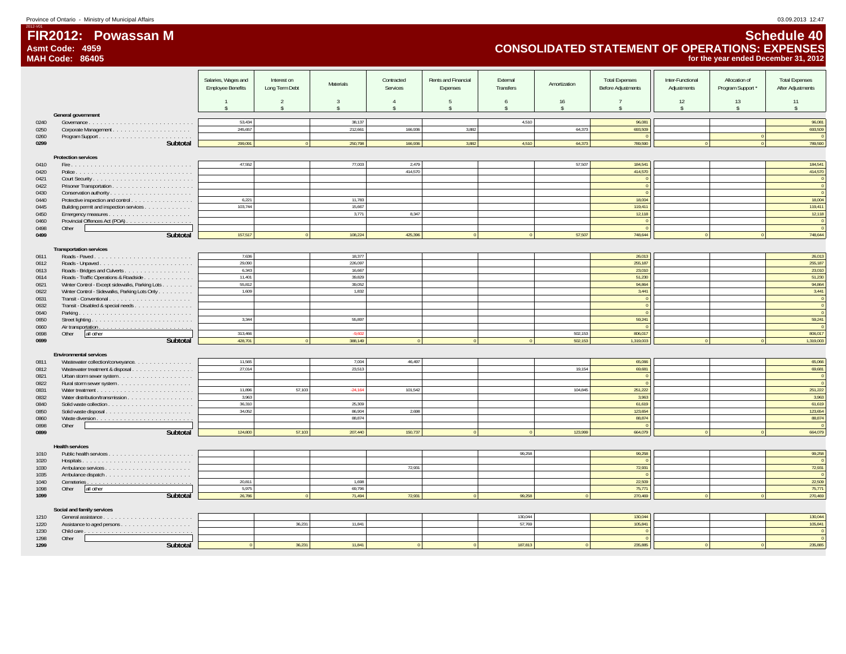**MAH Code: 86405**

**FIR2012: Powassan M**

2012-V01

# **Schedule 40 CONSOLIDATED STATEMENT OF OPERATIONS: EXPENSES for the year ended December 31, 2012**

|              |                                                                    | Salaries, Wages and<br><b>Employee Benefits</b> | Interest on<br>Long Term Debt<br>2 | Materials<br>$\mathbf{3}$ | Contracted<br>Services<br>$\mathbf{A}$ | Rents and Financial<br>Expenses<br>$\overline{5}$ | External<br>Transfers<br>$\overline{6}$ | Amortization<br>16 | <b>Total Expenses</b><br><b>Before Adjustments</b><br>$\overline{7}$ | Inter-Functional<br>Adjustments<br>12 | Allocation of<br>Program Support *<br>13 | <b>Total Expenses</b><br>After Adjustments<br>11 |
|--------------|--------------------------------------------------------------------|-------------------------------------------------|------------------------------------|---------------------------|----------------------------------------|---------------------------------------------------|-----------------------------------------|--------------------|----------------------------------------------------------------------|---------------------------------------|------------------------------------------|--------------------------------------------------|
|              |                                                                    | Š.                                              | $\hat{\mathbf{x}}$                 |                           |                                        | $\hat{\mathbf{x}}$                                | $\hat{\mathbf{r}}$                      | $\hat{\mathbf{x}}$ | $\hat{\mathbf{x}}$                                                   | $\mathbf{s}$                          | $\mathbf{s}$                             | $\hat{\mathbf{x}}$                               |
|              | General government                                                 | 53.434                                          |                                    | 38.137                    |                                        |                                                   | 4,510                                   |                    | 96.081                                                               |                                       |                                          | 96.081                                           |
| 0240<br>0250 |                                                                    | 245,657                                         |                                    | 212,661                   | 166,936                                | 3,882                                             |                                         | 64,373             | 693,509                                                              |                                       |                                          | 693,509                                          |
| 0260         |                                                                    |                                                 |                                    |                           |                                        |                                                   |                                         |                    |                                                                      |                                       |                                          | $\sqrt{2}$                                       |
| 0299         | Subtotal                                                           | 299.091                                         |                                    | 250,798                   | 166.936                                | 3,882                                             | 4,510                                   | 64.373             | 789.590                                                              |                                       |                                          | 789,590                                          |
|              | <b>Protection services</b>                                         |                                                 |                                    |                           |                                        |                                                   |                                         |                    |                                                                      |                                       |                                          |                                                  |
| 0410         |                                                                    | 47.552                                          |                                    | 77,003                    | 2,479                                  |                                                   |                                         | 57.507             | 184,541                                                              |                                       |                                          | 184,541                                          |
| 0420         |                                                                    |                                                 |                                    |                           | 414,570                                |                                                   |                                         |                    | 414,570                                                              |                                       |                                          | 414,570                                          |
| 0421         |                                                                    |                                                 |                                    |                           |                                        |                                                   |                                         |                    |                                                                      |                                       |                                          | $\mathbf 0$                                      |
| 0422         |                                                                    |                                                 |                                    |                           |                                        |                                                   |                                         |                    | $\Omega$                                                             |                                       |                                          | $\mathbf{0}$<br>$\overline{0}$                   |
| 0430<br>0440 | Conservation authority<br>Protective inspection and control        | 6.221                                           |                                    | 11.783                    |                                        |                                                   |                                         |                    | 18,004                                                               |                                       |                                          | 18.004                                           |
| 0445         | Building permit and inspection services                            | 103.744                                         |                                    | 15.667                    |                                        |                                                   |                                         |                    | 119,411                                                              |                                       |                                          | 119.411                                          |
| 0450         |                                                                    |                                                 |                                    | 3,771                     | 8,347                                  |                                                   |                                         |                    | 12,118                                                               |                                       |                                          | 12,118                                           |
| 0460         | Provincial Offences Act (POA)                                      |                                                 |                                    |                           |                                        |                                                   |                                         |                    |                                                                      |                                       |                                          | $\,$ 0                                           |
| 0498<br>0499 | Other<br>Subtotal                                                  | 157.517                                         |                                    | 108,224                   | 425.396                                |                                                   |                                         | 57,507             | 748.644                                                              |                                       |                                          | $\mathbf 0$<br>748.644                           |
|              |                                                                    |                                                 |                                    |                           |                                        |                                                   |                                         |                    |                                                                      |                                       |                                          |                                                  |
|              | <b>Transportation services</b>                                     |                                                 |                                    |                           |                                        |                                                   |                                         |                    |                                                                      |                                       |                                          |                                                  |
| 0611         |                                                                    | 7.636                                           |                                    | 18.377                    |                                        |                                                   |                                         |                    | 26,013                                                               |                                       |                                          | 26,013                                           |
| 0612         |                                                                    | 29,090                                          |                                    | 226,097                   |                                        |                                                   |                                         |                    | 255,187                                                              |                                       |                                          | 255,187                                          |
| 0613<br>0614 | Roads - Traffic Operations & Roadside                              | 6,343<br>11,401                                 |                                    | 16,667<br>39,829          |                                        |                                                   |                                         |                    | 23,010<br>51,230                                                     |                                       |                                          | 23,010<br>51,230                                 |
| 0621         | Winter Control - Except sidewalks, Parking Lots                    | 55,812                                          |                                    | 39,052                    |                                        |                                                   |                                         |                    | 94,864                                                               |                                       |                                          | 94,864                                           |
| 0622         | Winter Control - Sidewalks, Parking Lots Only                      | 1.609                                           |                                    | 1.832                     |                                        |                                                   |                                         |                    | 3,441                                                                |                                       |                                          | 3.441                                            |
| 0631         |                                                                    |                                                 |                                    |                           |                                        |                                                   |                                         |                    |                                                                      |                                       |                                          | $\overline{\mathbf{0}}$                          |
| 0632         | Transit - Disabled & special needs                                 |                                                 |                                    |                           |                                        |                                                   |                                         |                    |                                                                      |                                       |                                          | $\mathbf{0}$                                     |
| 0640         |                                                                    | 3.344                                           |                                    | 55,897                    |                                        |                                                   |                                         |                    | 59,241                                                               |                                       |                                          | $\mathbf{0}$<br>59,241                           |
| 0650<br>0660 |                                                                    |                                                 |                                    |                           |                                        |                                                   |                                         |                    |                                                                      |                                       |                                          |                                                  |
| 0698         | Other<br>all other                                                 | 313.466                                         |                                    | $-9.602$                  |                                        |                                                   |                                         | 502.153            | 806.017                                                              |                                       |                                          | 806.017                                          |
| 0699         | Subtotal                                                           | 428,701                                         |                                    | 388,149                   | $\sqrt{2}$                             | $\sqrt{2}$                                        |                                         | 502.153            | 1,319,003                                                            | $\Omega$                              |                                          | 1,319,003                                        |
|              |                                                                    |                                                 |                                    |                           |                                        |                                                   |                                         |                    |                                                                      |                                       |                                          |                                                  |
| 0811         | <b>Environmental services</b><br>Wastewater collection/conveyance. | 11,565                                          |                                    | 7,004                     | 46,497                                 |                                                   |                                         |                    | 65,066                                                               |                                       |                                          | 65,066                                           |
| 0812         | Wastewater treatment & disposal                                    | 27,014                                          |                                    | 23,513                    |                                        |                                                   |                                         | 19,154             | 69,681                                                               |                                       |                                          | 69,681                                           |
| 0821         |                                                                    |                                                 |                                    |                           |                                        |                                                   |                                         |                    |                                                                      |                                       |                                          | $\mathbf 0$                                      |
| 0822         |                                                                    |                                                 |                                    |                           |                                        |                                                   |                                         |                    |                                                                      |                                       |                                          | $\overline{0}$                                   |
| 0831         |                                                                    | 11.896                                          | 57.103                             | $-24.164$                 | 101.542                                |                                                   |                                         | 104.845            | 251,222                                                              |                                       |                                          | 251,222                                          |
| 0832<br>0840 |                                                                    | 3,963<br>36,310                                 |                                    | 25,309                    |                                        |                                                   |                                         |                    | 3,963<br>61,619                                                      |                                       |                                          | 3,963<br>61,619                                  |
| 0850         |                                                                    | 34,052                                          |                                    | 86,904                    | 2,698                                  |                                                   |                                         |                    | 123,654                                                              |                                       |                                          | 123,654                                          |
| 0860         |                                                                    |                                                 |                                    | 88,874                    |                                        |                                                   |                                         |                    | 88,874                                                               |                                       |                                          | 88,874                                           |
| 0898         | Other                                                              |                                                 |                                    |                           |                                        |                                                   |                                         |                    |                                                                      |                                       |                                          | $\sqrt{2}$                                       |
| 0899         | Subtotal                                                           | 124,800                                         | 57.103                             | 207,440                   | 150,737                                |                                                   |                                         | 123,999            | 664,079                                                              |                                       |                                          | 664,079                                          |
|              | <b>Health services</b>                                             |                                                 |                                    |                           |                                        |                                                   |                                         |                    |                                                                      |                                       |                                          |                                                  |
| 1010         |                                                                    |                                                 |                                    |                           |                                        |                                                   | 99,258                                  |                    | 99,258                                                               |                                       |                                          | 99,258                                           |
| 1020         | Hospitals                                                          |                                                 |                                    |                           |                                        |                                                   |                                         |                    |                                                                      |                                       |                                          | $\overline{0}$                                   |
| 1030         |                                                                    |                                                 |                                    |                           | 72,931                                 |                                                   |                                         |                    | 72,931                                                               |                                       |                                          | 72,931                                           |
| 1035<br>1040 |                                                                    | 20,811                                          |                                    | 1,698                     |                                        |                                                   |                                         |                    | 22,509                                                               |                                       |                                          | $\sqrt{2}$<br>22,509                             |
| 1098         | Other<br>all other                                                 | 5.975                                           |                                    | 69.796                    |                                        |                                                   |                                         |                    | 75,771                                                               |                                       |                                          | 75.771                                           |
| 1099         | Subtotal                                                           | 26,786                                          |                                    | 71.494                    | 72,931                                 |                                                   | 99,258                                  |                    | 270,469                                                              |                                       |                                          | 270.469                                          |
|              |                                                                    |                                                 |                                    |                           |                                        |                                                   |                                         |                    |                                                                      |                                       |                                          |                                                  |
|              | Social and family services                                         |                                                 |                                    |                           |                                        |                                                   |                                         |                    |                                                                      |                                       |                                          |                                                  |
| 1210<br>1220 |                                                                    |                                                 | 36,231                             | 11.841                    |                                        |                                                   | 130,044<br>57.769                       |                    | 130,044<br>105,841                                                   |                                       |                                          | 130,044<br>105.841                               |
| 1230         |                                                                    |                                                 |                                    |                           |                                        |                                                   |                                         |                    |                                                                      |                                       |                                          | $\overline{0}$                                   |
| 1298         | Other                                                              |                                                 |                                    |                           |                                        |                                                   |                                         |                    |                                                                      |                                       |                                          | $\mathbf{0}$                                     |
| 1299         | Subtotal                                                           |                                                 | 36.231                             | 11.841                    |                                        |                                                   | 187.813                                 |                    | 235.885                                                              |                                       |                                          | 235.885                                          |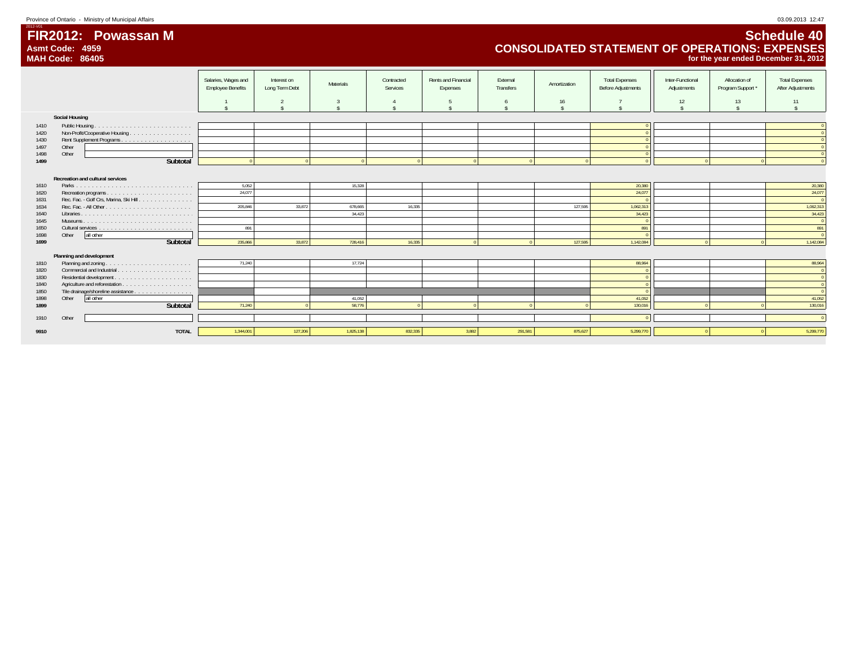Province of Ontario - Ministry of Municipal Affairs 03.09.2013 12:47

**Asmt Code: 4959**

**FIR2012: Powassan M**

2012-V01

# **Schedule 40 CONSOLIDATED STATEMENT OF OPERATIONS: EXPENSES for the year ended December 31, 2012**

|                                                                      | <b>MAH Code: 86405</b>                                                                                       |                                                 |                               |                                        |                        |                                 |                       |                    |                                                             |                                 |                                    | for the year ended December 31, 2012                                          |
|----------------------------------------------------------------------|--------------------------------------------------------------------------------------------------------------|-------------------------------------------------|-------------------------------|----------------------------------------|------------------------|---------------------------------|-----------------------|--------------------|-------------------------------------------------------------|---------------------------------|------------------------------------|-------------------------------------------------------------------------------|
|                                                                      |                                                                                                              | Salaries, Wages and<br><b>Employee Benefits</b> | Interest on<br>Long Term Debt | Materials                              | Contracted<br>Services | Rents and Financial<br>Expenses | External<br>Transfers | Amortization       | <b>Total Expenses</b><br><b>Before Adjustments</b>          | Inter-Functional<br>Adjustments | Allocation of<br>Program Support * | <b>Total Expenses</b><br>After Adjustments                                    |
|                                                                      |                                                                                                              |                                                 |                               |                                        |                        |                                 |                       | 16                 |                                                             | $12 \,$                         | 13                                 | 11                                                                            |
|                                                                      | <b>Social Housing</b>                                                                                        |                                                 |                               |                                        |                        |                                 |                       |                    |                                                             |                                 |                                    |                                                                               |
| 1410                                                                 |                                                                                                              |                                                 |                               |                                        |                        |                                 |                       |                    |                                                             |                                 |                                    |                                                                               |
| 1420                                                                 | Non-Profit/Cooperative Housing                                                                               |                                                 |                               |                                        |                        |                                 |                       |                    |                                                             |                                 |                                    |                                                                               |
| 1430                                                                 |                                                                                                              |                                                 |                               |                                        |                        |                                 |                       |                    |                                                             |                                 |                                    |                                                                               |
| 1497                                                                 | Other                                                                                                        |                                                 |                               |                                        |                        |                                 |                       |                    |                                                             |                                 |                                    |                                                                               |
| 1498                                                                 | Other                                                                                                        |                                                 |                               |                                        |                        |                                 |                       |                    |                                                             |                                 |                                    |                                                                               |
| 1499                                                                 | Subtotal                                                                                                     |                                                 |                               |                                        |                        |                                 |                       |                    |                                                             |                                 |                                    |                                                                               |
| 1610<br>1620<br>1631<br>1634<br>1640<br>1645<br>1650<br>1698<br>1699 | Recreation and cultural services<br>Rec. Fac. - Golf Crs, Marina, Ski Hill<br>all other<br>Other<br>Subtotal | 5,052<br>24,077<br>205,846<br>891<br>235,866    | 33,872<br>33.872              | 15,328<br>678,665<br>34.423<br>728,416 | 16,335<br>16,335       |                                 |                       | 127,595<br>127,595 | 20,380<br>24,077<br>1,062,313<br>34,423<br>891<br>1,142,084 |                                 |                                    | 20,380<br>24,077<br>1,062,313<br>34,423<br>$\overline{0}$<br>891<br>1,142,084 |
|                                                                      | Planning and development                                                                                     |                                                 |                               |                                        |                        |                                 |                       |                    |                                                             |                                 |                                    |                                                                               |
| 1810                                                                 |                                                                                                              | 71,240                                          |                               | 17,724                                 |                        |                                 |                       |                    | 88,964                                                      |                                 |                                    | 88,964                                                                        |
| 1820                                                                 |                                                                                                              |                                                 |                               |                                        |                        |                                 |                       |                    |                                                             |                                 |                                    |                                                                               |
| 1830                                                                 |                                                                                                              |                                                 |                               |                                        |                        |                                 |                       |                    |                                                             |                                 |                                    | $\sqrt{2}$                                                                    |
| 1840                                                                 |                                                                                                              |                                                 |                               |                                        |                        |                                 |                       |                    |                                                             |                                 |                                    | $\Omega$                                                                      |
| 1850                                                                 | Tile drainage/shoreline assistance                                                                           |                                                 |                               |                                        |                        |                                 |                       |                    |                                                             |                                 |                                    | $\sqrt{2}$                                                                    |
| 1898                                                                 | all other<br>Other                                                                                           |                                                 |                               | 41.052                                 |                        |                                 |                       |                    | 41.052                                                      |                                 |                                    | 41.052                                                                        |
| 1899                                                                 | Subtotal                                                                                                     | 71,240                                          |                               | 58,776                                 |                        |                                 |                       |                    | 130,016                                                     |                                 |                                    | 130,016                                                                       |
| 1910                                                                 | Other                                                                                                        |                                                 |                               |                                        |                        |                                 |                       |                    |                                                             |                                 |                                    |                                                                               |
| 9910                                                                 | <b>TOTAL</b>                                                                                                 | 1.344.001                                       | 127,206                       | 1.825.138                              | 832,335                | 3.882                           | 291.581               | 875.627            | 5.299.770                                                   |                                 |                                    | 5.299.770                                                                     |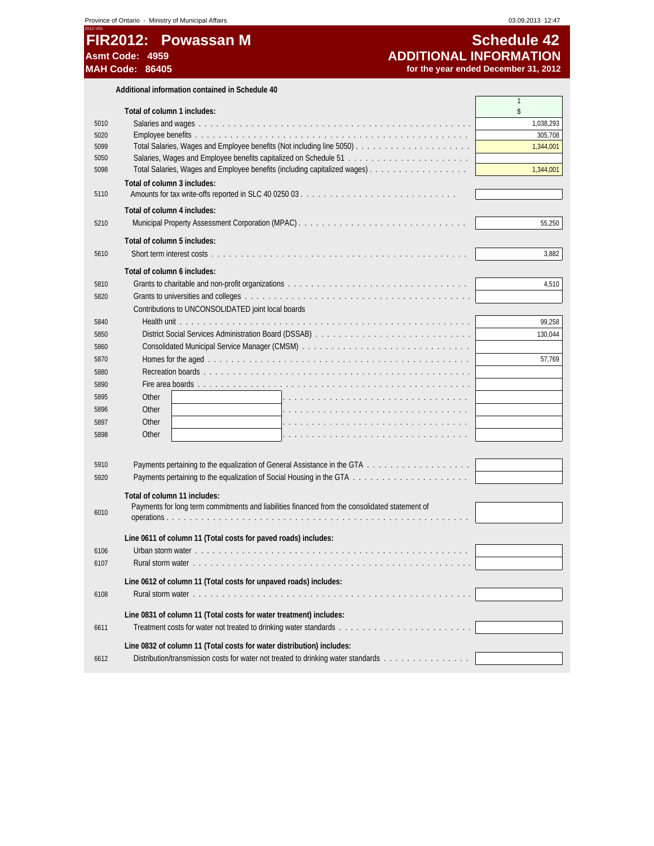# **FIR2012: Powassan M** Schedule 42<br>Asmt Code: 4959 **Schedule 42 Asmt Code: 4959 ADDITIONAL INFORMATION**

for the year ended December 31, 2012

**Additional information contained in Schedule 40**

|      |                                                                                                | 1         |
|------|------------------------------------------------------------------------------------------------|-----------|
|      | Total of column 1 includes:                                                                    | \$        |
| 5010 |                                                                                                | 1,038,293 |
| 5020 |                                                                                                | 305,708   |
| 5099 |                                                                                                | 1,344,001 |
| 5050 |                                                                                                |           |
| 5098 |                                                                                                | 1,344,001 |
|      | Total of column 3 includes:                                                                    |           |
| 5110 |                                                                                                |           |
|      | Total of column 4 includes:                                                                    |           |
| 5210 |                                                                                                | 55,250    |
|      | Total of column 5 includes:                                                                    |           |
| 5610 |                                                                                                | 3,882     |
|      |                                                                                                |           |
|      | Total of column 6 includes:                                                                    |           |
| 5810 |                                                                                                | 4,510     |
| 5820 |                                                                                                |           |
|      | Contributions to UNCONSOLIDATED joint local boards                                             |           |
| 5840 |                                                                                                | 99,258    |
| 5850 | District Social Services Administration Board (DSSAB)                                          | 130,044   |
| 5860 |                                                                                                |           |
| 5870 |                                                                                                | 57,769    |
| 5880 |                                                                                                |           |
| 5890 |                                                                                                |           |
| 5895 | Other                                                                                          |           |
| 5896 | Other                                                                                          |           |
| 5897 | Other                                                                                          |           |
| 5898 | Other                                                                                          |           |
|      |                                                                                                |           |
| 5910 |                                                                                                |           |
| 5920 |                                                                                                |           |
|      |                                                                                                |           |
|      | Total of column 11 includes:                                                                   |           |
| 6010 | Payments for long term commitments and liabilities financed from the consolidated statement of |           |
|      |                                                                                                |           |
|      | Line 0611 of column 11 (Total costs for paved roads) includes:                                 |           |
| 6106 |                                                                                                |           |
| 6107 |                                                                                                |           |
|      |                                                                                                |           |
|      | Line 0612 of column 11 (Total costs for unpaved roads) includes:                               |           |
| 6108 |                                                                                                |           |
|      | Line 0831 of column 11 (Total costs for water treatment) includes:                             |           |
| 6611 |                                                                                                |           |
|      |                                                                                                |           |
|      | Line 0832 of column 11 (Total costs for water distribution) includes:                          |           |
| 6612 | Distribution/transmission costs for water not treated to drinking water standards              |           |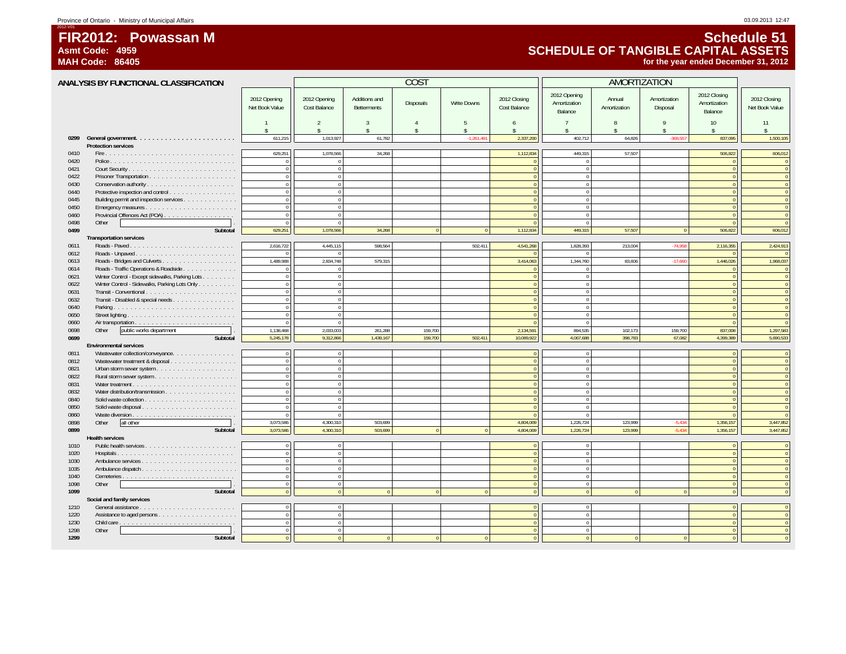# **FIR2012: Powassan MAsmt Code: 4959**

**MAH Code: 86405**

2012-V01

# **Schedule 51 SCHEDULE OF TANGIBLE CAPITAL ASSETS for the year ended December 31, 2012**

|              | ANALYSIS BY FUNCTIONAL CLASSIFICATION                                        |                                |                                      |                                      | COS <sub>1</sub>               |                    |                              |                                         | AMORTIZATION                       |                                    |                                         |                                  |
|--------------|------------------------------------------------------------------------------|--------------------------------|--------------------------------------|--------------------------------------|--------------------------------|--------------------|------------------------------|-----------------------------------------|------------------------------------|------------------------------------|-----------------------------------------|----------------------------------|
|              |                                                                              | 2012 Opening<br>Net Book Value | 2012 Opening<br>Cost Balance         | Additions and<br><b>Betterments</b>  | Disposals                      | <b>Write Downs</b> | 2012 Closing<br>Cost Balance | 2012 Opening<br>Amortization<br>Balance | Annual<br>Amortization             | Amortization<br>Disposal           | 2012 Closing<br>Amortization<br>Balance | 2012 Closing<br>Net Book Value   |
|              |                                                                              | $\hat{\mathbf{S}}$             | $\mathfrak{D}$<br>$\hat{\mathbf{S}}$ | $\overline{3}$<br>$\hat{\mathbf{S}}$ | $\overline{A}$<br>$\mathsf{s}$ | 5<br>\$            | 6<br>\$                      | 7<br>¢                                  | $\mathbf{8}$<br>$\hat{\mathbf{S}}$ | $\mathsf{Q}$<br>$\hat{\mathbf{x}}$ | 10<br>$\hat{\mathbf{S}}$                | 11<br>\$                         |
| 0299         |                                                                              | 611,215                        | 1,013,927                            | 61,782                               |                                | $-1,261,49$        | 2,337,200                    | 402,712                                 | 64,826                             | $-369,557$                         | 837,095                                 | 1,500,105                        |
|              | <b>Protection services</b>                                                   |                                |                                      |                                      |                                |                    |                              |                                         |                                    |                                    |                                         |                                  |
| 0410         |                                                                              | 629,251                        | 1,078,566                            | 34,268                               |                                |                    | 1,112,834                    | 449,315                                 | 57,507                             |                                    | 506,822                                 | 606,012                          |
| 0420         |                                                                              | $\bf 0$                        | $\Omega$                             |                                      |                                |                    | $\overline{0}$               | $\Omega$                                |                                    |                                    | $\overline{0}$                          | $\overline{0}$                   |
| 0421         |                                                                              | $\mathbf 0$                    | $\Omega$                             |                                      |                                |                    | $\Omega$                     | $\mathbf{0}$                            |                                    |                                    | $\sqrt{2}$<br>$\Omega$                  | $\overline{0}$<br>$\overline{0}$ |
| 0422<br>0430 |                                                                              | $\mathbf 0$                    | $\mathbf{0}$<br>$\Omega$             |                                      |                                |                    | $\theta$                     | $\mathbf{0}$<br>$\Omega$                |                                    |                                    | $\sqrt{ }$                              | $\sqrt{0}$                       |
| 0440         |                                                                              | $\mathbf 0$<br>$\bf 0$         | $\mathbf{0}$                         |                                      |                                |                    | $\Omega$<br>$\overline{0}$   | $\Omega$                                |                                    |                                    | $\sqrt{2}$                              | $\overline{0}$                   |
| 0445         | Protective inspection and control<br>Building permit and inspection services | $\mathbf 0$                    | $\Omega$                             |                                      |                                |                    | $\mathbf{0}$                 | $\mathbf{0}$                            |                                    |                                    | $\Omega$                                | $\overline{0}$                   |
| 0450         |                                                                              | $\mathbf 0$                    | $\Omega$                             |                                      |                                |                    | $\Omega$                     | $\Omega$                                |                                    |                                    | $\Omega$                                | $\sqrt{0}$                       |
| 0460         | Provincial Offences Act (POA)                                                | $\mathbf{0}$                   | $\mathbf{0}$                         |                                      |                                |                    | $\theta$                     | $\mathbf{0}$                            |                                    |                                    | $\theta$                                | $\theta$                         |
| 0498         | Other                                                                        | $\mathbf{0}$                   | $\Omega$                             |                                      |                                |                    | $\Omega$                     | $\Omega$                                |                                    |                                    | $\Omega$                                | $\overline{0}$                   |
| 0499         | Subtotal                                                                     | 629,251                        | 1,078,566                            | 34,268                               | $\overline{0}$                 | $\overline{0}$     | 1,112,834                    | 449,315                                 | 57,507                             | $\overline{0}$                     | 506,822                                 | 606,012                          |
|              | <b>Transportation services</b>                                               |                                |                                      |                                      |                                |                    |                              |                                         |                                    |                                    |                                         |                                  |
| 0611         |                                                                              | 2,616,722                      | 4,445,115                            | 598,564                              |                                | 502,411            | 4,541,268                    | 1,828,393                               | 213,004                            | $-74.958$                          | 2,116,355                               | 2,424,913                        |
| 0612         | Roads - Unpaved                                                              | $\theta$                       |                                      |                                      |                                |                    |                              | $\Omega$                                |                                    |                                    |                                         | $\sqrt{2}$                       |
| 0613         |                                                                              | 1,489,988                      | 2,834,748                            | 579.315                              |                                |                    | 3,414,063                    | 1,344,760                               | 83.606                             | $-17.660$                          | 1,446,026                               | 1,968,037                        |
| 0614         | Roads - Traffic Operations & Roadside                                        | $\mathbf{0}$                   |                                      |                                      |                                |                    |                              | $\Omega$                                |                                    |                                    | $\sqrt{2}$                              | $\overline{0}$                   |
| 0621         | Winter Control - Except sidewalks, Parking Lots                              | $\bullet$                      | $\overline{0}$                       |                                      |                                |                    | $\mathbf{0}$                 | $\mathbf{0}$                            |                                    |                                    | $\Omega$                                | $\overline{0}$                   |
| 0622         | Winter Control - Sidewalks, Parking Lots Only                                | $\bf 0$                        | $\Omega$                             |                                      |                                |                    | $\theta$                     | $\Omega$                                |                                    |                                    | $\Omega$                                | $\sqrt{0}$                       |
| 0631         | Transit - Conventional                                                       | $\mathbf{0}$                   | $\overline{0}$                       |                                      |                                |                    | $\mathbf{0}$                 | $\overline{0}$                          |                                    |                                    | $\Omega$                                | $\sqrt{0}$                       |
| 0632         | Transit - Disabled & special needs                                           | $\mathbf{0}$                   | $\overline{0}$                       |                                      |                                |                    | $\mathbf{0}$                 | $\circ$                                 |                                    |                                    | $\theta$                                | $\overline{0}$                   |
| 0640         |                                                                              | $\mathbf 0$                    | $\overline{0}$                       |                                      |                                |                    | $\mathbf{0}$                 | $\mathbf{0}$                            |                                    |                                    | $\Omega$                                | $\overline{0}$                   |
| 0650         |                                                                              | $\mathbf{0}$                   | $\mathbf{0}$                         |                                      |                                |                    | $\theta$                     | $\Omega$                                |                                    |                                    | $\Omega$                                | $\sqrt{2}$                       |
| 0660         |                                                                              | $\mathbf{0}$                   | $\Omega$                             |                                      |                                |                    | $\mathbf{0}$                 | $\mathbf{0}$                            |                                    |                                    | $\Omega$                                | $\sqrt{0}$                       |
| 0698         | public works department<br>Other                                             | 1,138,468                      | 2,033,003                            | 261,288                              | 159.700                        |                    | 2,134,591                    | 894,535                                 | 102,173                            | 159,700                            | 837,008                                 | 1,297,583                        |
| 0699         | Subtotal                                                                     | 5.245.178                      | 9.312.866                            | 1.439.167                            | 159,700                        | 502.411            | 10,089,922                   | 4.067.688                               | 398.783                            | 67.082                             | 4,399,389                               | 5,690,533                        |
|              | <b>Environmental services</b>                                                |                                |                                      |                                      |                                |                    |                              |                                         |                                    |                                    |                                         |                                  |
| 0811         | Wastewater collection/conveyance.                                            | $\mathbf 0$                    | $\overline{0}$                       |                                      |                                |                    | $\mathbf{0}$                 | $\mathbf 0$                             |                                    |                                    | $\Omega$                                | $\overline{0}$                   |
| 0812         | Wastewater treatment & disposal                                              | $\mathbf 0$                    | $\overline{0}$                       |                                      |                                |                    | $\Omega$                     | $\mathbf{0}$                            |                                    |                                    | $\Omega$                                | $\overline{0}$                   |
| 0821         |                                                                              | $\,$ 0 $\,$                    | $\overline{0}$                       |                                      |                                |                    | $\mathbf{0}$                 | $\overline{0}$                          |                                    |                                    | $\sqrt{0}$                              | $\sqrt{0}$                       |
| 0822         |                                                                              | $\mathbf{0}$                   | $\mathbf{0}$                         |                                      |                                |                    | $\theta$                     | $\mathbf{0}$                            |                                    |                                    | $\theta$                                | $\overline{0}$                   |
| 0831         |                                                                              | $\mathbf 0$                    | $\overline{0}$                       |                                      |                                |                    | $\Omega$                     | $\overline{0}$                          |                                    |                                    | $\Omega$                                | $\overline{0}$                   |
| 0832         |                                                                              | $\mathbf 0$<br>$\mathbf{0}$    | $\Omega$                             |                                      |                                |                    | $\Omega$                     | $\mathbf{0}$                            |                                    |                                    | $\Omega$<br>$\sqrt{ }$                  | $\sqrt{0}$<br>$\sqrt{0}$         |
| 0840<br>0850 |                                                                              | $\mathbf{0}$                   | $\overline{0}$<br>$\mathbf{0}$       |                                      |                                |                    | $\Omega$                     | $\overline{0}$<br>$\overline{0}$        |                                    |                                    | $\Omega$                                | $\overline{0}$                   |
| 0860         |                                                                              | $\mathbf 0$                    | $\mathbf{0}$                         |                                      |                                |                    | $\Omega$                     | $\mathbf{0}$                            |                                    |                                    | $\Omega$                                | $\sqrt{0}$                       |
| 0898         | Other<br>all other                                                           | 3.073.586                      | 4.300.310                            | 503.699                              |                                |                    | 4.804.009                    | 1,226,724                               | 123.999                            | $-5.434$                           | 1,356,157                               | 3,447,852                        |
| 0899         | Subtotal                                                                     | 3.073.586                      | 4.300.310                            | 503.699                              | $\Omega$                       |                    | 4.804.009                    | 1.226.724                               | 123.999                            | $-5.434$                           | 1.356.157                               | 3,447,852                        |
|              | <b>Health services</b>                                                       |                                |                                      |                                      |                                |                    |                              |                                         |                                    |                                    |                                         |                                  |
| 1010         |                                                                              | $\mathbf 0$                    | $\overline{0}$                       |                                      |                                |                    | $\Omega$                     | $\mathbf 0$                             |                                    |                                    | $\overline{0}$                          | $\overline{0}$                   |
| 1020         | Hospitals                                                                    | $\theta$                       | $\Omega$                             |                                      |                                |                    | $\Omega$                     | $\Omega$                                |                                    |                                    | $\sqrt{ }$                              | $\overline{0}$                   |
| 1030         |                                                                              | $\mathbf 0$                    | $\overline{0}$                       |                                      |                                |                    | $\mathbf{0}$                 | $\mathbf{0}$                            |                                    |                                    | $\overline{0}$                          | $\overline{0}$                   |
| 1035         |                                                                              | $\mathbf 0$                    | $\mathbf{0}$                         |                                      |                                |                    | $\Omega$                     | $\mathbf{0}$                            |                                    |                                    | $\Omega$                                | $\theta$                         |
| 1040         |                                                                              | $\mathbf 0$                    | $\mathbf{0}$                         |                                      |                                |                    | $\theta$                     | $\mathbf{0}$                            |                                    |                                    | $\theta$                                | $\sqrt{2}$                       |
| 1098         | Other                                                                        | $\mathbf 0$                    | $\overline{0}$                       |                                      |                                |                    | $\mathbf{0}$                 | $\overline{0}$                          |                                    |                                    | $\Omega$                                | $\theta$                         |
| 1099         | Subtotal                                                                     | $\mathbf{0}$                   | $\overline{0}$                       | $\Omega$                             | $\Omega$                       | $\mathbf{0}$       | $\theta$                     | $\overline{0}$                          | $\Omega$                           | $\Omega$                           | $\theta$                                | $\sqrt{2}$                       |
|              | Social and family services                                                   |                                |                                      |                                      |                                |                    |                              |                                         |                                    |                                    |                                         |                                  |
| 1210         |                                                                              | $\mathbf 0$                    | $\Omega$                             |                                      |                                |                    | $\Omega$                     | $\mathbf 0$                             |                                    |                                    | $\Omega$                                | $\Omega$                         |
| 1220         |                                                                              | $\mathbf{0}$                   | $\Omega$                             |                                      |                                |                    | $\Omega$                     | $\Omega$                                |                                    |                                    | $\Omega$                                |                                  |
| 1230         |                                                                              | $\mathbf 0$                    | $\mathbf{0}$                         |                                      |                                |                    | $\Omega$                     | $\mathbf{0}$                            |                                    |                                    | $\sqrt{ }$                              | $\overline{0}$                   |
| 1298         | Other                                                                        | $\Omega$                       | $\Omega$                             |                                      |                                |                    |                              | $\Omega$                                |                                    |                                    |                                         |                                  |
| 1299         | Subtotal                                                                     |                                |                                      |                                      |                                |                    |                              |                                         |                                    |                                    |                                         |                                  |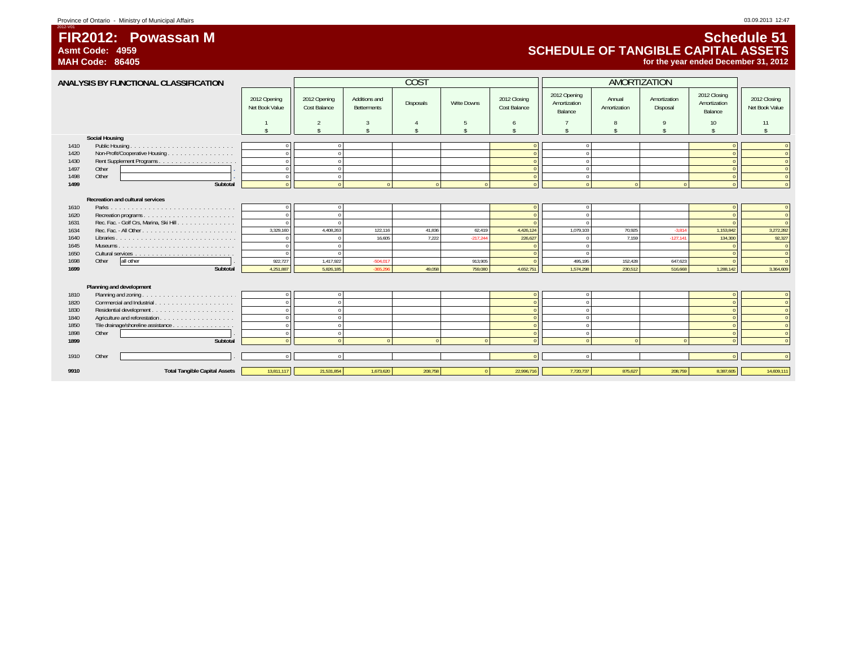Province of Ontario - Ministry of Municipal Affairs 03.09.2013 12:47

 **FIR2012: Powassan MAsmt Code: 4959**

**MAH Code: 86405**

2012-V01

## **Schedule 51 SCHEDULE OF TANGIBLE CAPITAL ASSETSfor the year ended December 31, 2012**

**ANALYSIS BY FUNCTIONAL CLASSIFICATION**2012 Opening Net Book Value 2012 Opening Cost BalanceAdditions and BettermentsDisposals Write Downs 2012 Closing<br>Cost Balance 2012 Opening Amortization Balancening Annual Amortization 2012 Closing<br>tion Amortization Disposal Amortization<br>e Balance 2012 Closing<br>Amortization Balance<br>Balance<br>Ret Book Value 1 1 2 3 4 5 6 6 7 8 9 9 10 11 \$ \$\$\$\$\$ \$\$\$\$ \$COST AMORTIZATION**Social Housing** 1410 Public Housing . . . . . . . . . . . . . . . . . . . . . . . . . 0 <sup>0</sup> <sup>00</sup> <sup>00</sup> 1420 Non-Profit/Cooperative Housing . . . . . . . . . . . . . . . . 0 <sup>0</sup> <sup>00</sup> <sup>00</sup> 1430 Rent Supplement Programs . . . . . . . . . . . . . . . . . . . <sup>0</sup> <sup>0</sup> <sup>00</sup> <sup>00</sup> 1497 Other **.** 0 0 00 00 1498 Other **.** 0 0 00 00 **1499 Subtotal** 0 00000 0000 0 **Recreation and cultural services** 1610 Parks . . . . . . . . . . . . . . . . . . . . . . . . . . . . . . 0 0 00 00 1620 Recreation programs . . . . . . . . . . . . . . . . . . . . . . 0 <sup>0</sup> <sup>00</sup> <sup>00</sup> 1631 Rec. Fac. - Golf Crs, Marina, Ski Hill . . . . . . . . . . . . . . 0 0 00 00 1634 Rec. Fac. - All Other . . . . . . . . . . . . . . . . . . . . . . . 3,329,160 4,408,263 122,116 41,836 62,419 4,426,124 1,079,103 70,925 -3,814 1,153,842 3,272,282 1640 Libraries . . . . . . . . . . . . . . . . . . . . . . . . . . . . . 0 0 16,605 7,222 -217,244 226,627 0 7,159 -127,141 134,300 92,327 1645 Museums . . . . . . . . . . . . . . . . . . . . . . . . . . . . 0 0 00 00 1650 Cultural services . . . . . . . . . . . . . . . . . . . . . . . . 0 0 00 00 1698 Other all other . 922,727 1,417,922 -504,017 913,905 0 495,195 152,428 647,623 0 0 **1699 Subtotal**1 | 4,251,887 || 5,826,185 -365,296 -49,058 -759,080 -4,652,751 | 1,574,298 - 230,512 516,668 -1,288,142 || 3,364,609 **Planning and development** 1810 Planning and zoning . . . . . . . . . . . . . . . . . . . . . . . <sup>0</sup> <sup>0</sup> <sup>00</sup> <sup>00</sup> 1820 Commercial and Industrial . . . . . . . . . . . . . . . . . . . 0 0 00 00 1830 Residential development . . . . . . . . . . . . . . . . . . . . 0 <sup>0</sup> <sup>00</sup> <sup>00</sup> 1840 Agriculture and reforestation . . . . . . . . . . . . . . . . . . 0 <sup>0</sup> <sup>00</sup> <sup>00</sup> 1850 Tile drainage/shoreline assistance . . . . . . . . . . . . . . . 0 <sup>0</sup> <sup>00</sup> <sup>00</sup> 1898 Other . 0 0 00 00 **1899 Subtotal** 0 00000 0000 0 1910 Other . 0 0 00 00 **9910 Total Tangible Capital Assets** 13,811,117 21,531,854 1,673,620 208,758 <sup>0</sup> 22,996,716 7,720,737 875,627 208,759 8,387,605 14,609,111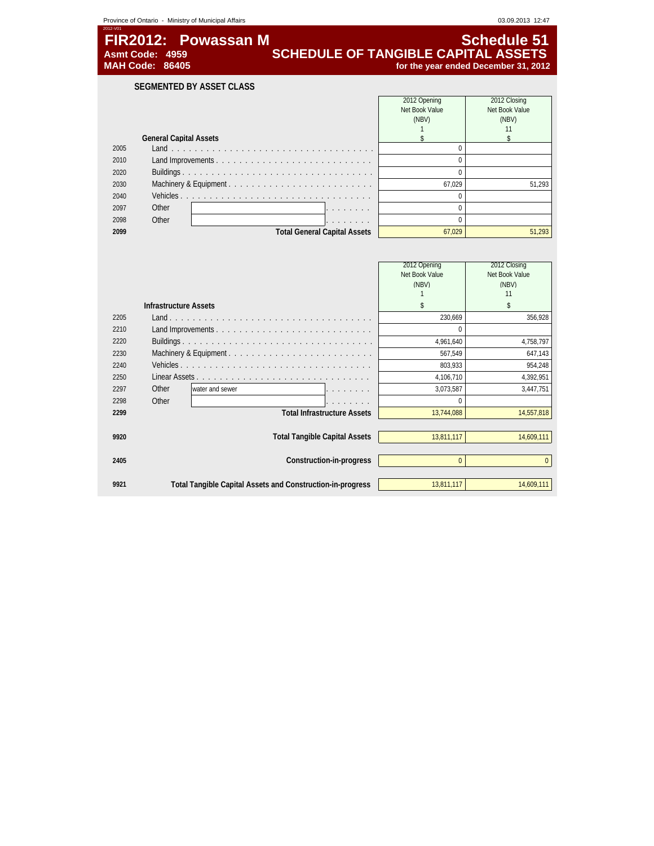| Province of Ontario - Ministry of Municipal Affairs | 03.09.2013 12:47                           |
|-----------------------------------------------------|--------------------------------------------|
| 2012-V01<br>FIR2012: Powassan M                     | Schedule 51                                |
| Asmt Code: 4959                                     | <b>SCHEDULE OF TANGIBLE CAPITAL ASSETS</b> |
| <b>MAH Code: 86405</b>                              | for the year ended December 31, 2012       |
|                                                     |                                            |

**SEGMENTED BY ASSET CLASS**

|      |                               |                                     | 2012 Opening   | 2012 Closing   |
|------|-------------------------------|-------------------------------------|----------------|----------------|
|      |                               |                                     | Net Book Value | Net Book Value |
|      |                               |                                     | (NBV)          | (NBV)          |
|      |                               |                                     |                |                |
|      | <b>General Capital Assets</b> |                                     |                |                |
| 2005 |                               |                                     |                |                |
| 2010 |                               |                                     |                |                |
| 2020 |                               |                                     |                |                |
| 2030 |                               |                                     | 67.029         | 51.293         |
| 2040 |                               |                                     |                |                |
| 2097 | Other                         | .                                   |                |                |
| 2098 | Other                         | .                                   |                |                |
| 2099 |                               | <b>Total General Capital Assets</b> | 67.029         | 51.293         |

|      |                              |                                                            | 2012 Opening   | 2012 Closing   |
|------|------------------------------|------------------------------------------------------------|----------------|----------------|
|      |                              |                                                            | Net Book Value | Net Book Value |
|      |                              |                                                            | (NBV)          | (NBV)          |
|      |                              |                                                            |                | 11             |
|      | <b>Infrastructure Assets</b> |                                                            | \$             | \$             |
| 2205 |                              |                                                            | 230,669        | 356,928        |
| 2210 |                              |                                                            | $\Omega$       |                |
| 2220 |                              |                                                            | 4,961,640      | 4,758,797      |
| 2230 |                              |                                                            | 567,549        | 647,143        |
| 2240 |                              |                                                            | 803,933        | 954,248        |
| 2250 |                              |                                                            | 4,106,710      | 4,392,951      |
| 2297 | Other                        | water and sewer                                            | 3,073,587      | 3,447,751      |
| 2298 | Other                        |                                                            |                |                |
| 2299 |                              | <b>Total Infrastructure Assets</b>                         | 13,744,088     | 14,557,818     |
|      |                              |                                                            |                |                |
| 9920 |                              | <b>Total Tangible Capital Assets</b>                       | 13,811,117     | 14,609,111     |
|      |                              |                                                            |                |                |
| 2405 |                              | Construction-in-progress                                   | $\Omega$       | $\Omega$       |
|      |                              |                                                            |                |                |
| 9921 |                              | Total Tangible Capital Assets and Construction-in-progress | 13,811,117     | 14,609,111     |
|      |                              |                                                            |                |                |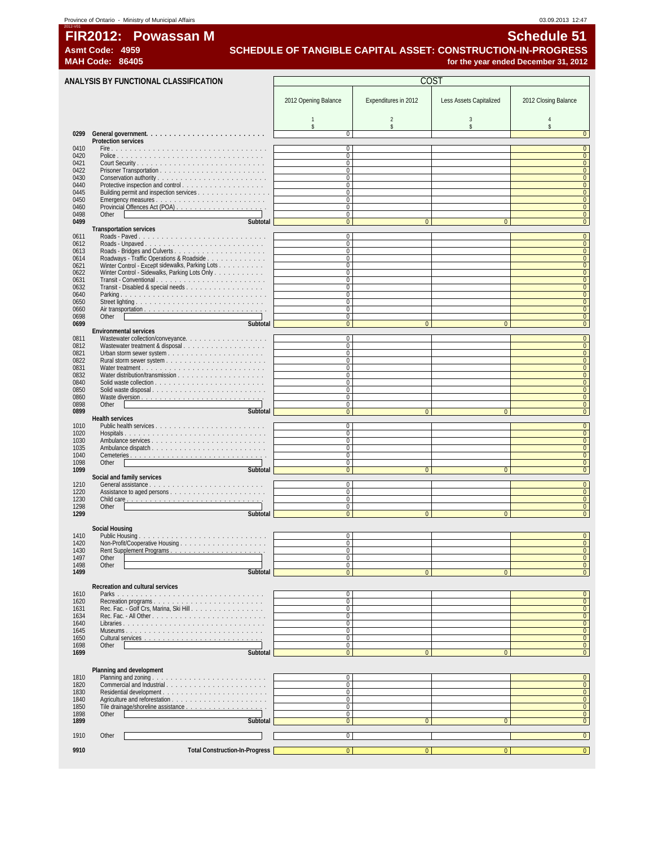|              | Province of Ontario - Ministry of Municipal Affairs              |                                                              |                      |                         | 03.09.2013 12:47                                           |  |
|--------------|------------------------------------------------------------------|--------------------------------------------------------------|----------------------|-------------------------|------------------------------------------------------------|--|
| 2012-V01     | FIR2012: Powassan M<br>Asmt Code: 4959<br><b>MAH Code: 86405</b> | SCHEDULE OF TANGIBLE CAPITAL ASSET: CONSTRUCTION-IN-PROGRESS |                      |                         | <b>Schedule 51</b><br>for the year ended December 31, 2012 |  |
|              | ANALYSIS BY FUNCTIONAL CLASSIFICATION                            | COST                                                         |                      |                         |                                                            |  |
|              |                                                                  | 2012 Opening Balance                                         | Expenditures in 2012 | Less Assets Capitalized | 2012 Closing Balance                                       |  |
|              |                                                                  |                                                              |                      |                         |                                                            |  |
| 0299         | <b>Protection services</b>                                       | $\Omega$                                                     |                      |                         |                                                            |  |
| 0410         |                                                                  | 0                                                            |                      |                         |                                                            |  |
| 0420         |                                                                  | $\Omega$                                                     |                      |                         |                                                            |  |
| 0421         |                                                                  | $\Omega$                                                     |                      |                         | $\overline{0}$                                             |  |
| 0422         |                                                                  | $\theta$                                                     |                      |                         |                                                            |  |
| 0430<br>0440 |                                                                  | $\Omega$<br>$\Omega$                                         |                      |                         |                                                            |  |
| 0445         |                                                                  | $\Omega$                                                     |                      |                         |                                                            |  |
| 0450         |                                                                  | $\Omega$                                                     |                      |                         |                                                            |  |
| 0460         |                                                                  | 0                                                            |                      |                         | $\Omega$                                                   |  |
| 0498         | Other                                                            | 0                                                            |                      |                         |                                                            |  |
| 0499         | Subtotal                                                         | $\Omega$                                                     | $\Omega$             | $\Omega$                | $\Omega$                                                   |  |
|              | <b>Transportation services</b>                                   |                                                              |                      |                         |                                                            |  |
| 0611<br>0612 | Roads - Paved                                                    | 0<br>$\Omega$                                                |                      |                         | $\mathbf{0}$<br>$\overline{0}$                             |  |
|              |                                                                  |                                                              |                      |                         |                                                            |  |

| 0499 | Subtotal                                        | $\Omega$     |                |                |  |  |
|------|-------------------------------------------------|--------------|----------------|----------------|--|--|
|      | <b>Transportation services</b>                  |              |                |                |  |  |
| 0611 |                                                 | 0            |                |                |  |  |
| 0612 |                                                 | $\Omega$     |                |                |  |  |
| 0613 |                                                 | $\Omega$     |                |                |  |  |
| 0614 | Roadways - Traffic Operations & Roadside        | 0            |                |                |  |  |
| 0621 | Winter Control - Except sidewalks, Parking Lots | 0            |                |                |  |  |
| 0622 | Winter Control - Sidewalks, Parking Lots Only   | 0            |                |                |  |  |
| 0631 |                                                 | 0            |                |                |  |  |
| 0632 |                                                 | 0            |                |                |  |  |
| 0640 |                                                 | 0            |                |                |  |  |
| 0650 |                                                 | $\Omega$     |                |                |  |  |
| 0660 |                                                 | 0            |                |                |  |  |
| 0698 | Other                                           | 0            |                |                |  |  |
| 0699 | Subtotal                                        | $\Omega$     | $\overline{0}$ | $\Omega$       |  |  |
|      | <b>Environmental services</b>                   |              |                |                |  |  |
| 0811 | Wastewater collection/conveyance.               | $\Omega$     |                |                |  |  |
| 0812 | Wastewater treatment & disposal                 | $\Omega$     |                |                |  |  |
| 0821 |                                                 | $\Omega$     |                |                |  |  |
| 0822 |                                                 | $\Omega$     |                |                |  |  |
| 0831 |                                                 | $\Omega$     |                |                |  |  |
| 0832 |                                                 | $\Omega$     |                |                |  |  |
| 0840 |                                                 | $\Omega$     |                |                |  |  |
| 0850 | Solid waste disposal                            | $\Omega$     |                |                |  |  |
| 0860 |                                                 | $\Omega$     |                |                |  |  |
| 0898 | Other                                           | $\Omega$     |                |                |  |  |
| 0899 | Subtotal                                        | $\Omega$     | $\Omega$       | $\Omega$       |  |  |
|      | <b>Health services</b>                          |              |                |                |  |  |
| 1010 |                                                 | $\Omega$     |                |                |  |  |
| 1020 |                                                 | $\Omega$     |                |                |  |  |
| 1030 |                                                 | $\Omega$     |                |                |  |  |
| 1035 |                                                 | $\Omega$     |                |                |  |  |
| 1040 |                                                 | $\Omega$     |                |                |  |  |
| 1098 | Other                                           | $\Omega$     |                |                |  |  |
| 1099 | Subtotal                                        | $\Omega$     | $\Omega$       | $\Omega$       |  |  |
|      | Social and family services                      |              |                |                |  |  |
| 1210 |                                                 | 0            |                |                |  |  |
| 1220 |                                                 | $\Omega$     |                |                |  |  |
| 1230 |                                                 | $\Omega$     |                |                |  |  |
| 1298 | Other                                           | 0            |                |                |  |  |
| 1299 | Subtotal                                        | $\Omega$     | $\Omega$       | $\Omega$       |  |  |
|      |                                                 |              |                |                |  |  |
|      | Social Housing                                  |              |                |                |  |  |
| 1410 |                                                 | $\mathbf{0}$ |                |                |  |  |
| 1420 |                                                 | $\Omega$     |                |                |  |  |
| 1430 |                                                 | $\Omega$     |                |                |  |  |
| 1497 | Other                                           | $\Omega$     |                |                |  |  |
| 1498 | Other                                           | $\Omega$     |                |                |  |  |
| 1499 | Subtotal                                        | $\Omega$     | $\overline{0}$ | $\overline{0}$ |  |  |

#### **Recreation and cultural services**

| 1610 |                                                                             |  |  |
|------|-----------------------------------------------------------------------------|--|--|
| 1620 | Recreation programs                                                         |  |  |
| 1631 | Rec. Fac. - Golf Crs, Marina, Ski Hill                                      |  |  |
| 1634 |                                                                             |  |  |
| 1640 |                                                                             |  |  |
| 1645 |                                                                             |  |  |
| 1650 | Cultural services $\ldots \ldots \ldots \ldots \ldots \ldots \ldots \ldots$ |  |  |
| 1698 | Other                                                                       |  |  |
| 1699 |                                                                             |  |  |

#### **Planning and develop**

| 1810 | Planning and zoning                   |  |  |
|------|---------------------------------------|--|--|
| 1820 |                                       |  |  |
| 1830 |                                       |  |  |
| 1840 |                                       |  |  |
| 1850 |                                       |  |  |
| 1898 | Other                                 |  |  |
| 1899 | Subtotal                              |  |  |
|      |                                       |  |  |
| 1910 | Other                                 |  |  |
|      |                                       |  |  |
| 9910 | <b>Total Construction-In-Progress</b> |  |  |
|      |                                       |  |  |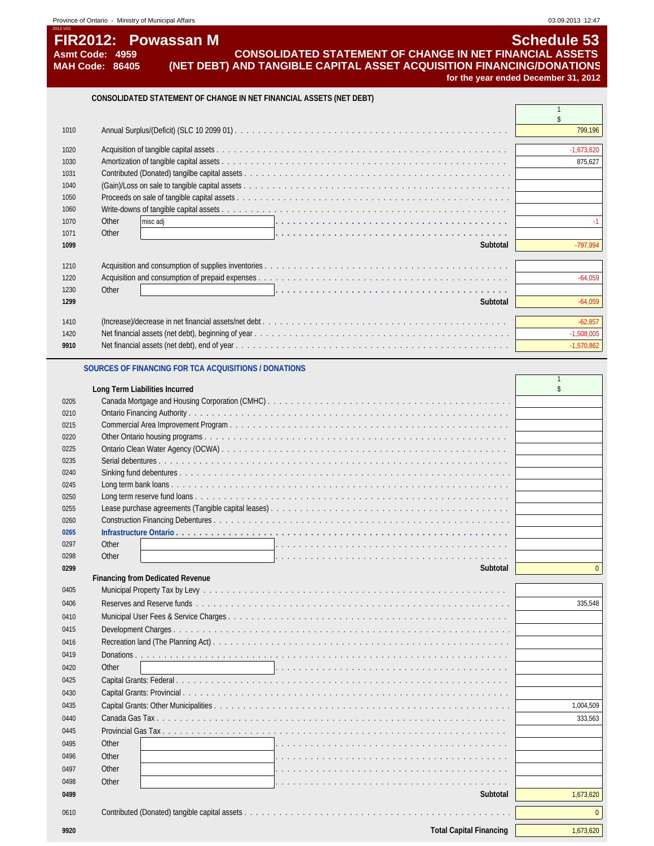| 2012-V01<br><b>FIR2012: Powassan M</b>    | <b>Schedule 53</b>                                                                                                                       |
|-------------------------------------------|------------------------------------------------------------------------------------------------------------------------------------------|
| Asmt Code: 4959<br><b>MAH Code: 86405</b> | <b>CONSOLIDATED STATEMENT OF CHANGE IN NET FINANCIAL ASSETS</b><br>(NET DEBT) AND TANGIBLE CAPITAL ASSET ACQUISITION FINANCING/DONATIONS |
|                                           | for the year ended December 31, 2012                                                                                                     |
|                                           | CONSOLIDATED STATEMENT OF CHANGE IN NET FINANCIAL ASSETS (NET DERT)                                                                      |

Province of Ontario - Ministry of Municipal Affairs 03.09.2013 12:47

|      | <b>CONSOLIDATED STATEMENT OF GITANGE IN INET FINANCIAL ASSETS (INET DEDT)</b>                                                |              |
|------|------------------------------------------------------------------------------------------------------------------------------|--------------|
|      |                                                                                                                              |              |
| 1010 |                                                                                                                              | 799.196      |
| 1020 |                                                                                                                              | $-1,673,620$ |
| 1030 |                                                                                                                              | 875.627      |
| 1031 |                                                                                                                              |              |
| 1040 |                                                                                                                              |              |
| 1050 |                                                                                                                              |              |
| 1060 |                                                                                                                              |              |
| 1070 | misc adj<br>Other                                                                                                            | $-1$         |
| 1071 | Other<br>.<br>The contract of the contract of the contract of the contract of the contract of the contract of the contract o |              |
| 1099 | Subtotal                                                                                                                     | $-797.994$   |
|      |                                                                                                                              |              |
| 1210 |                                                                                                                              |              |
| 1220 |                                                                                                                              | $-64.059$    |
| 1230 | Other                                                                                                                        |              |
| 1299 | Subtotal                                                                                                                     | $-64.059$    |
|      |                                                                                                                              |              |
| 1410 |                                                                                                                              | $-62.857$    |
| 1420 |                                                                                                                              | $-1,508,005$ |
| 9910 |                                                                                                                              | $-1,570,862$ |
|      |                                                                                                                              |              |

# **SOURCES OF FINANCING FOR TCA ACQUISITIONS / DONATIONS**

|      | Long Term Liabilities Incurred          | 1         |
|------|-----------------------------------------|-----------|
| 0205 |                                         |           |
| 0210 |                                         |           |
| 0215 |                                         |           |
| 0220 |                                         |           |
| 0225 |                                         |           |
| 0235 |                                         |           |
| 0240 |                                         |           |
| 0245 |                                         |           |
| 0250 |                                         |           |
| 0255 |                                         |           |
| 0260 |                                         |           |
| 0265 |                                         |           |
| 0297 | Other                                   |           |
| 0298 | Other                                   |           |
| 0299 | Subtotal                                | $\theta$  |
|      | <b>Financing from Dedicated Revenue</b> |           |
| 0405 |                                         |           |
| 0406 |                                         | 335,548   |
| 0410 |                                         |           |
| 0415 |                                         |           |
| 0416 |                                         |           |
| 0419 |                                         |           |
| 0420 | Other                                   |           |
| 0425 |                                         |           |
| 0430 |                                         |           |
| 0435 |                                         | 1,004,509 |
| 0440 |                                         | 333,563   |
| 0445 |                                         |           |
| 0495 | Other                                   |           |
| 0496 | Other                                   |           |
| 0497 | Other                                   |           |
| 0498 | Other                                   |           |
| 0499 | Subtotal                                | 1,673,620 |

Contributed (Donated) tangible capital assets . . . . . . . . . . . . . . . . . . . . . . . . . . . . . . . . . . . . . . . . . . . . . . 0

 $\Gamma$ 

 $\overline{\phantom{a}}$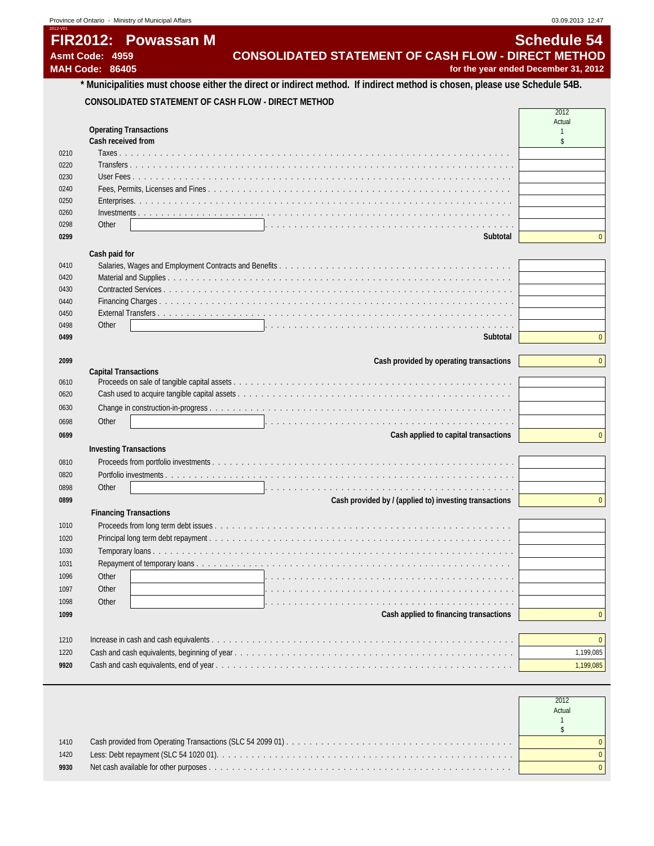# **FIR2012: Powassan M** Schedule 54

2012-V01

# **Asmt Code: 4959 CONSOLIDATED STATEMENT OF CASH FLOW - DIRECT METHOD**

**MAH Code: 86405 for the year ended December 31, 2012**

#### **\* Municipalities must choose either the direct or indirect method. If indirect method is chosen, please use Schedule 54B. CONSOLIDATED STATEMENT OF CASH FLOW - DIRECT METHOD**  $\Gamma$

|      |                                                                                                                               | Actual         |
|------|-------------------------------------------------------------------------------------------------------------------------------|----------------|
|      | <b>Operating Transactions</b>                                                                                                 | $\mathbf{1}$   |
|      | Cash received from                                                                                                            | \$             |
| 0210 |                                                                                                                               |                |
| 0220 |                                                                                                                               |                |
| 0230 | User Fees                                                                                                                     |                |
| 0240 |                                                                                                                               |                |
| 0250 |                                                                                                                               |                |
| 0260 |                                                                                                                               |                |
| 0298 | Other                                                                                                                         | $\overline{0}$ |
| 0299 | Subtotal                                                                                                                      |                |
|      | Cash paid for                                                                                                                 |                |
| 0410 |                                                                                                                               |                |
| 0420 |                                                                                                                               |                |
| 0430 |                                                                                                                               |                |
| 0440 |                                                                                                                               |                |
| 0450 |                                                                                                                               |                |
| 0498 | Other<br>. In the contract of the contract of the contract of the contract of the contract of the contract of the contract of |                |
| 0499 | Subtotal                                                                                                                      | $\mathbf{0}$   |
|      |                                                                                                                               |                |
| 2099 | Cash provided by operating transactions                                                                                       | $\mathbf{0}$   |
| 0610 | <b>Capital Transactions</b>                                                                                                   |                |
| 0620 |                                                                                                                               |                |
| 0630 |                                                                                                                               |                |
|      |                                                                                                                               |                |
| 0698 | Other<br>.<br>Ta kasa a ta kasa a ta kasa a ta kasa a ta kasa a ta kasa a ta kasa a ta kasa a ta kasa a ta kasa a ta kasa a   |                |
| 0699 | Cash applied to capital transactions                                                                                          | $\mathbf{0}$   |
|      | <b>Investing Transactions</b>                                                                                                 |                |
| 0810 |                                                                                                                               |                |
| 0820 |                                                                                                                               |                |
| 0898 | Other                                                                                                                         |                |
| 0899 | Cash provided by / (applied to) investing transactions                                                                        | $\mathbf{0}$   |
|      | <b>Financing Transactions</b>                                                                                                 |                |
| 1010 |                                                                                                                               |                |
| 1020 |                                                                                                                               |                |
| 1030 |                                                                                                                               |                |
| 1031 |                                                                                                                               |                |
| 1096 | Other                                                                                                                         |                |
| 1097 | Other<br>بمراجع والمتحالة والمتحالة والمتحالة والمتحالة والمتحالة والمتحالة والمتحالة والمتحالة والمتحالة والمتحالة والمتحالة |                |
| 1098 | Other                                                                                                                         |                |
| 1099 | Cash applied to financing transactions                                                                                        | $\mathbf{0}$   |
|      |                                                                                                                               |                |
| 1210 |                                                                                                                               | $\mathbf{0}$   |
| 1220 |                                                                                                                               | 1,199,085      |
| 9920 |                                                                                                                               | 1,199,085      |
|      |                                                                                                                               |                |

|      | Actual |
|------|--------|
| 1410 |        |
| 1420 |        |
| 9930 |        |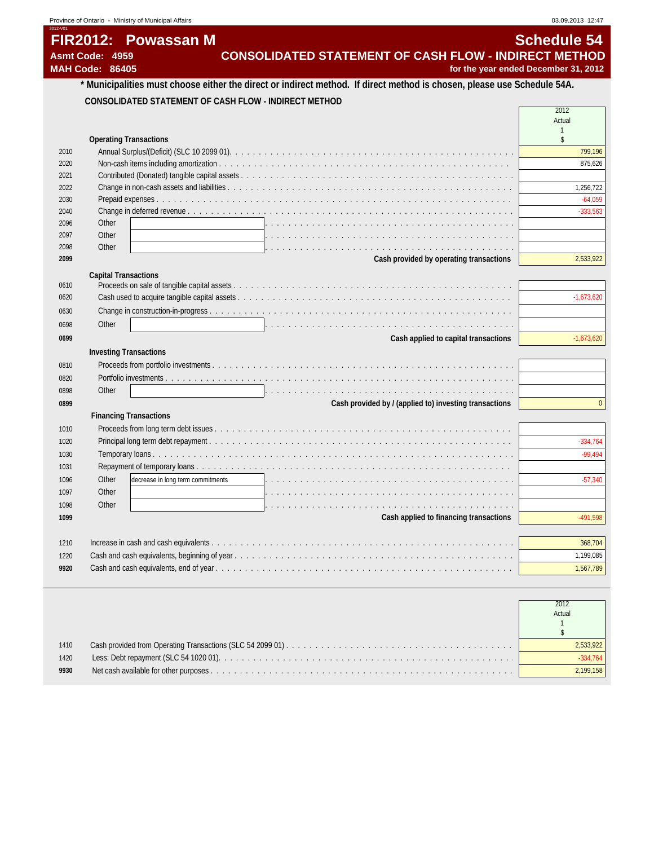| Province of Ontario - Ministry of Municipal Affairs | 03.09.2013 12:47                                                                                                        |
|-----------------------------------------------------|-------------------------------------------------------------------------------------------------------------------------|
| 2012-V01                                            |                                                                                                                         |
| FIR2012: Powassan M                                 | <b>Schedule 54</b>                                                                                                      |
| Asmt Code: 4959                                     | CONSOLIDATED STATEMENT OF CASH FLOW - INDIRECT METHOD                                                                   |
| <b>MAH Code: 86405</b>                              | for the year ended December 31, 2012                                                                                    |
|                                                     | * Municipalities must choose either the direct or indirect method. If direct method is chosen, please use Schedule 54A. |

### **CONSOLIDATED STATEMENT OF CASH FLOW - INDIRECT METHOD**

|      |                                                                                                                           | 2012               |
|------|---------------------------------------------------------------------------------------------------------------------------|--------------------|
|      |                                                                                                                           | Actual             |
|      | <b>Operating Transactions</b>                                                                                             | $\mathbf{1}$<br>\$ |
| 2010 |                                                                                                                           | 799,196            |
| 2020 |                                                                                                                           | 875,626            |
| 2021 |                                                                                                                           |                    |
| 2022 |                                                                                                                           | 1,256,722          |
| 2030 |                                                                                                                           | $-64,059$          |
| 2040 |                                                                                                                           | $-333,563$         |
| 2096 | Other                                                                                                                     |                    |
| 2097 | Other                                                                                                                     |                    |
| 2098 | Other<br>and a complete to the complete state of the complete state of the complete state of the complete state of the    |                    |
| 2099 | Cash provided by operating transactions                                                                                   | 2,533,922          |
|      | <b>Capital Transactions</b>                                                                                               |                    |
| 0610 |                                                                                                                           |                    |
| 0620 |                                                                                                                           | $-1,673,620$       |
| 0630 |                                                                                                                           |                    |
| 0698 | Other<br>a de la caractería de la caractería de la caractería de la caractería de la caractería de la caractería          |                    |
| 0699 | Cash applied to capital transactions                                                                                      | $-1,673,620$       |
|      | <b>Investing Transactions</b>                                                                                             |                    |
| 0810 |                                                                                                                           |                    |
| 0820 |                                                                                                                           |                    |
| 0898 | Other                                                                                                                     |                    |
| 0899 | Cash provided by / (applied to) investing transactions                                                                    | $\overline{0}$     |
|      | <b>Financing Transactions</b>                                                                                             |                    |
| 1010 |                                                                                                                           |                    |
| 1020 |                                                                                                                           | $-334,764$         |
| 1030 |                                                                                                                           | $-99.494$          |
| 1031 |                                                                                                                           |                    |
| 1096 | Other<br>decrease in long term commitments                                                                                | $-57,340$          |
| 1097 | Other                                                                                                                     |                    |
| 1098 | Other<br>and the company of the company of the company of the company of the company of the company of the company of the |                    |
| 1099 | Cash applied to financing transactions                                                                                    | $-491,598$         |
|      |                                                                                                                           |                    |
| 1210 |                                                                                                                           | 368,704            |
| 1220 |                                                                                                                           | 1,199,085          |
| 9920 |                                                                                                                           | 1,567,789          |
|      |                                                                                                                           |                    |

|      | 2012<br>Actual |
|------|----------------|
| 1410 | 2.533.922      |
| 1420 |                |
| 9930 | 2.199.158      |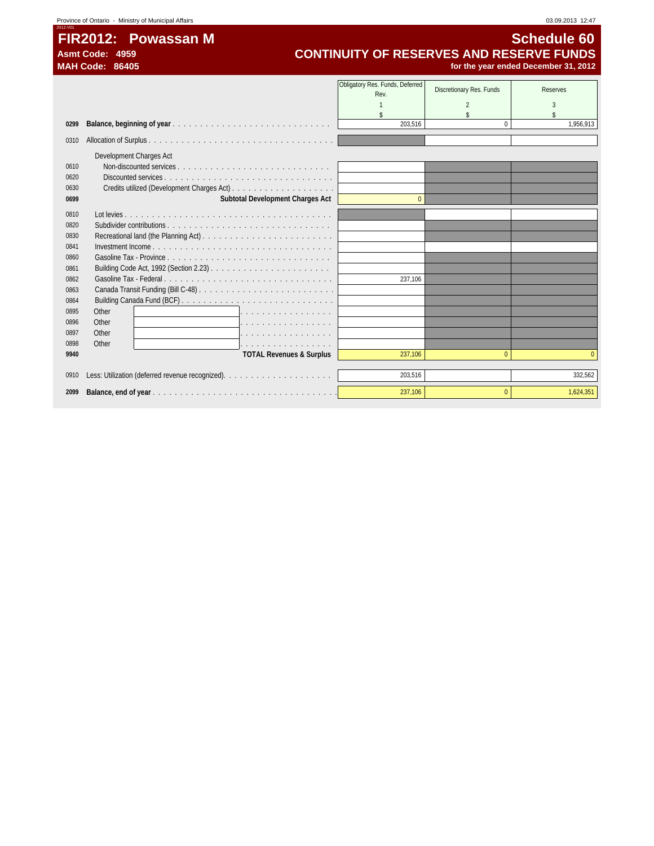# **FIR2012: Powassan M** Schedule 60<br>CONTINUITY OF RESERVES AND RESERVE FUNDS Asmt Code: 4959<br>
MAH Code: 86405<br>
MAH Code: 86405<br> **CONTINUITY OF RESERVES AND RESERVE FUNDS**<br>
for the year ended December 31, 2012 **MAH Code: 86405 for the year ended December 31, 2012**

|      |                                                                                                                                                                                                                                         | Obligatory Res. Funds, Deferred | Discretionary Res. Funds | <b>Reserves</b>                 |
|------|-----------------------------------------------------------------------------------------------------------------------------------------------------------------------------------------------------------------------------------------|---------------------------------|--------------------------|---------------------------------|
|      |                                                                                                                                                                                                                                         | Rev.                            |                          |                                 |
|      |                                                                                                                                                                                                                                         |                                 |                          |                                 |
| 0299 |                                                                                                                                                                                                                                         | $\mathbf{\hat{S}}$<br>203.516   | $\Omega$                 | $\mathbf{\hat{S}}$<br>1.956.913 |
|      |                                                                                                                                                                                                                                         |                                 |                          |                                 |
| 0310 |                                                                                                                                                                                                                                         |                                 |                          |                                 |
|      | Development Charges Act                                                                                                                                                                                                                 |                                 |                          |                                 |
| 0610 |                                                                                                                                                                                                                                         |                                 |                          |                                 |
| 0620 |                                                                                                                                                                                                                                         |                                 |                          |                                 |
| 0630 |                                                                                                                                                                                                                                         |                                 |                          |                                 |
| 0699 | Subtotal Development Charges Act                                                                                                                                                                                                        | $\Omega$                        |                          |                                 |
| 0810 |                                                                                                                                                                                                                                         |                                 |                          |                                 |
| 0820 | Subdivider contributions $\ldots$ , $\ldots$ , $\ldots$ , $\ldots$ , $\ldots$ , $\ldots$ , $\ldots$ , $\ldots$ , $\ldots$ , $\ldots$                                                                                                    |                                 |                          |                                 |
| 0830 |                                                                                                                                                                                                                                         |                                 |                          |                                 |
| 0841 |                                                                                                                                                                                                                                         |                                 |                          |                                 |
| 0860 |                                                                                                                                                                                                                                         |                                 |                          |                                 |
| 0861 |                                                                                                                                                                                                                                         |                                 |                          |                                 |
| 0862 |                                                                                                                                                                                                                                         | 237.106                         |                          |                                 |
| 0863 |                                                                                                                                                                                                                                         |                                 |                          |                                 |
| 0864 |                                                                                                                                                                                                                                         |                                 |                          |                                 |
| 0895 | Other<br>1.                                                                                                                                                                                                                             |                                 |                          |                                 |
| 0896 | Other<br>.                                                                                                                                                                                                                              |                                 |                          |                                 |
| 0897 | Other<br>.                                                                                                                                                                                                                              |                                 |                          |                                 |
| 0898 | Other<br>the contract of the contract of the contract of the contract of the contract of the contract of the contract of the contract of the contract of the contract of the contract of the contract of the contract of the contract o |                                 |                          |                                 |
| 9940 | <b>TOTAL Revenues &amp; Surplus</b>                                                                                                                                                                                                     | 237.106                         | $\mathbf{0}$             | $\Omega$                        |
|      |                                                                                                                                                                                                                                         |                                 |                          |                                 |
| 0910 |                                                                                                                                                                                                                                         | 203,516                         |                          | 332,562                         |
| 2099 |                                                                                                                                                                                                                                         | 237,106                         | $\Omega$                 | 1,624,351                       |
|      |                                                                                                                                                                                                                                         |                                 |                          |                                 |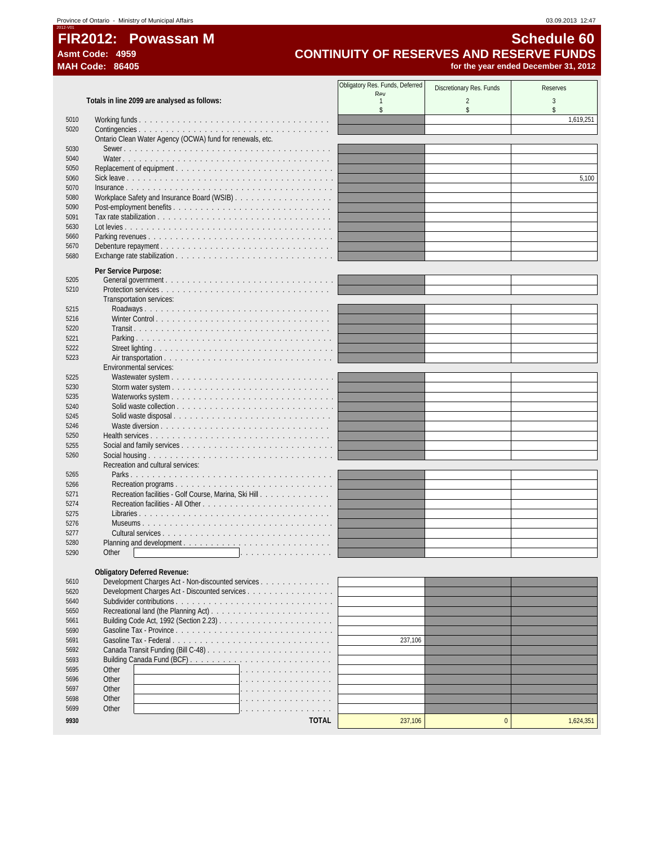# **FIR2012: Powassan M** Schedule 60<br>CONTINUITY OF RESERVES AND RESERVE FUNDS Asmt Code: 4959<br>MAH Code: 86405<br>MAH Code: 86405<br>Tor the year ended December 31, 2012 for the year ended December 31, 2012

|              |                                                           | Obligatory Res. Funds, Deferred | Discretionary Res. Funds | <b>Reserves</b> |
|--------------|-----------------------------------------------------------|---------------------------------|--------------------------|-----------------|
|              | Totals in line 2099 are analysed as follows:              | Rev<br>-1                       | $\overline{2}$           | 3               |
|              |                                                           | \$                              | \$                       | \$              |
| 5010         |                                                           |                                 |                          | 1,619,251       |
| 5020         | Ontario Clean Water Agency (OCWA) fund for renewals, etc. |                                 |                          |                 |
| 5030         |                                                           |                                 |                          |                 |
| 5040         |                                                           |                                 |                          |                 |
| 5050         |                                                           |                                 |                          |                 |
| 5060         |                                                           |                                 |                          | 5,100           |
| 5070         |                                                           |                                 |                          |                 |
| 5080         |                                                           |                                 |                          |                 |
| 5090         |                                                           |                                 |                          |                 |
| 5091<br>5630 |                                                           |                                 |                          |                 |
| 5660         |                                                           |                                 |                          |                 |
| 5670         |                                                           |                                 |                          |                 |
| 5680         |                                                           |                                 |                          |                 |
|              | Per Service Purpose:                                      |                                 |                          |                 |
| 5205         |                                                           |                                 |                          |                 |
| 5210         |                                                           |                                 |                          |                 |
|              | Transportation services:                                  |                                 |                          |                 |
| 5215         |                                                           |                                 |                          |                 |
| 5216         |                                                           |                                 |                          |                 |
| 5220         |                                                           |                                 |                          |                 |
| 5221<br>5222 |                                                           |                                 |                          |                 |
| 5223         |                                                           |                                 |                          |                 |
|              | Environmental services:                                   |                                 |                          |                 |
| 5225         |                                                           |                                 |                          |                 |
| 5230         |                                                           |                                 |                          |                 |
| 5235         | Waterworks system                                         |                                 |                          |                 |
| 5240         |                                                           |                                 |                          |                 |
| 5245         | Solid waste disposal                                      |                                 |                          |                 |
| 5246         |                                                           |                                 |                          |                 |
| 5250<br>5255 |                                                           |                                 |                          |                 |
| 5260         |                                                           |                                 |                          |                 |
|              | Recreation and cultural services:                         |                                 |                          |                 |
| 5265         |                                                           |                                 |                          |                 |
| 5266         |                                                           |                                 |                          |                 |
| 5271         | Recreation facilities - Golf Course, Marina, Ski Hill     |                                 |                          |                 |
| 5274         |                                                           |                                 |                          |                 |
| 5275         | Libraries                                                 |                                 |                          |                 |
| 5276<br>5277 |                                                           |                                 |                          |                 |
| 5280         | Planning and development                                  |                                 |                          |                 |
| 5290         | Other                                                     |                                 |                          |                 |
|              |                                                           |                                 |                          |                 |
|              | <b>Obligatory Deferred Revenue:</b>                       |                                 |                          |                 |
| 5610         | Development Charges Act - Non-discounted services         |                                 |                          |                 |
| 5620         | Development Charges Act - Discounted services             |                                 |                          |                 |
| 5640<br>5650 |                                                           |                                 |                          |                 |
| 5661         |                                                           |                                 |                          |                 |
| 5690         |                                                           |                                 |                          |                 |
| 5691         | Gasoline Tax - Federal                                    | 237,106                         |                          |                 |
| 5692         |                                                           |                                 |                          |                 |
| 5693         |                                                           |                                 |                          |                 |
| 5695         | Other                                                     |                                 |                          |                 |
| 5696         | Other                                                     |                                 |                          |                 |
| 5697<br>5698 | Other<br>Other                                            |                                 |                          |                 |
| 5699         | Other                                                     |                                 |                          |                 |
|              |                                                           |                                 |                          |                 |
| 9930         | <b>TOTAL</b>                                              | 237,106                         | $\pmb{0}$                | 1,624,351       |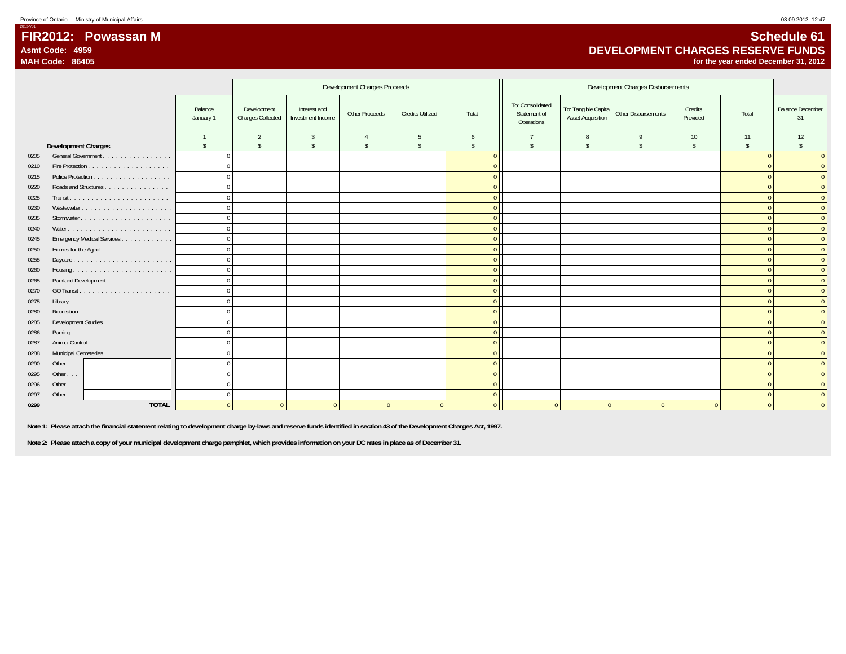### **FIR2012: Powassan MAsmt Code: 4959MAH Code: 86405**

## **Schedule 61 DEVELOPMENT CHARGES RESERVE FUNDSfor the year ended December 31, 2012**

|      |                            |                      |                                  |                                   | Development Charges Proceeds |                         |                    |                                                |                                                  |                     |                     |                    |                               |
|------|----------------------------|----------------------|----------------------------------|-----------------------------------|------------------------------|-------------------------|--------------------|------------------------------------------------|--------------------------------------------------|---------------------|---------------------|--------------------|-------------------------------|
|      |                            | Balance<br>January 1 | Development<br>Charges Collected | Interest and<br>Investment Income | Other Proceeds               | <b>Credits Utilized</b> | Total              | To: Consolidated<br>Statement of<br>Operations | To: Tangible Capital<br><b>Asset Acquisition</b> | Other Disbursements | Credits<br>Provided | Total              | <b>Balance December</b><br>31 |
|      |                            |                      | 2                                | 3                                 |                              | .5                      | 6                  |                                                |                                                  | $\mathbf Q$         | 10                  | 11                 | 12                            |
|      | <b>Development Charges</b> | $\mathbf{s}$         | $\mathsf{\$}$                    | $\mathsf{\$}$                     | s                            | s.                      | $\hat{\mathbf{S}}$ |                                                | $\hat{\mathbf{S}}$                               | $\hat{\mathbf{S}}$  | $\mathbf{\hat{S}}$  | $\hat{\mathbf{S}}$ | $\mathcal{S}$                 |
| 0205 | General Government         | $\Omega$             |                                  |                                   |                              |                         |                    |                                                |                                                  |                     |                     |                    | $\Omega$                      |
| 0210 |                            | $\Omega$             |                                  |                                   |                              |                         |                    |                                                |                                                  |                     |                     |                    | $\Omega$                      |
| 0215 |                            | $\Omega$             |                                  |                                   |                              |                         |                    |                                                |                                                  |                     |                     |                    | $\Omega$                      |
| 0220 | Roads and Structures       | $\cap$               |                                  |                                   |                              |                         | $\Omega$           |                                                |                                                  |                     |                     | $\Omega$           | $\Omega$                      |
| 0225 |                            |                      |                                  |                                   |                              |                         | $\Omega$           |                                                |                                                  |                     |                     |                    | $\Omega$                      |
| 0230 | Wastewater                 | $\cap$               |                                  |                                   |                              |                         | $\Omega$           |                                                |                                                  |                     |                     | $\Omega$           | $\overline{0}$                |
| 0235 |                            | $\Omega$             |                                  |                                   |                              |                         | $\Omega$           |                                                |                                                  |                     |                     | $\Omega$           | $\Omega$                      |
| 0240 |                            |                      |                                  |                                   |                              |                         | <sup>0</sup>       |                                                |                                                  |                     |                     | $\Omega$           | $\overline{0}$                |
| 0245 | Emergency Medical Services | $\Omega$             |                                  |                                   |                              |                         |                    |                                                |                                                  |                     |                     | $\Omega$           | $\Omega$                      |
| 0250 | Homes for the Aged         | $\Omega$             |                                  |                                   |                              |                         | $\Omega$           |                                                |                                                  |                     |                     |                    | $\overline{0}$                |
| 0255 | Daycare                    | $\Omega$             |                                  |                                   |                              |                         | $\overline{0}$     |                                                |                                                  |                     |                     | $\Omega$           | $\overline{0}$                |
| 0260 |                            | $\Omega$             |                                  |                                   |                              |                         | n                  |                                                |                                                  |                     |                     | $\Omega$           | $\Omega$                      |
| 0265 | Parkland Development.      | $\Omega$             |                                  |                                   |                              |                         | $\Omega$           |                                                |                                                  |                     |                     | $\sqrt{ }$         | $\overline{0}$                |
| 0270 |                            | $\Omega$             |                                  |                                   |                              |                         | $\Omega$           |                                                |                                                  |                     |                     | $\Omega$           | $\Omega$                      |
| 0275 |                            | $\Omega$             |                                  |                                   |                              |                         | $\Omega$           |                                                |                                                  |                     |                     | $\Omega$           | $\Omega$                      |
| 0280 |                            | $\Omega$             |                                  |                                   |                              |                         | $\overline{0}$     |                                                |                                                  |                     |                     | $\Omega$           | $\overline{0}$                |
| 0285 | Development Studies        | $\Omega$             |                                  |                                   |                              |                         | $\Omega$           |                                                |                                                  |                     |                     | $\Omega$           | $\Omega$                      |
| 0286 |                            | $\Omega$             |                                  |                                   |                              |                         | $\Omega$           |                                                |                                                  |                     |                     | $\Omega$           | $\Omega$                      |
| 0287 |                            | $\Omega$             |                                  |                                   |                              |                         | $\Omega$           |                                                |                                                  |                     |                     | $\Omega$           | $\overline{0}$                |
| 0288 | Municipal Cemeteries       | $\Omega$             |                                  |                                   |                              |                         | $\Omega$           |                                                |                                                  |                     |                     | $\Omega$           | $\overline{0}$                |
| 0290 | Other                      | $\Omega$             |                                  |                                   |                              |                         | $\Omega$           |                                                |                                                  |                     |                     | $\Omega$           | $\Omega$                      |
| 0295 | Other                      | $\Omega$             |                                  |                                   |                              |                         | $\Omega$           |                                                |                                                  |                     |                     | $\Omega$           | $\overline{0}$                |
| 0296 | Other                      |                      |                                  |                                   |                              |                         | $\Omega$           |                                                |                                                  |                     |                     | $\Omega$           | $\overline{0}$                |
| 0297 | Other $\ldots$             |                      |                                  |                                   |                              |                         | $\Omega$           |                                                |                                                  |                     |                     | $\Omega$           | $\overline{0}$                |
| 0299 | <b>TOTAL</b>               |                      | $\Omega$                         |                                   | $\Omega$                     |                         | $\Omega$           |                                                |                                                  |                     |                     |                    | $\Omega$                      |

 **Note 1: Please attach the financial statement relating to development charge by-laws and reserve funds identified in section 43 of the Development Charges Act, 1997.**

 **Note 2: Please attach a copy of your municipal development charge pamphlet, which provides information on your DC rates in place as of December 31.**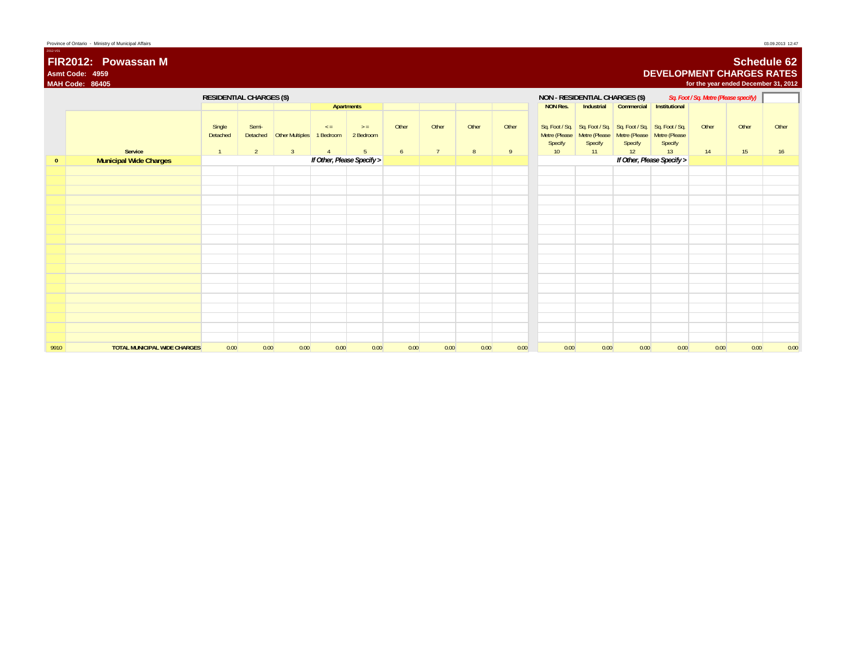|                | FIR2012: Powassan M<br>Asmt Code: 4959<br><b>MAH Code: 86405</b> |                                      |                                  |                                          |                                         |                                      |            |                         |            |            |                                             |                                |                                                                                                     | <b>DEVELOPMENT CHARGES RATES</b> | for the year ended December 31, 2012  |             | <b>Schedule 62</b> |
|----------------|------------------------------------------------------------------|--------------------------------------|----------------------------------|------------------------------------------|-----------------------------------------|--------------------------------------|------------|-------------------------|------------|------------|---------------------------------------------|--------------------------------|-----------------------------------------------------------------------------------------------------|----------------------------------|---------------------------------------|-------------|--------------------|
|                |                                                                  | <b>RESIDENTIAL CHARGES (\$)</b>      |                                  |                                          |                                         |                                      |            |                         |            |            | NON - RESIDENTIAL CHARGES (\$)              |                                |                                                                                                     |                                  | Sq. Foot / Sq. Metre (Please specify) |             |                    |
|                |                                                                  |                                      |                                  |                                          |                                         | Apartments                           |            |                         |            |            | <b>NON Res.</b>                             | Industrial                     | Commercial Institutional                                                                            |                                  |                                       |             |                    |
|                | Service                                                          | Single<br>Detached<br>$\overline{1}$ | Semi-<br>Detached<br>$2^{\circ}$ | <b>Other Multiples</b><br>$\overline{3}$ | $\leq$ =<br>1 Bedroom<br>$\overline{A}$ | $>$ =<br>2 Bedroom<br>5 <sup>5</sup> | Other<br>6 | Other<br>$\overline{7}$ | Other<br>8 | Other<br>9 | Metre (Please<br>Specify<br>10 <sup>°</sup> | Metre (Please<br>Specify<br>11 | Sq. Foot / Sq.   Sq. Foot / Sq.   Sq. Foot / Sq.   Sq. Foot / Sq.<br>Metre (Please<br>Specify<br>12 | Metre (Please<br>Specify<br>13   | Other<br>14                           | Other<br>15 | Other<br>16        |
| $\overline{0}$ | <b>Municipal Wide Charges</b>                                    |                                      |                                  |                                          |                                         | If Other, Please Specify >           |            |                         |            |            |                                             |                                |                                                                                                     | If Other, Please Specify >       |                                       |             |                    |
|                |                                                                  |                                      |                                  |                                          |                                         |                                      |            |                         |            |            |                                             |                                |                                                                                                     |                                  |                                       |             |                    |
|                |                                                                  |                                      |                                  |                                          |                                         |                                      |            |                         |            |            |                                             |                                |                                                                                                     |                                  |                                       |             |                    |
|                |                                                                  |                                      |                                  |                                          |                                         |                                      |            |                         |            |            |                                             |                                |                                                                                                     |                                  |                                       |             |                    |
|                |                                                                  |                                      |                                  |                                          |                                         |                                      |            |                         |            |            |                                             |                                |                                                                                                     |                                  |                                       |             |                    |
|                |                                                                  |                                      |                                  |                                          |                                         |                                      |            |                         |            |            |                                             |                                |                                                                                                     |                                  |                                       |             |                    |
|                |                                                                  |                                      |                                  |                                          |                                         |                                      |            |                         |            |            |                                             |                                |                                                                                                     |                                  |                                       |             |                    |
|                |                                                                  |                                      |                                  |                                          |                                         |                                      |            |                         |            |            |                                             |                                |                                                                                                     |                                  |                                       |             |                    |
|                |                                                                  |                                      |                                  |                                          |                                         |                                      |            |                         |            |            |                                             |                                |                                                                                                     |                                  |                                       |             |                    |
|                |                                                                  |                                      |                                  |                                          |                                         |                                      |            |                         |            |            |                                             |                                |                                                                                                     |                                  |                                       |             |                    |
|                |                                                                  |                                      |                                  |                                          |                                         |                                      |            |                         |            |            |                                             |                                |                                                                                                     |                                  |                                       |             |                    |
|                |                                                                  |                                      |                                  |                                          |                                         |                                      |            |                         |            |            |                                             |                                |                                                                                                     |                                  |                                       |             |                    |
|                |                                                                  |                                      |                                  |                                          |                                         |                                      |            |                         |            |            |                                             |                                |                                                                                                     |                                  |                                       |             |                    |
|                |                                                                  |                                      |                                  |                                          |                                         |                                      |            |                         |            |            |                                             |                                |                                                                                                     |                                  |                                       |             |                    |
|                |                                                                  |                                      |                                  |                                          |                                         |                                      |            |                         |            |            |                                             |                                |                                                                                                     |                                  |                                       |             |                    |
| 9910           | <b>TOTAL MUNICIPAL WIDE CHARGES</b>                              | 0.00                                 | 0.00                             | 0.00                                     | 0.00                                    | 0.00                                 | 0.00       | 0.00                    | 0.00       | 0.00       | 0.00                                        | 0.00                           | 0.00                                                                                                | 0.00                             | 0.00                                  | 0.00        | 0.00               |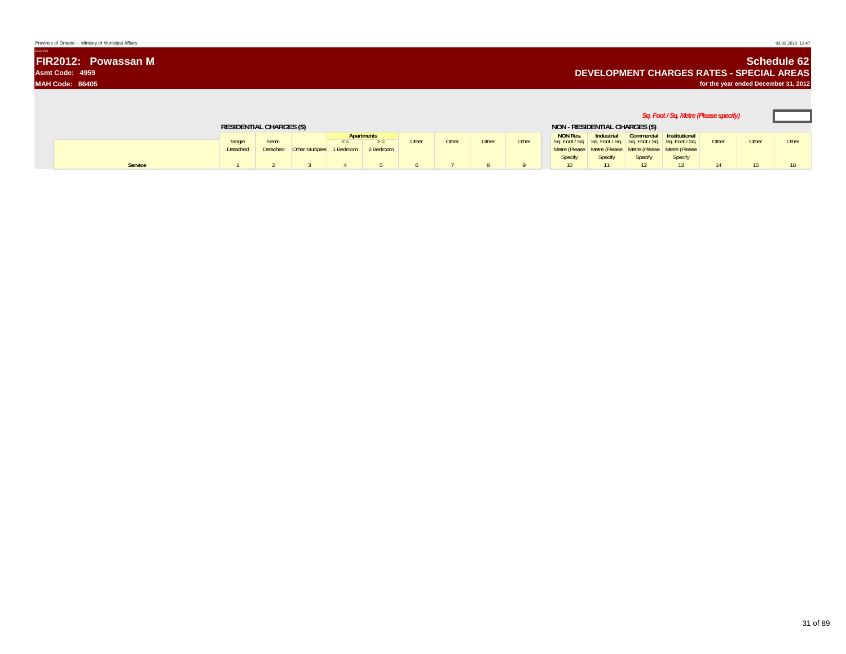| Province of Ontario - Ministry of Municipal Affairs | 03.09.2013 12:47                                                                 |
|-----------------------------------------------------|----------------------------------------------------------------------------------|
| 2012-V01                                            |                                                                                  |
| <b>FIR2012: Powassan M</b>                          | <b>Schedule 62</b>                                                               |
| Asmt Code: 4959                                     | <b>DEVELOPMENT CHARGES RATES - SPECIAL AREAS</b>                                 |
| <b>MAH Code: 86405</b>                              | for the year ended December 31, 2012                                             |
|                                                     |                                                                                  |
|                                                     | ,我们也不会有什么。""我们的人,我们也不会有什么?""我们的人,我们也不会有什么?""我们的人,我们也不会有什么?""我们的人,我们也不会有什么?""我们的人 |

|                                 |         |                 |      |                                    |     |                         |       |              |                                |              |                            |                                                                                                                                           |                                                | Sq. Foot / Sq. Metre (Please specify) |              |       |  |
|---------------------------------|---------|-----------------|------|------------------------------------|-----|-------------------------|-------|--------------|--------------------------------|--------------|----------------------------|-------------------------------------------------------------------------------------------------------------------------------------------|------------------------------------------------|---------------------------------------|--------------|-------|--|
| <b>RESIDENTIAL CHARGES (\$)</b> |         |                 |      |                                    |     |                         |       |              | NON - RESIDENTIAL CHARGES (\$) |              |                            |                                                                                                                                           |                                                |                                       |              |       |  |
|                                 |         | <b>Detached</b> | Semi | Detached Other Multiples 1 Bedroom | < = | Apartments<br>2 Bedroom | Other | <b>Other</b> | Other                          | <b>Other</b> | <b>NON Res.</b><br>Specify | Sq. Foot / Sq.   Sq. Foot / Sq.   Sq. Foot / Sq.   Sq. Foot / Sq.  <br>Metre (Please Metre (Please Metre (Please Metre (Please<br>Specify | Industrial Commercial Institutional<br>Specify | Specify                               | <b>Other</b> | Other |  |
|                                 | Service |                 |      |                                    |     |                         |       |              |                                |              |                            |                                                                                                                                           |                                                |                                       |              |       |  |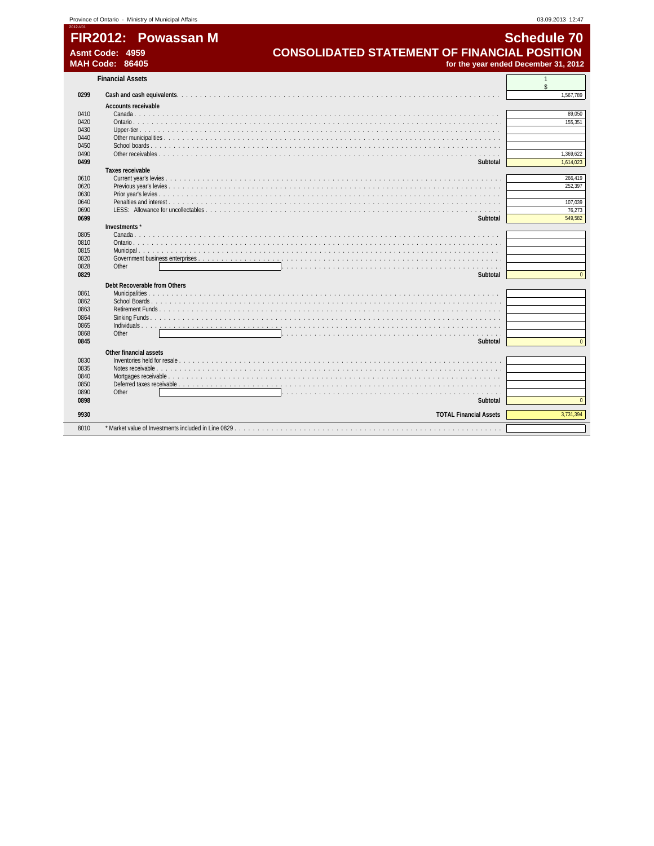| FIR2012: Powass  |  |
|------------------|--|
| Asmt Code: 4959  |  |
| MALLO ANAL OCADE |  |

**FIR2012: Powassan M** Schedule 70 **Asmt Code: 4959 CONSOLIDATED STATEMENT OF FINANCIAL POSITION MAH Code: 86405 for the year ended December 31, 2012**

2012-V01

|      | <b>Financial Assets</b>                                                                                                                                                                                                        |                |
|------|--------------------------------------------------------------------------------------------------------------------------------------------------------------------------------------------------------------------------------|----------------|
| 0299 |                                                                                                                                                                                                                                | 1,567,789      |
|      | Accounts receivable                                                                                                                                                                                                            |                |
| 0410 |                                                                                                                                                                                                                                | 89,050         |
| 0420 |                                                                                                                                                                                                                                | 155.351        |
| 0430 |                                                                                                                                                                                                                                |                |
| 0440 |                                                                                                                                                                                                                                |                |
| 0450 |                                                                                                                                                                                                                                |                |
| 0490 |                                                                                                                                                                                                                                | 1,369,622      |
| 0499 | Subtotal                                                                                                                                                                                                                       | 1,614,023      |
|      | Taxes receivable                                                                                                                                                                                                               |                |
| 0610 |                                                                                                                                                                                                                                | 266,419        |
| 0620 |                                                                                                                                                                                                                                | 252.397        |
| 0630 |                                                                                                                                                                                                                                |                |
| 0640 |                                                                                                                                                                                                                                | 107,039        |
| 0690 |                                                                                                                                                                                                                                | 76,273         |
| 0699 | Subtotal                                                                                                                                                                                                                       | 549,582        |
|      | Investments*                                                                                                                                                                                                                   |                |
| 0805 | Canada                                                                                                                                                                                                                         |                |
| 0810 | Ontario, a conservato de la conservación de la conservación de la conservación de la conservación de la conservación de la conservación de la conservación de la conservación de la conservación de la conservación de la cons |                |
| 0815 |                                                                                                                                                                                                                                |                |
| 0820 |                                                                                                                                                                                                                                |                |
| 0828 | Other                                                                                                                                                                                                                          |                |
| 0829 | Subtotal                                                                                                                                                                                                                       | $\Omega$       |
|      | Debt Recoverable from Others                                                                                                                                                                                                   |                |
| 0861 |                                                                                                                                                                                                                                |                |
| 0862 |                                                                                                                                                                                                                                |                |
| 0863 | Retirement Funds                                                                                                                                                                                                               |                |
| 0864 |                                                                                                                                                                                                                                |                |
| 0865 |                                                                                                                                                                                                                                |                |
| 0868 | Other<br>.                                                                                                                                                                                                                     |                |
| 0845 | Subtotal                                                                                                                                                                                                                       | $\overline{0}$ |
|      | Other financial assets                                                                                                                                                                                                         |                |
| 0830 |                                                                                                                                                                                                                                |                |
| 0835 |                                                                                                                                                                                                                                |                |
| 0840 |                                                                                                                                                                                                                                |                |
| 0850 |                                                                                                                                                                                                                                |                |
| 0890 | Other<br>and a straight and a straight                                                                                                                                                                                         |                |
| 0898 | Subtotal                                                                                                                                                                                                                       | $\overline{0}$ |
| 9930 | <b>TOTAL Financial Assets</b>                                                                                                                                                                                                  | 3,731,394      |
|      |                                                                                                                                                                                                                                |                |
| 8010 |                                                                                                                                                                                                                                |                |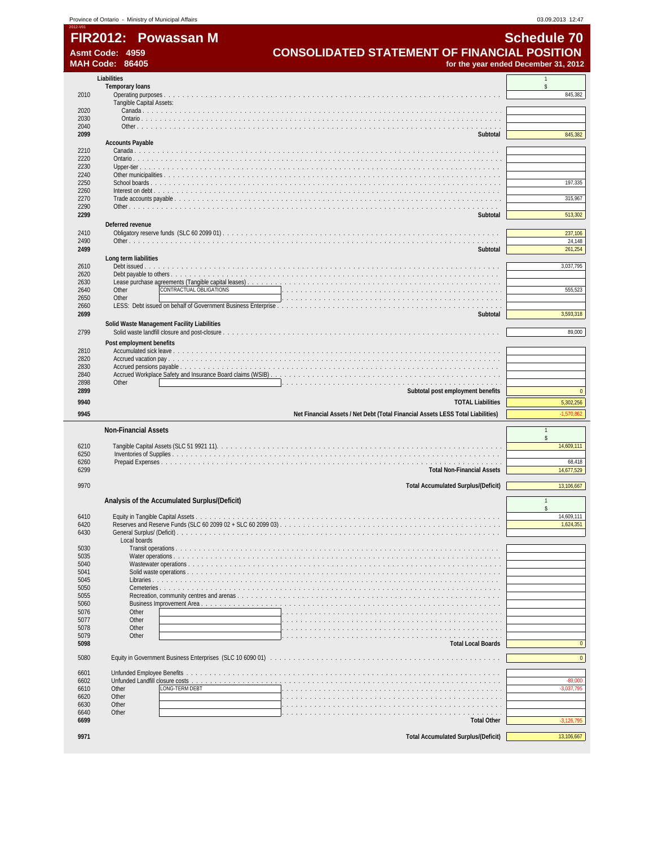| <b>Schedule 70</b>                                  |
|-----------------------------------------------------|
|                                                     |
| <b>CONSOLIDATED STATEMENT OF FINANCIAL POSITION</b> |

**FIR2012: Powassan M**<br>Asmt Code: 4959 **CONSOLIDATED STATEMENT OF FINANCIAL POSITION**<br>MAH Code: 86405 **SCALL ROSET STATEMENT OF FINANCIAL POSITION** 

|              | <b>IAH Code: 86405</b>                                                          | for the year ended December 31, 2012 |
|--------------|---------------------------------------------------------------------------------|--------------------------------------|
|              | Liabilities                                                                     |                                      |
|              | <b>Temporary loans</b>                                                          | \$                                   |
| 2010         | Tangible Capital Assets:                                                        | 845,382                              |
| 2020         |                                                                                 |                                      |
| 2030         |                                                                                 |                                      |
| 2040<br>2099 | Subtotal                                                                        | 845,382                              |
|              | <b>Accounts Payable</b>                                                         |                                      |
| 2210         |                                                                                 |                                      |
| 2220<br>2230 |                                                                                 |                                      |
| 2240         |                                                                                 |                                      |
| 2250<br>2260 |                                                                                 | 197,335                              |
| 2270         |                                                                                 | 315,967                              |
| 2290<br>2299 |                                                                                 | 513,302                              |
|              | Subtotal<br>Deferred revenue                                                    |                                      |
| 2410         |                                                                                 | 237,106                              |
| 2490         |                                                                                 | 24,148                               |
| 2499         | Subtotal                                                                        | 261,254                              |
| 2610         | Long term liabilities                                                           | 3,037,795                            |
| 2620         |                                                                                 |                                      |
| 2630<br>2640 | CONTRACTUAL OBLIGATIONS<br>Other                                                | 555,523                              |
| 2650         | Other                                                                           |                                      |
| 2660<br>2699 |                                                                                 | 3,593,318                            |
|              | Subtotal<br>Solid Waste Management Facility Liabilities                         |                                      |
| 2799         |                                                                                 | 89,000                               |
|              | Post employment benefits                                                        |                                      |
| 2810<br>2820 |                                                                                 |                                      |
| 2830         |                                                                                 |                                      |
| 2840         |                                                                                 |                                      |
| 2898<br>2899 | Other<br>Subtotal post employment benefits                                      | $\pmb{0}$                            |
| 9940         | <b>TOTAL Liabilities</b>                                                        | 5,302,256                            |
|              |                                                                                 |                                      |
|              |                                                                                 |                                      |
| 9945         | Net Financial Assets / Net Debt (Total Financial Assets LESS Total Liabilities) | $-1,570,862$                         |
|              | <b>Non-Financial Assets</b>                                                     |                                      |
| 6210         |                                                                                 | \$<br>14,609,111                     |
| 6250         |                                                                                 |                                      |
| 6260<br>6299 | <b>Total Non-Financial Assets</b>                                               | 68,418<br>14,677,529                 |
|              |                                                                                 |                                      |
| 9970         | <b>Total Accumulated Surplus/(Deficit)</b>                                      | 13,106,667                           |
|              | Analysis of the Accumulated Surplus/(Deficit)                                   |                                      |
|              |                                                                                 | 14.609.111                           |
| 6410<br>6420 | Equity in Tangible Capital Assets                                               | 1,624,351                            |
| 6430         |                                                                                 |                                      |
| 5030         | Local boards                                                                    |                                      |
| 5035         | Water operations.                                                               |                                      |
| 5040<br>5041 | Wastewater operations                                                           |                                      |
| 5045         | Libraries                                                                       |                                      |
| 5050         | Cemeteries                                                                      |                                      |
| 5055<br>5060 | Recreation, community centres and arenas<br>Business Improvement Area           |                                      |
| 5076         | Other                                                                           |                                      |
| 5077<br>5078 | Other<br>Other                                                                  |                                      |
| 5079         | Other                                                                           |                                      |
| 5098         | <b>Total Local Boards</b>                                                       | $\mathbf 0$                          |
| 5080         |                                                                                 | $\pmb{0}$                            |
| 6601         | Unfunded Employee Benefits                                                      |                                      |
| 6602         | Unfunded Landfill closure costs                                                 | $-89,000$                            |
| 6610<br>6620 | LONG-TERM DEBT<br>Other<br>Other                                                | $-3,037,795$                         |
| 6630         | Other                                                                           |                                      |
| 6640         | Other                                                                           |                                      |
| 6699<br>9971 | <b>Total Other</b><br><b>Total Accumulated Surplus/(Deficit)</b>                | $-3,126,795$<br>13,106,667           |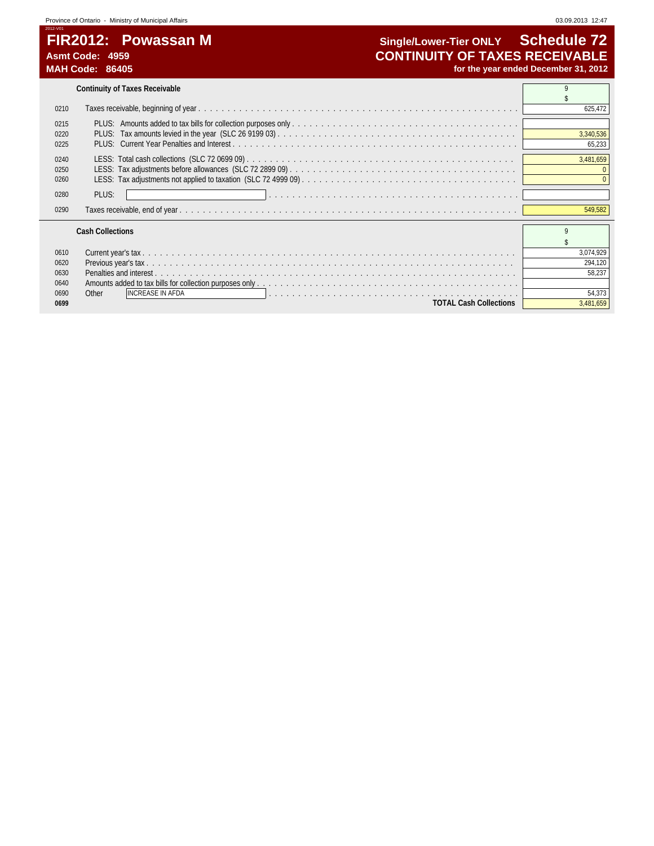# **FIR2012: Powassan M Single/Lower-Tier ONLY Schedule 72**<br>Asmt Code: 4959 **CONTINUITY OF TAXES RECEIVABLE Asmt Code: 4959 CONTINUITY OF TAXES RECEIVABLE MAH Code: 86405 for the year ended December 31, 2012**

|      | <b>Continuity of Taxes Receivable</b> |           |
|------|---------------------------------------|-----------|
|      |                                       |           |
| 0210 |                                       | 625,472   |
| 0215 |                                       |           |
| 0220 |                                       | 3,340,536 |
| 0225 |                                       | 65,233    |
| 0240 |                                       | 3,481,659 |
| 0250 |                                       |           |
| 0260 |                                       |           |
| 0280 | PLUS:                                 |           |
|      |                                       |           |
| 0290 |                                       | 549,582   |
|      |                                       |           |
|      | <b>Cash Collections</b>               |           |
|      |                                       |           |
| 0610 |                                       | 3,074,929 |
| 0620 |                                       | 294,120   |
| 0630 |                                       | 58,237    |
| 0640 |                                       |           |
| 0690 | <b>INCREASE IN AFDA</b><br>Other      | 54,373    |
| 0699 | <b>TOTAL Cash Collections</b>         | 3,481,659 |

 $\overline{\phantom{0}}$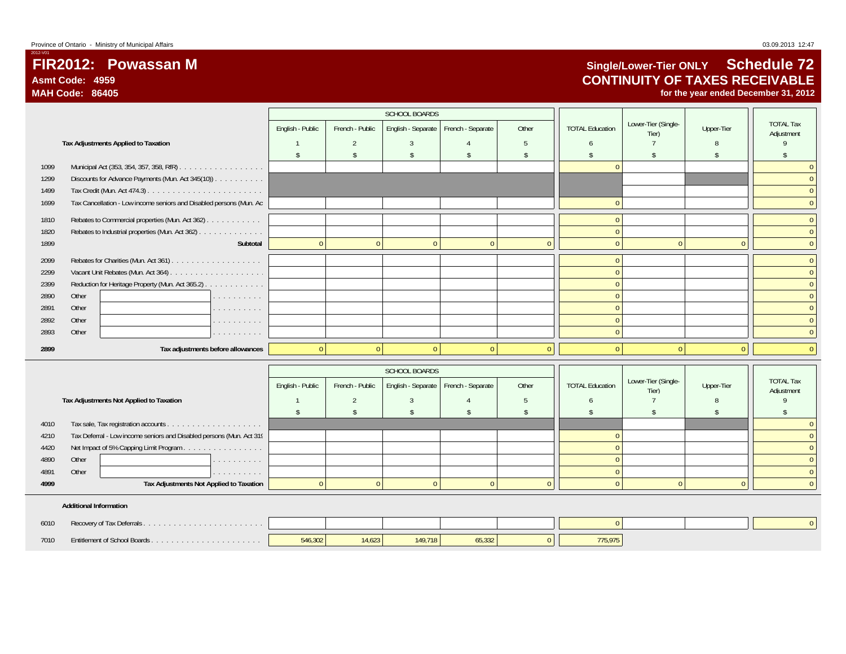# **FIR2012: Powassan MAsmt Code: 4959MAH Code: 86405**

# **Single/Lower-Tier ONLY Schedule 72 CONTINUITY OF TAXES RECEIVABLE**

**for the year ended December 31, 2012**

|      |       |                                                                      |                  |                 | <b>SCHOOL BOARDS</b> |                   |       |                        |                              |            |                                |
|------|-------|----------------------------------------------------------------------|------------------|-----------------|----------------------|-------------------|-------|------------------------|------------------------------|------------|--------------------------------|
|      |       |                                                                      | English - Public | French - Public | English - Separate   | French - Separate | Other | <b>TOTAL Education</b> | Lower-Tier (Single-<br>Tier) | Upper-Tier | <b>TOTAL Tax</b><br>Adjustment |
|      |       | Tax Adjustments Applied to Taxation                                  |                  |                 |                      |                   |       |                        |                              |            |                                |
|      |       |                                                                      |                  |                 |                      |                   |       |                        |                              |            |                                |
| 1099 |       |                                                                      |                  |                 |                      |                   |       |                        |                              |            |                                |
| 1299 |       | Discounts for Advance Payments (Mun. Act 345(10))                    |                  |                 |                      |                   |       |                        |                              |            | $\mathbf{0}$                   |
| 1499 |       |                                                                      |                  |                 |                      |                   |       |                        |                              |            | $\Omega$                       |
| 1699 |       | Tax Cancellation - Low income seniors and Disabled persons (Mun. Act |                  |                 |                      |                   |       |                        |                              |            | $\mathbf{0}$                   |
| 1810 |       | Rebates to Commercial properties (Mun. Act 362)                      |                  |                 |                      |                   |       |                        |                              |            | $\mathbf{0}$                   |
| 1820 |       | Rebates to Industrial properties (Mun. Act 362)                      |                  |                 |                      |                   |       |                        |                              |            | $\Omega$                       |
| 1899 |       | Subtotal                                                             |                  |                 | $\Omega$             |                   |       |                        |                              |            | $\mathbf{0}$                   |
| 2099 |       |                                                                      |                  |                 |                      |                   |       |                        |                              |            | $\mathbf{0}$                   |
| 2299 |       |                                                                      |                  |                 |                      |                   |       |                        |                              |            | $\Omega$                       |
| 2399 |       | Reduction for Heritage Property (Mun. Act 365.2)                     |                  |                 |                      |                   |       |                        |                              |            | $\Omega$                       |
| 2890 | Other | .                                                                    |                  |                 |                      |                   |       |                        |                              |            | $\Omega$                       |
| 2891 | Other | .                                                                    |                  |                 |                      |                   |       |                        |                              |            | $\Omega$                       |
| 2892 | Other | .                                                                    |                  |                 |                      |                   |       |                        |                              |            | $\mathbf{0}$                   |
| 2893 | Other | .                                                                    |                  |                 |                      |                   |       |                        |                              |            | $\Omega$                       |
| 2899 |       | Tax adjustments before allowances                                    |                  |                 |                      |                   |       |                        |                              |            | $\Omega$                       |

|      |                                                                                            |                  |                 | SCHOOL BOARDS |                                        |       |                        |                              |            |                                |
|------|--------------------------------------------------------------------------------------------|------------------|-----------------|---------------|----------------------------------------|-------|------------------------|------------------------------|------------|--------------------------------|
|      |                                                                                            | English - Public | French - Public |               | English - Separate   French - Separate | Other | <b>TOTAL Education</b> | Lower-Tier (Single-<br>Tier) | Upper-Tier | <b>TOTAL Tax</b><br>Adjustment |
|      | Tax Adjustments Not Applied to Taxation                                                    |                  |                 |               |                                        |       |                        |                              |            |                                |
|      |                                                                                            |                  |                 |               |                                        |       |                        |                              |            |                                |
| 4010 | Tax sale, Tax registration accounts<br>and a series of the contract of the contract of the |                  |                 |               |                                        |       |                        |                              |            |                                |
| 4210 | Tax Deferral - Low income seniors and Disabled persons (Mun. Act 319                       |                  |                 |               |                                        |       |                        |                              |            |                                |
| 4420 | Net Impact of 5% Capping Limit Program                                                     |                  |                 |               |                                        |       |                        |                              |            |                                |
| 4890 | Other<br>.                                                                                 |                  |                 |               |                                        |       |                        |                              |            |                                |
| 4891 | Other<br>.                                                                                 |                  |                 |               |                                        |       |                        |                              |            |                                |
| 4999 | Tax Adjustments Not Applied to Taxation                                                    |                  |                 |               |                                        |       |                        |                              |            |                                |
|      |                                                                                            |                  |                 |               |                                        |       |                        |                              |            |                                |

#### **Additional Information**

| 6010 |                              |         |        |         |        |        |  |  |
|------|------------------------------|---------|--------|---------|--------|--------|--|--|
| 7010 | Fntitlement of School Boards | 546,302 | 14,623 | 149.718 | 15,33Z | 75.975 |  |  |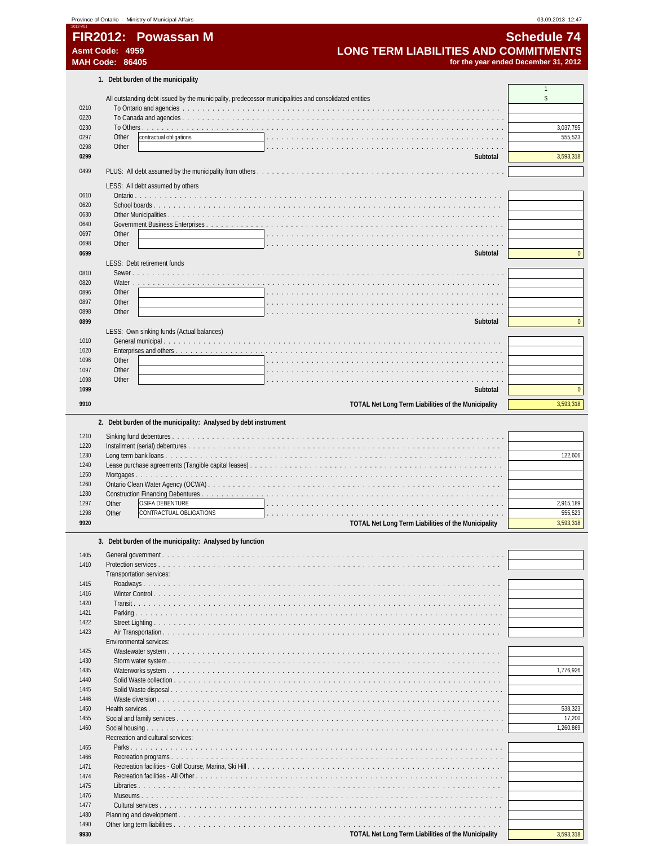|              |                        | Province of Ontario - Ministry of Municipal Affairs                                                             | 03.09.2013 12:47                     |
|--------------|------------------------|-----------------------------------------------------------------------------------------------------------------|--------------------------------------|
|              |                        | FIR2012: Powassan M                                                                                             | <b>Schedule 74</b>                   |
|              | Asmt Code: 4959        | <b>LONG TERM LIABILITIES AND COMMITMENTS</b>                                                                    |                                      |
|              | <b>MAH Code: 86405</b> |                                                                                                                 | for the year ended December 31, 2012 |
|              |                        | 1. Debt burden of the municipality                                                                              |                                      |
|              |                        | All outstanding debt issued by the municipality, predecessor municipalities and consolidated entities           | $\mathbf{1}$<br>\$                   |
| 0210         |                        |                                                                                                                 |                                      |
| 0220         |                        |                                                                                                                 |                                      |
| 0230         |                        |                                                                                                                 | 3,037,795                            |
| 0297         | Other                  | contractual obligations                                                                                         | 555,523                              |
| 0298         | Other                  |                                                                                                                 |                                      |
| 0299         |                        | Subtotal                                                                                                        | 3,593,318                            |
| 0499         |                        |                                                                                                                 |                                      |
|              |                        | LESS: All debt assumed by others                                                                                |                                      |
| 0610         |                        |                                                                                                                 |                                      |
| 0620         |                        |                                                                                                                 |                                      |
| 0630         |                        |                                                                                                                 |                                      |
| 0640         |                        |                                                                                                                 |                                      |
| 0697<br>0698 | Other<br>Other         |                                                                                                                 |                                      |
| 0699         |                        | Subtotal                                                                                                        | $\mathbf{0}$                         |
|              |                        | LESS: Debt retirement funds                                                                                     |                                      |
| 0810         |                        | Sewer.                                                                                                          |                                      |
| 0820         | Water                  | the contract of the contract of the contract of the contract of the contract of the contract of the contract of |                                      |
| 0896         | Other                  |                                                                                                                 |                                      |
| 0897         | Other                  |                                                                                                                 |                                      |
| 0898         | Other                  |                                                                                                                 |                                      |
| 0899         |                        | Subtotal                                                                                                        | $\mathbf{0}$                         |
| 1010         |                        | LESS: Own sinking funds (Actual balances)                                                                       |                                      |
| 1020         |                        |                                                                                                                 |                                      |
| 1096         | Other                  |                                                                                                                 |                                      |
| 1097         | Other                  |                                                                                                                 |                                      |
| 1098         | Other                  |                                                                                                                 |                                      |
| 1099         |                        | Subtotal                                                                                                        | $\mathbf{0}$                         |
| 9910         |                        | TOTAL Net Long Term Liabilities of the Municipality                                                             | 3,593,318                            |
|              |                        |                                                                                                                 |                                      |
| 1210         |                        | 2. Debt burden of the municipality: Analysed by debt instrument                                                 |                                      |
| 1220<br>1230 |                        |                                                                                                                 |                                      |
| 1240         |                        |                                                                                                                 |                                      |
| 1250         |                        | Mortgages                                                                                                       |                                      |
| 1260         |                        |                                                                                                                 |                                      |
| 1280         |                        |                                                                                                                 |                                      |
| 1297         | Other                  | OSIFA DEBENTURE                                                                                                 |                                      |
| 1298         | Other                  | CONTRACTUAL OBLIGATIONS                                                                                         | 122,606<br>2,915,189<br>555,523      |
| 9920         |                        | TOTAL Net Long Term Liabilities of the Municipality                                                             | 3,593,318                            |
|              |                        | 3. Debt burden of the municipality: Analysed by function                                                        |                                      |
| 1405         |                        |                                                                                                                 |                                      |
| 1410         |                        | Protection services                                                                                             |                                      |
|              |                        | Transportation services:                                                                                        |                                      |
| 1415         |                        |                                                                                                                 |                                      |
| 1416<br>1420 |                        |                                                                                                                 |                                      |
| 1421         |                        |                                                                                                                 |                                      |
| 1422         |                        |                                                                                                                 |                                      |
| 1423         |                        |                                                                                                                 |                                      |
|              |                        | Environmental services:                                                                                         |                                      |
| 1425         |                        |                                                                                                                 |                                      |
| 1430         |                        |                                                                                                                 |                                      |
| 1435<br>1440 |                        |                                                                                                                 |                                      |
| 1445         |                        |                                                                                                                 |                                      |
| 1446         |                        |                                                                                                                 |                                      |
| 1450         |                        |                                                                                                                 | 538,323                              |
| 1455         |                        |                                                                                                                 |                                      |
| 1460         |                        |                                                                                                                 | 1,260,869                            |
|              |                        | Recreation and cultural services:                                                                               |                                      |
| 1465<br>1466 |                        |                                                                                                                 | 1,776,926<br>17,200                  |
| 1471         |                        |                                                                                                                 |                                      |
| 1474         |                        |                                                                                                                 |                                      |
| 1475         |                        |                                                                                                                 |                                      |
| 1476         |                        | Museums                                                                                                         |                                      |
| 1477<br>1480 |                        |                                                                                                                 |                                      |

**19930 19930 19930 19930 19930 19930 19930 19930 19930 19930 19930 19930 19930 19980 19990 19990 19990 19990 19990 19990 19990 19990 19990 19990 19990 19990 19990**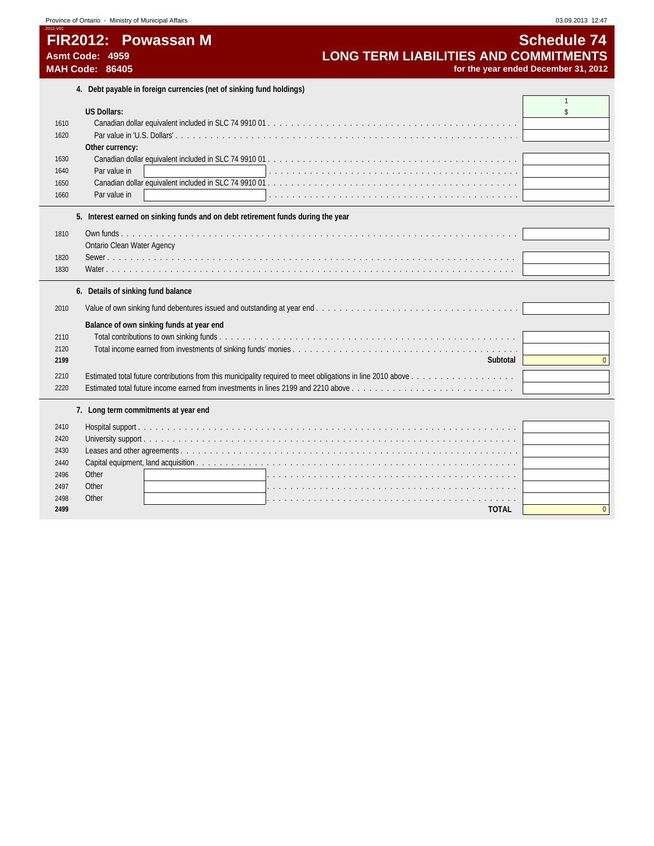| Province of Ontario - |  |  |  | Ministry of Municipal Affairs |
|-----------------------|--|--|--|-------------------------------|
|-----------------------|--|--|--|-------------------------------|

### 2012-V01 **FIR2012: Powassan M Schedule 74** Asmt Code: 4959 **MAH Code: 86405** *for the year ended* **December 31, 2012 <b>***for the year ended*

| <b>OVIIGUUIG 17</b>                  |  |
|--------------------------------------|--|
| ONG TERM LIABILITIES AND COMMITMENTS |  |
| for the year ended December 31, 2011 |  |

**4. Debt payable in foreign currencies (net of sinking fund holdings)**

|      | 4. Dept payable in foreign currencies (riet or sinking fund holdings)                                                                                                    |                |
|------|--------------------------------------------------------------------------------------------------------------------------------------------------------------------------|----------------|
|      |                                                                                                                                                                          |                |
|      | <b>US Dollars:</b>                                                                                                                                                       | $\mathsf{\$}$  |
| 1610 |                                                                                                                                                                          |                |
| 1620 |                                                                                                                                                                          |                |
|      | Other currency:                                                                                                                                                          |                |
| 1630 |                                                                                                                                                                          |                |
| 1640 | Par value in                                                                                                                                                             |                |
| 1650 |                                                                                                                                                                          |                |
| 1660 | Par value in                                                                                                                                                             |                |
|      |                                                                                                                                                                          |                |
|      | 5. Interest earned on sinking funds and on debt retirement funds during the year                                                                                         |                |
| 1810 |                                                                                                                                                                          |                |
|      | Ontario Clean Water Agency                                                                                                                                               |                |
| 1820 |                                                                                                                                                                          |                |
| 1830 |                                                                                                                                                                          |                |
|      |                                                                                                                                                                          |                |
|      | 6. Details of sinking fund balance                                                                                                                                       |                |
| 2010 |                                                                                                                                                                          |                |
|      | Balance of own sinking funds at year end                                                                                                                                 |                |
| 2110 |                                                                                                                                                                          |                |
| 2120 |                                                                                                                                                                          |                |
| 2199 | Subtotal                                                                                                                                                                 | $\mathbf{0}$   |
|      |                                                                                                                                                                          |                |
| 2210 | Estimated total future income earned from investments in lines 2199 and 2210 above $\ldots$ , $\ldots$ , $\ldots$ , $\ldots$ , $\ldots$ , $\ldots$ , $\ldots$ , $\ldots$ |                |
| 2220 |                                                                                                                                                                          |                |
|      | 7. Long term commitments at year end                                                                                                                                     |                |
| 2410 |                                                                                                                                                                          |                |
| 2420 |                                                                                                                                                                          |                |
| 2430 |                                                                                                                                                                          |                |
| 2440 |                                                                                                                                                                          |                |
| 2496 | Other                                                                                                                                                                    |                |
| 2497 | Other                                                                                                                                                                    |                |
| 2498 | Other                                                                                                                                                                    |                |
| 2499 | <b>TOTAL</b>                                                                                                                                                             | $\overline{0}$ |
|      |                                                                                                                                                                          |                |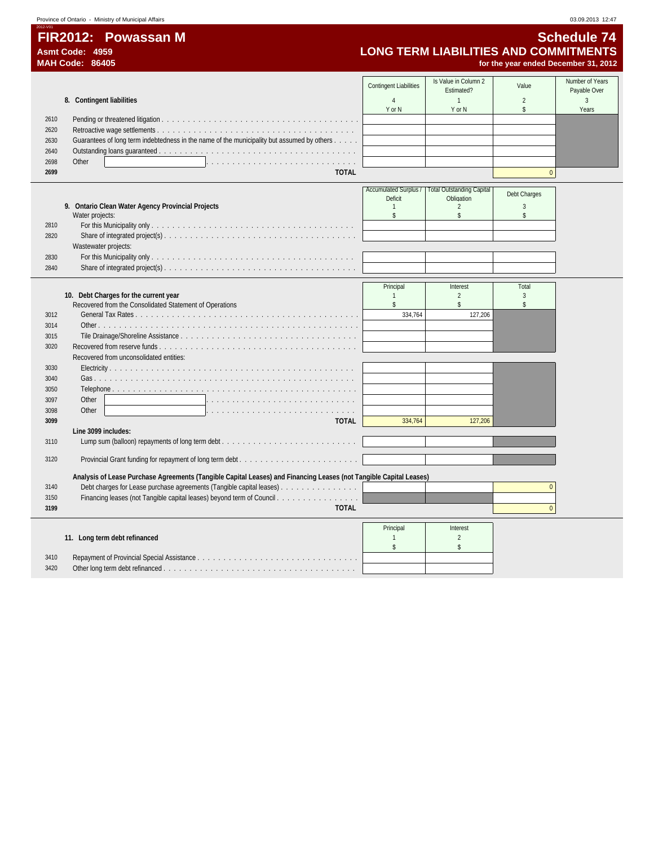2012-V01

 $\overline{\phantom{a}}$ 

**FIR2012: Powassan M**<br>Asmt Code: 4959<br>MAH Code: 86405 **Schedule 74**<br>MAH Code: 86405 **Schedule 74**<br>MAH Code: 86405 **Schedule 21, 2012 Asmt Code: 4959 LONG TERM LIABILITIES AND COMMITMENTS**

| Is Value in Column 2<br>Number of Years<br><b>Contingent Liabilities</b><br>Value<br>Payable Over<br>Estimated?<br>$\overline{2}$<br>3<br>8. Contingent liabilities<br>$\overline{4}$<br>$\mathbf{1}$<br>Y or N<br>Y or N<br>\$<br>Years<br>2610<br>2620<br>Guarantees of long term indebtedness in the name of the municipality but assumed by others<br>2630<br>2640<br>2698<br>Other<br>$\overline{0}$<br>2699<br><b>TOTAL</b><br><b>Accumulated Surplus /</b><br><b>Total Outstanding Capital</b><br>Debt Charges<br>Obligation<br>Deficit<br>$\sqrt{3}$<br>9. Ontario Clean Water Agency Provincial Projects<br>$\mathbf{1}$<br>2<br>\$<br>Water projects:<br>$\mathbb{S}$<br>\$<br>2810<br>2820<br>Wastewater projects:<br>2830<br>2840<br>Principal<br>Interest<br>Total<br>10. Debt Charges for the current year<br>$\overline{2}$<br>$\mathbf{1}$<br>3<br>$\mathbb{S}$<br>Recovered from the Consolidated Statement of Operations<br>$\mathbb{S}$<br>$\mathsf{s}$<br>3012<br>334,764<br>127,206<br>3014<br>3015<br>3020<br>Recovered from unconsolidated entities:<br>3030<br>3040<br>3050<br>Other<br>3097<br>and a straight and a<br>Other<br>3098<br>a concerta de la concerta de<br>3099<br><b>TOTAL</b><br>334,764<br>127,206<br>Line 3099 includes:<br>3110<br>3120<br>Analysis of Lease Purchase Agreements (Tangible Capital Leases) and Financing Leases (not Tangible Capital Leases)<br>Debt charges for Lease purchase agreements (Tangible capital leases)<br>3140<br>$\Omega$<br>Financing leases (not Tangible capital leases) beyond term of Council<br>3150<br><b>TOTAL</b><br>$\mathbf{0}$<br>3199<br>Principal<br>Interest<br>11. Long term debt refinanced<br>$\overline{2}$<br>$\mathbf{1}$<br>\$<br>\$<br>3410<br>3420 | MAH Code: 86405 |  | for the year ended December 31, 2012 |  |
|-------------------------------------------------------------------------------------------------------------------------------------------------------------------------------------------------------------------------------------------------------------------------------------------------------------------------------------------------------------------------------------------------------------------------------------------------------------------------------------------------------------------------------------------------------------------------------------------------------------------------------------------------------------------------------------------------------------------------------------------------------------------------------------------------------------------------------------------------------------------------------------------------------------------------------------------------------------------------------------------------------------------------------------------------------------------------------------------------------------------------------------------------------------------------------------------------------------------------------------------------------------------------------------------------------------------------------------------------------------------------------------------------------------------------------------------------------------------------------------------------------------------------------------------------------------------------------------------------------------------------------------------------------------------------------------------------------------------------------------------------------|-----------------|--|--------------------------------------|--|
|                                                                                                                                                                                                                                                                                                                                                                                                                                                                                                                                                                                                                                                                                                                                                                                                                                                                                                                                                                                                                                                                                                                                                                                                                                                                                                                                                                                                                                                                                                                                                                                                                                                                                                                                                       |                 |  |                                      |  |
|                                                                                                                                                                                                                                                                                                                                                                                                                                                                                                                                                                                                                                                                                                                                                                                                                                                                                                                                                                                                                                                                                                                                                                                                                                                                                                                                                                                                                                                                                                                                                                                                                                                                                                                                                       |                 |  |                                      |  |
|                                                                                                                                                                                                                                                                                                                                                                                                                                                                                                                                                                                                                                                                                                                                                                                                                                                                                                                                                                                                                                                                                                                                                                                                                                                                                                                                                                                                                                                                                                                                                                                                                                                                                                                                                       |                 |  |                                      |  |
|                                                                                                                                                                                                                                                                                                                                                                                                                                                                                                                                                                                                                                                                                                                                                                                                                                                                                                                                                                                                                                                                                                                                                                                                                                                                                                                                                                                                                                                                                                                                                                                                                                                                                                                                                       |                 |  |                                      |  |
|                                                                                                                                                                                                                                                                                                                                                                                                                                                                                                                                                                                                                                                                                                                                                                                                                                                                                                                                                                                                                                                                                                                                                                                                                                                                                                                                                                                                                                                                                                                                                                                                                                                                                                                                                       |                 |  |                                      |  |
|                                                                                                                                                                                                                                                                                                                                                                                                                                                                                                                                                                                                                                                                                                                                                                                                                                                                                                                                                                                                                                                                                                                                                                                                                                                                                                                                                                                                                                                                                                                                                                                                                                                                                                                                                       |                 |  |                                      |  |
|                                                                                                                                                                                                                                                                                                                                                                                                                                                                                                                                                                                                                                                                                                                                                                                                                                                                                                                                                                                                                                                                                                                                                                                                                                                                                                                                                                                                                                                                                                                                                                                                                                                                                                                                                       |                 |  |                                      |  |
|                                                                                                                                                                                                                                                                                                                                                                                                                                                                                                                                                                                                                                                                                                                                                                                                                                                                                                                                                                                                                                                                                                                                                                                                                                                                                                                                                                                                                                                                                                                                                                                                                                                                                                                                                       |                 |  |                                      |  |
|                                                                                                                                                                                                                                                                                                                                                                                                                                                                                                                                                                                                                                                                                                                                                                                                                                                                                                                                                                                                                                                                                                                                                                                                                                                                                                                                                                                                                                                                                                                                                                                                                                                                                                                                                       |                 |  |                                      |  |
|                                                                                                                                                                                                                                                                                                                                                                                                                                                                                                                                                                                                                                                                                                                                                                                                                                                                                                                                                                                                                                                                                                                                                                                                                                                                                                                                                                                                                                                                                                                                                                                                                                                                                                                                                       |                 |  |                                      |  |
|                                                                                                                                                                                                                                                                                                                                                                                                                                                                                                                                                                                                                                                                                                                                                                                                                                                                                                                                                                                                                                                                                                                                                                                                                                                                                                                                                                                                                                                                                                                                                                                                                                                                                                                                                       |                 |  |                                      |  |
|                                                                                                                                                                                                                                                                                                                                                                                                                                                                                                                                                                                                                                                                                                                                                                                                                                                                                                                                                                                                                                                                                                                                                                                                                                                                                                                                                                                                                                                                                                                                                                                                                                                                                                                                                       |                 |  |                                      |  |
|                                                                                                                                                                                                                                                                                                                                                                                                                                                                                                                                                                                                                                                                                                                                                                                                                                                                                                                                                                                                                                                                                                                                                                                                                                                                                                                                                                                                                                                                                                                                                                                                                                                                                                                                                       |                 |  |                                      |  |
|                                                                                                                                                                                                                                                                                                                                                                                                                                                                                                                                                                                                                                                                                                                                                                                                                                                                                                                                                                                                                                                                                                                                                                                                                                                                                                                                                                                                                                                                                                                                                                                                                                                                                                                                                       |                 |  |                                      |  |
|                                                                                                                                                                                                                                                                                                                                                                                                                                                                                                                                                                                                                                                                                                                                                                                                                                                                                                                                                                                                                                                                                                                                                                                                                                                                                                                                                                                                                                                                                                                                                                                                                                                                                                                                                       |                 |  |                                      |  |
|                                                                                                                                                                                                                                                                                                                                                                                                                                                                                                                                                                                                                                                                                                                                                                                                                                                                                                                                                                                                                                                                                                                                                                                                                                                                                                                                                                                                                                                                                                                                                                                                                                                                                                                                                       |                 |  |                                      |  |
|                                                                                                                                                                                                                                                                                                                                                                                                                                                                                                                                                                                                                                                                                                                                                                                                                                                                                                                                                                                                                                                                                                                                                                                                                                                                                                                                                                                                                                                                                                                                                                                                                                                                                                                                                       |                 |  |                                      |  |
|                                                                                                                                                                                                                                                                                                                                                                                                                                                                                                                                                                                                                                                                                                                                                                                                                                                                                                                                                                                                                                                                                                                                                                                                                                                                                                                                                                                                                                                                                                                                                                                                                                                                                                                                                       |                 |  |                                      |  |
|                                                                                                                                                                                                                                                                                                                                                                                                                                                                                                                                                                                                                                                                                                                                                                                                                                                                                                                                                                                                                                                                                                                                                                                                                                                                                                                                                                                                                                                                                                                                                                                                                                                                                                                                                       |                 |  |                                      |  |
|                                                                                                                                                                                                                                                                                                                                                                                                                                                                                                                                                                                                                                                                                                                                                                                                                                                                                                                                                                                                                                                                                                                                                                                                                                                                                                                                                                                                                                                                                                                                                                                                                                                                                                                                                       |                 |  |                                      |  |
|                                                                                                                                                                                                                                                                                                                                                                                                                                                                                                                                                                                                                                                                                                                                                                                                                                                                                                                                                                                                                                                                                                                                                                                                                                                                                                                                                                                                                                                                                                                                                                                                                                                                                                                                                       |                 |  |                                      |  |
|                                                                                                                                                                                                                                                                                                                                                                                                                                                                                                                                                                                                                                                                                                                                                                                                                                                                                                                                                                                                                                                                                                                                                                                                                                                                                                                                                                                                                                                                                                                                                                                                                                                                                                                                                       |                 |  |                                      |  |
|                                                                                                                                                                                                                                                                                                                                                                                                                                                                                                                                                                                                                                                                                                                                                                                                                                                                                                                                                                                                                                                                                                                                                                                                                                                                                                                                                                                                                                                                                                                                                                                                                                                                                                                                                       |                 |  |                                      |  |
|                                                                                                                                                                                                                                                                                                                                                                                                                                                                                                                                                                                                                                                                                                                                                                                                                                                                                                                                                                                                                                                                                                                                                                                                                                                                                                                                                                                                                                                                                                                                                                                                                                                                                                                                                       |                 |  |                                      |  |
|                                                                                                                                                                                                                                                                                                                                                                                                                                                                                                                                                                                                                                                                                                                                                                                                                                                                                                                                                                                                                                                                                                                                                                                                                                                                                                                                                                                                                                                                                                                                                                                                                                                                                                                                                       |                 |  |                                      |  |
|                                                                                                                                                                                                                                                                                                                                                                                                                                                                                                                                                                                                                                                                                                                                                                                                                                                                                                                                                                                                                                                                                                                                                                                                                                                                                                                                                                                                                                                                                                                                                                                                                                                                                                                                                       |                 |  |                                      |  |
|                                                                                                                                                                                                                                                                                                                                                                                                                                                                                                                                                                                                                                                                                                                                                                                                                                                                                                                                                                                                                                                                                                                                                                                                                                                                                                                                                                                                                                                                                                                                                                                                                                                                                                                                                       |                 |  |                                      |  |
|                                                                                                                                                                                                                                                                                                                                                                                                                                                                                                                                                                                                                                                                                                                                                                                                                                                                                                                                                                                                                                                                                                                                                                                                                                                                                                                                                                                                                                                                                                                                                                                                                                                                                                                                                       |                 |  |                                      |  |
|                                                                                                                                                                                                                                                                                                                                                                                                                                                                                                                                                                                                                                                                                                                                                                                                                                                                                                                                                                                                                                                                                                                                                                                                                                                                                                                                                                                                                                                                                                                                                                                                                                                                                                                                                       |                 |  |                                      |  |
|                                                                                                                                                                                                                                                                                                                                                                                                                                                                                                                                                                                                                                                                                                                                                                                                                                                                                                                                                                                                                                                                                                                                                                                                                                                                                                                                                                                                                                                                                                                                                                                                                                                                                                                                                       |                 |  |                                      |  |
|                                                                                                                                                                                                                                                                                                                                                                                                                                                                                                                                                                                                                                                                                                                                                                                                                                                                                                                                                                                                                                                                                                                                                                                                                                                                                                                                                                                                                                                                                                                                                                                                                                                                                                                                                       |                 |  |                                      |  |
|                                                                                                                                                                                                                                                                                                                                                                                                                                                                                                                                                                                                                                                                                                                                                                                                                                                                                                                                                                                                                                                                                                                                                                                                                                                                                                                                                                                                                                                                                                                                                                                                                                                                                                                                                       |                 |  |                                      |  |
|                                                                                                                                                                                                                                                                                                                                                                                                                                                                                                                                                                                                                                                                                                                                                                                                                                                                                                                                                                                                                                                                                                                                                                                                                                                                                                                                                                                                                                                                                                                                                                                                                                                                                                                                                       |                 |  |                                      |  |
|                                                                                                                                                                                                                                                                                                                                                                                                                                                                                                                                                                                                                                                                                                                                                                                                                                                                                                                                                                                                                                                                                                                                                                                                                                                                                                                                                                                                                                                                                                                                                                                                                                                                                                                                                       |                 |  |                                      |  |
|                                                                                                                                                                                                                                                                                                                                                                                                                                                                                                                                                                                                                                                                                                                                                                                                                                                                                                                                                                                                                                                                                                                                                                                                                                                                                                                                                                                                                                                                                                                                                                                                                                                                                                                                                       |                 |  |                                      |  |
|                                                                                                                                                                                                                                                                                                                                                                                                                                                                                                                                                                                                                                                                                                                                                                                                                                                                                                                                                                                                                                                                                                                                                                                                                                                                                                                                                                                                                                                                                                                                                                                                                                                                                                                                                       |                 |  |                                      |  |
|                                                                                                                                                                                                                                                                                                                                                                                                                                                                                                                                                                                                                                                                                                                                                                                                                                                                                                                                                                                                                                                                                                                                                                                                                                                                                                                                                                                                                                                                                                                                                                                                                                                                                                                                                       |                 |  |                                      |  |
|                                                                                                                                                                                                                                                                                                                                                                                                                                                                                                                                                                                                                                                                                                                                                                                                                                                                                                                                                                                                                                                                                                                                                                                                                                                                                                                                                                                                                                                                                                                                                                                                                                                                                                                                                       |                 |  |                                      |  |
|                                                                                                                                                                                                                                                                                                                                                                                                                                                                                                                                                                                                                                                                                                                                                                                                                                                                                                                                                                                                                                                                                                                                                                                                                                                                                                                                                                                                                                                                                                                                                                                                                                                                                                                                                       |                 |  |                                      |  |
|                                                                                                                                                                                                                                                                                                                                                                                                                                                                                                                                                                                                                                                                                                                                                                                                                                                                                                                                                                                                                                                                                                                                                                                                                                                                                                                                                                                                                                                                                                                                                                                                                                                                                                                                                       |                 |  |                                      |  |
|                                                                                                                                                                                                                                                                                                                                                                                                                                                                                                                                                                                                                                                                                                                                                                                                                                                                                                                                                                                                                                                                                                                                                                                                                                                                                                                                                                                                                                                                                                                                                                                                                                                                                                                                                       |                 |  |                                      |  |
|                                                                                                                                                                                                                                                                                                                                                                                                                                                                                                                                                                                                                                                                                                                                                                                                                                                                                                                                                                                                                                                                                                                                                                                                                                                                                                                                                                                                                                                                                                                                                                                                                                                                                                                                                       |                 |  |                                      |  |
|                                                                                                                                                                                                                                                                                                                                                                                                                                                                                                                                                                                                                                                                                                                                                                                                                                                                                                                                                                                                                                                                                                                                                                                                                                                                                                                                                                                                                                                                                                                                                                                                                                                                                                                                                       |                 |  |                                      |  |
|                                                                                                                                                                                                                                                                                                                                                                                                                                                                                                                                                                                                                                                                                                                                                                                                                                                                                                                                                                                                                                                                                                                                                                                                                                                                                                                                                                                                                                                                                                                                                                                                                                                                                                                                                       |                 |  |                                      |  |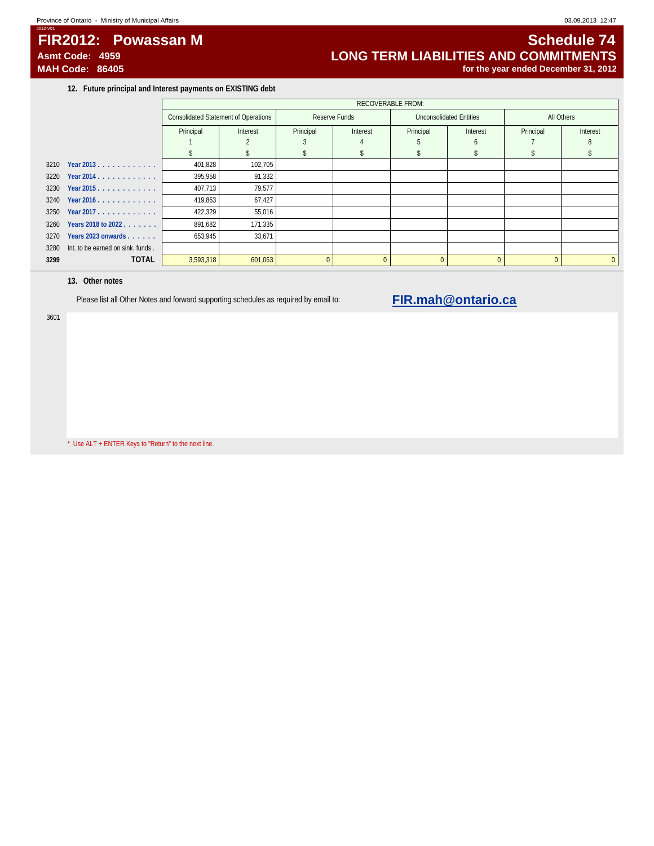# **FIR2012: Powassan M Schedule 74**

2012-V01

# Asmt Code: 4959 **Asmt Code: 4959**<br>
MAH Code: 86405 **MAH Code: 86405 LONG TERM LIABILITIES AND COMMITMENTS** for the year ended December 31, 2012

**12. Future principal and Interest payments on EXISTING debt**

|      |                                   |                                             | <b>RECOVERABLE FROM:</b> |           |               |           |                         |            |          |  |  |  |
|------|-----------------------------------|---------------------------------------------|--------------------------|-----------|---------------|-----------|-------------------------|------------|----------|--|--|--|
|      |                                   | <b>Consolidated Statement of Operations</b> |                          |           | Reserve Funds |           | Unconsolidated Entities | All Others |          |  |  |  |
|      |                                   | Principal                                   | Interest                 | Principal | Interest      | Principal | Interest                | Principal  | Interest |  |  |  |
|      |                                   |                                             |                          |           |               |           |                         |            |          |  |  |  |
|      |                                   |                                             |                          |           |               |           |                         |            |          |  |  |  |
|      | 3210 Year 2013.                   | 401,828                                     | 102,705                  |           |               |           |                         |            |          |  |  |  |
|      | $3220$ Year 2014.                 | 395,958                                     | 91,332                   |           |               |           |                         |            |          |  |  |  |
|      | 3230 Year 2015.                   | 407,713                                     | 79,577                   |           |               |           |                         |            |          |  |  |  |
|      | 3240 Year 2016.                   | 419,863                                     | 67,427                   |           |               |           |                         |            |          |  |  |  |
|      | 3250 Year 2017.                   | 422,329                                     | 55,016                   |           |               |           |                         |            |          |  |  |  |
| 3260 | Years 2018 to 2022                | 891,682                                     | 171,335                  |           |               |           |                         |            |          |  |  |  |
| 3270 | Years 2023 onwards                | 653,945                                     | 33,671                   |           |               |           |                         |            |          |  |  |  |
| 3280 | Int. to be earned on sink. funds. |                                             |                          |           |               |           |                         |            |          |  |  |  |
| 3299 | <b>TOTAL</b>                      | 3,593,318                                   | 601,063                  | $\Omega$  | $\Omega$      | $\Omega$  |                         | $\Omega$   | $\Omega$ |  |  |  |

### **13. Other notes**

Please list all Other Notes and forward supporting schedules as required by email to: **FIR.mah@ontario.ca** 

3601

\* Use ALT + ENTER Keys to "Return" to the next line.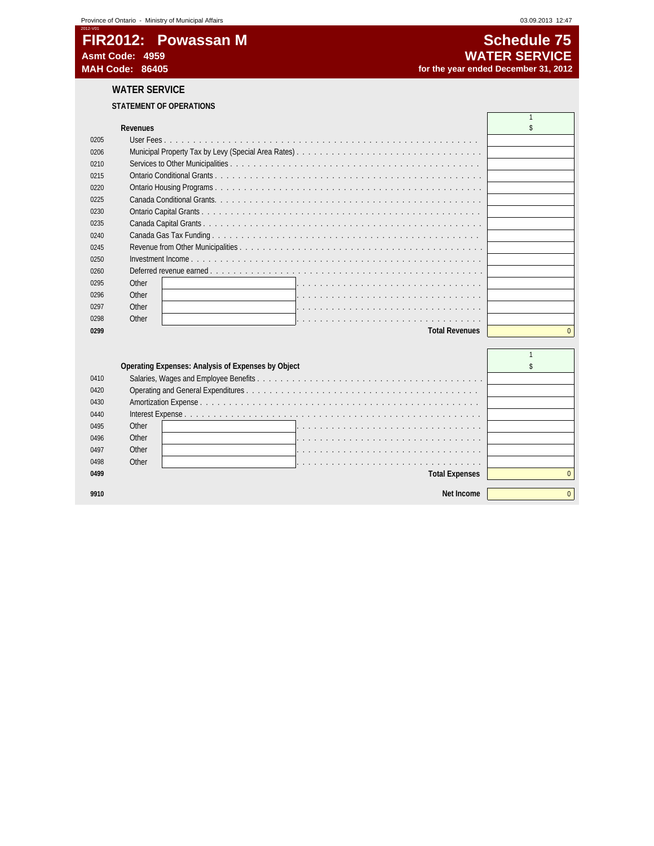# 2012-V01 **FIR2012: Powassan M** Schedule 75<br>Asmt Code: 4959 **SCHEDULE 2012: EXAMPLE 2012: CONTRACT SERVICE Asmt Code: 4959 WATER SERVICE**

**WATER SERVICE**

### **STATEMENT OF OPERATIONS**

|      | <b>Revenues</b>       |              |
|------|-----------------------|--------------|
| 0205 |                       |              |
| 0206 |                       |              |
| 0210 |                       |              |
| 0215 |                       |              |
| 0220 |                       |              |
| 0225 |                       |              |
| 0230 |                       |              |
| 0235 |                       |              |
| 0240 |                       |              |
| 0245 |                       |              |
| 0250 |                       |              |
| 0260 |                       |              |
| 0295 | Other                 |              |
| 0296 | Other                 |              |
| 0297 | Other                 |              |
| 0298 | Other                 |              |
| 0299 | <b>Total Revenues</b> | $\Omega$     |
|      |                       |              |
|      |                       | $\mathbf{1}$ |

|      | Operating Expenses: Analysis of Expenses by Object |  |
|------|----------------------------------------------------|--|
| 0410 |                                                    |  |
| 0420 |                                                    |  |
| 0430 |                                                    |  |
| 0440 |                                                    |  |
| 0495 | Other                                              |  |
| 0496 | Other                                              |  |
| 0497 | Other                                              |  |
| 0498 | Other                                              |  |
| 0499 | <b>Total Expenses</b>                              |  |
|      |                                                    |  |
| 9910 | Net Income                                         |  |

for the year ended December 31, 2012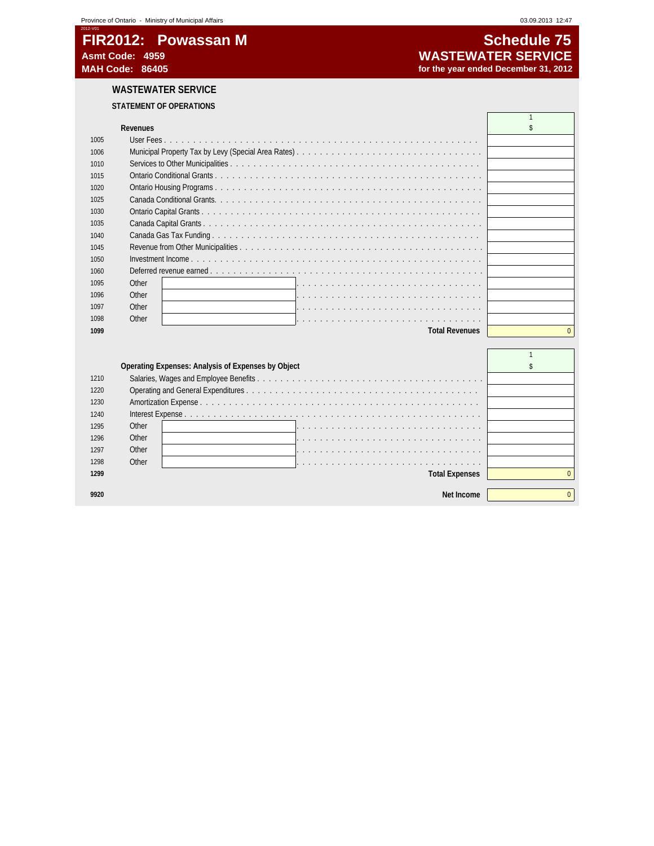# 2012-V01 **FIR2012: Powassan M**<br>Asmt Code: 4959 **Schedule 75**<br>WASTEWATER SERVICE **Asmt Code: 4959 WASTEWATER SERVICE**

# for the year ended December 31, 2012

# **WASTEWATER SERVICE**

### **STATEMENT OF OPERATIONS**

|      | <b>Revenues</b>       |  |
|------|-----------------------|--|
| 1005 |                       |  |
| 1006 |                       |  |
| 1010 |                       |  |
| 1015 |                       |  |
| 1020 |                       |  |
| 1025 |                       |  |
| 1030 |                       |  |
| 1035 |                       |  |
| 1040 |                       |  |
| 1045 |                       |  |
| 1050 |                       |  |
| 1060 |                       |  |
| 1095 | Other                 |  |
| 1096 | Other                 |  |
| 1097 | Other                 |  |
| 1098 | Other                 |  |
| 1099 | <b>Total Revenues</b> |  |
|      |                       |  |
|      |                       |  |

|      | Operating Expenses: Analysis of Expenses by Object |  |
|------|----------------------------------------------------|--|
| 1210 |                                                    |  |
| 1220 |                                                    |  |
| 1230 |                                                    |  |
| 1240 |                                                    |  |
| 1295 | Other                                              |  |
| 1296 | Other                                              |  |
| 1297 | Other                                              |  |
| 1298 | Other                                              |  |
| 1299 | <b>Total Expenses</b>                              |  |
|      |                                                    |  |
|      | Net Income                                         |  |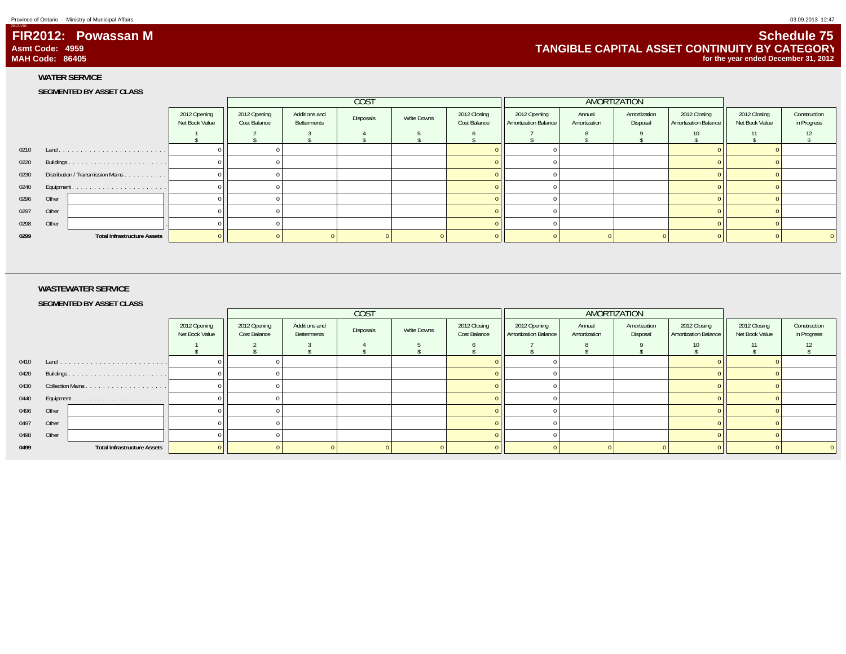2012-V01

 **FIR2012: Powassan MAsmt Code: 4959MAH Code: 86405**

**WATER SERVICE SEGMENTED BY ASSET CLASS**

|            |                                        |                                |                              | COST                         |           |             |                              | AMORTIZATION                           |                        |                          |                                             |                                |                             |
|------------|----------------------------------------|--------------------------------|------------------------------|------------------------------|-----------|-------------|------------------------------|----------------------------------------|------------------------|--------------------------|---------------------------------------------|--------------------------------|-----------------------------|
|            |                                        | 2012 Opening<br>Net Book Value | 2012 Opening<br>Cost Balance | Additions and<br>Betterments | Disposals | Write Downs | 2012 Closing<br>Cost Balance | 2012 Opening<br>  Amortization Balance | Annual<br>Amortization | Amortization<br>Disposal | 2012 Closing<br><b>Amortization Balance</b> | 2012 Closing<br>Net Book Value | Construction<br>in Progress |
|            |                                        |                                |                              |                              |           |             |                              |                                        |                        |                          |                                             |                                |                             |
|            |                                        |                                |                              |                              |           |             |                              |                                        |                        |                          |                                             |                                |                             |
|            |                                        |                                |                              |                              |           |             |                              |                                        |                        |                          |                                             |                                |                             |
|            | 0230 Distribution / Transmission Mains |                                |                              |                              |           |             |                              |                                        |                        |                          |                                             |                                |                             |
| 0240       |                                        |                                |                              |                              |           |             |                              |                                        |                        |                          |                                             |                                |                             |
|            | 0296 Other                             |                                |                              |                              |           |             |                              |                                        |                        |                          |                                             |                                |                             |
|            | 0297 Other                             |                                |                              |                              |           |             |                              |                                        |                        |                          |                                             |                                |                             |
| 0298 Other |                                        |                                |                              |                              |           |             |                              |                                        |                        |                          |                                             |                                |                             |
| 0299       | <b>Total Infrastructure Assets</b>     |                                |                              |                              |           |             |                              |                                        |                        |                          |                                             |                                |                             |

#### **WASTEWATER SERVICE**

**SEGMENTED BY ASSET CLASS**

|            |       |                                    |                                |                              | <b>COST</b>                  |           |             | AMORTIZATION                 |                                             |                        |                          |                                             |                                |                             |
|------------|-------|------------------------------------|--------------------------------|------------------------------|------------------------------|-----------|-------------|------------------------------|---------------------------------------------|------------------------|--------------------------|---------------------------------------------|--------------------------------|-----------------------------|
|            |       |                                    | 2012 Opening<br>Net Book Value | 2012 Opening<br>Cost Balance | Additions and<br>Betterments | Disposals | Write Downs | 2012 Closing<br>Cost Balance | 2012 Opening<br><b>Amortization Balance</b> | Annual<br>Amortization | Amortization<br>Disposal | 2012 Closing<br><b>Amortization Balance</b> | 2012 Closing<br>Net Book Value | Construction<br>in Progress |
|            |       |                                    |                                |                              |                              |           |             |                              |                                             |                        |                          |                                             | 11                             |                             |
|            |       |                                    |                                |                              |                              |           |             |                              |                                             |                        |                          |                                             |                                |                             |
|            |       |                                    |                                |                              |                              |           |             |                              |                                             |                        |                          |                                             |                                |                             |
| 0430       |       |                                    |                                |                              |                              |           |             |                              |                                             |                        |                          |                                             |                                |                             |
|            |       | 0440 Equipment                     |                                |                              |                              |           |             |                              |                                             |                        |                          |                                             |                                |                             |
| 0496 Other |       |                                    |                                |                              |                              |           |             |                              |                                             |                        |                          |                                             |                                |                             |
| 0497       | Other |                                    |                                |                              |                              |           |             |                              |                                             |                        |                          |                                             |                                |                             |
| 0498       | Other |                                    |                                |                              |                              |           |             |                              |                                             |                        |                          |                                             |                                |                             |
| 0499       |       | <b>Total Infrastructure Assets</b> |                                |                              |                              |           |             |                              |                                             |                        |                          |                                             |                                |                             |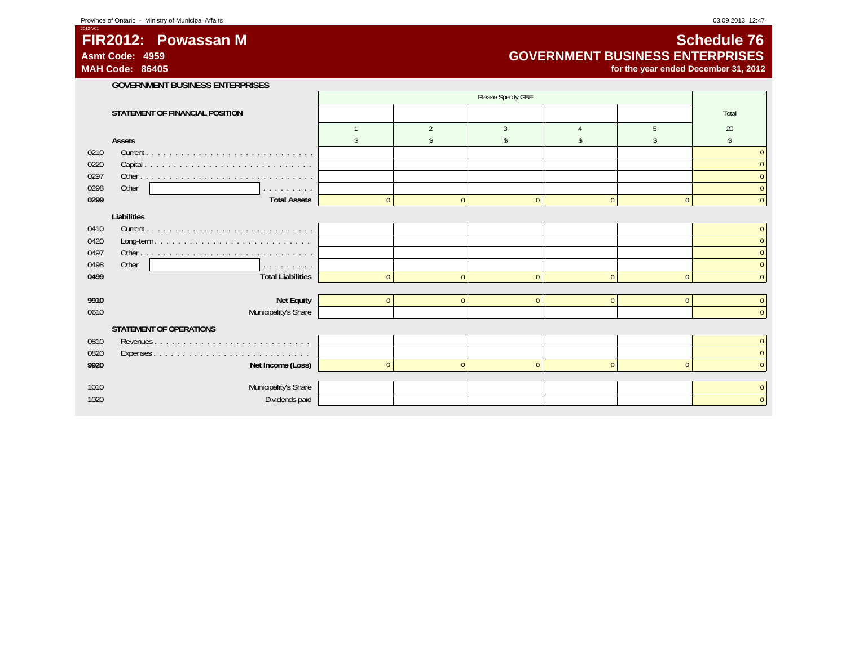# **FIR2012: Powassan M**

**Asmt Code: 4959MAH Code: 86405**

2012-V01

# **Schedule 76 GOVERNMENT BUSINESS ENTERPRISES**

**for the year ended December 31, 2012**

|      | <b>GOVERNMENT BUSINESS ENTERPRISES</b> |              |                    |               |                |              |                |  |  |  |  |
|------|----------------------------------------|--------------|--------------------|---------------|----------------|--------------|----------------|--|--|--|--|
|      |                                        |              | Please Specify GBE |               |                |              |                |  |  |  |  |
|      | STATEMENT OF FINANCIAL POSITION        |              |                    |               |                |              | Total          |  |  |  |  |
|      |                                        |              | 2                  | $\mathcal{R}$ |                | -5           | 20             |  |  |  |  |
|      | Assets                                 |              |                    |               |                |              | \$             |  |  |  |  |
| 0210 |                                        |              |                    |               |                |              |                |  |  |  |  |
| 0220 |                                        |              |                    |               |                |              | $\Omega$       |  |  |  |  |
| 0297 |                                        |              |                    |               |                |              |                |  |  |  |  |
| 0298 | Other<br>and a straight and a          |              |                    |               |                |              |                |  |  |  |  |
| 0299 | <b>Total Assets</b>                    | $\mathbf{0}$ | $\mathbf{0}$       | $\mathbf{0}$  | $\overline{0}$ | $\mathbf{0}$ | $\Omega$       |  |  |  |  |
|      | Liabilities                            |              |                    |               |                |              |                |  |  |  |  |
| 0410 |                                        |              |                    |               |                |              | $\overline{0}$ |  |  |  |  |
| 0420 |                                        |              |                    |               |                |              |                |  |  |  |  |
| 0497 |                                        |              |                    |               |                |              |                |  |  |  |  |
| 0498 | Other<br>and a straight and a          |              |                    |               |                |              |                |  |  |  |  |
| 0499 | <b>Total Liabilities</b>               | $\Omega$     | $\mathbf{0}$       | $\Omega$      | $\overline{0}$ | $\Omega$     | $\Omega$       |  |  |  |  |
|      |                                        |              |                    |               |                |              |                |  |  |  |  |
| 9910 | Net Equity                             | $\mathbf{0}$ | $\pmb{0}$          | $\mathbf{0}$  | $\mathbf{0}$   | $\mathbf{0}$ | $\overline{0}$ |  |  |  |  |
| 0610 | Municipality's Share                   |              |                    |               |                |              | $\Omega$       |  |  |  |  |
|      | STATEMENT OF OPERATIONS                |              |                    |               |                |              |                |  |  |  |  |
| 0810 |                                        |              |                    |               |                |              | $\overline{0}$ |  |  |  |  |
| 0820 |                                        |              |                    |               |                |              |                |  |  |  |  |
| 9920 | Net Income (Loss)                      | $\Omega$     | $\Omega$           | $\Omega$      | $\Omega$       | $\Omega$     | $\Omega$       |  |  |  |  |
|      |                                        |              |                    |               |                |              |                |  |  |  |  |
| 1010 | Municipality's Share                   |              |                    |               |                |              | $\overline{0}$ |  |  |  |  |
| 1020 | Dividends paid                         |              |                    |               |                |              | $\Omega$       |  |  |  |  |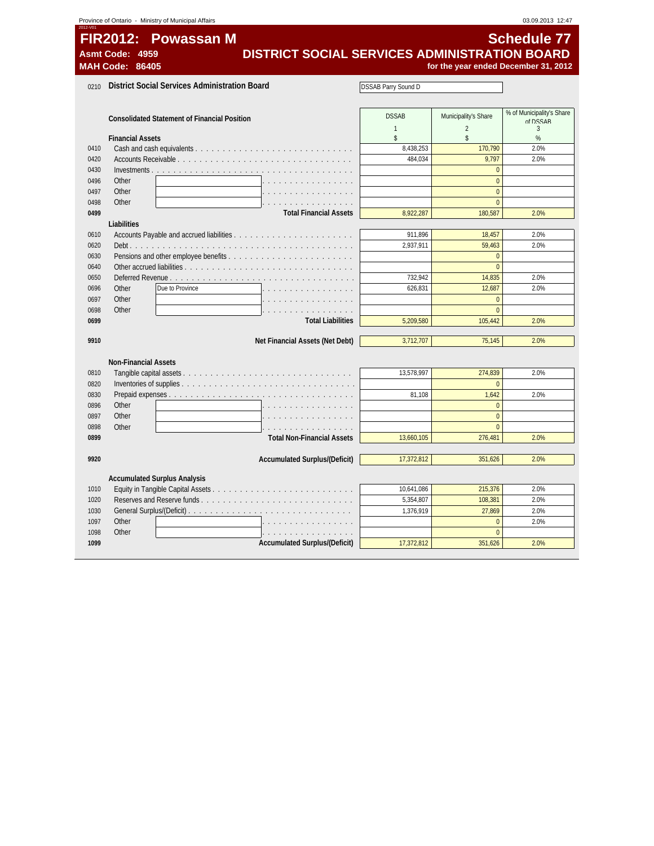| 2012-V0 |                             | Province of Ontario - Ministry of Municipal Affairs  |                            |                      | 03.09.2013 12:47                     |
|---------|-----------------------------|------------------------------------------------------|----------------------------|----------------------|--------------------------------------|
|         | <b>FIR2012:</b>             | <b>Powassan M</b>                                    |                            |                      | <b>Schedule 77</b>                   |
|         | <b>Asmt Code:</b><br>- 4959 | DISTRICT SOCIAL SERVICES ADMINISTRATION BOARD        |                            |                      |                                      |
|         | <b>MAH Code:</b><br>86405   |                                                      |                            |                      | for the year ended December 31, 2012 |
|         |                             |                                                      |                            |                      |                                      |
| 0210    |                             | <b>District Social Services Administration Board</b> | <b>DSSAB Parry Sound D</b> |                      |                                      |
|         |                             |                                                      |                            |                      |                                      |
|         |                             |                                                      | <b>DSSAB</b>               | Municipality's Share | % of Municipality's Share            |
|         |                             | <b>Consolidated Statement of Financial Position</b>  | $\mathbf{1}$               | $\overline{2}$       | of DSSAR<br>3                        |
|         | <b>Financial Assets</b>     |                                                      | $\mathsf{s}$               | \$                   | $\%$                                 |
| 0410    |                             |                                                      | 8,438,253                  | 170,790              | 2.0%                                 |
| 0420    |                             |                                                      | 484,034                    | 9,797                | 2.0%                                 |
| 0430    |                             |                                                      |                            | $\Omega$             |                                      |
| 0496    | Other                       |                                                      |                            | $\theta$             |                                      |
| 0497    | Other                       |                                                      |                            | $\theta$             |                                      |
| 0498    | Other                       |                                                      |                            | $\theta$             |                                      |
| 0499    |                             | <b>Total Financial Assets</b>                        | 8,922,287                  | 180,587              | 2.0%                                 |
|         | Liabilities                 |                                                      |                            |                      |                                      |
| 0610    |                             |                                                      | 911,896                    | 18,457               | 2.0%                                 |
| 0620    |                             |                                                      | 2,937,911                  | 59,463               | 2.0%                                 |
| 0630    |                             |                                                      |                            | $\mathbf{0}$         |                                      |
| 0640    |                             |                                                      |                            | $\mathbf{0}$         |                                      |
| 0650    |                             |                                                      | 732,942                    | 14,835               | 2.0%                                 |
| 0696    | Other                       | Due to Province                                      | 626,831                    | 12,687               | 2.0%                                 |
| 0697    | Other                       |                                                      |                            | $\mathbf{0}$         |                                      |
| 0698    | Other                       |                                                      |                            | $\theta$             |                                      |
| 0699    |                             | <b>Total Liabilities</b>                             | 5,209,580                  | 105,442              | 2.0%                                 |
| 9910    |                             | Net Financial Assets (Net Debt)                      | 3,712,707                  | 75,145               | 2.0%                                 |
|         |                             |                                                      |                            |                      |                                      |
|         | <b>Non-Financial Assets</b> |                                                      |                            |                      |                                      |
| 0810    |                             |                                                      | 13,578,997                 | 274,839              | 2.0%                                 |
| 0820    |                             |                                                      |                            | $\mathbf{0}$         |                                      |
| 0830    |                             |                                                      | 81,108                     | 1,642                | 2.0%                                 |
| 0896    | Other                       |                                                      |                            | $\mathbf{0}$         |                                      |
| 0897    | Other                       |                                                      |                            | $\mathbf{0}$         |                                      |
| 0898    | Other                       | a dia anala anala anala a                            |                            | $\Omega$             |                                      |
| 0899    |                             | <b>Total Non-Financial Assets</b>                    | 13,660,105                 | 276,481              | 2.0%                                 |
|         |                             |                                                      |                            |                      |                                      |
| 9920    |                             | <b>Accumulated Surplus/(Deficit)</b>                 | 17,372,812                 | 351,626              | 2.0%                                 |
|         |                             | <b>Accumulated Surplus Analysis</b>                  |                            |                      |                                      |
| 1010    |                             |                                                      | 10,641,086                 | 215,376              | 2.0%                                 |
| 1020    |                             | Reserves and Reserve funds                           | 5,354,807                  | 108,381              | 2.0%                                 |
| 1030    |                             |                                                      | 1,376,919                  | 27,869               | 2.0%                                 |
| 1097    | Other                       | $\mathbb{R}^2$                                       |                            | $\mathbf{0}$         | 2.0%                                 |
| 1098    | Other                       |                                                      |                            | $\mathbf{0}$         |                                      |
| 1099    |                             | <b>Accumulated Surplus/(Deficit)</b>                 | 17,372,812                 | 351,626              | 2.0%                                 |
|         |                             |                                                      |                            |                      |                                      |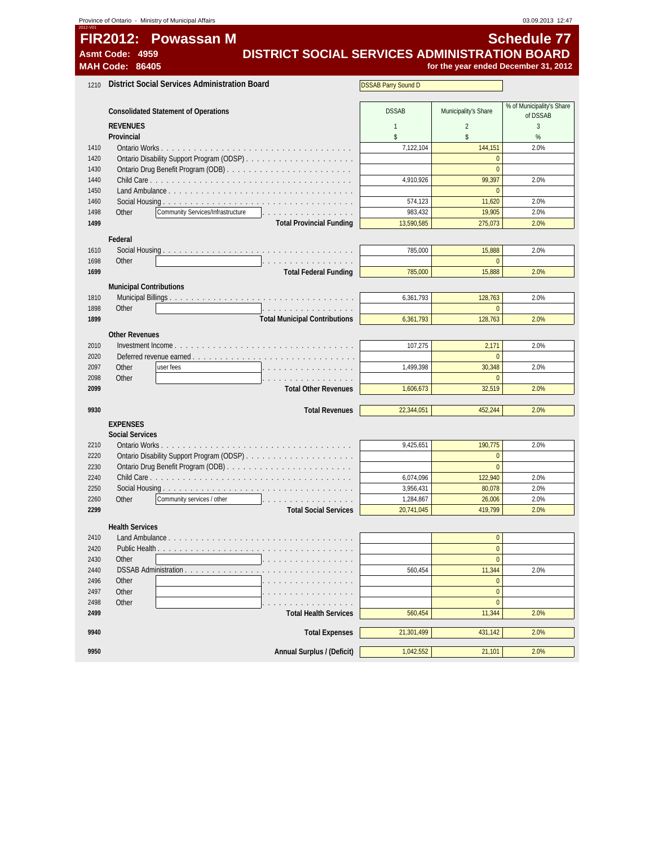|              | Province of Ontario - Ministry of Municipal Affairs                           |                            |                            | 03.09.2013 12:47                      |
|--------------|-------------------------------------------------------------------------------|----------------------------|----------------------------|---------------------------------------|
| 2012-VO      | FIR2012: Powassan M                                                           |                            |                            | <b>Schedule 77</b>                    |
|              | DISTRICT SOCIAL SERVICES ADMINISTRATION BOARD<br>Asmt Code: 4959              |                            |                            |                                       |
|              | <b>MAH Code: 86405</b>                                                        |                            |                            | for the year ended December 31, 2012  |
| 1210         | <b>District Social Services Administration Board</b>                          | <b>DSSAB Parry Sound D</b> |                            |                                       |
|              |                                                                               |                            |                            |                                       |
|              | <b>Consolidated Statement of Operations</b>                                   | <b>DSSAB</b>               | Municipality's Share       | % of Municipality's Share<br>of DSSAB |
|              | <b>REVENUES</b>                                                               | $\mathbf{1}$               | $\overline{2}$             | 3                                     |
|              | Provincial                                                                    | \$                         | \$                         | %                                     |
| 1410         |                                                                               | 7,122,104                  | 144,151                    | 2.0%                                  |
| 1420         |                                                                               |                            | $\bf{0}$<br>$\overline{0}$ |                                       |
| 1430<br>1440 |                                                                               | 4,910,926                  | 99,397                     | 2.0%                                  |
| 1450         |                                                                               |                            | $\mathbf{0}$               |                                       |
| 1460         |                                                                               | 574,123                    | 11,620                     | 2.0%                                  |
| 1498         | Community Services/Infrastructure<br>Other<br>.                               | 983,432                    | 19,905                     | 2.0%                                  |
| 1499         | <b>Total Provincial Funding</b>                                               | 13,590,585                 | 275,073                    | 2.0%                                  |
|              | Federal                                                                       |                            |                            |                                       |
| 1610         |                                                                               | 785,000                    | 15,888                     | 2.0%                                  |
| 1698         | Other<br>.                                                                    |                            | $\mathbf{0}$               |                                       |
| 1699         | <b>Total Federal Funding</b>                                                  | 785,000                    | 15,888                     | 2.0%                                  |
|              | <b>Municipal Contributions</b>                                                |                            |                            |                                       |
| 1810         |                                                                               | 6,361,793                  | 128,763                    | 2.0%                                  |
| 1898<br>1899 | Other<br>.<br><b>Total Municipal Contributions</b>                            | 6,361,793                  | $\theta$<br>128,763        | 2.0%                                  |
|              |                                                                               |                            |                            |                                       |
|              | <b>Other Revenues</b>                                                         |                            |                            |                                       |
| 2010<br>2020 |                                                                               | 107,275                    | 2,171<br>$\mathbf{0}$      | 2.0%                                  |
| 2097         | Other<br>user fees                                                            | 1,499,398                  | 30,348                     | 2.0%                                  |
| 2098         | Other<br>.                                                                    |                            | $\mathbf{0}$               |                                       |
| 2099         | <b>Total Other Revenues</b>                                                   | 1,606,673                  | 32,519                     | 2.0%                                  |
|              |                                                                               |                            |                            |                                       |
| 9930         | <b>Total Revenues</b>                                                         | 22,344,051                 | 452,244                    | 2.0%                                  |
|              | <b>EXPENSES</b>                                                               |                            |                            |                                       |
| 2210         | <b>Social Services</b>                                                        | 9,425,651                  | 190,775                    | 2.0%                                  |
| 2220         |                                                                               |                            | $\mathbf{0}$               |                                       |
| 2230         |                                                                               |                            | $\mathbf{0}$               |                                       |
| 2240         |                                                                               | 6,074,096                  | 122,940                    | 2.0%                                  |
| 2250         | Social Housing<br>.                                                           | 3,956,431                  | 80,078                     | 2.0%                                  |
| 2260         | Community services / other<br>Other                                           | 1,284,867                  | 26,006                     | 2.0%                                  |
| 2299         | <b>Total Social Services</b>                                                  | 20,741,045                 | 419,799                    | 2.0%                                  |
|              | <b>Health Services</b>                                                        |                            |                            |                                       |
| 2410         | Land Ambulance                                                                |                            | $\overline{0}$             |                                       |
| 2420         | Public Health $\ldots$ , $\ldots$ , $\ldots$ , $\ldots$ , $\ldots$ , $\ldots$ |                            | $\bf{0}$                   |                                       |
| 2430<br>2440 | Other<br>DSSAB Administration.                                                | 560,454                    | $\overline{0}$<br>11,344   | 2.0%                                  |
| 2496         | Other                                                                         |                            | $\mathbf{0}$               |                                       |
| 2497         | Other                                                                         |                            | $\overline{0}$             |                                       |
| 2498         | Other                                                                         |                            | $\bf{0}$                   |                                       |
| 2499         | <b>Total Health Services</b>                                                  | 560,454                    | 11,344                     | 2.0%                                  |
| 9940         | <b>Total Expenses</b>                                                         | 21,301,499                 | 431,142                    | 2.0%                                  |
|              |                                                                               |                            |                            |                                       |
| 9950         | Annual Surplus / (Deficit)                                                    | 1,042,552                  | 21,101                     | 2.0%                                  |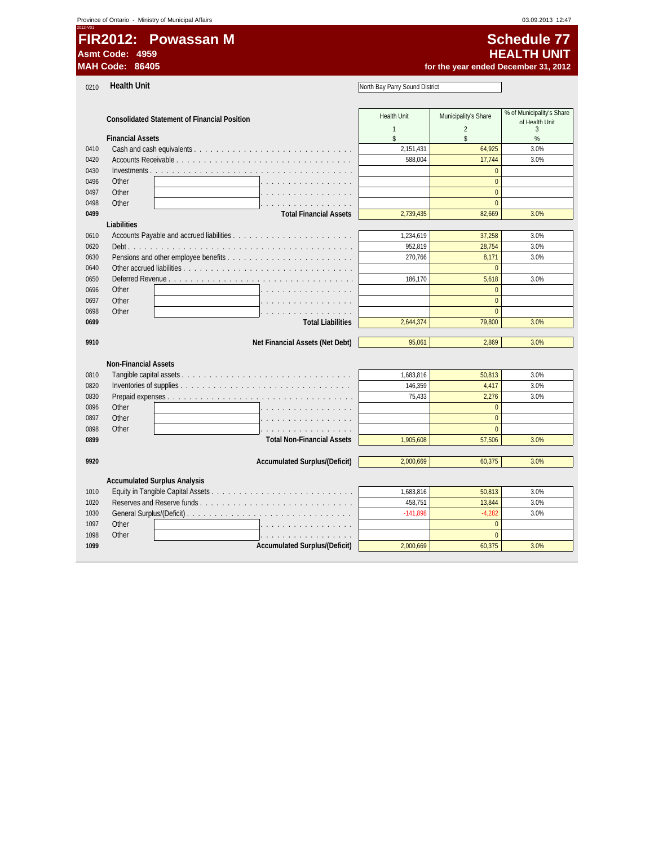0210 **Health Unit**

# **FIR2012: Powassan M** Schedule 77 **Asmt Code: 4959 HEALTH UNIT**

for the year ended December 31, 2012

 $\overline{\phantom{a}}$ 

North Bay Parry Sound District

|      | <b>Consolidated Statement of Financial Position</b> | <b>Health Unit</b> | Municipality's Share | % of Municipality's Share |
|------|-----------------------------------------------------|--------------------|----------------------|---------------------------|
|      |                                                     | 1                  | $\overline{2}$       | of Health I Init<br>3     |
|      | <b>Financial Assets</b>                             | \$                 | \$                   | %                         |
| 0410 |                                                     | 2,151,431          | 64,925               | 3.0%                      |
| 0420 |                                                     | 588,004            | 17,744               | 3.0%                      |
| 0430 | Investments <u>.</u>                                |                    | $\Omega$             |                           |
| 0496 | Other                                               |                    | $\Omega$             |                           |
| 0497 | Other                                               |                    | $\mathbf{0}$         |                           |
| 0498 | Other                                               |                    | $\Omega$             |                           |
| 0499 | <b>Total Financial Assets</b>                       | 2,739,435          | 82,669               | 3.0%                      |
|      | Liabilities                                         |                    |                      |                           |
| 0610 |                                                     | 1,234,619          | 37,258               | 3.0%                      |
| 0620 |                                                     | 952,819            | 28,754               | 3.0%                      |
| 0630 |                                                     | 270,766            | 8,171                | 3.0%                      |
| 0640 |                                                     |                    | $\Omega$             |                           |
| 0650 | Deferred Revenue <u>.</u>                           | 186,170            | 5,618                | 3.0%                      |
| 0696 | Other                                               |                    | $\mathbf{0}$         |                           |
| 0697 | Other                                               |                    | $\Omega$             |                           |
| 0698 | Other                                               |                    | $\mathbf{0}$         |                           |
| 0699 | <b>Total Liabilities</b>                            | 2,644,374          | 79,800               | 3.0%                      |
|      |                                                     |                    |                      |                           |
| 9910 | Net Financial Assets (Net Debt)                     | 95,061             | 2.869                | 3.0%                      |
|      |                                                     |                    |                      |                           |
|      | <b>Non-Financial Assets</b>                         |                    |                      |                           |
| 0810 |                                                     | 1,683,816          | 50,813               | 3.0%                      |
| 0820 |                                                     | 146,359            | 4,417                | 3.0%                      |
| 0830 |                                                     | 75.433             | 2,276                | 3.0%                      |
| 0896 | Other                                               |                    | $\Omega$             |                           |
| 0897 | Other                                               |                    | $\Omega$             |                           |
| 0898 | Other<br>and a straight and a straight              |                    | $\Omega$             |                           |
| 0899 | <b>Total Non-Financial Assets</b>                   | 1,905,608          | 57,506               | 3.0%                      |
|      |                                                     |                    |                      |                           |
| 9920 | <b>Accumulated Surplus/(Deficit)</b>                | 2,000,669          | 60.375               | 3.0%                      |
|      |                                                     |                    |                      |                           |
|      | <b>Accumulated Surplus Analysis</b>                 |                    |                      |                           |
| 1010 |                                                     | 1,683,816          | 50,813               | 3.0%                      |
| 1020 | Reserves and Reserve funds                          | 458,751            | 13,844               | 3.0%                      |
| 1030 |                                                     | $-141.898$         | $-4.282$             | 3.0%                      |
| 1097 | Other                                               |                    | $\Omega$             |                           |
| 1098 | Other                                               |                    | $\mathbf{0}$         |                           |
| 1099 | <b>Accumulated Surplus/(Deficit)</b>                | 2,000,669          | 60,375               | 3.0%                      |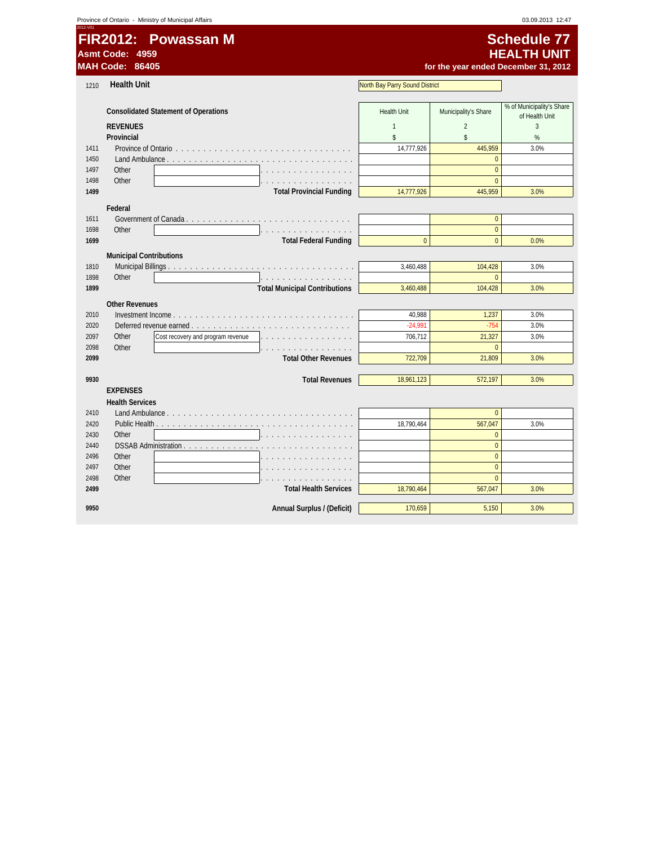| 2012-V01     | Asmt Code: 4959<br><b>MAH Code: 86405</b> | FIR2012: Powassan M                         |                                |                      | <b>Schedule 77</b><br><b>HEALTH UNIT</b><br>for the year ended December 31, 2012 |
|--------------|-------------------------------------------|---------------------------------------------|--------------------------------|----------------------|----------------------------------------------------------------------------------|
| 1210         | <b>Health Unit</b>                        |                                             | North Bay Parry Sound District |                      |                                                                                  |
|              |                                           |                                             |                                |                      | % of Municipality's Share                                                        |
|              |                                           | <b>Consolidated Statement of Operations</b> | <b>Health Unit</b>             | Municipality's Share | of Health Unit                                                                   |
|              | <b>REVENUES</b>                           |                                             | $\mathbf{1}$                   | $\overline{2}$       | 3                                                                                |
|              | Provincial                                |                                             | \$                             | \$                   | %                                                                                |
| 1411         |                                           |                                             | 14,777,926                     | 445.959              | 3.0%                                                                             |
| 1450         |                                           | Land Ambulance                              |                                | $\mathbf{0}$         |                                                                                  |
| 1497         | Other                                     |                                             |                                | $\mathbf{0}$         |                                                                                  |
| 1498         | Other                                     |                                             |                                | $\Omega$             |                                                                                  |
| 1499         |                                           | <b>Total Provincial Funding</b>             | 14,777,926                     | 445,959              | 3.0%                                                                             |
|              | Federal                                   |                                             |                                |                      |                                                                                  |
| 1611         |                                           |                                             |                                | $\mathbf{0}$         |                                                                                  |
| 1698         | Other                                     |                                             |                                | $\mathbf{0}$         |                                                                                  |
| 1699         |                                           | <b>Total Federal Funding</b>                | $\Omega$                       | $\Omega$             | 0.0%                                                                             |
|              | <b>Municipal Contributions</b>            |                                             |                                |                      |                                                                                  |
| 1810         |                                           |                                             | 3,460,488                      | 104,428              | 3.0%                                                                             |
| 1898         | Other                                     | .                                           |                                | $\mathbf{0}$         |                                                                                  |
| 1899         |                                           | <b>Total Municipal Contributions</b>        | 3,460,488                      | 104,428              | 3.0%                                                                             |
|              |                                           |                                             |                                |                      |                                                                                  |
|              | <b>Other Revenues</b>                     |                                             |                                |                      |                                                                                  |
| 2010         |                                           |                                             | 40,988<br>$-24.991$            | 1,237<br>$-754$      | 3.0%<br>3.0%                                                                     |
| 2020<br>2097 | Other                                     | Cost recovery and program revenue           | 706,712                        | 21,327               | 3.0%                                                                             |
| 2098         | Other                                     |                                             |                                | $\theta$             |                                                                                  |
| 2099         |                                           | <b>Total Other Revenues</b>                 | 722,709                        | 21,809               | 3.0%                                                                             |
|              |                                           |                                             |                                |                      |                                                                                  |
| 9930         |                                           | <b>Total Revenues</b>                       | 18,961,123                     | 572,197              | 3.0%                                                                             |
|              | <b>EXPENSES</b>                           |                                             |                                |                      |                                                                                  |
|              | <b>Health Services</b>                    |                                             |                                |                      |                                                                                  |
| 2410         |                                           |                                             |                                | $\Omega$             |                                                                                  |
| 2420         |                                           |                                             | 18,790,464                     | 567,047              | 3.0%                                                                             |
| 2430         | Other                                     |                                             |                                | $\mathbf{0}$         |                                                                                  |
| 2440         |                                           | DSSAB Administration                        |                                | $\Omega$             |                                                                                  |
| 2496         | Other                                     |                                             |                                | $\Omega$             |                                                                                  |
| 2497         | Other                                     |                                             |                                | $\pmb{0}$            |                                                                                  |
| 2498         | Other                                     |                                             |                                | $\Omega$             |                                                                                  |
| 2499         |                                           | <b>Total Health Services</b>                | 18,790,464                     | 567,047              | 3.0%                                                                             |
|              |                                           |                                             |                                |                      |                                                                                  |
| 9950         |                                           | Annual Surplus / (Deficit)                  | 170,659                        | 5,150                | 3.0%                                                                             |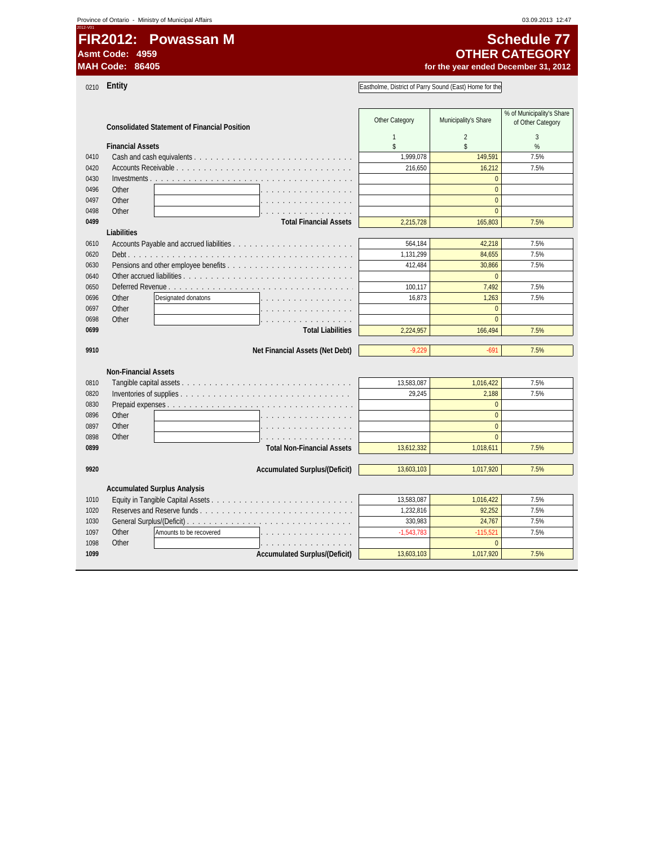**FIR2012: Powassan M** Schedule 77 **Asmt Code: 4959**

0210 **Entity**

for the year ended December 31, 2012 **OTHER CATEGORY**

Eastholme, District of Parry Sound (East) Home for the

|      |                                                     | Other Category | Municipality's Share | % of Municipality's Share |
|------|-----------------------------------------------------|----------------|----------------------|---------------------------|
|      | <b>Consolidated Statement of Financial Position</b> |                |                      | of Other Category         |
|      |                                                     | $\mathbf{1}$   | $\overline{2}$       | 3                         |
|      | <b>Financial Assets</b>                             | $\mathsf{s}$   | $\mathsf{\$}$        | %                         |
| 0410 |                                                     | 1,999,078      | 149,591              | 7.5%                      |
| 0420 |                                                     | 216,650        | 16,212               | 7.5%                      |
| 0430 | Investments                                         |                | $\Omega$             |                           |
| 0496 | Other                                               |                | $\Omega$             |                           |
| 0497 | Other                                               |                | $\Omega$             |                           |
| 0498 | Other                                               |                | $\overline{0}$       |                           |
| 0499 | <b>Total Financial Assets</b>                       | 2,215,728      | 165,803              | 7.5%                      |
|      | Liabilities                                         |                |                      |                           |
| 0610 |                                                     | 564,184        | 42,218               | 7.5%                      |
| 0620 |                                                     | 1,131,299      | 84.655               | 7.5%                      |
| 0630 |                                                     | 412,484        | 30,866               | 7.5%                      |
| 0640 |                                                     |                | $\Omega$             |                           |
| 0650 | Deferred Revenue                                    | 100,117        | 7,492                | 7.5%                      |
| 0696 | Other<br>Designated donatons                        | 16,873         | 1,263                | 7.5%                      |
| 0697 | Other                                               |                | $\Omega$             |                           |
| 0698 | Other                                               |                | $\Omega$             |                           |
| 0699 | <b>Total Liabilities</b>                            | 2,224,957      | 166,494              | 7.5%                      |
|      |                                                     |                |                      |                           |
| 9910 | Net Financial Assets (Net Debt)                     | $-9,229$       | $-691$               | 7.5%                      |
|      |                                                     |                |                      |                           |
|      | <b>Non-Financial Assets</b>                         |                |                      |                           |
| 0810 |                                                     | 13,583,087     | 1,016,422            | 7.5%                      |
| 0820 |                                                     | 29,245         | 2,188                | 7.5%                      |
| 0830 |                                                     |                | $\Omega$             |                           |
| 0896 | Other                                               |                | $\overline{0}$       |                           |
| 0897 | Other                                               |                | $\Omega$             |                           |
| 0898 | Other                                               |                | $\Omega$             |                           |
| 0899 | <b>Total Non-Financial Assets</b>                   | 13,612,332     | 1,018,611            | 7.5%                      |
|      |                                                     |                |                      |                           |
| 9920 | <b>Accumulated Surplus/(Deficit)</b>                | 13,603,103     | 1,017,920            | 7.5%                      |
|      |                                                     |                |                      |                           |
|      | <b>Accumulated Surplus Analysis</b>                 |                |                      |                           |
| 1010 |                                                     | 13,583,087     | 1,016,422            | 7.5%                      |
| 1020 | Reserves and Reserve funds                          | 1,232,816      | 92,252               | 7.5%                      |
| 1030 |                                                     | 330,983        | 24,767               | 7.5%                      |
| 1097 | Other<br>Amounts to be recovered                    | $-1,543,783$   | $-115,521$           | 7.5%                      |
| 1098 | Other                                               |                | $\Omega$             |                           |
| 1099 | <b>Accumulated Surplus/(Deficit)</b>                | 13,603,103     | 1,017,920            | 7.5%                      |
|      |                                                     |                |                      |                           |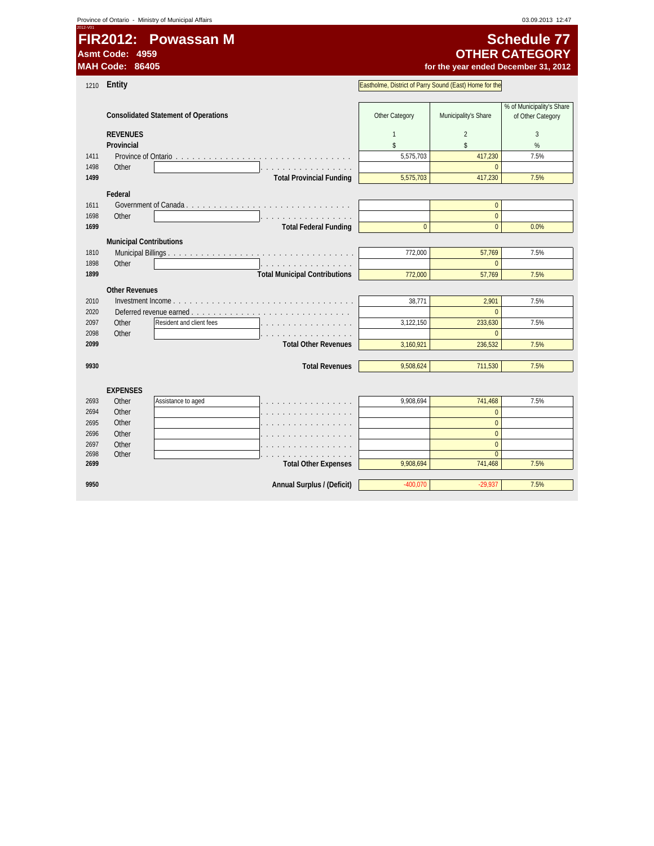**FIR2012: Powassan M** Schedule 77 **Asmt Code: 4959**

# for the year ended December 31, 2012 **OTHER CATEGORY**

| 1210         | Entity                         |                                             |                                      | Eastholme, District of Parry Sound (East) Home for the |                                |                           |  |
|--------------|--------------------------------|---------------------------------------------|--------------------------------------|--------------------------------------------------------|--------------------------------|---------------------------|--|
|              |                                |                                             |                                      |                                                        |                                |                           |  |
|              |                                |                                             |                                      |                                                        |                                | % of Municipality's Share |  |
|              |                                | <b>Consolidated Statement of Operations</b> |                                      | Other Category                                         | Municipality's Share           | of Other Category         |  |
|              | <b>REVENUES</b>                |                                             |                                      | $\mathbf{1}$                                           | $\overline{2}$                 | 3                         |  |
|              | Provincial                     |                                             |                                      | \$                                                     | \$                             | $\%$                      |  |
| 1411         |                                | Province of Ontario                         |                                      | 5,575,703                                              | 417,230                        | 7.5%                      |  |
| 1498         | Other                          |                                             |                                      |                                                        | $\mathbf{0}$                   |                           |  |
| 1499         |                                |                                             | <b>Total Provincial Funding</b>      | 5,575,703                                              | 417,230                        | 7.5%                      |  |
|              |                                |                                             |                                      |                                                        |                                |                           |  |
|              | Federal                        |                                             |                                      |                                                        |                                |                           |  |
| 1611         |                                |                                             |                                      |                                                        | $\mathbf{0}$                   |                           |  |
| 1698         | Other                          |                                             |                                      |                                                        | $\overline{0}$                 |                           |  |
| 1699         |                                |                                             | <b>Total Federal Funding</b>         | $\theta$                                               | $\Omega$                       | 0.0%                      |  |
|              | <b>Municipal Contributions</b> |                                             |                                      |                                                        |                                |                           |  |
| 1810         |                                |                                             |                                      | 772,000                                                | 57,769                         | 7.5%                      |  |
| 1898         | Other                          |                                             | .                                    |                                                        | $\mathbf{0}$                   |                           |  |
| 1899         |                                |                                             | <b>Total Municipal Contributions</b> | 772,000                                                | 57,769                         | 7.5%                      |  |
|              | <b>Other Revenues</b>          |                                             |                                      |                                                        |                                |                           |  |
| 2010         |                                |                                             |                                      | 38,771                                                 | 2,901                          | 7.5%                      |  |
| 2020         |                                | Deferred revenue earned                     |                                      |                                                        | $\mathbf{0}$                   |                           |  |
| 2097         | Other                          | Resident and client fees                    |                                      | 3,122,150                                              | 233,630                        | 7.5%                      |  |
| 2098         | Other                          |                                             |                                      |                                                        | $\Omega$                       |                           |  |
| 2099         |                                |                                             | <b>Total Other Revenues</b>          | 3,160,921                                              | 236,532                        | 7.5%                      |  |
|              |                                |                                             |                                      |                                                        |                                |                           |  |
| 9930         |                                |                                             | <b>Total Revenues</b>                | 9,508,624                                              | 711,530                        | 7.5%                      |  |
|              |                                |                                             |                                      |                                                        |                                |                           |  |
|              | <b>EXPENSES</b>                |                                             |                                      |                                                        |                                |                           |  |
|              | Other                          |                                             |                                      | 9,908,694                                              |                                | 7.5%                      |  |
| 2693<br>2694 | Other                          | Assistance to aged                          |                                      |                                                        | 741,468                        |                           |  |
|              |                                |                                             |                                      |                                                        | $\mathbf{0}$<br>$\Omega$       |                           |  |
| 2695         | Other                          |                                             |                                      |                                                        |                                |                           |  |
| 2696         | Other                          |                                             |                                      |                                                        | $\Omega$                       |                           |  |
| 2697<br>2698 | Other                          |                                             |                                      |                                                        | $\overline{0}$<br>$\mathbf{0}$ |                           |  |
| 2699         | Other                          |                                             | <b>Total Other Expenses</b>          | 9,908,694                                              | 741,468                        | 7.5%                      |  |
|              |                                |                                             |                                      |                                                        |                                |                           |  |
| 9950         |                                |                                             | Annual Surplus / (Deficit)           | $-400,070$                                             | $-29,937$                      | 7.5%                      |  |
|              |                                |                                             |                                      |                                                        |                                |                           |  |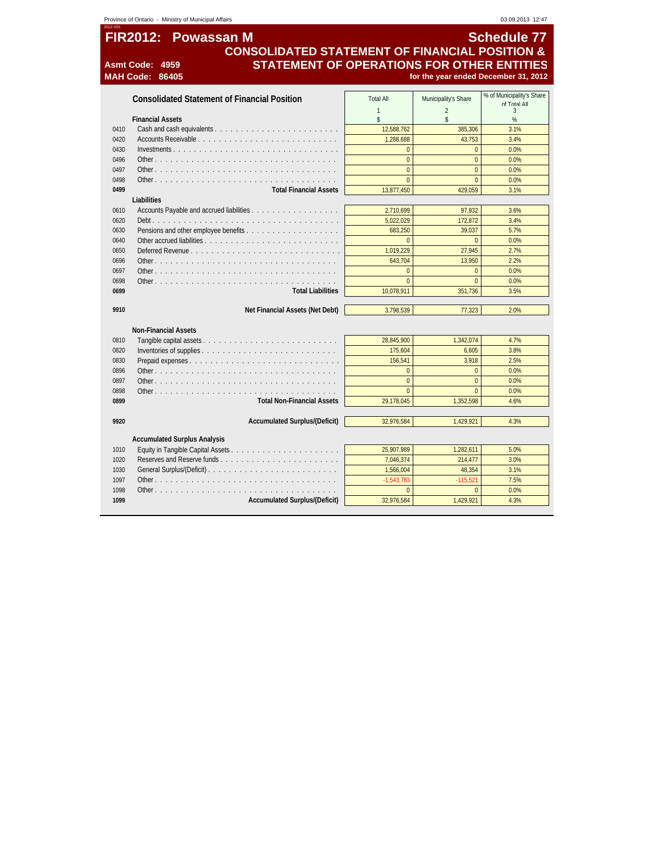|              | Province of Ontario - Ministry of Municipal Affairs       |                                  |                                        | 03.09.2013 12:47                               |
|--------------|-----------------------------------------------------------|----------------------------------|----------------------------------------|------------------------------------------------|
|              | <b>FIR2012:</b><br><b>Powassan M</b>                      |                                  |                                        | <b>Schedule 77</b>                             |
|              | <b>CONSOLIDATED STATEMENT OF FINANCIAL POSITION &amp;</b> |                                  |                                        |                                                |
|              | <b>STATEMENT OF OPERATIONS FOR OTHER ENTITIES</b><br>4959 |                                  |                                        |                                                |
|              | <b>Asmt Code:</b><br><b>MAH Code:</b><br>86405            |                                  |                                        | for the year ended December 31, 2012           |
|              |                                                           |                                  |                                        |                                                |
|              | <b>Consolidated Statement of Financial Position</b>       | <b>Total All</b><br>$\mathbf{1}$ | Municipality's Share<br>$\overline{a}$ | % of Municipality's Share<br>of Total All<br>3 |
|              | <b>Financial Assets</b>                                   | \$                               | \$                                     | $\%$                                           |
| 0410         |                                                           | 12,588,762                       | 385,306                                | 3.1%                                           |
| 0420         |                                                           | 1.288.688                        | 43,753                                 | 3.4%                                           |
| 0430         |                                                           | $\mathbf{0}$                     | $\overline{0}$                         | 0.0%                                           |
| 0496         | Other                                                     | $\overline{0}$                   | $\overline{0}$                         | 0.0%                                           |
| 0497         |                                                           | $\overline{0}$                   | $\Omega$                               | 0.0%                                           |
| 0498         | Other                                                     | $\overline{0}$                   | $\Omega$                               | 0.0%                                           |
| 0499         | <b>Total Financial Assets</b>                             | 13,877,450                       | 429.059                                | 3.1%                                           |
|              | Liabilities                                               |                                  |                                        |                                                |
| 0610         |                                                           | 2,710,699                        | 97,932                                 | 3.6%                                           |
| 0620         |                                                           | 5,022,029                        | 172,872                                | 3.4%                                           |
| 0630         |                                                           | 683,250                          | 39.037                                 | 5.7%                                           |
| 0640         |                                                           | $\overline{0}$                   | $\Omega$                               | 0.0%                                           |
| 0650<br>0696 |                                                           | 1,019,229<br>643,704             | 27.945<br>13,950                       | 2.7%<br>2.2%                                   |
| 0697         |                                                           | $\mathbf{0}$                     | $\overline{0}$                         | 0.0%                                           |
| 0698         |                                                           | $\overline{0}$                   | $\overline{0}$                         | 0.0%                                           |
| 0699         | <b>Total Liabilities</b>                                  | 10,078,911                       | 351,736                                | 3.5%                                           |
|              |                                                           |                                  |                                        |                                                |
| 9910         | Net Financial Assets (Net Debt)                           | 3.798.539                        | 77.323                                 | 2.0%                                           |
|              |                                                           |                                  |                                        |                                                |
|              | <b>Non-Financial Assets</b>                               |                                  |                                        |                                                |
| 0810         |                                                           | 28,845,900                       | 1.342.074                              | 4.7%                                           |
| 0820         |                                                           | 175,604                          | 6,605                                  | 3.8%                                           |
| 0830         |                                                           | 156,541                          | 3.918                                  | 2.5%                                           |
| 0896         |                                                           | $\overline{0}$                   | $\overline{0}$                         | 0.0%                                           |
| 0897         |                                                           | $\overline{0}$                   | $\overline{0}$                         | 0.0%                                           |
| 0898         |                                                           | $\overline{0}$                   | $\overline{0}$                         | 0.0%                                           |
| 0899         | <b>Total Non-Financial Assets</b>                         | 29,178,045                       | 1,352,598                              | 4.6%                                           |
| 9920         | <b>Accumulated Surplus/(Deficit)</b>                      | 32,976,584                       | 1,429,921                              | 4.3%                                           |
|              |                                                           |                                  |                                        |                                                |
|              | <b>Accumulated Surplus Analysis</b>                       |                                  |                                        |                                                |
| 1010         |                                                           | 25,907,989                       | 1,282,611                              | 5.0%                                           |
| 1020         |                                                           | 7,046,374                        | 214,477                                | 3.0%                                           |
| 1030         |                                                           | 1,566,004                        | 48.354                                 | 3.1%                                           |
| 1097         |                                                           | $-1.543.783$                     | $-115.521$                             | 7.5%                                           |
| 1098         | Other                                                     | $\mathbf{0}$                     | $\overline{0}$                         | 0.0%                                           |
| 1099         | <b>Accumulated Surplus/(Deficit)</b>                      | 32,976,584                       | 1,429,921                              | 4.3%                                           |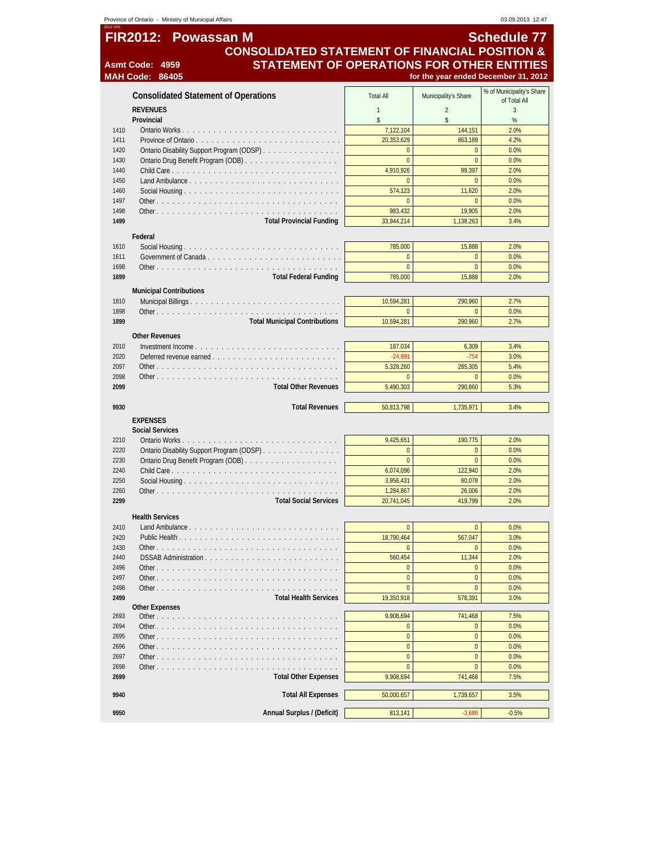|              | Province of Ontario - Ministry of Municipal Affairs                            |                             |                           | 03.09.2013 12:47                     |
|--------------|--------------------------------------------------------------------------------|-----------------------------|---------------------------|--------------------------------------|
|              | <b>FIR2012:</b><br><b>Powassan M</b>                                           |                             |                           | <b>Schedule 77</b>                   |
|              |                                                                                |                             |                           |                                      |
|              | <b>CONSOLIDATED STATEMENT OF FINANCIAL POSITION &amp;</b>                      |                             |                           |                                      |
|              | <b>STATEMENT OF OPERATIONS FOR OTHER ENTITIES</b><br><b>Asmt Code:</b><br>4959 |                             |                           |                                      |
|              | <b>MAH Code: 86405</b>                                                         |                             |                           | for the year ended December 31, 2012 |
|              |                                                                                |                             |                           | % of Municipality's Share            |
|              | <b>Consolidated Statement of Operations</b>                                    | <b>Total All</b>            | Municipality's Share      | of Total All                         |
|              | <b>REVENUES</b>                                                                | $\mathbf{1}$                | $\overline{2}$            | 3                                    |
|              | Provincial                                                                     | \$                          | \$                        | %                                    |
| 1410         |                                                                                | 7,122,104                   | 144,151                   | 2.0%                                 |
| 1411         |                                                                                | 20,353,629                  | 863,189                   | 4.2%                                 |
| 1420         | Ontario Disability Support Program (ODSP)                                      | $\overline{0}$              | $\overline{0}$            | 0.0%                                 |
| 1430         |                                                                                | $\overline{0}$              | $\overline{0}$            | 0.0%                                 |
| 1440         |                                                                                | 4.910.926                   | 99,397                    | 2.0%                                 |
| 1450         |                                                                                | $\mathbf{0}$                | $\Omega$                  | 0.0%                                 |
| 1460         |                                                                                | 574,123                     | 11,620                    | 2.0%                                 |
| 1497         |                                                                                | $\mathbf{0}$                | $\overline{0}$            | 0.0%                                 |
| 1498         |                                                                                | 983,432                     | 19,905                    | 2.0%                                 |
| 1499         | <b>Total Provincial Funding</b>                                                | 33,944,214                  | 1,138,263                 | 3.4%                                 |
|              | Federal                                                                        |                             |                           |                                      |
| 1610         |                                                                                | 785,000                     | 15,888                    | 2.0%                                 |
| 1611         |                                                                                | $\overline{0}$              | $\overline{0}$            | 0.0%                                 |
| 1698         |                                                                                | $\mathbf{0}$                | $\overline{0}$            | 0.0%                                 |
| 1699         | <b>Total Federal Funding</b>                                                   | 785,000                     | 15,888                    | 2.0%                                 |
|              |                                                                                |                             |                           |                                      |
|              | <b>Municipal Contributions</b>                                                 | 10.594.281                  | 290.960                   |                                      |
| 1810         |                                                                                |                             |                           | 2.7%                                 |
| 1898<br>1899 | <b>Total Municipal Contributions</b>                                           | $\pmb{0}$<br>10,594,281     | $\overline{0}$<br>290,960 | 0.0%<br>2.7%                         |
|              |                                                                                |                             |                           |                                      |
|              | <b>Other Revenues</b>                                                          |                             |                           |                                      |
| 2010         |                                                                                | 187,034                     | 6,309                     | 3.4%                                 |
| 2020         |                                                                                | $-24,991$                   | $-754$                    | 3.0%                                 |
| 2097         |                                                                                | 5,328,260                   | 285,305                   | 5.4%                                 |
| 2098         |                                                                                | $\mathbf{0}$                | $\overline{0}$            | 0.0%                                 |
| 2099         | <b>Total Other Revenues</b>                                                    | 5,490,303                   | 290,860                   | 5.3%                                 |
|              |                                                                                |                             |                           |                                      |
| 9930         | <b>Total Revenues</b>                                                          | 50,813,798                  | 1,735,971                 | 3.4%                                 |
|              | <b>EXPENSES</b>                                                                |                             |                           |                                      |
|              | <b>Social Services</b>                                                         |                             |                           |                                      |
| 2210         |                                                                                | 9.425.651                   | 190.775                   | 2.0%                                 |
| 2220         | Ontario Disability Support Program (ODSP)                                      | $\mathbf{0}$                | $\overline{0}$            | 0.0%                                 |
| 2230         |                                                                                | $\mathbf{0}$                | $\overline{0}$            | 0.0%                                 |
| 2240<br>2250 |                                                                                | 6,074,096<br>3,956,431      | 122,940                   | 2.0%<br>2.0%                         |
|              |                                                                                | 1,284,867                   | 80,078                    |                                      |
| 2260<br>2299 |                                                                                |                             | 26,006                    | 2.0%                                 |
|              | <b>Total Social Services</b>                                                   | 20,741,045                  | 419,799                   | 2.0%                                 |
|              | <b>Health Services</b>                                                         |                             |                           |                                      |
| 2410         | Land Ambulance                                                                 | $\mathbf{0}$                | $\overline{0}$            | 0.0%                                 |
| 2420         |                                                                                | 18,790,464                  | 567,047                   | 3.0%                                 |
| 2430         |                                                                                | $\overline{0}$              | $\overline{0}$            | 0.0%                                 |
| 2440         | DSSAB Administration                                                           | 560,454                     | 11,344                    | 2.0%                                 |
| 2496         |                                                                                | $\bf{0}$                    | $\overline{0}$            | 0.0%                                 |
| 2497         | Other $\ldots$ $\ldots$ $\ldots$ $\ldots$                                      | $\overline{0}$              | $\overline{0}$            | 0.0%                                 |
| 2498         | Other.                                                                         | $\mathbf{0}$                | $\overline{0}$            | 0.0%                                 |
| 2499         | <b>Total Health Services</b>                                                   | 19,350,918                  | 578,391                   | 3.0%                                 |
|              | <b>Other Expenses</b>                                                          |                             |                           |                                      |
| 2693         |                                                                                | 9,908,694<br>$\overline{0}$ | 741,468<br>$\overline{0}$ | 7.5%                                 |
| 2694         |                                                                                | $\mathbf{0}$                | $\overline{0}$            | 0.0%                                 |
| 2695<br>2696 |                                                                                | $\pmb{0}$                   | $\bf{0}$                  | 0.0%<br>0.0%                         |
| 2697         | Other                                                                          | $\overline{0}$              | $\overline{0}$            | 0.0%                                 |
| 2698         |                                                                                | $\overline{0}$              | $\overline{0}$            | 0.0%                                 |
| 2699         | <b>Total Other Expenses</b>                                                    | 9,908,694                   | 741,468                   | 7.5%                                 |
|              |                                                                                |                             |                           |                                      |
| 9940         | <b>Total All Expenses</b>                                                      | 50,000,657                  | 1,739,657                 | 3.5%                                 |
|              |                                                                                |                             |                           |                                      |
| 9950         | Annual Surplus / (Deficit)                                                     | 813,141                     | $-3,686$                  | $-0.5%$                              |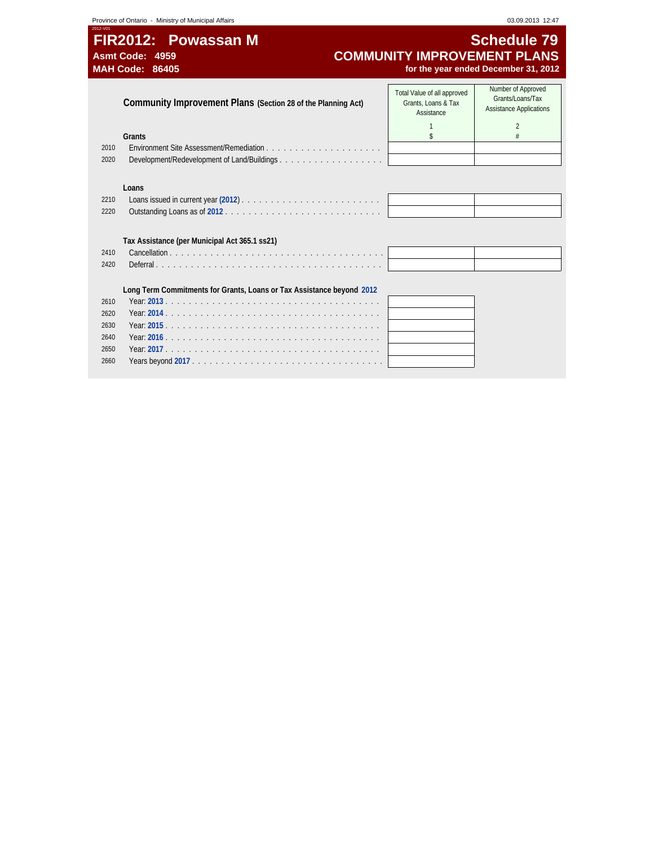# **FIR2012: Powassan M** Schedule 79<br>COMMUNITY IMPROVEMENT PLANS Asmt Code: 4959 **COMMUNITY IMPROVEMENT PLANS**<br>MAH Code: 86405 *COMMUNITY IMPROVEMENT PLANS*<br>for the year ended December 31, 2012 for the year ended December 31, 2012

|      | Community Improvement Plans (Section 28 of the Planning Act)          | Total Value of all approved<br>Grants, Loans & Tax<br>Assistance | Number of Approved<br>Grants/Loans/Tax<br><b>Assistance Applications</b> |
|------|-----------------------------------------------------------------------|------------------------------------------------------------------|--------------------------------------------------------------------------|
|      |                                                                       |                                                                  | $\mathfrak{D}$                                                           |
|      | Grants                                                                |                                                                  |                                                                          |
| 2010 |                                                                       |                                                                  |                                                                          |
| 2020 |                                                                       |                                                                  |                                                                          |
|      |                                                                       |                                                                  |                                                                          |
|      | Loans                                                                 |                                                                  |                                                                          |
| 2210 |                                                                       |                                                                  |                                                                          |
| 2220 |                                                                       |                                                                  |                                                                          |
|      |                                                                       |                                                                  |                                                                          |
|      |                                                                       |                                                                  |                                                                          |
|      | Tax Assistance (per Municipal Act 365.1 ss21)                         |                                                                  |                                                                          |
| 2410 |                                                                       |                                                                  |                                                                          |
| 2420 |                                                                       |                                                                  |                                                                          |
|      |                                                                       |                                                                  |                                                                          |
|      | Long Term Commitments for Grants, Loans or Tax Assistance beyond 2012 |                                                                  |                                                                          |
| 2610 |                                                                       |                                                                  |                                                                          |
| 2620 |                                                                       |                                                                  |                                                                          |
| 2630 |                                                                       |                                                                  |                                                                          |
| 2640 |                                                                       |                                                                  |                                                                          |
| 2650 |                                                                       |                                                                  |                                                                          |
| 2660 |                                                                       |                                                                  |                                                                          |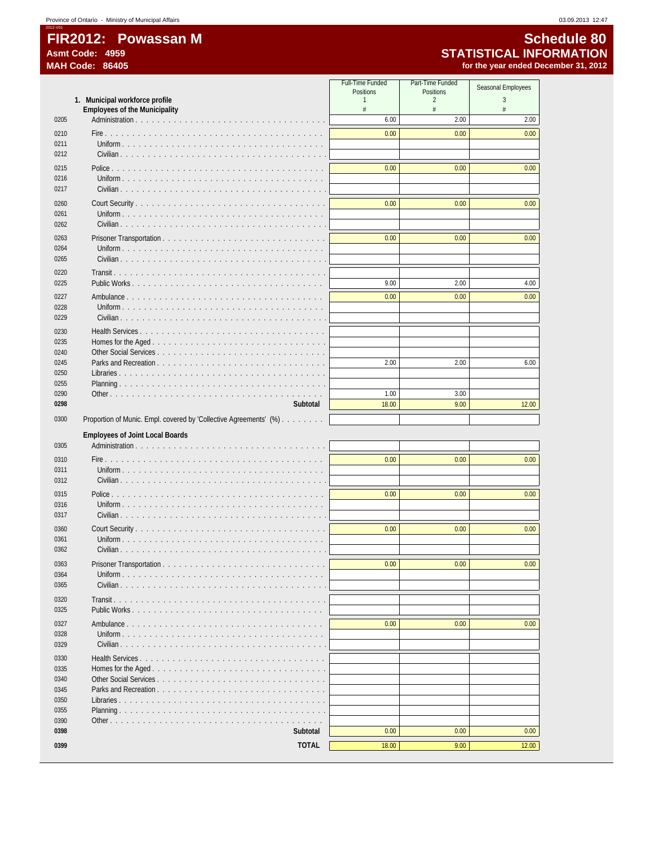2012-V01

|              |                                                                         | Full-Time Funded<br>Positions | Part-Time Funded<br>Positions | Seasonal Employees |
|--------------|-------------------------------------------------------------------------|-------------------------------|-------------------------------|--------------------|
|              | 1. Municipal workforce profile                                          | 1                             | $\overline{2}$                | 3                  |
| 0205         | <b>Employees of the Municipality</b>                                    | #<br>6.00                     | #<br>2.00                     | #<br>2.00          |
| 0210         |                                                                         | 0.00                          | 0.00                          | 0.00               |
| 0211         | Uniform $\ldots$ $\ldots$ $\ldots$ $\ldots$ $\ldots$                    |                               |                               |                    |
| 0212         |                                                                         |                               |                               |                    |
| 0215         |                                                                         | 0.00                          | 0.00                          | 0.00               |
| 0216         | Uniform $\ldots$ $\ldots$ $\ldots$ $\ldots$                             |                               |                               |                    |
| 0217         |                                                                         |                               |                               |                    |
| 0260<br>0261 |                                                                         | 0.00                          | 0.00                          | 0.00               |
| 0262         | Civilian $\ldots$ $\ldots$ $\ldots$ $\ldots$ $\ldots$ $\ldots$ $\ldots$ |                               |                               |                    |
| 0263         |                                                                         | 0.00                          | 0.00                          | 0.00               |
| 0264         |                                                                         |                               |                               |                    |
| 0265         |                                                                         |                               |                               |                    |
| 0220<br>0225 | Public Works                                                            | 9.00                          | 2.00                          | 4.00               |
| 0227         | Ambulance                                                               | 0.00                          | 0.00                          | 0.00               |
| 0228         | Uniform                                                                 |                               |                               |                    |
| 0229         | $Civilian \dots \dots \dots \dots \dots$                                |                               |                               |                    |
| 0230         |                                                                         |                               |                               |                    |
| 0235<br>0240 |                                                                         |                               |                               |                    |
| 0245         | Parks and Recreation                                                    | 2.00                          | 2.00                          | 6.00               |
| 0250         |                                                                         |                               |                               |                    |
| 0255<br>0290 |                                                                         | 1.00                          | 3.00                          |                    |
| 0298         | Subtotal                                                                | 18.00                         | 9.00                          | 12.00              |
| 0300         | Proportion of Munic. Empl. covered by 'Collective Agreements' (%)       |                               |                               |                    |
|              | <b>Employees of Joint Local Boards</b>                                  |                               |                               |                    |
| 0305         |                                                                         |                               |                               |                    |
| 0310         |                                                                         | 0.00                          | 0.00                          | 0.00               |
| 0311         |                                                                         |                               |                               |                    |
| 0312         | Civilian                                                                |                               |                               |                    |
| 0315<br>0316 | Uniform                                                                 | 0.00                          | 0.00                          | 0.00               |
| 0317         |                                                                         |                               |                               |                    |
| 0360         |                                                                         | 0.00                          | 0.00                          | 0.00               |
| 0361         |                                                                         |                               |                               |                    |
| 0362         |                                                                         |                               |                               |                    |
| 0363<br>0364 |                                                                         | 0.00                          | 0.00                          | 0.00               |
| 0365         |                                                                         |                               |                               |                    |
| 0320         |                                                                         |                               |                               |                    |
| 0325         |                                                                         |                               |                               |                    |
| 0327         |                                                                         | 0.00                          | 0.00                          | 0.00               |
| 0328<br>0329 |                                                                         |                               |                               |                    |
| 0330         |                                                                         |                               |                               |                    |
| 0335         |                                                                         |                               |                               |                    |
| 0340         |                                                                         |                               |                               |                    |
| 0345<br>0350 |                                                                         |                               |                               |                    |
| 0355         |                                                                         |                               |                               |                    |
| 0390         |                                                                         |                               |                               |                    |
| 0398         | Subtotal                                                                | 0.00                          | 0.00                          | 0.00               |
| 0399         | <b>TOTAL</b>                                                            | 18.00                         | 9.00                          | 12.00              |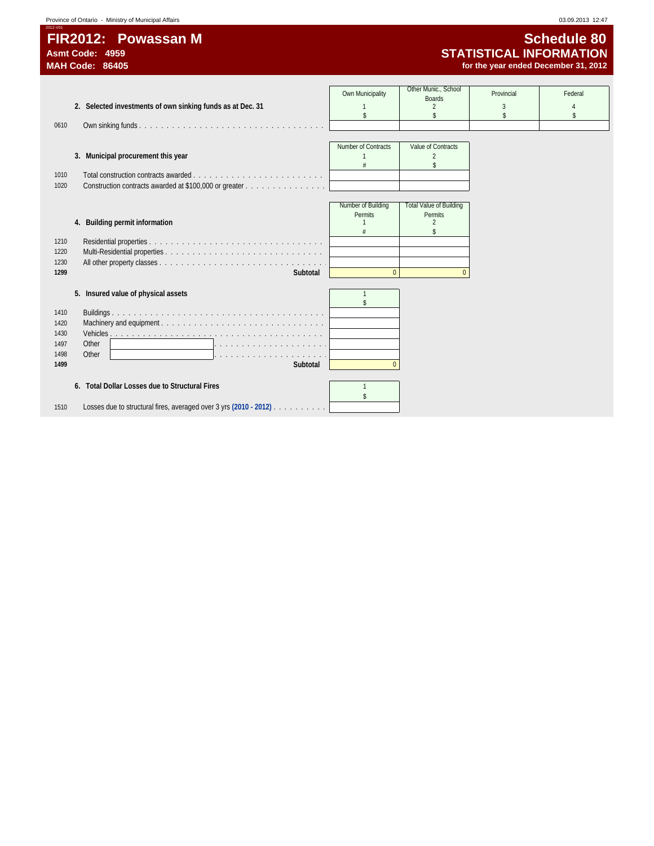# **FIR2012: Powassan M** Schedule 80<br>Asmt Code: 4959 **STATISTICAL INFORMATION**

2012-V01

# **Asmt Code: 4959 STATISTICAL INFORMATION** for the year ended December 31, 2012

|      |                                                                   | Own Municipality    | Other Munic., School           | Provincial | Federal |
|------|-------------------------------------------------------------------|---------------------|--------------------------------|------------|---------|
|      |                                                                   |                     | <b>Boards</b>                  |            |         |
|      | 2. Selected investments of own sinking funds as at Dec. 31        |                     | $\mathfrak{D}$                 | 3          |         |
|      |                                                                   | \$                  |                                |            | s       |
| 0610 |                                                                   |                     |                                |            |         |
|      |                                                                   |                     |                                |            |         |
|      |                                                                   | Number of Contracts | Value of Contracts             |            |         |
|      | 3. Municipal procurement this year                                |                     | $\overline{2}$                 |            |         |
|      |                                                                   |                     | \$                             |            |         |
| 1010 |                                                                   |                     |                                |            |         |
| 1020 | Construction contracts awarded at \$100,000 or greater            |                     |                                |            |         |
|      |                                                                   |                     |                                |            |         |
|      |                                                                   | Number of Building  | <b>Total Value of Building</b> |            |         |
|      |                                                                   | Permits             | Permits                        |            |         |
|      | 4. Building permit information                                    |                     | $\mathfrak{D}$                 |            |         |
|      |                                                                   |                     |                                |            |         |
| 1210 |                                                                   |                     |                                |            |         |
|      |                                                                   |                     |                                |            |         |
| 1220 |                                                                   |                     |                                |            |         |
| 1230 |                                                                   |                     |                                |            |         |
| 1299 | Subtotal                                                          | $\mathbf{0}$        | $\Omega$                       |            |         |
|      |                                                                   |                     |                                |            |         |
|      | 5. Insured value of physical assets                               | $\mathbf{1}$        |                                |            |         |
|      |                                                                   |                     |                                |            |         |
| 1410 |                                                                   |                     |                                |            |         |
| 1420 |                                                                   |                     |                                |            |         |
| 1430 |                                                                   |                     |                                |            |         |
| 1497 | Other                                                             |                     |                                |            |         |
| 1498 | Other                                                             |                     |                                |            |         |
|      |                                                                   |                     |                                |            |         |
| 1499 | Subtotal                                                          | $\overline{0}$      |                                |            |         |
|      |                                                                   |                     |                                |            |         |
|      | 6. Total Dollar Losses due to Structural Fires                    |                     |                                |            |         |
|      |                                                                   | <sup>\$</sup>       |                                |            |         |
| 1510 | Losses due to structural fires, averaged over 3 yrs (2010 - 2012) |                     |                                |            |         |
|      |                                                                   |                     |                                |            |         |
|      |                                                                   |                     |                                |            |         |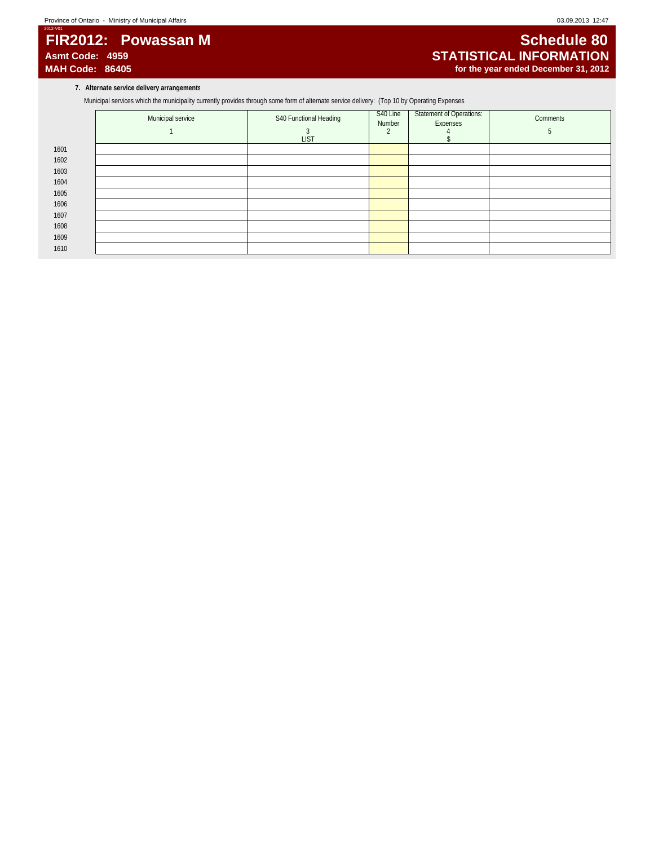# 2012-V01 **FIR2012: Powassan M** Schedule 80<br>Asmt Code: 4959 **STATISTICAL INFORMATION**

# **Asmt Code: 4959 STATISTICAL INFORMATION** for the year ended December 31, 2012

**7. Alternate service delivery arrangements**

Municipal services which the municipality currently provides through some form of alternate service delivery: (Top 10 by Operating Expenses

|      | Municipal service | S40 Functional Heading | S40 Line<br>Number | <b>Statement of Operations:</b><br>Expenses | Comments |
|------|-------------------|------------------------|--------------------|---------------------------------------------|----------|
| 1601 |                   | <b>LIST</b>            |                    |                                             |          |
| 1602 |                   |                        |                    |                                             |          |
| 1603 |                   |                        |                    |                                             |          |
| 1604 |                   |                        |                    |                                             |          |
|      |                   |                        |                    |                                             |          |
| 1605 |                   |                        |                    |                                             |          |
| 1606 |                   |                        |                    |                                             |          |
| 1607 |                   |                        |                    |                                             |          |
| 1608 |                   |                        |                    |                                             |          |
| 1609 |                   |                        |                    |                                             |          |
| 1610 |                   |                        |                    |                                             |          |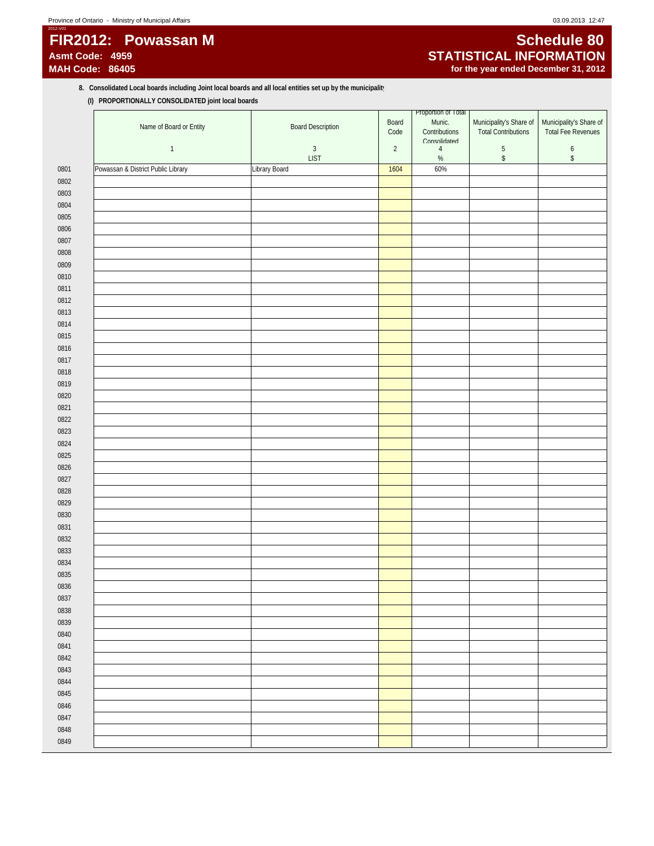2012-V01

# **FIR2012: Powassan M** Schedule 80<br>Asmt Code: 4959 **STATISTICAL INFORMATION**

# Asmt Code: 4959 **<b>Asmt Code: 4959 STATISTICAL INFORMATION**<br>
MAH Code: 86405 *ASMT***ION STATISTICAL INFORMATION** for the year ended December 31, 2012

### 8. Consolidated Local boards including Joint local boards and all local entities set up by the municipalit<sup>1</sup> **(I) PROPORTIONALLY CONSOLIDATED joint local boards**

|              | Name of Board or Entity            | <b>Board Description</b> | Board<br>Code  | Proportion of Total<br>Munic.<br>Contributions | Municipality's Share of<br><b>Total Contributions</b> | Municipality's Share of<br><b>Total Fee Revenues</b> |  |
|--------------|------------------------------------|--------------------------|----------------|------------------------------------------------|-------------------------------------------------------|------------------------------------------------------|--|
|              | $\mathbf{1}$                       | $\sqrt{3}$               | $\overline{2}$ | Consolidated<br>$\overline{4}$                 | $\sqrt{5}$                                            | $\boldsymbol{6}$                                     |  |
|              |                                    | <b>LIST</b>              |                | $\%$                                           | $\,$                                                  | $\,$                                                 |  |
| 0801         | Powassan & District Public Library | Library Board            | 1604           | 60%                                            |                                                       |                                                      |  |
| 0802         |                                    |                          |                |                                                |                                                       |                                                      |  |
| 0803         |                                    |                          |                |                                                |                                                       |                                                      |  |
| 0804         |                                    |                          |                |                                                |                                                       |                                                      |  |
| 0805         |                                    |                          |                |                                                |                                                       |                                                      |  |
| 0806         |                                    |                          |                |                                                |                                                       |                                                      |  |
| 0807         |                                    |                          |                |                                                |                                                       |                                                      |  |
| 0808         |                                    |                          |                |                                                |                                                       |                                                      |  |
| 0809         |                                    |                          |                |                                                |                                                       |                                                      |  |
| 0810         |                                    |                          |                |                                                |                                                       |                                                      |  |
| 0811         |                                    |                          |                |                                                |                                                       |                                                      |  |
| 0812         |                                    |                          |                |                                                |                                                       |                                                      |  |
| 0813         |                                    |                          |                |                                                |                                                       |                                                      |  |
| 0814         |                                    |                          |                |                                                |                                                       |                                                      |  |
| 0815         |                                    |                          |                |                                                |                                                       |                                                      |  |
| 0816         |                                    |                          |                |                                                |                                                       |                                                      |  |
| 0817         |                                    |                          |                |                                                |                                                       |                                                      |  |
| 0818         |                                    |                          |                |                                                |                                                       |                                                      |  |
| 0819         |                                    |                          |                |                                                |                                                       |                                                      |  |
| 0820         |                                    |                          |                |                                                |                                                       |                                                      |  |
| 0821         |                                    |                          |                |                                                |                                                       |                                                      |  |
| 0822         |                                    |                          |                |                                                |                                                       |                                                      |  |
| 0823         |                                    |                          |                |                                                |                                                       |                                                      |  |
| 0824         |                                    |                          |                |                                                |                                                       |                                                      |  |
| 0825         |                                    |                          |                |                                                |                                                       |                                                      |  |
| 0826         |                                    |                          |                |                                                |                                                       |                                                      |  |
| 0827         |                                    |                          |                |                                                |                                                       |                                                      |  |
| 0828         |                                    |                          |                |                                                |                                                       |                                                      |  |
| 0829         |                                    |                          |                |                                                |                                                       |                                                      |  |
| 0830<br>0831 |                                    |                          |                |                                                |                                                       |                                                      |  |
| 0832         |                                    |                          |                |                                                |                                                       |                                                      |  |
| 0833         |                                    |                          |                |                                                |                                                       |                                                      |  |
| 0834         |                                    |                          |                |                                                |                                                       |                                                      |  |
| 0835         |                                    |                          |                |                                                |                                                       |                                                      |  |
| 0836         |                                    |                          |                |                                                |                                                       |                                                      |  |
| 0837         |                                    |                          |                |                                                |                                                       |                                                      |  |
| 0838         |                                    |                          |                |                                                |                                                       |                                                      |  |
| 0839         |                                    |                          |                |                                                |                                                       |                                                      |  |
| 0840         |                                    |                          |                |                                                |                                                       |                                                      |  |
| 0841         |                                    |                          |                |                                                |                                                       |                                                      |  |
| 0842         |                                    |                          |                |                                                |                                                       |                                                      |  |
| 0843         |                                    |                          |                |                                                |                                                       |                                                      |  |
| 0844         |                                    |                          |                |                                                |                                                       |                                                      |  |
| 0845         |                                    |                          |                |                                                |                                                       |                                                      |  |
| 0846         |                                    |                          |                |                                                |                                                       |                                                      |  |
| 0847         |                                    |                          |                |                                                |                                                       |                                                      |  |
| 0848         |                                    |                          |                |                                                |                                                       |                                                      |  |
| 0849         |                                    |                          |                |                                                |                                                       |                                                      |  |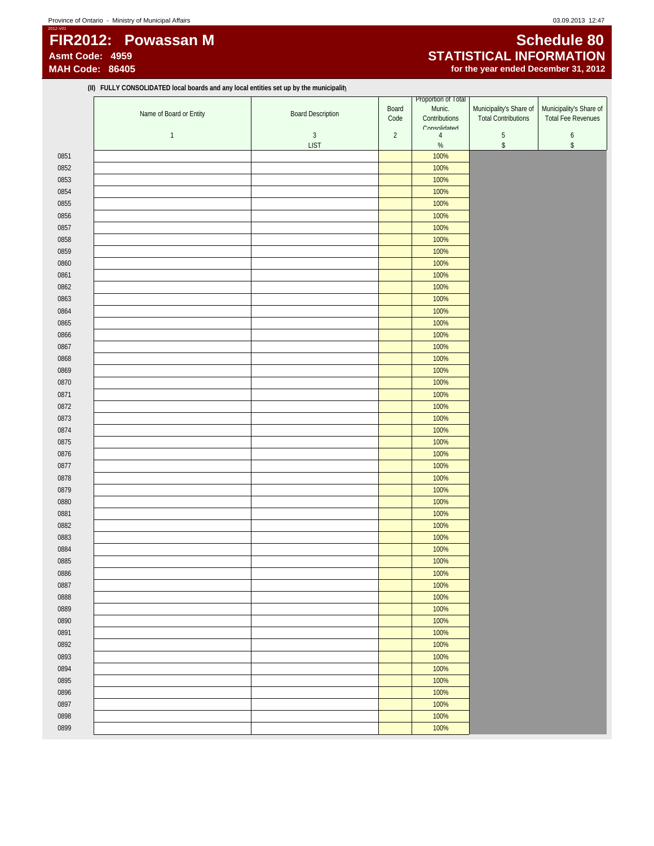# **FIR2012: Powassan M** Schedule 80<br>Asmt Code: 4959 **STATISTICAL INFORMATION Asmt Code: 4959 STATISTICAL INFORMATION**

**(II) FULLY CONSOLIDATED local boards and any local entities set up by the municipality**

for the year ended December 31, 2012

|      | Name of Board or Entity | <b>Board Description</b> | Board<br>Code  | Proportion of Total<br>Munic.<br>Contributions | Municipality's Share of<br><b>Total Contributions</b> | Municipality's Share of<br><b>Total Fee Revenues</b> |
|------|-------------------------|--------------------------|----------------|------------------------------------------------|-------------------------------------------------------|------------------------------------------------------|
|      |                         |                          |                | Consolidated                                   |                                                       |                                                      |
|      | $\overline{1}$          | $\sqrt{3}$               | $\overline{2}$ | $\overline{4}$                                 | $\sqrt{5}$                                            | $\boldsymbol{6}$                                     |
|      |                         | <b>LIST</b>              |                | $\%$                                           | $\,$                                                  | $\mathbb{S}$                                         |
| 0851 |                         |                          |                | 100%                                           |                                                       |                                                      |
| 0852 |                         |                          |                | 100%                                           |                                                       |                                                      |
| 0853 |                         |                          |                | 100%                                           |                                                       |                                                      |
| 0854 |                         |                          |                | 100%                                           |                                                       |                                                      |
| 0855 |                         |                          |                | 100%                                           |                                                       |                                                      |
| 0856 |                         |                          |                | 100%                                           |                                                       |                                                      |
| 0857 |                         |                          |                | 100%                                           |                                                       |                                                      |
| 0858 |                         |                          |                | 100%                                           |                                                       |                                                      |
| 0859 |                         |                          |                | 100%                                           |                                                       |                                                      |
| 0860 |                         |                          |                | 100%                                           |                                                       |                                                      |
| 0861 |                         |                          |                | 100%                                           |                                                       |                                                      |
| 0862 |                         |                          |                | 100%                                           |                                                       |                                                      |
| 0863 |                         |                          |                | 100%                                           |                                                       |                                                      |
| 0864 |                         |                          |                | 100%                                           |                                                       |                                                      |
| 0865 |                         |                          |                | 100%                                           |                                                       |                                                      |
| 0866 |                         |                          |                | 100%                                           |                                                       |                                                      |
| 0867 |                         |                          |                | 100%                                           |                                                       |                                                      |
| 0868 |                         |                          |                | 100%                                           |                                                       |                                                      |
| 0869 |                         |                          |                | 100%                                           |                                                       |                                                      |
| 0870 |                         |                          |                | 100%                                           |                                                       |                                                      |
| 0871 |                         |                          |                | 100%                                           |                                                       |                                                      |
| 0872 |                         |                          |                | 100%                                           |                                                       |                                                      |
| 0873 |                         |                          |                | 100%                                           |                                                       |                                                      |
| 0874 |                         |                          |                | 100%                                           |                                                       |                                                      |
| 0875 |                         |                          |                | 100%                                           |                                                       |                                                      |
| 0876 |                         |                          |                | 100%                                           |                                                       |                                                      |
| 0877 |                         |                          |                | 100%                                           |                                                       |                                                      |
| 0878 |                         |                          |                | 100%                                           |                                                       |                                                      |
| 0879 |                         |                          |                | 100%                                           |                                                       |                                                      |
| 0880 |                         |                          |                | 100%                                           |                                                       |                                                      |
| 0881 |                         |                          |                | 100%                                           |                                                       |                                                      |
| 0882 |                         |                          |                | 100%                                           |                                                       |                                                      |
| 0883 |                         |                          |                | 100%                                           |                                                       |                                                      |
|      |                         |                          |                |                                                |                                                       |                                                      |
| 0884 |                         |                          |                | 100%                                           |                                                       |                                                      |
| 0885 |                         |                          |                | 100%                                           |                                                       |                                                      |
| 0886 |                         |                          |                | 100%                                           |                                                       |                                                      |
| 0887 |                         |                          |                | 100%                                           |                                                       |                                                      |
| 0888 |                         |                          |                | 100%                                           |                                                       |                                                      |
| 0889 |                         |                          |                | 100%                                           |                                                       |                                                      |
| 0890 |                         |                          |                | 100%                                           |                                                       |                                                      |
| 0891 |                         |                          |                | 100%                                           |                                                       |                                                      |
| 0892 |                         |                          |                | 100%                                           |                                                       |                                                      |
| 0893 |                         |                          |                | 100%                                           |                                                       |                                                      |
| 0894 |                         |                          |                | 100%                                           |                                                       |                                                      |
| 0895 |                         |                          |                | 100%                                           |                                                       |                                                      |
| 0896 |                         |                          |                | 100%                                           |                                                       |                                                      |
| 0897 |                         |                          |                | 100%                                           |                                                       |                                                      |
| 0898 |                         |                          |                | 100%                                           |                                                       |                                                      |
| 0899 |                         |                          |                | 100%                                           |                                                       |                                                      |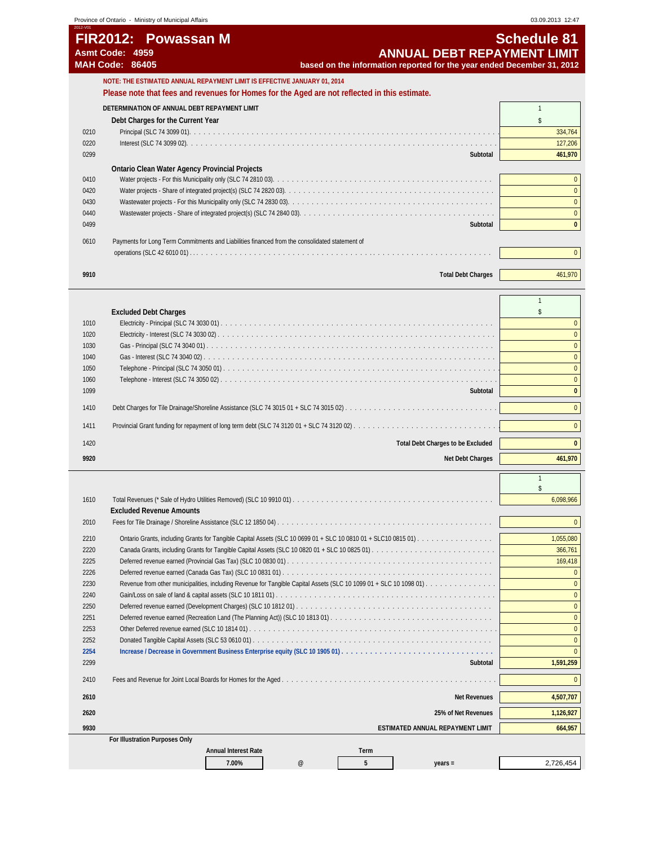| 2012-V01 | FIR2012: Powassan M<br>Asmt Code: 4959<br><b>MAH Code: 86405</b><br>based on the information reported for the year ended December 31, 2012 | <b>Schedule 81</b><br><b>ANNUAL DEBT REPAYMENT LIMIT</b> |
|----------|--------------------------------------------------------------------------------------------------------------------------------------------|----------------------------------------------------------|
|          | NOTE: THE ESTIMATED ANNUAL REPAYMENT LIMIT IS EFFECTIVE JANUARY 01, 2014                                                                   |                                                          |
|          | Please note that fees and revenues for Homes for the Aged are not reflected in this estimate.                                              |                                                          |
|          | DETERMINATION OF ANNUAL DEBT REPAYMENT LIMIT                                                                                               |                                                          |
|          | Debt Charges for the Current Year                                                                                                          |                                                          |
| 0210     |                                                                                                                                            | 334,764                                                  |
| 0220     |                                                                                                                                            | 127,206                                                  |
| 0299     |                                                                                                                                            | 461,970<br>Subtotal                                      |
|          | <b>Ontario Clean Water Agency Provincial Projects</b>                                                                                      |                                                          |
| 0410     |                                                                                                                                            |                                                          |
| 0420     |                                                                                                                                            |                                                          |
| 0430     |                                                                                                                                            | $\Omega$                                                 |
| 0440     |                                                                                                                                            | $\Omega$                                                 |
| 0499     |                                                                                                                                            | $\mathbf{0}$<br>Subtotal                                 |
| 0610     | Payments for Long Term Commitments and Liabilities financed from the consolidated statement of                                             |                                                          |
|          |                                                                                                                                            | $\mathbf{0}$                                             |
| 9910     | <b>Total Debt Charges</b>                                                                                                                  | 461,970                                                  |

|      | <b>Excluded Debt Charges</b>             |              |
|------|------------------------------------------|--------------|
| 1010 |                                          |              |
| 1020 |                                          |              |
| 1030 |                                          |              |
| 1040 |                                          |              |
| 1050 |                                          |              |
| 1060 |                                          |              |
| 1099 | Subtotal                                 | $\mathbf{0}$ |
| 1410 |                                          | $\Omega$     |
| 1411 |                                          | $\Omega$     |
| 1420 | <b>Total Debt Charges to be Excluded</b> | $\Omega$     |
| 9920 | Net Debt Charges                         | 461,970      |

| 1610 |                                                                               | 6,098,966 |
|------|-------------------------------------------------------------------------------|-----------|
|      | <b>Excluded Revenue Amounts</b>                                               |           |
| 2010 |                                                                               | $\Omega$  |
| 2210 |                                                                               | 1,055,080 |
| 2220 |                                                                               | 366,761   |
| 2225 |                                                                               | 169,418   |
| 2226 |                                                                               |           |
| 2230 |                                                                               |           |
| 2240 |                                                                               |           |
| 2250 |                                                                               |           |
| 2251 |                                                                               |           |
| 2253 |                                                                               |           |
| 2252 | Donated Tangible Capital Assets (SLC 53 0610 01).                             |           |
| 2254 | Increase / Decrease in Government Business Enterprise equity (SLC 10 1905 01) |           |
| 2299 | Subtotal                                                                      | 1,591,259 |
| 2410 |                                                                               | $\Omega$  |
| 2610 | <b>Net Revenues</b>                                                           | 4,507,707 |
| 2620 | 25% of Net Revenues                                                           | 1,126,927 |
| 9930 | ESTIMATED ANNUAL REPAYMENT LIMIT                                              | 664.957   |
|      | For Illustration Purposes Only                                                |           |
|      | <b>Annual Interest Rate</b><br>Term                                           |           |

**7.00% @ 5 years =** 2,726,454

1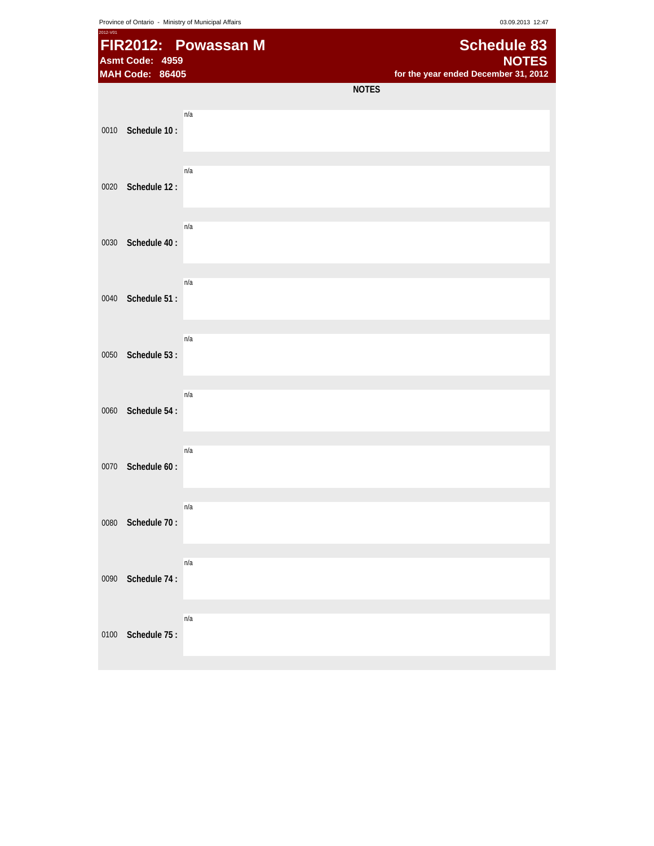Province of Ontario - Ministry of Municipal Affairs **Capacital Affairs** 03.09.2013 12:47

| 2012-V01 | Asmt Code: 4959<br><b>MAH Code: 86405</b> | FIR2012: Powassan M |              | <b>Schedule 83</b><br><b>NOTES</b><br>for the year ended December 31, 2012 |
|----------|-------------------------------------------|---------------------|--------------|----------------------------------------------------------------------------|
|          |                                           |                     | <b>NOTES</b> |                                                                            |
| 0010     | Schedule 10:                              | n/a                 |              |                                                                            |
| 0020     | Schedule 12:                              | n/a                 |              |                                                                            |
| 0030     | Schedule 40:                              | n/a                 |              |                                                                            |
| 0040     | Schedule 51:                              | n/a                 |              |                                                                            |
| 0050     | Schedule 53:                              | n/a                 |              |                                                                            |
| 0060     | Schedule 54:                              | n/a                 |              |                                                                            |
| 0070     | Schedule 60:                              | n/a                 |              |                                                                            |
| 0080     | Schedule 70:                              | n/a                 |              |                                                                            |
| 0090     | Schedule 74:                              | n/a                 |              |                                                                            |
| 0100     | Schedule 75:                              | n/a                 |              |                                                                            |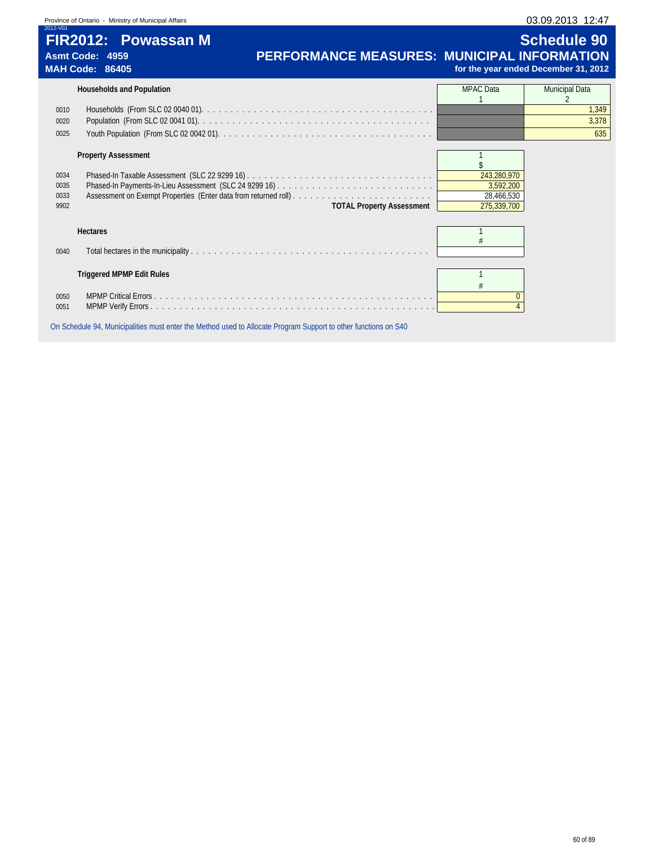| Province of Ontario - Ministry of Municipal Affairs |  |  |  |  |
|-----------------------------------------------------|--|--|--|--|
|-----------------------------------------------------|--|--|--|--|

| Province of Ontario - Ministry of Municipal Affairs                                 |                                                    |                                                            | 03.09.2013 12:47      |  |  |
|-------------------------------------------------------------------------------------|----------------------------------------------------|------------------------------------------------------------|-----------------------|--|--|
| 2012-V01<br><b>FIR2012: Powassan M</b><br>Asmt Code: 4959<br><b>MAH Code: 86405</b> | <b>PERFORMANCE MEASURES: MUNICIPAL INFORMATION</b> | <b>Schedule 90</b><br>for the year ended December 31, 2012 |                       |  |  |
| <b>Households and Population</b>                                                    |                                                    | <b>MPAC</b> Data                                           | <b>Municipal Data</b> |  |  |
| 0010                                                                                |                                                    |                                                            | .349                  |  |  |

0020 Population (From SLC 02 0041 01). . . . . . . . . . . . . . . . . . . . . . . . . . . . . . . . . . . . . . . . 3,378

# 0025 Youth Population (From SLC 02 0042 01). . . . . . . . . . . . . . . . . . . . . . . . . . . . . . . . . . . . . 635

#### **Property Assessment 1 1**  $\frac{$243,280,970}{243,280,970}$ 0034 Phased-In Taxable Assessment (SLC 22 9299 16) . . . . . . . . . . . . . . . . . . . . . . . . . . . . . . . . 243,280,970 0035 Phased-In Payments-In-Lieu Assessment (SLC 24 9299 16) . . . . . . . . . . . . . . . . . . . . . . . . . . . 3,592,200 0033 Assessment on Exempt Properties (Enter data from returned roll) . . . . . . . . . . . . . . . . . . . . . . . . 28,466,530 9902 **TOTAL Property Assessment** 275,339,700

| 0040 |                           |  |
|------|---------------------------|--|
|      | Triggered MPMP Edit Rules |  |
|      |                           |  |
| 0050 |                           |  |
| 0051 |                           |  |
|      |                           |  |

On Schedule 94, Municipalities must enter the Method used to Allocate Program Support to other functions on S40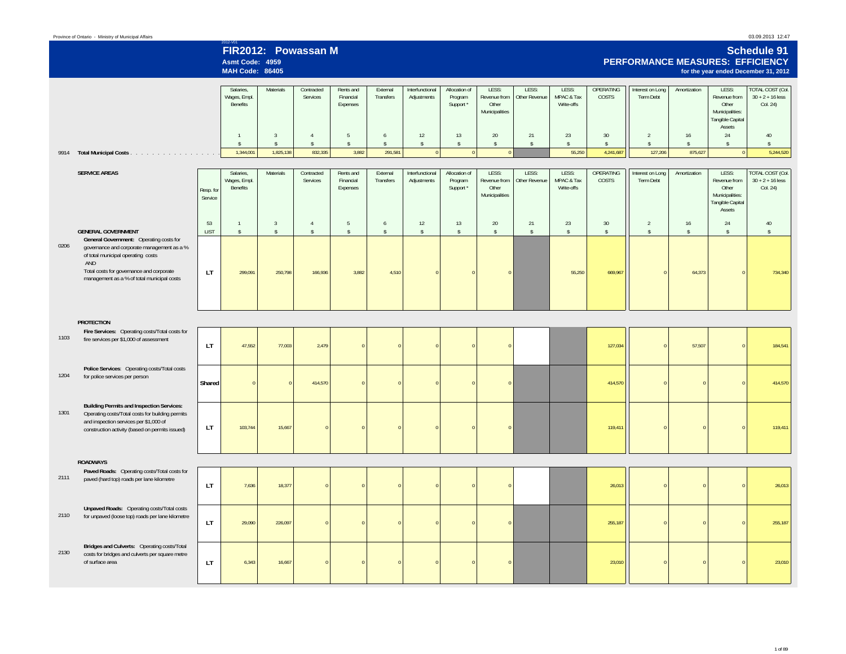| Province of Ontario - Ministry of Municipal Affairs | 03.09.2013 12:47 |
|-----------------------------------------------------|------------------|
|                                                     |                  |

2012-V01 **FIR2012: Powassan M**

**Asmt Code: 4959**

# **Schedule 91 PERFORMANCE MEASURES: EFFICIENCY**

|      |                                                                                                                                                                                                                                                           |                      | <b>MAH Code: 86405</b>                |                         |                               |                                    |                               |                                |                                       |                                                  |                        |                                   |                                  |                               |                         |                                                                                 | for the year ended December 31, 2012                      |
|------|-----------------------------------------------------------------------------------------------------------------------------------------------------------------------------------------------------------------------------------------------------------|----------------------|---------------------------------------|-------------------------|-------------------------------|------------------------------------|-------------------------------|--------------------------------|---------------------------------------|--------------------------------------------------|------------------------|-----------------------------------|----------------------------------|-------------------------------|-------------------------|---------------------------------------------------------------------------------|-----------------------------------------------------------|
|      |                                                                                                                                                                                                                                                           |                      | Salaries,<br>Wages, Empl.<br>Benefits | Materials               | Contracted<br>Services        | Rents and<br>Financial<br>Expenses | External<br>Transfers         | Interfunctional<br>Adjustments | Allocation of<br>Program<br>Support * | LESS:<br>Revenue from<br>Other<br>Municipalities | LESS:<br>Other Revenue | LESS:<br>MPAC & Tax<br>Write-offs | <b>OPERATING</b><br><b>COSTS</b> | Interest on Long<br>Term Debt | Amortization            | LESS:<br>Revenue from<br>Other<br>Municipalities:<br>Tangible Capital<br>Assets | <b>TOTAL COST (Col.</b><br>$30 + 2 + 16$ less<br>Col. 24) |
|      |                                                                                                                                                                                                                                                           |                      | $\mathbf{1}$                          | $\overline{3}$          | $\overline{4}$                | $5\phantom{.0}$                    | 6                             | 12                             | 13                                    | 20                                               | 21                     | 23                                | 30                               | $\overline{2}$                | $16\,$                  | 24                                                                              | 40                                                        |
| 9914 | Total Municipal Costs                                                                                                                                                                                                                                     |                      | $\mathbb{S}$<br>1,344,001             | $\hat{S}$<br>1,825,138  | $\mathsf S$<br>832,335        | $\hat{\mathbb{S}}$<br>3,882        | $\hat{\mathbf{x}}$<br>291,581 | $\mathbb{S}$<br>$\mathbf 0$    | $\mathbb{S}$<br>$\overline{0}$        | $\mathbb{S}$<br>$\Omega$                         | $\hat{\mathbb{S}}$     | $\sqrt{2}$<br>55,250              | $\hat{\mathbb{S}}$<br>4,241,687  | $\hat{\mathbf{x}}$<br>127,206 | $\mathsf{s}$<br>875,627 | $\mathbb{S}$<br>$\mathbf 0$                                                     | $\hat{S}$<br>5,244,520                                    |
|      |                                                                                                                                                                                                                                                           |                      |                                       |                         |                               |                                    |                               |                                |                                       |                                                  |                        |                                   |                                  |                               |                         |                                                                                 |                                                           |
|      | <b>SERVICE AREAS</b>                                                                                                                                                                                                                                      | Resp. for<br>Service | Salaries,<br>Wages, Empl.<br>Benefits | Materials               | Contracted<br>Services        | Rents and<br>Financial<br>Expenses | External<br>Transfers         | Interfunctional<br>Adjustments | Allocation of<br>Program<br>Support * | LESS:<br>Revenue from<br>Other<br>Municipalities | LESS:<br>Other Revenue | LESS:<br>MPAC & Tax<br>Write-offs | <b>OPERATING</b><br><b>COSTS</b> | Interest on Long<br>Term Debt | Amortization            | LESS:<br>Revenue from<br>Other<br>Municipalities:<br>Tangible Capital<br>Assets | <b>TOTAL COST (Col.</b><br>$30 + 2 + 16$ less<br>Col. 24) |
|      |                                                                                                                                                                                                                                                           | 53                   | $\mathbf{1}$                          | $\overline{3}$          | $\overline{4}$                | $5\phantom{.0}$                    | 6                             | 12                             | 13                                    | 20                                               | 21                     | 23                                | 30                               | $\overline{2}$                | 16                      | 24                                                                              | 40                                                        |
| 0206 | <b>GENERAL GOVERNMENT</b><br>General Government: Operating costs for<br>governance and corporate management as a %<br>of total municipal operating costs<br>AND<br>Total costs for governance and corporate<br>management as a % of total municipal costs | <b>LIST</b><br>LT.   | $\mathsf{s}$<br>299,091               | $\mathbb{S}$<br>250,798 | $\hat{\mathbb{S}}$<br>166,936 | $\hat{\mathbf{S}}$<br>3,882        | $\hat{S}$<br>4,510            | $\hat{S}$<br>$\Omega$          | $\mathsf{\$}$<br>$\sqrt{ }$           | $\hat{\mathbf{S}}$<br>$\Omega$                   | $\hat{\mathbb{S}}$     | $\mathsf{s}$<br>55,250            | $\sqrt{2}$<br>669,967            | $\mathsf{\$}$<br>$\Omega$     | $\mathsf{\$}$<br>64,373 | $\mathsf{\$}$<br>$\overline{0}$                                                 | $\mathsf{s}$<br>734,340                                   |
|      | <b>PROTECTION</b>                                                                                                                                                                                                                                         |                      |                                       |                         |                               |                                    |                               |                                |                                       |                                                  |                        |                                   |                                  |                               |                         |                                                                                 |                                                           |
| 1103 | Fire Services: Operating costs/Total costs for<br>fire services per \$1,000 of assessment                                                                                                                                                                 | LT.                  | 47,552                                | 77,003                  | 2,479                         |                                    |                               | $\Omega$                       |                                       |                                                  |                        |                                   | 127,034                          | $\Omega$                      | 57,507                  | $\Omega$                                                                        | 184,541                                                   |
| 1204 | Police Services: Operating costs/Total costs<br>for police services per person                                                                                                                                                                            | Shared               | $\overline{0}$                        | $\Omega$                | 414,570                       | $\Omega$                           | $\sqrt{2}$                    | $\Omega$                       | $\sqrt{ }$                            | $\Omega$                                         |                        |                                   | 414,570                          | $\overline{0}$                | $\overline{0}$          | $\mathbf{0}$                                                                    | 414,570                                                   |
| 1301 | <b>Building Permits and Inspection Services:</b><br>Operating costs/Total costs for building permits<br>and inspection services per \$1,000 of<br>construction activity (based on permits issued)                                                         | LT.                  | 103,744                               | 15,667                  |                               |                                    |                               | $\Omega$                       |                                       |                                                  |                        |                                   | 119,411                          | $\Omega$                      | $\Omega$                | $\Omega$                                                                        | 119,411                                                   |
|      | <b>ROADWAYS</b>                                                                                                                                                                                                                                           |                      |                                       |                         |                               |                                    |                               |                                |                                       |                                                  |                        |                                   |                                  |                               |                         |                                                                                 |                                                           |
| 2111 | Paved Roads: Operating costs/Total costs for<br>paved (hard top) roads per lane kilometre                                                                                                                                                                 | LT.                  | 7,636                                 | 18,377                  | $\Omega$                      |                                    |                               | $\Omega$                       |                                       |                                                  |                        |                                   | 26,013                           | $\overline{0}$                | $\overline{0}$          | $\mathbf 0$                                                                     | 26,013                                                    |
| 2110 | Unpaved Roads: Operating costs/Total costs<br>for unpaved (loose top) roads per lane kilometre                                                                                                                                                            | LT.                  | 29,090                                | 226,097                 |                               |                                    |                               |                                |                                       | $\Omega$                                         |                        |                                   | 255,187                          | $\overline{0}$                | $\overline{0}$          | $\Omega$                                                                        | 255,187                                                   |
| 2130 | Bridges and Culverts: Operating costs/Total<br>costs for bridges and culverts per square metre<br>of surface area                                                                                                                                         | LT.                  | 6,343                                 | 16,667                  | $\Omega$                      | $\Omega$                           |                               |                                |                                       | $\overline{0}$                                   |                        |                                   | 23,010                           | $\overline{0}$                | $\mathbf 0$             | $\mathbf 0$                                                                     | 23,010                                                    |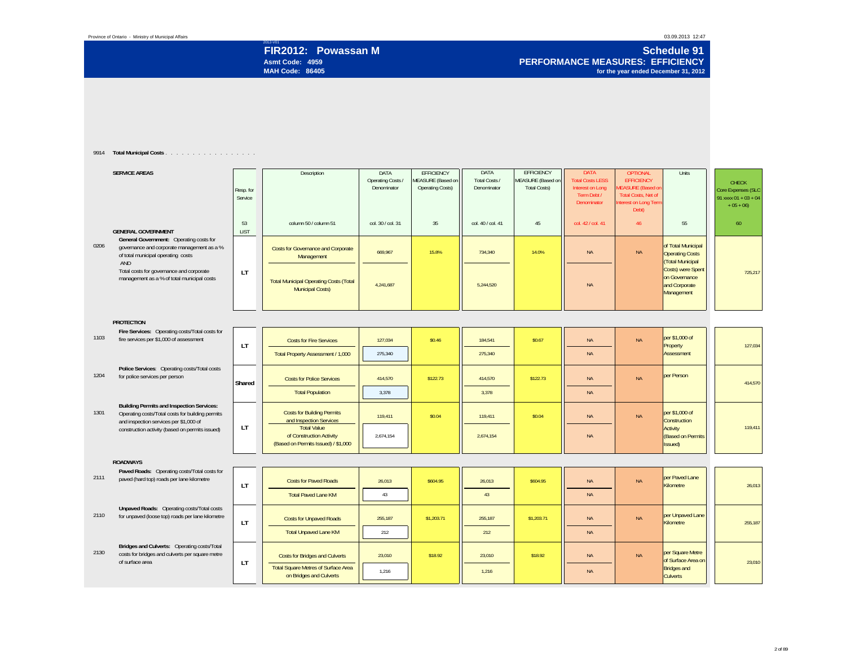Province of Ontario - Ministry of Municipal Affairs

# **Asmt Code: 4959MAH Code: 86405**

2012-V01 **FIR2012: Powassan M Schedule 91 PERFORMANCE MEASURES: EFFICIENCYfor the year ended December 31, 2012**

#### 9914 **Total Municipal Costs** . . . . . . . . . . . . . . . . .

|      | <b>SERVICE AREAS</b>                                                                                                                           | Resp. for<br>Service | Description                                                                           | DATA<br>Operating Costs /<br>Denominator | <b>EFFICIENCY</b><br>MEASURE (Based on<br><b>Operating Costs)</b> | DATA<br>Total Costs /<br>Denominator | EFFICIENCY<br>MEASURE (Based on<br><b>Total Costs)</b> | <b>DATA</b><br><b>Total Costs LESS</b><br>Interest on Long<br>Term Debt /<br>Denominator | <b>OPTIONAL</b><br><b>EFFICIENCY</b><br><b>MEASURE</b> (Based on<br><b>Total Costs, Net of</b><br>nterest on Long Term<br>Debt) | Units                                                                  | <b>CHECK</b><br>Core Expenses (SLC<br>91 xxxx $01 + 03 + 04$<br>$+05 + 06$ |
|------|------------------------------------------------------------------------------------------------------------------------------------------------|----------------------|---------------------------------------------------------------------------------------|------------------------------------------|-------------------------------------------------------------------|--------------------------------------|--------------------------------------------------------|------------------------------------------------------------------------------------------|---------------------------------------------------------------------------------------------------------------------------------|------------------------------------------------------------------------|----------------------------------------------------------------------------|
|      | <b>GENERAL GOVERNMENT</b>                                                                                                                      | 53<br><b>LIST</b>    | column 50 / column 51                                                                 | col. 30 / col. 31                        | 35                                                                | col. 40 / col. 41                    | 45                                                     | col. 42 / col. 41                                                                        | 46                                                                                                                              | 55                                                                     | 60                                                                         |
| 0206 | General Government: Operating costs for<br>governance and corporate management as a %<br>of total municipal operating costs<br>AND             |                      | <b>Costs for Governance and Corporate</b><br>Management                               | 669.967                                  | 15.8%                                                             | 734.340                              | 14.0%                                                  | <b>NA</b>                                                                                | <b>NA</b>                                                                                                                       | of Total Municipal<br><b>Operating Costs</b><br><b>Total Municipal</b> |                                                                            |
|      | Total costs for governance and corporate<br>management as a % of total municipal costs                                                         | <b>LT</b>            | <b>Total Municipal Operating Costs (Total</b><br><b>Municipal Costs)</b>              | 4,241,687                                |                                                                   | 5,244,520                            |                                                        | <b>NA</b>                                                                                |                                                                                                                                 | Costs) were Spent<br>on Governance<br>and Corporate<br>Management      | 725,217                                                                    |
|      | <b>PROTECTION</b>                                                                                                                              |                      |                                                                                       |                                          |                                                                   |                                      |                                                        |                                                                                          |                                                                                                                                 |                                                                        |                                                                            |
| 1103 | Fire Services: Operating costs/Total costs for<br>fire services per \$1,000 of assessment                                                      | <b>LT</b>            | <b>Costs for Fire Services</b>                                                        | 127,034                                  | \$0.46                                                            | 184,541                              | \$0.67                                                 | <b>NA</b>                                                                                | <b>NA</b>                                                                                                                       | per \$1,000 of<br>Property                                             | 127,034                                                                    |
|      |                                                                                                                                                |                      | Total Property Assessment / 1,000                                                     | 275.340                                  |                                                                   | 275,340                              |                                                        | <b>NA</b>                                                                                |                                                                                                                                 | Assessment                                                             |                                                                            |
| 1204 | Police Services: Operating costs/Total costs<br>for police services per person                                                                 | Shared               | <b>Costs for Police Services</b>                                                      | 414.570                                  | \$122.73                                                          | 414.570                              | \$122.73                                               | <b>NA</b>                                                                                | <b>NA</b>                                                                                                                       | per Person                                                             | 414.570                                                                    |
|      |                                                                                                                                                |                      | <b>Total Population</b>                                                               | 3,378                                    |                                                                   | 3,378                                |                                                        | <b>NA</b>                                                                                |                                                                                                                                 |                                                                        |                                                                            |
| 1301 | <b>Building Permits and Inspection Services:</b><br>Operating costs/Total costs for building permits<br>and inspection services per \$1,000 of |                      | <b>Costs for Building Permits</b><br>and Inspection Services                          | 119.411                                  | \$0.04                                                            | 119.411                              | \$0.04                                                 | <b>NA</b>                                                                                | <b>NA</b>                                                                                                                       | per \$1,000 of<br>Construction                                         |                                                                            |
|      | construction activity (based on permits issued)                                                                                                | LT                   | <b>Total Value</b><br>of Construction Activity<br>(Based on Permits Issued) / \$1,000 | 2,674,154                                |                                                                   | 2,674,154                            |                                                        | <b>NA</b>                                                                                |                                                                                                                                 | Activity<br><b>(Based on Permits</b><br>(ssued                         | 119,411                                                                    |
|      | <b>ROADWAYS</b>                                                                                                                                |                      |                                                                                       |                                          |                                                                   |                                      |                                                        |                                                                                          |                                                                                                                                 |                                                                        |                                                                            |
| 2111 | Paved Roads: Operating costs/Total costs for<br>paved (hard top) roads per lane kilometre                                                      | <b>LT</b>            | <b>Costs for Paved Roads</b>                                                          | 26,013                                   | \$604.95                                                          | 26,013                               | \$604.95                                               | <b>NA</b>                                                                                | <b>NA</b>                                                                                                                       | per Paved Lane<br>Kilometre                                            | 26,013                                                                     |
|      |                                                                                                                                                |                      | <b>Total Paved Lane KM</b>                                                            | 43                                       |                                                                   | 43                                   |                                                        | <b>NA</b>                                                                                |                                                                                                                                 |                                                                        |                                                                            |
| 2110 | Unpaved Roads: Operating costs/Total costs<br>for unpaved (loose top) roads per lane kilometre                                                 | <b>LT</b>            | <b>Costs for Unpaved Roads</b>                                                        | 255,187                                  | \$1,203.71                                                        | 255,187                              | \$1,203.71                                             | <b>NA</b>                                                                                | <b>NA</b>                                                                                                                       | per Unpaved Lane<br>Kilometre                                          | 255,187                                                                    |
|      |                                                                                                                                                |                      | <b>Total Unpaved Lane KM</b>                                                          | 212                                      |                                                                   | 212                                  |                                                        | <b>NA</b>                                                                                |                                                                                                                                 |                                                                        |                                                                            |
| 2130 | Bridges and Culverts: Operating costs/Total<br>costs for bridges and culverts per square metre<br>of surface area                              | <b>LT</b>            | <b>Costs for Bridges and Culverts</b>                                                 | 23,010                                   | \$18.92                                                           | 23.010                               | \$18.92                                                | <b>NA</b>                                                                                | <b>NA</b>                                                                                                                       | per Square Metre<br>of Surface Area on                                 | 23,010                                                                     |
|      |                                                                                                                                                |                      | <b>Total Square Metres of Surface Area</b><br>on Bridges and Culverts                 | 1,216                                    |                                                                   | 1,216                                |                                                        | <b>NA</b>                                                                                |                                                                                                                                 | <b>Bridges and</b><br>Culverts                                         |                                                                            |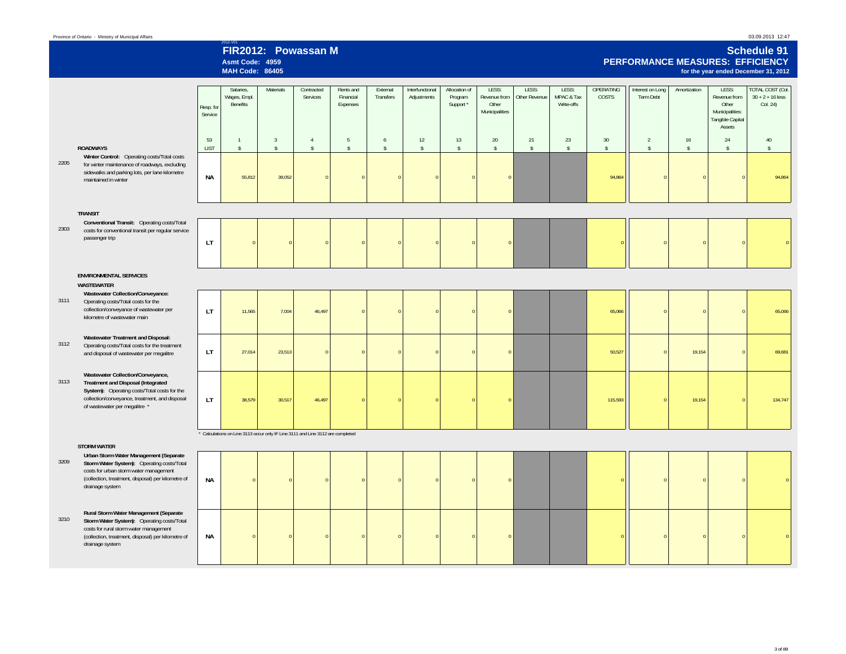drainage system

|      | Province of Ontario - Ministry of Municipal Affairs                                                                                                                                                                           |                      |                                                                                 |                      |                                      |                                    |                       |                                |                                       |                                                  |                        |                                   |                                 |                               |                     |                                                                                 | 03.09.2013 12:47                                                                                      |
|------|-------------------------------------------------------------------------------------------------------------------------------------------------------------------------------------------------------------------------------|----------------------|---------------------------------------------------------------------------------|----------------------|--------------------------------------|------------------------------------|-----------------------|--------------------------------|---------------------------------------|--------------------------------------------------|------------------------|-----------------------------------|---------------------------------|-------------------------------|---------------------|---------------------------------------------------------------------------------|-------------------------------------------------------------------------------------------------------|
|      |                                                                                                                                                                                                                               |                      | Asmt Code: 4959<br><b>MAH Code: 86405</b>                                       | FIR2012: Powassan M  |                                      |                                    |                       |                                |                                       |                                                  |                        |                                   |                                 |                               |                     |                                                                                 | <b>Schedule 91</b><br><b>PERFORMANCE MEASURES: EFFICIENCY</b><br>for the year ended December 31, 2012 |
|      |                                                                                                                                                                                                                               | Resp. for<br>Service | Salaries.<br>Wages, Empl.<br>Benefits                                           | <b>Materials</b>     | Contracted<br>Services               | Rents and<br>Financial<br>Expenses | External<br>Transfers | Interfunctional<br>Adjustments | Allocation of<br>Program<br>Support * | LESS:<br>Revenue from<br>Other<br>Municipalities | LESS:<br>Other Revenue | LESS:<br>MPAC & Tax<br>Write-offs | OPERATING<br>COSTS              | Interest on Long<br>Term Debt | Amortization        | LESS:<br>Revenue from<br>Other<br>Municipalities:<br>Tangible Capital<br>Assets | <b>TOTAL COST (Col.</b><br>$30 + 2 + 16$ less<br>Col. 24)                                             |
|      | <b>ROADWAYS</b>                                                                                                                                                                                                               | 53<br><b>LIST</b>    | $\mathbf{1}$<br>$\mathbf{\hat{S}}$                                              | $\overline{3}$<br>\$ | $\overline{4}$<br>$\hat{\mathbb{S}}$ | -5<br>$\hat{\mathbb{S}}$           | 6<br>$\mathsf{s}$     | 12<br>$\mathsf{s}$             | 13<br>$\mathsf{s}$                    | 20<br>$\hat{\mathbb{S}}$                         | 21<br>$\mathbb{S}$     | 23<br>$\mathsf{\$}$               | 30 <sup>°</sup><br>$\mathsf{s}$ | $\overline{2}$<br>\$          | 16<br>$\mathsf{\$}$ | 24<br>$\mathsf{\$}$                                                             | 40<br>$\mathsf{s}$                                                                                    |
| 2205 | Winter Control: Operating costs/Total costs<br>for winter maintenance of roadways, excluding<br>sidewalks and parking lots, per lane kilometre<br>maintained in winter                                                        | NА                   | 55,812                                                                          | 39,052               | $\Omega$                             |                                    |                       |                                | $\Omega$                              | $\sqrt{ }$                                       |                        |                                   | 94,864                          | $\Omega$                      | $\Omega$            | $\Omega$                                                                        | 94,864                                                                                                |
|      | <b>TRANSIT</b>                                                                                                                                                                                                                |                      |                                                                                 |                      |                                      |                                    |                       |                                |                                       |                                                  |                        |                                   |                                 |                               |                     |                                                                                 |                                                                                                       |
| 2303 | Conventional Transit: Operating costs/Total<br>costs for conventional transit per regular service<br>passenger trip                                                                                                           | LT                   |                                                                                 |                      |                                      |                                    |                       |                                |                                       | $\sqrt{ }$                                       |                        |                                   |                                 | $\sqrt{2}$                    | $\sqrt{2}$          | $\Omega$                                                                        |                                                                                                       |
|      | <b>ENVIRONMENTAL SERVICES</b><br>WASTEWATER                                                                                                                                                                                   |                      |                                                                                 |                      |                                      |                                    |                       |                                |                                       |                                                  |                        |                                   |                                 |                               |                     |                                                                                 |                                                                                                       |
| 3111 | Wastewater Collection/Conveyance:<br>Operating costs/Total costs for the<br>collection/conveyance of wastewater per<br>kilometre of wastewater main                                                                           | LT.                  | 11,565                                                                          | 7,004                | 46,497                               |                                    |                       |                                |                                       | $\mathfrak{g}$                                   |                        |                                   | 65,066                          | $\Omega$                      |                     | $\Omega$                                                                        | 65,066                                                                                                |
| 3112 | Wastewater Treatment and Disposal:<br>Operating costs/Total costs for the treatment<br>and disposal of wastewater per megalitre                                                                                               | LT.                  | 27.014                                                                          | 23,513               | $\sqrt{2}$                           |                                    |                       |                                | $\Omega$                              | $\Omega$                                         |                        |                                   | 50,527                          | $\Omega$                      | 19.154              | $\Omega$                                                                        | 69,681                                                                                                |
| 3113 | Wastewater Collection/Conveyance,<br><b>Treatment and Disposal (Integrated</b><br>System): Operating costs/Total costs for the<br>collection/conveyance, treatment, and disposal<br>of wastewater per megalitre *             | LT.                  | 38,579                                                                          | 30,517               | 46,497                               |                                    |                       |                                |                                       |                                                  |                        |                                   | 115,593                         | $\Omega$                      | 19,154              | $\Omega$                                                                        | 134,747                                                                                               |
|      |                                                                                                                                                                                                                               |                      | * Calculations on Line 3113 occur only IF Line 3111 and Line 3112 are completed |                      |                                      |                                    |                       |                                |                                       |                                                  |                        |                                   |                                 |                               |                     |                                                                                 |                                                                                                       |
| 3209 | <b>STORM WATER</b><br>Urban Storm Water Management (Separate<br>Storm Water System): Operating costs/Total<br>costs for urban storm water management<br>(collection, treatment, disposal) per kilometre of<br>drainage system | ΝA                   |                                                                                 |                      |                                      |                                    |                       |                                |                                       |                                                  |                        |                                   |                                 | $\Omega$                      | $\Omega$            | $\Omega$                                                                        |                                                                                                       |
| 3210 | Rural Storm Water Management (Separate<br>Storm Water System): Operating costs/Total<br>costs for rural storm water management<br>(collection, treatment, disposal) per kilometre of                                          | <b>NA</b>            | $\Omega$                                                                        |                      | $\Omega$                             |                                    |                       |                                |                                       |                                                  |                        |                                   |                                 | $\mathbf{0}$                  | $\mathbf{0}$        | $\mathbf{0}$                                                                    |                                                                                                       |

**NA**

3 of 89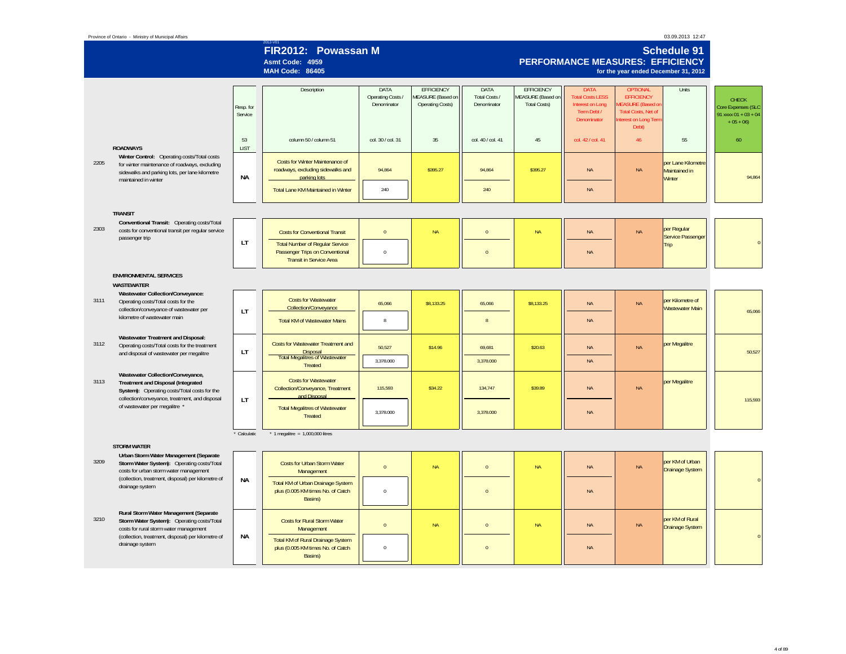| Province of Ontario - Ministry of Municipal Affairs                                                                                                                            |                      |                                                                                                             |                                          |                                                                          |                                      |                                                                      |                                                                                                 |                                                                                                                                | 03.09.2013 12:47                              |                                                                            |
|--------------------------------------------------------------------------------------------------------------------------------------------------------------------------------|----------------------|-------------------------------------------------------------------------------------------------------------|------------------------------------------|--------------------------------------------------------------------------|--------------------------------------|----------------------------------------------------------------------|-------------------------------------------------------------------------------------------------|--------------------------------------------------------------------------------------------------------------------------------|-----------------------------------------------|----------------------------------------------------------------------------|
|                                                                                                                                                                                |                      | FIR2012: Powassan M<br>Asmt Code: 4959<br><b>MAH Code: 86405</b>                                            |                                          |                                                                          |                                      |                                                                      | PERFORMANCE MEASURES: EFFICIENCY                                                                | for the year ended December 31, 2012                                                                                           | <b>Schedule 91</b>                            |                                                                            |
|                                                                                                                                                                                | Resp. for<br>Service | Description                                                                                                 | DATA<br>Operating Costs /<br>Denominator | <b>EFFICIENCY</b><br><b>MEASURE</b> (Based on<br><b>Operating Costs)</b> | DATA<br>Total Costs /<br>Denominator | <b>EFFICIENCY</b><br><b>MEASURE</b> (Based on<br><b>Total Costs)</b> | <b>DATA</b><br><b>Total Costs LESS</b><br><b>Interest on Long</b><br>Term Debt /<br>Denominator | <b>OPTIONAL</b><br><b>EFFICIENCY</b><br><b>IEASURE (Based of</b><br><b>Total Costs, Net of</b><br>nterest on Long Ten<br>Debt) | Units                                         | <b>CHECK</b><br>Core Expenses (SLC<br>91 xxxx $01 + 03 + 04$<br>$+05 + 06$ |
| <b>ROADWAYS</b>                                                                                                                                                                | 53<br>LIST           | column 50 / column 51                                                                                       | col. 30 / col. 31                        | 35                                                                       | col. 40 / col. 41                    | 45                                                                   | col. 42 / col. 41                                                                               | 46                                                                                                                             | 55                                            | 60                                                                         |
| Winter Control: Operating costs/Total costs<br>2205<br>for winter maintenance of roadways, excluding<br>sidewalks and parking lots, per lane kilometre<br>maintained in winter | <b>NA</b>            | Costs for Winter Maintenance of<br>roadways, excluding sidewalks and<br>parking lots                        | 94,864                                   | \$395.27                                                                 | 94,864                               | \$395.27                                                             | <b>NA</b>                                                                                       | <b>NA</b>                                                                                                                      | per Lane Kilometre<br>Maintained in<br>Winter | 94,864                                                                     |
|                                                                                                                                                                                |                      | Total Lane KM Maintained in Winter                                                                          | 240                                      |                                                                          | 240                                  |                                                                      | $\sf NA$                                                                                        |                                                                                                                                |                                               |                                                                            |
| <b>TRANSIT</b>                                                                                                                                                                 |                      |                                                                                                             |                                          |                                                                          |                                      |                                                                      |                                                                                                 |                                                                                                                                |                                               |                                                                            |
| Conventional Transit: Operating costs/Total<br>2303<br>costs for conventional transit per regular service<br>passenger trip                                                    |                      | <b>Costs for Conventional Transit</b>                                                                       | $\mathbf{0}$                             | <b>NA</b>                                                                | $\Omega$                             | <b>NA</b>                                                            | <b>NA</b>                                                                                       | <b>NA</b>                                                                                                                      | per Regular<br>Service Passenger              |                                                                            |
|                                                                                                                                                                                | <b>LT</b>            | <b>Total Number of Regular Service</b><br>Passenger Trips on Conventional<br><b>Transit in Service Area</b> | $\,0\,$                                  |                                                                          | $\overline{0}$                       |                                                                      | $\sf NA$                                                                                        |                                                                                                                                | Trip                                          |                                                                            |
| <b>ENVIRONMENTAL SERVICES</b><br><b>WASTEWATER</b>                                                                                                                             |                      |                                                                                                             |                                          |                                                                          |                                      |                                                                      |                                                                                                 |                                                                                                                                |                                               |                                                                            |
| Wastewater Collection/Conveyance:<br>3111<br>Operating costs/Total costs for the<br>collection/conveyance of wastewater per                                                    | <b>LT</b>            | <b>Costs for Wastewater</b><br>Collection/Conveyance                                                        | 65,066                                   | \$8,133.25                                                               | 65,066                               | \$8,133.25                                                           | <b>NA</b>                                                                                       | <b>NA</b>                                                                                                                      | per Kilometre of<br><b>Wastewater Main</b>    | 65,066                                                                     |
| kilometre of wastewater main                                                                                                                                                   |                      | <b>Total KM of Wastewater Mains</b>                                                                         | $\mathbf{g}$                             |                                                                          | $\mathbf{g}$                         |                                                                      | $\sf NA$                                                                                        |                                                                                                                                |                                               |                                                                            |
| Wastewater Treatment and Disposal:<br>3112<br>Operating costs/Total costs for the treatment<br>and disposal of wastewater per megalitre                                        | <b>LT</b>            | <b>Costs for Wastewater Treatment and</b><br>Disposal<br><b>Total Megalitres of Wastewater</b>              | 50,527                                   | \$14.96                                                                  | 69,681                               | \$20.63                                                              | <b>NA</b>                                                                                       | <b>NA</b>                                                                                                                      | per Megalitre                                 | 50,527                                                                     |
|                                                                                                                                                                                |                      | <b>Treated</b>                                                                                              | 3,378.000                                |                                                                          | 3,378.000                            |                                                                      | $\sf NA$                                                                                        |                                                                                                                                |                                               |                                                                            |
| Wastewater Collection/Conveyance,<br>3113<br><b>Treatment and Disposal (Integrated</b><br>System): Operating costs/Total costs for the                                         |                      | <b>Costs for Wastewater</b><br>Collection/Conveyance, Treatment<br>and Disposal                             | 115,593                                  | \$34.22                                                                  | 134,747                              | \$39.89                                                              | <b>NA</b>                                                                                       | <b>NA</b>                                                                                                                      | per Megalitre                                 |                                                                            |
| collection/conveyance, treatment, and disposal<br>of wastewater per megalitre *                                                                                                | <b>LT</b>            | <b>Total Megalitres of Wastewater</b><br>Treated                                                            | 3.378.000                                |                                                                          | 3,378.000                            |                                                                      | $\sf NA$                                                                                        |                                                                                                                                |                                               | 115,593                                                                    |
|                                                                                                                                                                                | Calculatio           | * 1 megalitre = $1,000,000$ litres                                                                          |                                          |                                                                          |                                      |                                                                      |                                                                                                 |                                                                                                                                |                                               |                                                                            |
| <b>STORM WATER</b>                                                                                                                                                             |                      |                                                                                                             |                                          |                                                                          |                                      |                                                                      |                                                                                                 |                                                                                                                                |                                               |                                                                            |
| Urban Storm Water Management (Separate<br>3209<br>Storm Water System): Operating costs/Total<br>costs for urban storm water management                                         |                      | Costs for Urban Storm Water<br>Management                                                                   | $\mathbf{0}$                             | <b>NA</b>                                                                | $\Omega$                             | <b>NA</b>                                                            | <b>NA</b>                                                                                       | <b>NA</b>                                                                                                                      | per KM of Urban<br><b>Drainage System</b>     |                                                                            |
| (collection, treatment, disposal) per kilometre of<br>drainage system                                                                                                          | <b>NA</b>            | Total KM of Urban Drainage System<br>plus (0.005 KM times No. of Catch<br>Basins)                           | $\,0\,$                                  |                                                                          | $\overline{0}$                       |                                                                      | <b>NA</b>                                                                                       |                                                                                                                                |                                               | $\sqrt{ }$                                                                 |
| Rural Storm Water Management (Separate<br>3210<br>Storm Water System): Operating costs/Total<br>costs for rural storm water management                                         |                      | <b>Costs for Rural Storm Water</b><br>Management                                                            | $\mathbf 0$                              | <b>NA</b>                                                                | $\overline{0}$                       | <b>NA</b>                                                            | $\sf NA$                                                                                        | <b>NA</b>                                                                                                                      | per KM of Rural<br><b>Drainage System</b>     | $\Omega$                                                                   |
| (collection, treatment, disposal) per kilometre of<br>drainage system                                                                                                          | <b>NA</b>            | Total KM of Rural Drainage System<br>plus (0.005 KM times No. of Catch<br>Basins)                           | $\,0\,$                                  |                                                                          | $\overline{0}$                       |                                                                      | <b>NA</b>                                                                                       |                                                                                                                                |                                               |                                                                            |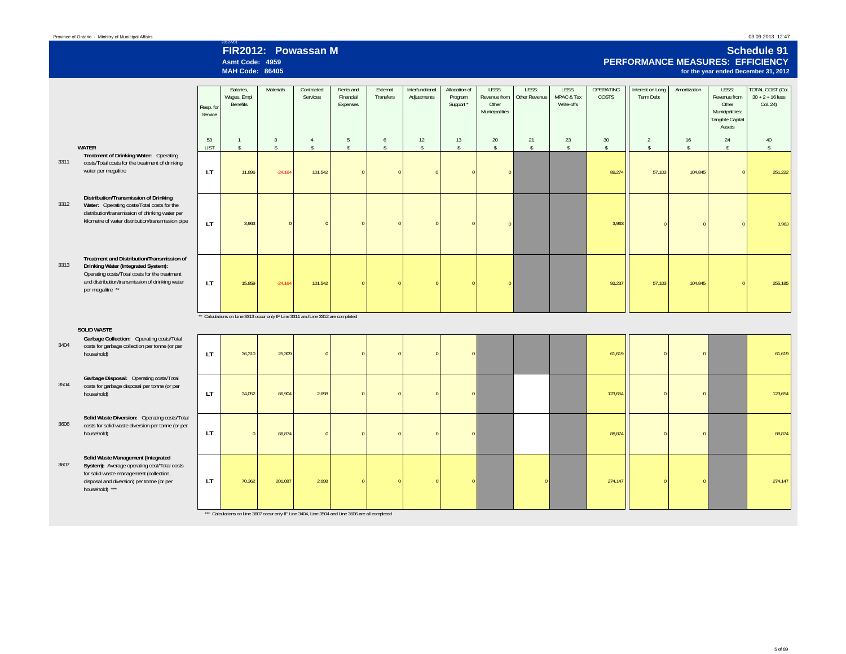## 2012-V01 **FIR2012: Powassan MAsmt Code: 4959**

**MAH Code: 86405**

#### **Schedule 91 PERFORMANCE MEASURES: EFFICIENCYfor the year ended December 31, 2012**

|      |                                                                                                                                                                                                           | Resp. for<br>Service | Salaries.<br>Wages, Empl.<br>Benefits                                            | Materials                      | Contracted<br>Services               | Rents and<br>Financial<br>Expenses | External<br>Transfers   | Interfunctional<br>Adjustments | Allocation of<br>Program<br>Support * | LESS:<br>Revenue from<br>Other<br>Municipalities | LESS:<br>Other Revenue   | LESS:<br>MPAC & Tax<br>Write-offs | OPERATING<br><b>COSTS</b>       | Interest on Long<br>Term Debt  | Amortization       | LESS:<br>Revenue from<br>Other<br>Municipalities:<br>Tangible Capital<br>Assets | <b>TOTAL COST (Col.</b><br>$30 + 2 + 16$ less<br>Col. 24) |
|------|-----------------------------------------------------------------------------------------------------------------------------------------------------------------------------------------------------------|----------------------|----------------------------------------------------------------------------------|--------------------------------|--------------------------------------|------------------------------------|-------------------------|--------------------------------|---------------------------------------|--------------------------------------------------|--------------------------|-----------------------------------|---------------------------------|--------------------------------|--------------------|---------------------------------------------------------------------------------|-----------------------------------------------------------|
|      | WATER                                                                                                                                                                                                     | 53<br><b>LIST</b>    | $\overline{1}$<br>$\mathsf{s}$                                                   | $\overline{3}$<br>$\mathsf{s}$ | $\overline{4}$<br>$\hat{\mathbf{S}}$ | 5<br>$\hat{\mathbf{S}}$            | 6<br>$\hat{\mathbf{s}}$ | 12<br>$\hat{\mathbf{S}}$       | 13<br>$\hat{\mathbf{S}}$              | 20<br>$\mathsf{s}$                               | 21<br>$\hat{\mathbf{S}}$ | 23<br>$\mathsf{s}$                | 30 <sup>°</sup><br>$\mathsf{s}$ | $\overline{2}$<br>$\mathsf{s}$ | 16<br>$\mathsf{s}$ | 24<br>$\mathsf{s}$                                                              | 40<br>$\hat{S}$                                           |
| 3311 | Treatment of Drinking Water: Operating<br>costs/Total costs for the treatment of drinking<br>water per megalitre                                                                                          | <b>LT</b>            | 11,896                                                                           | $-24,164$                      | 101,542                              | $\Omega$                           | $\Omega$                |                                | $\Omega$                              |                                                  |                          |                                   | 89,274                          | 57,103                         | 104,845            | $\mathbf{0}$                                                                    | 251,222                                                   |
| 3312 | Distribution/Transmission of Drinking<br>Water: Operating costs/Total costs for the<br>distribution/transmission of drinking water per<br>kilometre of water distribution/transmission pipe               | LT.                  | 3.963                                                                            |                                | $\Omega$                             |                                    |                         |                                |                                       |                                                  |                          |                                   | 3,963                           | $\Omega$                       |                    | $\Omega$                                                                        | 3,963                                                     |
| 3313 | Treatment and Distribution/Transmission of<br>Drinking Water (Integrated System):<br>Operating costs/Total costs for the treatment<br>and distribution/transmission of drinking water<br>per megalitre ** | LT.                  | 15,859                                                                           | $-24.164$                      | 101.542                              |                                    |                         |                                |                                       |                                                  |                          |                                   | 93,237                          | 57,103                         | 104,845            | $\overline{0}$                                                                  | 255,185                                                   |
|      | <b>SOLID WASTE</b>                                                                                                                                                                                        |                      | ** Calculations on Line 3313 occur only IF Line 3311 and Line 3312 are completed |                                |                                      |                                    |                         |                                |                                       |                                                  |                          |                                   |                                 |                                |                    |                                                                                 |                                                           |
| 3404 | Garbage Collection: Operating costs/Total<br>costs for garbage collection per tonne (or per<br>household)                                                                                                 | LT.                  | 36,310                                                                           | 25,309                         | $\Omega$                             |                                    |                         |                                | $\Omega$                              |                                                  |                          |                                   | 61,619                          | $\Omega$                       | $\Omega$           |                                                                                 | 61,619                                                    |
| 3504 | Garbage Disposal: Operating costs/Total<br>costs for garbage disposal per tonne (or per<br>household)                                                                                                     | <b>LT</b>            | 34,052                                                                           | 86,904                         | 2,698                                |                                    |                         |                                | $\Omega$                              |                                                  |                          |                                   | 123,654                         | $\Omega$                       | $\mathbf{0}$       |                                                                                 | 123,654                                                   |
| 3606 | Solid Waste Diversion: Operating costs/Total<br>costs for solid waste diversion per tonne (or per<br>household)                                                                                           | LT.                  |                                                                                  | 88,874                         | $\Omega$                             |                                    |                         |                                | $\Omega$                              |                                                  |                          |                                   | 88,874                          | $\Omega$                       | $\Omega$           |                                                                                 | 88,874                                                    |
| 3607 | Solid Waste Management (Integrated<br>System): Average operating cost/Total costs<br>for solid waste management (collection,<br>disposal and diversion) per tonne (or per<br>household) ***               | LT.                  | 70,362                                                                           | 201,087                        | 2,698                                |                                    |                         |                                | $\overline{0}$                        |                                                  | $\overline{0}$           |                                   | 274,147                         | $\overline{0}$                 | $\Omega$           |                                                                                 | 274,147                                                   |
|      |                                                                                                                                                                                                           |                      |                                                                                  |                                |                                      |                                    |                         |                                |                                       |                                                  |                          |                                   |                                 |                                |                    |                                                                                 |                                                           |

\*\*\* Calculations on Line 3607 occur only IF Line 3404, Line 3504 and Line 3606 are all completed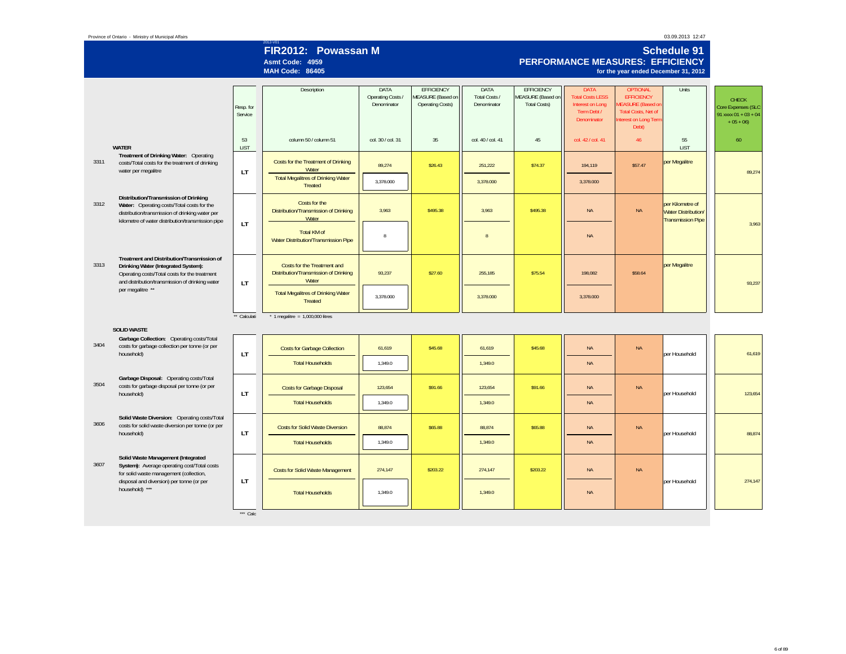#### Province of Ontario - Ministry of Municipal Affairs

 $***$  Calc

|      |                                                                                                                                                                                             |                      | FIR2012: Powassan M<br>Asmt Code: 4959<br><b>MAH Code: 86405</b>                          |                                          |                                                                   |                                      |                                                               | PERFORMANCE MEASURES: EFFICIENCY                                                                | for the year ended December 31, 2012                                                                                            | <b>Schedule 91</b>                                                         |                                                                            |
|------|---------------------------------------------------------------------------------------------------------------------------------------------------------------------------------------------|----------------------|-------------------------------------------------------------------------------------------|------------------------------------------|-------------------------------------------------------------------|--------------------------------------|---------------------------------------------------------------|-------------------------------------------------------------------------------------------------|---------------------------------------------------------------------------------------------------------------------------------|----------------------------------------------------------------------------|----------------------------------------------------------------------------|
|      |                                                                                                                                                                                             | Resp. for<br>Service | Description                                                                               | DATA<br>Operating Costs /<br>Denominator | EFFICIENCY<br><b>JEASURE</b> (Based on<br><b>Operating Costs)</b> | DATA<br>Total Costs /<br>Denominator | <b>EFFICIENCY</b><br>MEASURE (Based on<br><b>Total Costs)</b> | <b>DATA</b><br><b>Total Costs LESS</b><br><b>Interest on Long</b><br>Term Debt /<br>Denominator | <b>OPTIONAL</b><br><b>EFFICIENCY</b><br><b>IEASURE (Based on</b><br><b>Total Costs, Net of</b><br>nterest on Long Term<br>Debt) | Units                                                                      | <b>CHECK</b><br>Core Expenses (SLC<br>91 xxxx $01 + 03 + 04$<br>$+05 + 06$ |
|      | <b>WATER</b>                                                                                                                                                                                | 53<br>LIST           | column 50 / column 51                                                                     | col. 30 / col. 31                        | 35                                                                | col. 40 / col. 41                    | 45                                                            | col. 42 / col. 41                                                                               | 46                                                                                                                              | 55<br><b>LIST</b>                                                          | 60                                                                         |
| 3311 | Treatment of Drinking Water: Operating<br>costs/Total costs for the treatment of drinking<br>water per megalitre                                                                            | <b>LT</b>            | Costs for the Treatment of Drinking<br>Water<br><b>Total Megalitres of Drinking Water</b> | 89,274                                   | \$26.43                                                           | 251,222                              | \$74.37                                                       | 194,119                                                                                         | \$57.47                                                                                                                         | per Megalitre                                                              | 89.274                                                                     |
|      |                                                                                                                                                                                             |                      | <b>Treated</b>                                                                            | 3,378.000                                |                                                                   | 3,378.000                            |                                                               | 3,378.000                                                                                       |                                                                                                                                 |                                                                            |                                                                            |
| 3312 | Distribution/Transmission of Drinking<br>Water: Operating costs/Total costs for the<br>distribution/transmission of drinking water per<br>kilometre of water distribution/transmission pipe |                      | Costs for the<br>Distribution/Transmission of Drinking<br>Water                           | 3,963                                    | \$495.38                                                          | 3,963                                | \$495.38                                                      | <b>NA</b>                                                                                       | <b>NA</b>                                                                                                                       | per Kilometre of<br><b>Water Distribution/</b><br><b>Transmission Pipe</b> |                                                                            |
|      |                                                                                                                                                                                             | LT                   | Total KM of<br>Water Distribution/Transmission Pipe                                       | 8                                        |                                                                   | $\mathbf{g}$                         |                                                               | <b>NA</b>                                                                                       |                                                                                                                                 |                                                                            | 3,963                                                                      |
| 3313 | Treatment and Distribution/Transmission of<br>Drinking Water (Integrated System):<br>Operating costs/Total costs for the treatment<br>and distribution/transmission of drinking water       | LT                   | Costs for the Treatment and<br>Distribution/Transmission of Drinking<br>Water             | 93,237                                   | \$27.60                                                           | 255,185                              | \$75.54                                                       | 198,082                                                                                         | \$58.64                                                                                                                         | per Megalitre                                                              | 93,237                                                                     |
|      | per megalitre **                                                                                                                                                                            |                      | <b>Total Megalitres of Drinking Water</b><br><b>Treated</b>                               | 3,378.000                                |                                                                   | 3,378.000                            |                                                               | 3,378.000                                                                                       |                                                                                                                                 |                                                                            |                                                                            |
|      |                                                                                                                                                                                             | ** Calculati         | $*$ 1 megalitre = 1,000,000 litres                                                        |                                          |                                                                   |                                      |                                                               |                                                                                                 |                                                                                                                                 |                                                                            |                                                                            |
|      | <b>SOLID WASTE</b>                                                                                                                                                                          |                      |                                                                                           |                                          |                                                                   |                                      |                                                               |                                                                                                 |                                                                                                                                 |                                                                            |                                                                            |
| 3404 | Garbage Collection: Operating costs/Total<br>costs for garbage collection per tonne (or per<br>household)                                                                                   | LT                   | <b>Costs for Garbage Collection</b>                                                       | 61,619                                   | \$45.68                                                           | 61,619                               | \$45.68                                                       | <b>NA</b>                                                                                       | <b>NA</b>                                                                                                                       | per Household                                                              | 61,619                                                                     |
|      |                                                                                                                                                                                             |                      | <b>Total Households</b>                                                                   | 1,349.0                                  |                                                                   | 1,349.0                              |                                                               | <b>NA</b>                                                                                       |                                                                                                                                 |                                                                            |                                                                            |
| 3504 | Garbage Disposal: Operating costs/Total<br>costs for garbage disposal per tonne (or per<br>household)                                                                                       | LT                   | <b>Costs for Garbage Disposal</b>                                                         | 123,654                                  | \$91.66                                                           | 123,654                              | \$91.66                                                       | <b>NA</b>                                                                                       | <b>NA</b>                                                                                                                       | per Household                                                              | 123,654                                                                    |
|      |                                                                                                                                                                                             |                      | <b>Total Households</b>                                                                   | 1,349.0                                  |                                                                   | 1,349.0                              |                                                               | <b>NA</b>                                                                                       |                                                                                                                                 |                                                                            |                                                                            |
| 3606 | Solid Waste Diversion: Operating costs/Total<br>costs for solid waste diversion per tonne (or per<br>household)                                                                             | LT                   | <b>Costs for Solid Waste Diversion</b>                                                    | 88,874                                   | \$65.88                                                           | 88,874                               | \$65.88                                                       | <b>NA</b>                                                                                       | <b>NA</b>                                                                                                                       | per Household                                                              | 88,874                                                                     |
|      |                                                                                                                                                                                             |                      | <b>Total Households</b>                                                                   | 1,349.0                                  |                                                                   | 1,349.0                              |                                                               | <b>NA</b>                                                                                       |                                                                                                                                 |                                                                            |                                                                            |
| 3607 | Solid Waste Management (Integrated<br>System): Average operating cost/Total costs<br>for solid waste management (collection,<br>disposal and diversion) per tonne (or per                   | LT                   | <b>Costs for Solid Waste Management</b>                                                   | 274,147                                  | \$203.22                                                          | 274,147                              | \$203.22                                                      | <b>NA</b>                                                                                       | <b>NA</b>                                                                                                                       | per Household                                                              | 274,147                                                                    |
|      | household) ***                                                                                                                                                                              |                      | <b>Total Households</b>                                                                   | 1.349.0                                  |                                                                   | 1.349.0                              |                                                               | <b>NA</b>                                                                                       |                                                                                                                                 |                                                                            |                                                                            |

6 of 89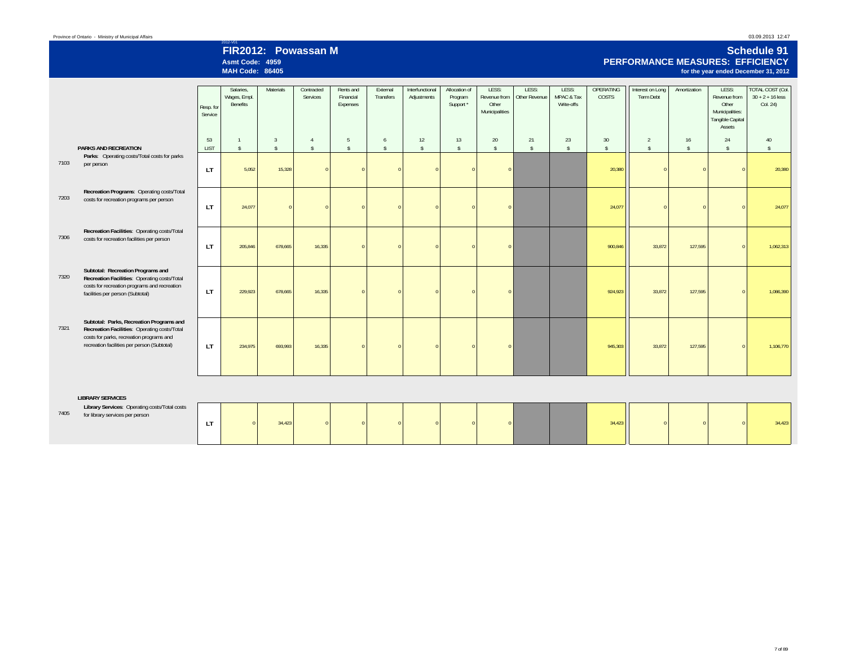## 2012-V01 **FIR2012: Powassan MAsmt Code: 4959**

**MAH Code: 86405**

#### **Schedule 91 PERFORMANCE MEASURES: EFFICIENCYfor the year ended December 31, 2012**

|      |                                                                                                                                                                                     | Resp. for<br>Service | Salaries.<br>Wages, Empl.<br>Benefits | <b>Materials</b>                | Contracted<br>Services   | Rents and<br>Financial<br>Expenses | External<br>Transfers   | Interfunctional<br>Adjustments | Allocation of<br>Program<br>Support * | LESS:<br>Revenue from<br>Other<br>Municipalities | LESS:<br>Other Revenue | LESS:<br>MPAC & Tax<br>Write-offs | OPERATING<br>COSTS       | Interest on Long<br>Term Debt   | Amortization        | LESS:<br>Revenue from<br>Other<br>Municipalities:<br>Tangible Capital<br>Assets | <b>TOTAL COST (Col.</b><br>$30 + 2 + 16$ less<br>Col. 24) |
|------|-------------------------------------------------------------------------------------------------------------------------------------------------------------------------------------|----------------------|---------------------------------------|---------------------------------|--------------------------|------------------------------------|-------------------------|--------------------------------|---------------------------------------|--------------------------------------------------|------------------------|-----------------------------------|--------------------------|---------------------------------|---------------------|---------------------------------------------------------------------------------|-----------------------------------------------------------|
|      | <b>PARKS AND RECREATION</b>                                                                                                                                                         | 53<br><b>LIST</b>    | $\overline{1}$<br>$\mathbf{\hat{S}}$  | $\overline{3}$<br>$\mathsf{\$}$ | $\Delta$<br>$\mathbb{S}$ | -5<br>$\hat{\mathbf{S}}$           | 6<br>$\hat{\mathbf{x}}$ | 12<br>$\hat{S}$                | 13<br>$\mathsf{s}$                    | 20<br>$\hat{\mathbb{S}}$                         | 21<br>$\sqrt{2}$       | 23<br>$\mathsf{\$}$               | 30<br>$\mathbf{\hat{s}}$ | $\overline{2}$<br>$\mathsf{\$}$ | 16<br>$\mathsf{\$}$ | 24<br>$\mathsf{s}$                                                              | 40<br>$\mathbf{s}$                                        |
| 7103 | Parks: Operating costs/Total costs for parks<br>per person                                                                                                                          | LT.                  | 5,052                                 | 15,328                          |                          |                                    |                         |                                |                                       | $\Omega$                                         |                        |                                   | 20,380                   | $\sqrt{2}$                      | $\Omega$            | $\Omega$                                                                        | 20,380                                                    |
| 7203 | Recreation Programs: Operating costs/Total<br>costs for recreation programs per person                                                                                              | LT.                  | 24,077                                |                                 |                          |                                    |                         |                                |                                       | $\Omega$                                         |                        |                                   | 24.077                   | $\Omega$                        | $\Omega$            | $\Omega$                                                                        | 24,077                                                    |
| 7306 | Recreation Facilities: Operating costs/Total<br>costs for recreation facilities per person                                                                                          | <b>LT</b>            | 205,846                               | 678,665                         | 16,335                   |                                    |                         |                                |                                       | $\Omega$                                         |                        |                                   | 900,846                  | 33,872                          | 127,595             | $\Omega$                                                                        | 1,062,313                                                 |
| 7320 | Subtotal: Recreation Programs and<br>Recreation Facilities: Operating costs/Total<br>costs for recreation programs and recreation<br>facilities per person (Subtotal)               | LT.                  | 229,923                               | 678,665                         | 16,335                   |                                    |                         |                                |                                       |                                                  |                        |                                   | 924,923                  | 33,872                          | 127,595             | $\Omega$                                                                        | 1,086,390                                                 |
| 7321 | Subtotal: Parks, Recreation Programs and<br>Recreation Facilities: Operating costs/Total<br>costs for parks, recreation programs and<br>recreation facilities per person (Subtotal) | LT.                  | 234,975                               | 693,993                         | 16,335                   |                                    |                         |                                |                                       | $\Omega$                                         |                        |                                   | 945,303                  | 33,872                          | 127,595             | $\Omega$                                                                        | 1,106,770                                                 |
|      | <b>LIBRARY SERVICES</b>                                                                                                                                                             |                      |                                       |                                 |                          |                                    |                         |                                |                                       |                                                  |                        |                                   |                          |                                 |                     |                                                                                 |                                                           |
| 7405 | Library Services: Operating costs/Total costs<br>for library services per person                                                                                                    | LT.                  | $\Omega$                              | 34,423                          |                          |                                    |                         |                                |                                       | $\Omega$                                         |                        |                                   | 34,423                   |                                 | $\Omega$            | $\Omega$                                                                        | 34,423                                                    |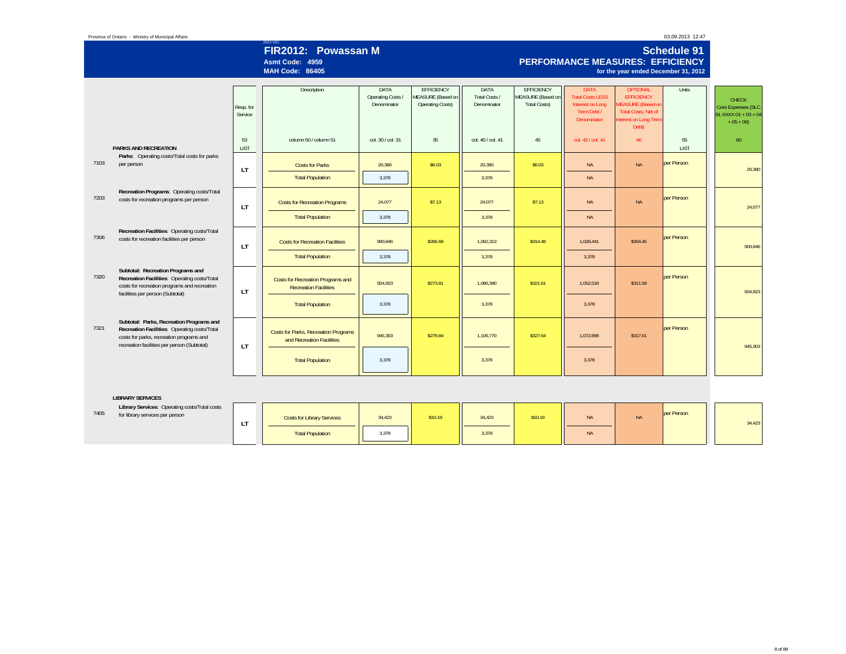#### Province of Ontario - Ministry of Municipal Affairs

#### 03.09.2013 12:47

# 2012-V01 **FIR2012: Powassan M Schedule 91**

#### **Asmt Code: 4959MAH Code: 86405**

#### **PERFORMANCE MEASURES: EFFICIENCYfor the year ended December 31, 2012**

|      |                                                                                              |             | Description                            | DATA              | <b>EFFICIENCY</b>       | DATA              | <b>EFFICIENCY</b>   | <b>DATA</b>                | <b>OPTIONAL</b>                       | Units       |                      |
|------|----------------------------------------------------------------------------------------------|-------------|----------------------------------------|-------------------|-------------------------|-------------------|---------------------|----------------------------|---------------------------------------|-------------|----------------------|
|      |                                                                                              |             |                                        | Operating Costs / | MEASURE (Based on       | Total Costs /     | MEASURE (Based on   | <b>Total Costs LESS</b>    | <b>EFFICIENCY</b>                     |             | <b>CHECK</b>         |
|      |                                                                                              | Resp. for   |                                        | Denominator       | <b>Operating Costs)</b> | Denominator       | <b>Total Costs)</b> | Interest on Long           | <b>MEASURE</b> (Based on              |             | Core Expenses (SLC   |
|      |                                                                                              | Service     |                                        |                   |                         |                   |                     | Term Debt /<br>Denominator | <b>Total Costs, Net of</b>            |             | 91 XXXX 01 + 03 + 04 |
|      |                                                                                              |             |                                        |                   |                         |                   |                     |                            | <b>Interest on Long Term</b><br>Debt) |             | $+05+06$             |
|      |                                                                                              |             |                                        |                   |                         |                   |                     |                            |                                       |             |                      |
|      |                                                                                              | 53          | column 50 / column 51                  | col. 30 / col. 31 | 35                      | col. 40 / col. 41 | 45                  | col. 42 / col. 41          | 46                                    | 55          | 60                   |
|      | <b>PARKS AND RECREATION</b>                                                                  | <b>LIST</b> |                                        |                   |                         |                   |                     |                            |                                       | <b>LIST</b> |                      |
|      | Parks: Operating costs/Total costs for parks                                                 |             |                                        |                   |                         |                   |                     |                            |                                       |             |                      |
| 7103 | per person                                                                                   |             | <b>Costs for Parks</b>                 | 20,380            | \$6.03                  | 20,380            | \$6.03              | <b>NA</b>                  | <b>NA</b>                             | per Person  |                      |
|      |                                                                                              | LT.         |                                        |                   |                         |                   |                     |                            |                                       |             | 20,380               |
|      |                                                                                              |             | <b>Total Population</b>                | 3,378             |                         | 3,378             |                     | <b>NA</b>                  |                                       |             |                      |
|      | Recreation Programs: Operating costs/Total                                                   |             |                                        |                   |                         |                   |                     |                            |                                       |             |                      |
| 7203 | costs for recreation programs per person                                                     |             | <b>Costs for Recreation Programs</b>   | 24.077            | \$7.13                  | 24,077            | \$7.13              | <b>NA</b>                  | <b>NA</b>                             | per Person  |                      |
|      |                                                                                              | LT          |                                        |                   |                         |                   |                     |                            |                                       |             | 24.077               |
|      |                                                                                              |             | <b>Total Population</b>                | 3,378             |                         | 3,378             |                     | <b>NA</b>                  |                                       |             |                      |
|      |                                                                                              |             |                                        |                   |                         |                   |                     |                            |                                       |             |                      |
|      | Recreation Facilities: Operating costs/Total                                                 |             |                                        |                   |                         |                   |                     |                            |                                       |             |                      |
| 7306 | costs for recreation facilities per person                                                   |             | <b>Costs for Recreation Facilities</b> | 900.846           | \$266.68                | 1,062,313         | \$314.48            | 1.028.441                  | \$304.45                              | per Person  |                      |
|      |                                                                                              | <b>LT</b>   |                                        |                   |                         |                   |                     |                            |                                       |             | 900.846              |
|      |                                                                                              |             | <b>Total Population</b>                | 3,378             |                         | 3.378             |                     | 3.378                      |                                       |             |                      |
|      |                                                                                              |             |                                        |                   |                         |                   |                     |                            |                                       |             |                      |
| 7320 | Subtotal: Recreation Programs and                                                            |             |                                        |                   |                         |                   |                     |                            |                                       | per Person  |                      |
|      | Recreation Facilities: Operating costs/Total<br>costs for recreation programs and recreation |             | Costs for Recreation Programs and      | 924,923           | \$273.81                | 1,086,390         | \$321.61            | 1,052,518                  | \$311.58                              |             |                      |
|      | facilities per person (Subtotal)                                                             | <b>LT</b>   | <b>Recreation Facilities</b>           |                   |                         |                   |                     |                            |                                       |             | 924.923              |
|      |                                                                                              |             |                                        |                   |                         |                   |                     |                            |                                       |             |                      |
|      |                                                                                              |             | <b>Total Population</b>                | 3,378             |                         | 3,378             |                     | 3,378                      |                                       |             |                      |
|      |                                                                                              |             |                                        |                   |                         |                   |                     |                            |                                       |             |                      |
| 7321 | Subtotal: Parks, Recreation Programs and                                                     |             |                                        |                   |                         |                   |                     |                            |                                       | per Person  |                      |
|      | Recreation Facilities: Operating costs/Total<br>costs for parks, recreation programs and     |             | Costs for Parks, Recreation Programs   | 945.303           | \$279.84                | 1,106,770         | \$327.64            | 1.072.898                  | \$317.61                              |             |                      |
|      | recreation facilities per person (Subtotal)                                                  |             | and Recreation Facilities              |                   |                         |                   |                     |                            |                                       |             |                      |
|      |                                                                                              | <b>LT</b>   |                                        |                   |                         |                   |                     |                            |                                       |             | 945.303              |
|      |                                                                                              |             | <b>Total Population</b>                | 3,378             |                         | 3,378             |                     | 3,378                      |                                       |             |                      |
|      |                                                                                              |             |                                        |                   |                         |                   |                     |                            |                                       |             |                      |
|      |                                                                                              |             |                                        |                   |                         |                   |                     |                            |                                       |             |                      |

#### **LIBRARY SERVICES**

|      | -----------------                                                                |          |                                   |        |         |        |         |           |            |            |        |  |
|------|----------------------------------------------------------------------------------|----------|-----------------------------------|--------|---------|--------|---------|-----------|------------|------------|--------|--|
| 7405 | Library Services: Operating costs/Total costs<br>for library services per person | <b>.</b> | <b>Costs for Library Services</b> | 34,423 | \$10.19 | 34.423 | \$10.19 | <b>NA</b> | <b>INA</b> | per Person | 34,423 |  |
|      |                                                                                  |          | <b>Total Population</b>           | 3,378  |         | 3,378  |         | <b>NA</b> |            |            |        |  |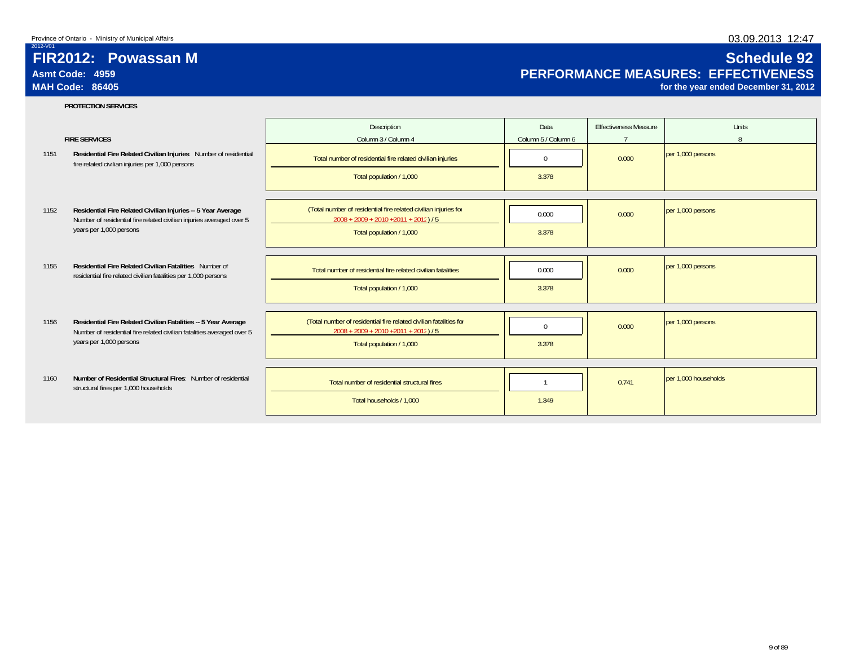2012-V01

# 03.09.2013 12:47

# **FIR2012: Powassan MAsmt Code: 4959MAH Code: 86405**

# **Schedule 92 PERFORMANCE MEASURES: EFFECTIVENESS**

**for the year ended December 31, 2012**

#### **PROTECTION SERVICES**

|      | <b>FIRE SERVICES</b>                                                                                                                                                | Description<br>Column 3 / Column 4                                                                                                        | Data<br>Column 5 / Column 6 | <b>Effectiveness Measure</b> | <b>Units</b><br><sup>8</sup> |
|------|---------------------------------------------------------------------------------------------------------------------------------------------------------------------|-------------------------------------------------------------------------------------------------------------------------------------------|-----------------------------|------------------------------|------------------------------|
| 1151 | Residential Fire Related Civilian Injuries Number of residential<br>fire related civilian injuries per 1,000 persons                                                | Total number of residential fire related civilian injuries                                                                                | $\mathbf 0$                 | 0.000                        | per 1,000 persons            |
|      |                                                                                                                                                                     | Total population / 1,000                                                                                                                  | 3.378                       |                              |                              |
| 1152 | Residential Fire Related Civilian Injuries -- 5 Year Average<br>Number of residential fire related civilian injuries averaged over 5<br>years per 1,000 persons     | (Total number of residential fire related civilian injuries for<br>$2008 + 2009 + 2010 + 2011 + 2012$ ) / 5<br>Total population / 1,000   | 0.000<br>3.378              | 0.000                        | per 1,000 persons            |
| 1155 | <b>Residential Fire Related Civilian Fatalities</b> Number of<br>residential fire related civilian fatalities per 1,000 persons                                     | Total number of residential fire related civilian fatalities<br>Total population / 1,000                                                  | 0.000<br>3.378              | 0.000                        | per 1,000 persons            |
| 1156 | Residential Fire Related Civilian Fatalities -- 5 Year Average<br>Number of residential fire related civilian fatalities averaged over 5<br>years per 1,000 persons | (Total number of residential fire related civilian fatalities for<br>$2008 + 2009 + 2010 + 2011 + 2012$ ) / 5<br>Total population / 1,000 | $\Omega$<br>3.378           | 0.000                        | per 1,000 persons            |
| 1160 | Number of Residential Structural Fires: Number of residential<br>structural fires per 1,000 households                                                              | Total number of residential structural fires<br>Total households / 1.000                                                                  | 1.349                       | 0.741                        | per 1.000 households         |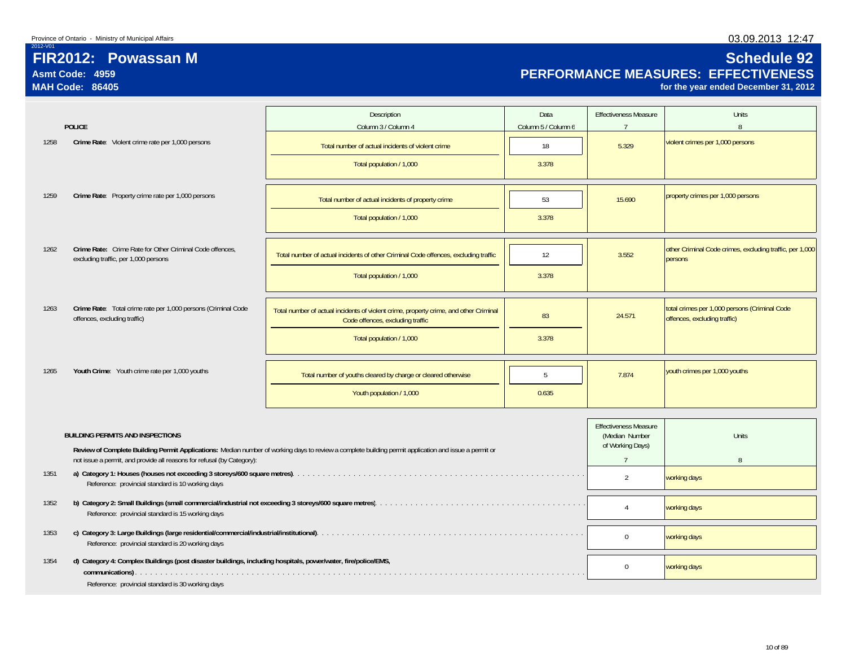# **FIR2012: Powassan MAsmt Code: 4959**

**MAH Code: 86405**

2012-V01

# **Schedule 92 PERFORMANCE MEASURES: EFFECTIVENESS**

**for the year ended December 31, 2012**

|      |                                                                                                               | Description                                                                                                                                           | Data                | <b>Effectiveness Measure</b>                                       | <b>Units</b>                                                                  |
|------|---------------------------------------------------------------------------------------------------------------|-------------------------------------------------------------------------------------------------------------------------------------------------------|---------------------|--------------------------------------------------------------------|-------------------------------------------------------------------------------|
|      | <b>POLICE</b>                                                                                                 | Column 3 / Column 4                                                                                                                                   | Column 5 / Column 6 | $\overline{7}$                                                     | $\mathsf{R}$                                                                  |
| 1258 | Crime Rate: Violent crime rate per 1,000 persons                                                              | Total number of actual incidents of violent crime                                                                                                     | 18                  | 5.329                                                              | violent crimes per 1,000 persons                                              |
|      |                                                                                                               | Total population / 1,000                                                                                                                              | 3.378               |                                                                    |                                                                               |
| 1259 | Crime Rate: Property crime rate per 1,000 persons                                                             | Total number of actual incidents of property crime                                                                                                    | 53                  | 15.690                                                             | property crimes per 1,000 persons                                             |
|      |                                                                                                               | Total population / 1,000                                                                                                                              | 3.378               |                                                                    |                                                                               |
|      |                                                                                                               |                                                                                                                                                       |                     |                                                                    |                                                                               |
| 1262 | Crime Rate: Crime Rate for Other Criminal Code offences,<br>excluding traffic, per 1,000 persons              | Total number of actual incidents of other Criminal Code offences, excluding traffic                                                                   | 12                  | 3.552                                                              | other Criminal Code crimes, excluding traffic, per 1,000<br>persons           |
|      |                                                                                                               | Total population / 1,000                                                                                                                              | 3.378               |                                                                    |                                                                               |
|      |                                                                                                               |                                                                                                                                                       |                     |                                                                    |                                                                               |
| 1263 | Crime Rate: Total crime rate per 1,000 persons (Criminal Code<br>offences, excluding traffic)                 | Total number of actual incidents of violent crime, property crime, and other Criminal<br>Code offences, excluding traffic                             | 83                  | 24.571                                                             | total crimes per 1,000 persons (Criminal Code<br>offences, excluding traffic) |
|      |                                                                                                               | Total population / 1,000                                                                                                                              | 3.378               |                                                                    |                                                                               |
|      |                                                                                                               |                                                                                                                                                       |                     |                                                                    |                                                                               |
| 1265 | Youth Crime: Youth crime rate per 1,000 youths                                                                | Total number of youths cleared by charge or cleared otherwise                                                                                         | $\overline{5}$      | 7.874                                                              | youth crimes per 1,000 youths                                                 |
|      |                                                                                                               | Youth population / 1,000                                                                                                                              | 0.635               |                                                                    |                                                                               |
|      |                                                                                                               |                                                                                                                                                       |                     |                                                                    |                                                                               |
|      | <b>BUILDING PERMITS AND INSPECTIONS</b>                                                                       |                                                                                                                                                       |                     | <b>Effectiveness Measure</b><br>(Median Number<br>of Working Days) | <b>Units</b>                                                                  |
|      | not issue a permit, and provide all reasons for refusal (by Category):                                        | Review of Complete Building Permit Applications: Median number of working days to review a complete building permit application and issue a permit or |                     | $7\overline{ }$                                                    | 8                                                                             |
| 1351 | Reference: provincial standard is 10 working days                                                             |                                                                                                                                                       |                     | $\overline{2}$                                                     | working days                                                                  |
| 1352 | Reference: provincial standard is 15 working days                                                             |                                                                                                                                                       | $\overline{4}$      | working days                                                       |                                                                               |
| 1353 | Reference: provincial standard is 20 working days                                                             |                                                                                                                                                       | $\Omega$            | working days                                                       |                                                                               |
| 1354 | d) Category 4: Complex Buildings (post disaster buildings, including hospitals, power/water, fire/police/EMS, |                                                                                                                                                       | $\mathbf 0$         | working days                                                       |                                                                               |
|      | Reference: provincial standard is 30 working days                                                             |                                                                                                                                                       |                     |                                                                    |                                                                               |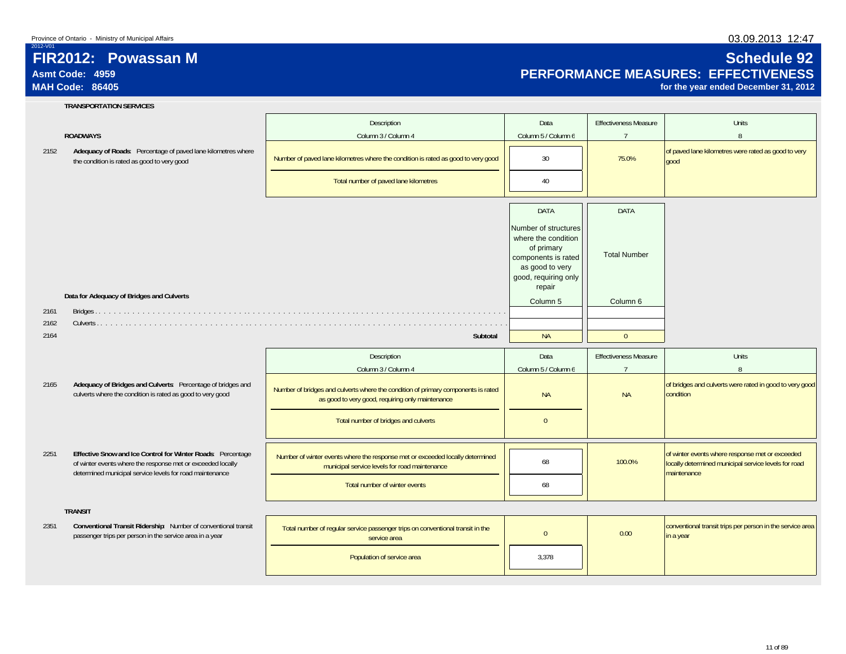# **FIR2012: Powassan MAsmt Code: 4959**

# **MAH Code: 86405**

2012-V01

2161 2162 2164

2165

2251

2351

#### **TRANSPORTATION SERVICES**

#### **ROADWAYS**

|                                                                                                                                                                                        | Description                                                                                                                           | Data                                                                                                                                  | <b>Effectiveness Measure</b> | Units                                                                                                                  |
|----------------------------------------------------------------------------------------------------------------------------------------------------------------------------------------|---------------------------------------------------------------------------------------------------------------------------------------|---------------------------------------------------------------------------------------------------------------------------------------|------------------------------|------------------------------------------------------------------------------------------------------------------------|
| <b>ROADWAYS</b>                                                                                                                                                                        | Column 3 / Column 4                                                                                                                   | Column 5 / Column 6                                                                                                                   | $\overline{7}$               | 8                                                                                                                      |
| Adequacy of Roads: Percentage of paved lane kilometres where<br>the condition is rated as good to very good                                                                            | Number of paved lane kilometres where the condition is rated as good to very good                                                     | 30                                                                                                                                    | 75.0%                        | of paved lane kilometres were rated as good to very<br>good                                                            |
|                                                                                                                                                                                        | Total number of paved lane kilometres                                                                                                 | 40                                                                                                                                    |                              |                                                                                                                        |
|                                                                                                                                                                                        |                                                                                                                                       | <b>DATA</b>                                                                                                                           | DATA                         |                                                                                                                        |
|                                                                                                                                                                                        |                                                                                                                                       | Number of structures<br>where the condition<br>of primary<br>components is rated<br>as good to very<br>good, requiring only<br>repair | <b>Total Number</b>          |                                                                                                                        |
| Data for Adequacy of Bridges and Culverts                                                                                                                                              |                                                                                                                                       | Column 5                                                                                                                              | Column 6                     |                                                                                                                        |
|                                                                                                                                                                                        |                                                                                                                                       |                                                                                                                                       |                              |                                                                                                                        |
|                                                                                                                                                                                        | Subtotal                                                                                                                              | <b>NA</b>                                                                                                                             | $\Omega$                     |                                                                                                                        |
|                                                                                                                                                                                        |                                                                                                                                       |                                                                                                                                       |                              |                                                                                                                        |
|                                                                                                                                                                                        | Description                                                                                                                           | Data                                                                                                                                  | <b>Effectiveness Measure</b> | <b>Units</b>                                                                                                           |
|                                                                                                                                                                                        | Column 3 / Column 4                                                                                                                   | Column 5 / Column 6                                                                                                                   | $\overline{7}$               | 8                                                                                                                      |
| Adequacy of Bridges and Culverts: Percentage of bridges and<br>culverts where the condition is rated as good to very good                                                              | Number of bridges and culverts where the condition of primary components is rated<br>as good to very good, requiring only maintenance | <b>NA</b>                                                                                                                             | <b>NA</b>                    | of bridges and culverts were rated in good to very good<br>condition                                                   |
|                                                                                                                                                                                        | Total number of bridges and culverts                                                                                                  | $\mathbf{0}$                                                                                                                          |                              |                                                                                                                        |
| Effective Snow and Ice Control for Winter Roads: Percentage<br>of winter events where the response met or exceeded locally<br>determined municipal service levels for road maintenance | Number of winter events where the response met or exceeded locally determined<br>municipal service levels for road maintenance        | 68                                                                                                                                    | 100.0%                       | of winter events where response met or exceeded<br>locally determined municipal service levels for road<br>maintenance |
|                                                                                                                                                                                        | Total number of winter events                                                                                                         | 68                                                                                                                                    |                              |                                                                                                                        |
| <b>TRANSIT</b>                                                                                                                                                                         |                                                                                                                                       |                                                                                                                                       |                              |                                                                                                                        |
| Conventional Transit Ridership: Number of conventional transit<br>passenger trips per person in the service area in a year                                                             | Total number of regular service passenger trips on conventional transit in the<br>service area                                        | $\overline{0}$                                                                                                                        | 0.00                         | conventional transit trips per person in the service area<br>in a year                                                 |
|                                                                                                                                                                                        | Population of service area                                                                                                            | 3,378                                                                                                                                 |                              |                                                                                                                        |

### 03.09.2013 12:47

# **Schedule 92 PERFORMANCE MEASURES: EFFECTIVENESS**

**for the year ended December 31, 2012**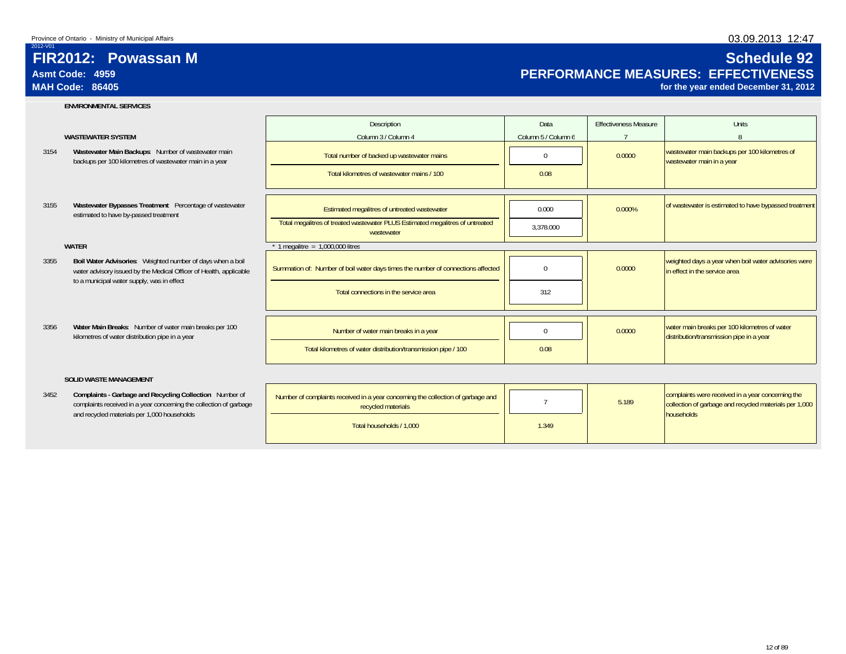# **FIR2012: Powassan MAsmt Code: 4959**

# **MAH Code: 86405**

2012-V01

#### **ENVIRONMENTAL SERVICES**

#### **WASTEWATER SYSTEM**

- 3154**Wastewater Main Backups**: Number of wastewater main
- 3155estimated to have by-passed treatment

#### **WATER**

- 3355**Boil Water Advisories**: Weighted number of days when a boil water advisory issued by the Medical Officer of Health, applicable to a municipal water supply, was in effect
- 3356**Water Main Breaks**: Number of water main breaks per 100

#### **SOLID WASTE MANAGEMENT**

3452complaints received in a year concerning the collection of garbage and recycled materials per 1,000 households

|                                             | ENVIRUNMENTAL SERVICES                                                                                                                                                         |                                                                                                        |                     |                              |                                                                                                                           |
|---------------------------------------------|--------------------------------------------------------------------------------------------------------------------------------------------------------------------------------|--------------------------------------------------------------------------------------------------------|---------------------|------------------------------|---------------------------------------------------------------------------------------------------------------------------|
|                                             |                                                                                                                                                                                | Description                                                                                            | Data                | <b>Effectiveness Measure</b> | Units                                                                                                                     |
|                                             | <b>WASTEWATER SYSTEM</b>                                                                                                                                                       | Column 3 / Column 4                                                                                    | Column 5 / Column 6 |                              |                                                                                                                           |
|                                             | Wastewater Main Backups: Number of wastewater main<br>backups per 100 kilometres of wastewater main in a year                                                                  | Total number of backed up wastewater mains                                                             | $\Omega$            | 0.0000                       | wastewater main backups per 100 kilometres of<br>wastewater main in a year                                                |
|                                             |                                                                                                                                                                                | Total kilometres of wastewater mains / 100                                                             | 0.08                |                              |                                                                                                                           |
|                                             |                                                                                                                                                                                |                                                                                                        |                     |                              |                                                                                                                           |
|                                             | Wastewater Bypasses Treatment Percentage of wastewater<br>estimated to have by-passed treatment                                                                                | Estimated megalitres of untreated wastewater                                                           | 0.000               | 0.000%                       | of wastewater is estimated to have bypassed treatment                                                                     |
|                                             |                                                                                                                                                                                | Total megalitres of treated wastewater PLUS Estimated megalitres of untreated<br>wastewater            | 3.378.000           |                              |                                                                                                                           |
|                                             | <b>WATER</b>                                                                                                                                                                   | 1 megalitre = $1,000,000$ litres                                                                       |                     |                              |                                                                                                                           |
|                                             | Boil Water Advisories: Weighted number of days when a boil<br>water advisory issued by the Medical Officer of Health, applicable<br>to a municipal water supply, was in effect | Summation of: Number of boil water days times the number of connections affected                       | $\Omega$            | 0.0000                       | weighted days a year when boil water advisories were<br>in effect in the service area                                     |
|                                             |                                                                                                                                                                                | Total connections in the service area                                                                  | 312                 |                              |                                                                                                                           |
|                                             |                                                                                                                                                                                |                                                                                                        |                     |                              |                                                                                                                           |
|                                             | Water Main Breaks: Number of water main breaks per 100<br>kilometres of water distribution pipe in a year                                                                      | Number of water main breaks in a year                                                                  | $\Omega$            | 0.0000                       | water main breaks per 100 kilometres of water<br>distribution/transmission pipe in a year                                 |
|                                             |                                                                                                                                                                                | Total kilometres of water distribution/transmission pipe / 100                                         | 0.08                |                              |                                                                                                                           |
|                                             | <b>SOLID WASTE MANAGEMENT</b>                                                                                                                                                  |                                                                                                        |                     |                              |                                                                                                                           |
|                                             | Complaints - Garbage and Recycling Collection Number of<br>complaints received in a year concerning the collection of garbage                                                  | Number of complaints received in a year concerning the collection of garbage and<br>recycled materials |                     | 5.189                        | complaints were received in a year concerning the<br>collection of garbage and recycled materials per 1,000<br>households |
| and recycled materials per 1,000 households | Total households / 1,000                                                                                                                                                       | 1.349                                                                                                  |                     |                              |                                                                                                                           |
|                                             |                                                                                                                                                                                |                                                                                                        |                     |                              |                                                                                                                           |

# **Schedule 92 PERFORMANCE MEASURES: EFFECTIVENESS**

**for the year ended December 31, 2012**

03.09.2013 12:47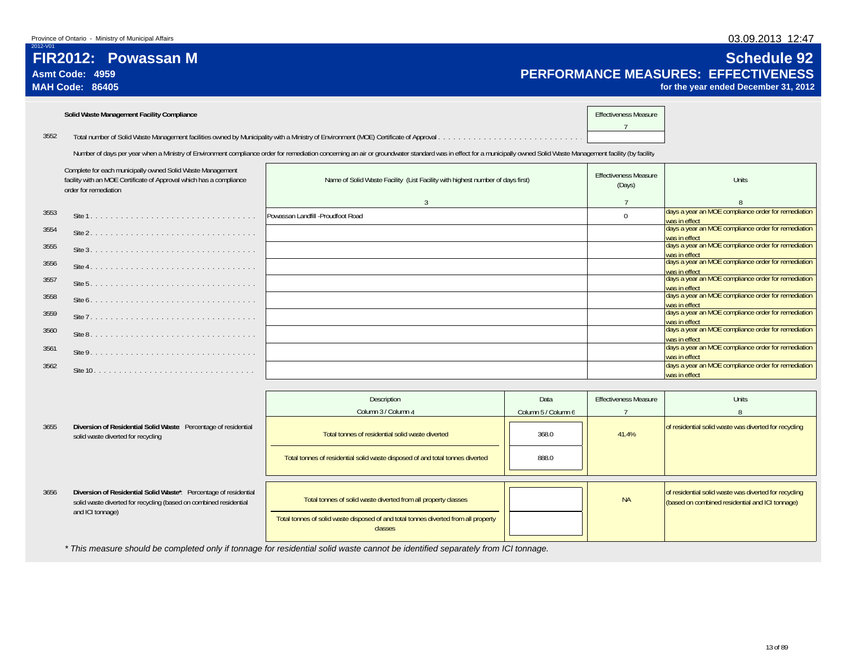**Asmt Code: 4959**

**MAH Code: 86405**

**FIR2012: Powassan M**

2012-V01

### 03.09.2013 12:47

# **Schedule 92 PERFORMANCE MEASURES: EFFECTIVENESS**

was in effect

**for the year ended December 31, 2012**

|      | Solid Waste Management Facility Compliance                                                                                                                 |                                                                                                                                                                                                                      | <b>Effectiveness Measure</b>           |                                                                                       |
|------|------------------------------------------------------------------------------------------------------------------------------------------------------------|----------------------------------------------------------------------------------------------------------------------------------------------------------------------------------------------------------------------|----------------------------------------|---------------------------------------------------------------------------------------|
| 3552 |                                                                                                                                                            |                                                                                                                                                                                                                      |                                        |                                                                                       |
|      |                                                                                                                                                            | Number of days per year when a Ministry of Environment compliance order for remediation concerning an air or groundwater standard was in effect for a municipally owned Solid Waste Management facility (by facility |                                        |                                                                                       |
|      | Complete for each municipally owned Solid Waste Management<br>facility with an MOE Certificate of Approval which has a compliance<br>order for remediation | Name of Solid Waste Facility (List Facility with highest number of days first)                                                                                                                                       | <b>Effectiveness Measure</b><br>(Days) | Units                                                                                 |
|      |                                                                                                                                                            | $\mathcal{E}$                                                                                                                                                                                                        |                                        |                                                                                       |
| 3553 |                                                                                                                                                            | Powassan Landfill -Proudfoot Road                                                                                                                                                                                    | $\Omega$                               | days a year an MOE compliance order for remediation<br>was in effect                  |
| 3554 |                                                                                                                                                            |                                                                                                                                                                                                                      |                                        | days a year an MOE compliance order for remediation<br>was in effect                  |
| 3555 |                                                                                                                                                            |                                                                                                                                                                                                                      |                                        | days a year an MOE compliance order for remediation<br>was in effect                  |
| 3556 |                                                                                                                                                            |                                                                                                                                                                                                                      |                                        | days a year an MOE compliance order for remediation<br>was in effect                  |
| 3557 |                                                                                                                                                            |                                                                                                                                                                                                                      |                                        | days a year an MOE compliance order for remediation<br>was in effect                  |
| 3558 |                                                                                                                                                            |                                                                                                                                                                                                                      |                                        | days a year an MOE compliance order for remediation<br>was in effect                  |
| 3559 |                                                                                                                                                            |                                                                                                                                                                                                                      |                                        | days a year an MOE compliance order for remediation<br>was in effect                  |
| 3560 |                                                                                                                                                            |                                                                                                                                                                                                                      |                                        | days a year an MOE compliance order for remediation<br>was in effect                  |
| 3561 |                                                                                                                                                            |                                                                                                                                                                                                                      |                                        | days a year an MOE compliance order for remediation                                   |
| 3562 |                                                                                                                                                            |                                                                                                                                                                                                                      |                                        | was in effect<br>days a year an MOE compliance order for remediation<br>$\frac{1}{2}$ |

|      |                                                                                                                                                           | Description<br>Column 3 / Column 4                                                                                                                               | Data<br>Column 5 / Column 6 | <b>Effectiveness Measure</b> | <b>Units</b>                                                                                             |
|------|-----------------------------------------------------------------------------------------------------------------------------------------------------------|------------------------------------------------------------------------------------------------------------------------------------------------------------------|-----------------------------|------------------------------|----------------------------------------------------------------------------------------------------------|
| 3655 | Diversion of Residential Solid Waste: Percentage of residential<br>solid waste diverted for recycling                                                     | Total tonnes of residential solid waste diverted                                                                                                                 | 368.0                       | 41.4%                        | of residential solid waste was diverted for recycling                                                    |
|      |                                                                                                                                                           | Total tonnes of residential solid waste disposed of and total tonnes diverted                                                                                    | 888.0                       |                              |                                                                                                          |
| 3656 | Diversion of Residential Solid Waste*: Percentage of residential<br>solid waste diverted for recycling (based on combined residential<br>and ICI tonnage) | Total tonnes of solid waste diverted from all property classes<br>Total tonnes of solid waste disposed of and total tonnes diverted from all property<br>classes |                             | <b>NA</b>                    | of residential solid waste was diverted for recycling<br>(based on combined residential and ICI tonnage) |

*\* This measure should be completed only if tonnage for residential solid waste cannot be identified separately from ICI tonnage.*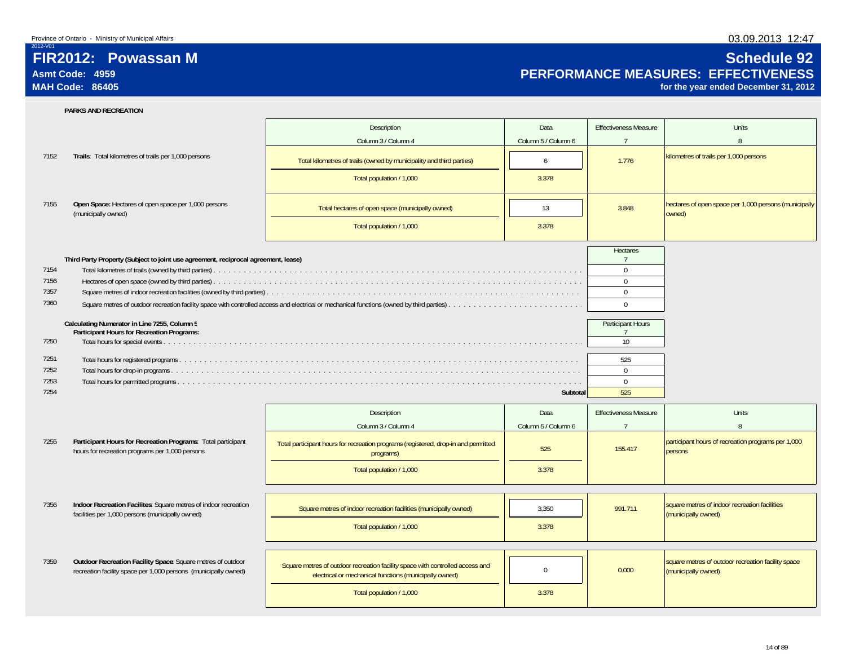2012-V01

## **FIR2012: Powassan MAsmt Code: 4959MAH Code: 86405**

### 03.09.2013 12:47

# **Schedule 92 PERFORMANCE MEASURES: EFFECTIVENESS**

**for the year ended December 31, 2012**

|      | <b>PARKS AND RECREATION</b>                                                                                                    |                                                                                                                                         |                     |                                     |                                                                           |
|------|--------------------------------------------------------------------------------------------------------------------------------|-----------------------------------------------------------------------------------------------------------------------------------------|---------------------|-------------------------------------|---------------------------------------------------------------------------|
|      |                                                                                                                                | Description                                                                                                                             | Data                | <b>Effectiveness Measure</b>        | <b>Units</b>                                                              |
|      |                                                                                                                                | Column 3 / Column 4                                                                                                                     | Column 5 / Column 6 | $\overline{7}$                      | 8                                                                         |
| 7152 | Trails: Total kilometres of trails per 1,000 persons                                                                           | Total kilometres of trails (owned by municipality and third parties)                                                                    | 6                   | 1.776                               | kilometres of trails per 1,000 persons                                    |
|      |                                                                                                                                |                                                                                                                                         |                     |                                     |                                                                           |
|      |                                                                                                                                | Total population / 1,000                                                                                                                | 3.378               |                                     |                                                                           |
| 7155 | Open Space: Hectares of open space per 1,000 persons<br>(municipally owned)                                                    | Total hectares of open space (municipally owned)                                                                                        | 13                  | 3.848                               | hectares of open space per 1,000 persons (municipally<br>owned)           |
|      |                                                                                                                                | Total population / 1,000                                                                                                                | 3.378               |                                     |                                                                           |
|      |                                                                                                                                |                                                                                                                                         |                     | Hectares                            |                                                                           |
| 7154 | Third Party Property (Subject to joint use agreement, reciprocal agreement, lease)                                             |                                                                                                                                         |                     | $\overline{7}$<br>$\mathbf 0$       |                                                                           |
| 7156 |                                                                                                                                |                                                                                                                                         |                     | $\mathbf 0$                         |                                                                           |
| 7357 |                                                                                                                                |                                                                                                                                         |                     | $\mathbf{0}$                        |                                                                           |
| 7360 |                                                                                                                                |                                                                                                                                         |                     | $\mathbf 0$                         |                                                                           |
|      |                                                                                                                                |                                                                                                                                         |                     |                                     |                                                                           |
|      | Calculating Numerator in Line 7255, Column 5<br>Participant Hours for Recreation Programs:                                     |                                                                                                                                         |                     | Participant Hours<br>$\overline{7}$ |                                                                           |
| 7250 |                                                                                                                                |                                                                                                                                         |                     | 10 <sup>°</sup>                     |                                                                           |
| 7251 |                                                                                                                                |                                                                                                                                         |                     | 525                                 |                                                                           |
| 7252 |                                                                                                                                |                                                                                                                                         |                     | $\mathbf{0}$                        |                                                                           |
| 7253 |                                                                                                                                |                                                                                                                                         |                     | $\mathbf 0$                         |                                                                           |
| 7254 |                                                                                                                                |                                                                                                                                         | Subtotal            | 525                                 |                                                                           |
|      |                                                                                                                                | Description                                                                                                                             | Data                | <b>Effectiveness Measure</b>        | <b>Units</b>                                                              |
|      |                                                                                                                                | Column 3 / Column 4                                                                                                                     | Column 5 / Column 6 | $\overline{7}$                      | 8                                                                         |
| 7255 | Participant Hours for Recreation Programs: Total participant<br>hours for recreation programs per 1,000 persons                | Total participant hours for recreation programs (registered, drop-in and permitted<br>programs)                                         | 525                 | 155.417                             | participant hours of recreation programs per 1,000<br>persons             |
|      |                                                                                                                                | Total population / 1,000                                                                                                                | 3.378               |                                     |                                                                           |
|      |                                                                                                                                |                                                                                                                                         |                     |                                     |                                                                           |
| 7356 | Indoor Recreation Facilites: Square metres of indoor recreation<br>facilities per 1,000 persons (municipally owned)            | Square metres of indoor recreation facilities (municipally owned)                                                                       | 3,350               | 991.711                             | square metres of indoor recreation facilities<br>(municipally owned)      |
|      |                                                                                                                                | Total population / 1,000                                                                                                                | 3.378               |                                     |                                                                           |
|      |                                                                                                                                |                                                                                                                                         |                     |                                     |                                                                           |
|      |                                                                                                                                |                                                                                                                                         |                     |                                     |                                                                           |
| 7359 | Outdoor Recreation Facility Space: Square metres of outdoor<br>recreation facility space per 1,000 persons (municipally owned) | Square metres of outdoor recreation facility space with controlled access and<br>electrical or mechanical functions (municipally owned) | $\Omega$            | 0.000                               | square metres of outdoor recreation facility space<br>(municipally owned) |
|      |                                                                                                                                | Total population / 1,000                                                                                                                | 3.378               |                                     |                                                                           |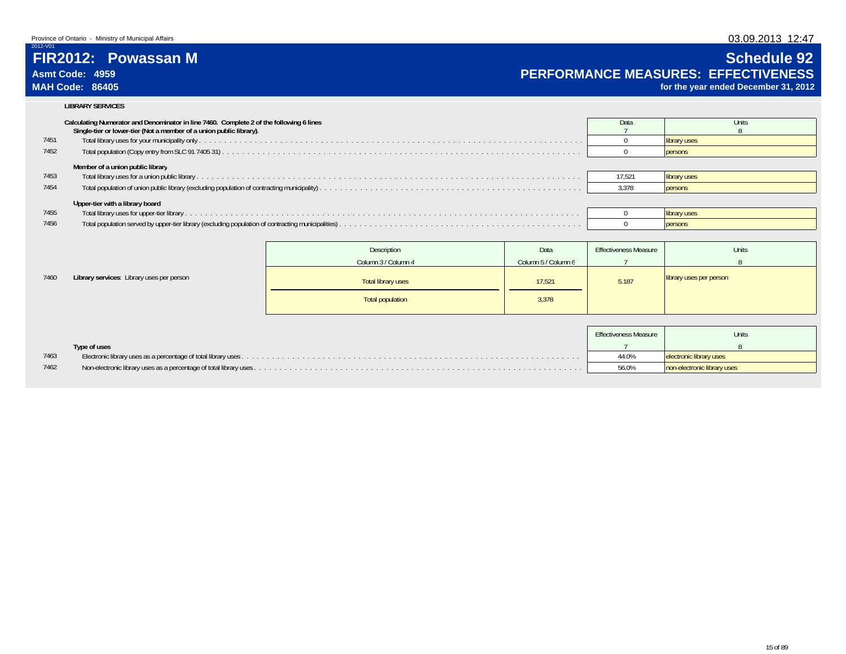# 03.09.2013 12:47 **Schedule 92**

**for the year ended December 31, 2012**

# **FIR2012: Powassan M**

### **Asmt Code: 4959 PERFORMANCE MEASURES: EFFECTIVENESS MAH Code: 86405**

2012-V01

7460

### **LIBRARY SERVICES**

|      | Calculating Numerator and Denominator in line 7460. Complete 2 of the following 6 lines<br>Single-tier or lower-tier (Not a member of a union public library). | Data   | Units          |
|------|----------------------------------------------------------------------------------------------------------------------------------------------------------------|--------|----------------|
| 7451 |                                                                                                                                                                |        | library uses   |
| 7452 |                                                                                                                                                                |        | persons        |
|      | Member of a union public library                                                                                                                               |        |                |
| 7453 |                                                                                                                                                                | 17.521 | library uses   |
| 7454 |                                                                                                                                                                | 3.378  | <b>persons</b> |
|      | Upper-tier with a library board                                                                                                                                |        |                |
| 7455 |                                                                                                                                                                |        | library uses   |
| 7456 |                                                                                                                                                                |        | <b>persons</b> |
|      |                                                                                                                                                                |        |                |

|                                           | Description         | Data                | <b>Effectiveness Measure</b> | Units                   |  |
|-------------------------------------------|---------------------|---------------------|------------------------------|-------------------------|--|
|                                           | Column 3 / Column 4 | Column 5 / Column 6 |                              |                         |  |
| Library services: Library uses per person | Total library uses  | 17,521              | 5.187                        | library uses per person |  |
|                                           | Total population    | 3,378               |                              |                         |  |

|      |              | <b>Effectiveness Measure</b> | <b>Units</b>                |
|------|--------------|------------------------------|-----------------------------|
|      | Type of uses |                              |                             |
| 7463 |              | 44.0%                        | electronic library uses     |
| 7462 |              | 56.0%                        | non-electronic library uses |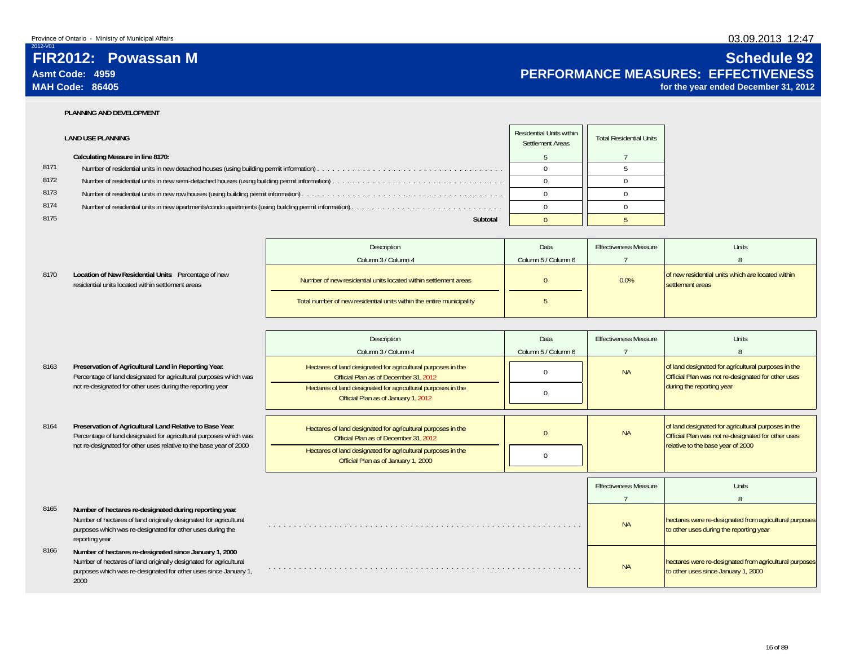2012-V01

8170

8163

8164

### 03.09.2013 12:47

# **Schedule 92 PERFORMANCE MEASURES: EFFECTIVENESS**

**for the year ended December 31, 2012**

 **FIR2012: Powassan MAsmt Code: 4959MAH Code: 86405**

### **PLANNING AND DEVELOPMENT**

|      | <b>LAND USE PLANNING</b>                                                                            | Residential Units within<br>Settlement Areas | <b>Total Residential Units</b> |
|------|-----------------------------------------------------------------------------------------------------|----------------------------------------------|--------------------------------|
|      | Calculating Measure in line 8170:                                                                   |                                              |                                |
| 8171 |                                                                                                     |                                              |                                |
| 8172 | Number of residential units in new semi-detached houses (using building permit information).        |                                              |                                |
| 8173 |                                                                                                     |                                              |                                |
| 8174 | Number of residential units in new apartments/condo apartments (using building permit information). |                                              |                                |
| 8175 | Subtotal                                                                                            |                                              |                                |

|                                                                                                           | Description                                                          | Data                | <b>Effectiveness Measure</b> | Units                                                                 |
|-----------------------------------------------------------------------------------------------------------|----------------------------------------------------------------------|---------------------|------------------------------|-----------------------------------------------------------------------|
|                                                                                                           | Column 3 / Column 4                                                  | Column 5 / Column 6 |                              |                                                                       |
| Location of New Residential Units: Percentage of new<br>residential units located within settlement areas | Number of new residential units located within settlement areas      |                     | 0.0%                         | of new residential units which are located within<br>settlement areas |
|                                                                                                           | Total number of new residential units within the entire municipality |                     |                              |                                                                       |

|                                                                                                                               | Description                                                                                           | Data                | <b>Effectiveness Measure</b> | <b>Units</b>                                                                                              |
|-------------------------------------------------------------------------------------------------------------------------------|-------------------------------------------------------------------------------------------------------|---------------------|------------------------------|-----------------------------------------------------------------------------------------------------------|
|                                                                                                                               | Column 3 / Column 4                                                                                   | Column 5 / Column 6 |                              |                                                                                                           |
| Preservation of Agricultural Land in Reporting Year.<br>Percentage of land designated for agricultural purposes which was     | Hectares of land designated for agricultural purposes in the<br>Official Plan as of December 31, 2012 |                     | <b>NA</b>                    | of land designated for agricultural purposes in the<br>Official Plan was not re-designated for other uses |
| not re-designated for other uses during the reporting year                                                                    | Hectares of land designated for agricultural purposes in the<br>Official Plan as of January 1, 2012   |                     |                              | during the reporting year                                                                                 |
|                                                                                                                               |                                                                                                       |                     |                              |                                                                                                           |
| Preservation of Agricultural Land Relative to Base Year.<br>Percentage of land designated for agricultural purposes which was | Hectares of land designated for agricultural purposes in the<br>Official Plan as of December 31, 2012 |                     | <b>NA</b>                    | of land designated for agricultural purposes in the<br>Official Plan was not re-designated for other uses |
| not re-designated for other uses relative to the base year of 2000                                                            | Hectares of land designated for agricultural purposes in the<br>Official Plan as of January 1, 2000   |                     |                              | relative to the base year of 2000                                                                         |
|                                                                                                                               |                                                                                                       |                     |                              |                                                                                                           |
|                                                                                                                               |                                                                                                       |                     | <b>Effectiveness Measure</b> | <b>Units</b>                                                                                              |
|                                                                                                                               |                                                                                                       |                     |                              |                                                                                                           |

7 88165 **Number of hectares re-designated during reporting year**: Number of hectares of land originally designated for agricultural purposes which was re-designated for other uses during the reporting year . . . . . . . . . . . . . . . . . . . . . . . . . . . . . . . . . . . . . . . . . . . . . . . . . . . . . . . . . . . . . . NAhectares were re-designated from agricultural purposes<br>to other uses during the reporting year 8166 **Number of hectares re-designated since January 1, 2000**: Number of hectares of land originally designated for agricultural purposes which was re-designated for other uses since January 1, 2000. . . . . . . . . . . . . . . . . . . . . . . . . . . . . . . . . . . . . . . . . . . . . . . . . . . . . . . . . . . . . . NAhectares were re-designated from agricultural purposes<br>to other uses since January 1, 2000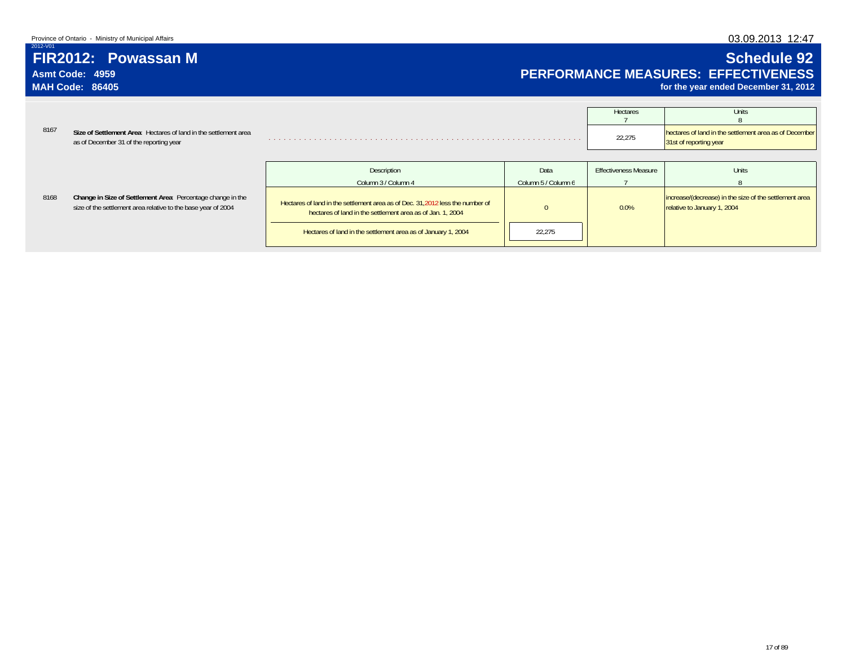### 03.09.2013 12:47

# **FIR2012: Powassan M**

**Asmt Code: 4959MAH Code: 86405**

2012-V01

8168

# **Schedule 92 PERFORMANCE MEASURES: EFFECTIVENESS**

**for the year ended December 31, 2012**

|      |                                                                                                             | Hectares | Units                                                                            |
|------|-------------------------------------------------------------------------------------------------------------|----------|----------------------------------------------------------------------------------|
|      |                                                                                                             |          |                                                                                  |
| 8167 | Size of Settlement Area: Hectares of land in the settlement area<br>as of December 31 of the reporting year | 22,275   | hectares of land in the settlement area as of December<br>31st of reporting year |

|                                                                                                                              | Description                                                                                                                                  | Data                | <b>Effectiveness Measure</b> | <b>Units</b>                                                                          |
|------------------------------------------------------------------------------------------------------------------------------|----------------------------------------------------------------------------------------------------------------------------------------------|---------------------|------------------------------|---------------------------------------------------------------------------------------|
|                                                                                                                              | Column 3 / Column 4                                                                                                                          | Column 5 / Column 6 |                              |                                                                                       |
| Change in Size of Settlement Area: Percentage change in the<br>size of the settlement area relative to the base year of 2004 | Hectares of land in the settlement area as of Dec. 31, 2012 less the number of<br>hectares of land in the settlement area as of Jan. 1, 2004 |                     | 0.0%                         | increase/(decrease) in the size of the settlement area<br>relative to January 1, 2004 |
|                                                                                                                              | Hectares of land in the settlement area as of January 1, 2004                                                                                | 22,275              |                              |                                                                                       |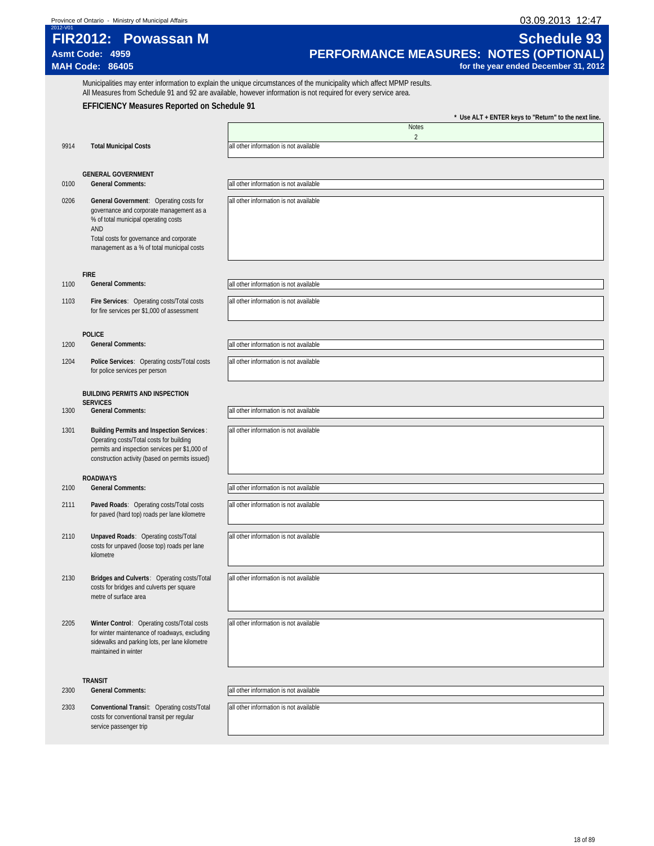03.09.2013 12:47<br>Schedule 93

| -----------             |                     |  |
|-------------------------|---------------------|--|
|                         | FIR2012: Powassan M |  |
| Asmt Code: 4959         |                     |  |
| $M\Delta H$ Code: 86405 |                     |  |

# **Asmt Code: 4959 PERFORMANCE MEASURES: NOTES (OPTIONAL) MAH Code: 86405 for the year ended December 31, 2012**

Municipalities may enter information to explain the unique circumstances of the municipality which affect MPMP results. All Measures from Schedule 91 and 92 are available, however information is not required for every service area.

### **EFFICIENCY Measures Reported on Schedule 91**

|      |                                                                                                                                                                                                                              | Use ALT + ENTER keys to "Return" to the next line.       |
|------|------------------------------------------------------------------------------------------------------------------------------------------------------------------------------------------------------------------------------|----------------------------------------------------------|
|      |                                                                                                                                                                                                                              | <b>Notes</b>                                             |
| 9914 | <b>Total Municipal Costs</b>                                                                                                                                                                                                 | $\overline{c}$<br>all other information is not available |
|      |                                                                                                                                                                                                                              |                                                          |
|      |                                                                                                                                                                                                                              |                                                          |
| 0100 | <b>GENERAL GOVERNMENT</b><br><b>General Comments:</b>                                                                                                                                                                        | all other information is not available                   |
|      |                                                                                                                                                                                                                              |                                                          |
| 0206 | General Government: Operating costs for<br>governance and corporate management as a<br>% of total municipal operating costs<br>AND<br>Total costs for governance and corporate<br>management as a % of total municipal costs | all other information is not available                   |
|      |                                                                                                                                                                                                                              |                                                          |
| 1100 | <b>FIRE</b><br><b>General Comments:</b>                                                                                                                                                                                      | all other information is not available                   |
|      |                                                                                                                                                                                                                              |                                                          |
| 1103 | Fire Services: Operating costs/Total costs<br>for fire services per \$1,000 of assessment                                                                                                                                    | all other information is not available                   |
|      | <b>POLICE</b>                                                                                                                                                                                                                |                                                          |
| 1200 | <b>General Comments:</b>                                                                                                                                                                                                     | all other information is not available                   |
| 1204 | Police Services: Operating costs/Total costs<br>for police services per person                                                                                                                                               | all other information is not available                   |
|      | <b>BUILDING PERMITS AND INSPECTION</b>                                                                                                                                                                                       |                                                          |
|      | <b>SERVICES</b>                                                                                                                                                                                                              |                                                          |
| 1300 | <b>General Comments:</b>                                                                                                                                                                                                     | all other information is not available                   |
| 1301 | <b>Building Permits and Inspection Services:</b><br>Operating costs/Total costs for building<br>permits and inspection services per \$1,000 of<br>construction activity (based on permits issued)                            | all other information is not available                   |
|      | <b>ROADWAYS</b>                                                                                                                                                                                                              |                                                          |
| 2100 | <b>General Comments:</b>                                                                                                                                                                                                     | all other information is not available                   |
|      |                                                                                                                                                                                                                              |                                                          |
| 2111 | Paved Roads: Operating costs/Total costs<br>for paved (hard top) roads per lane kilometre                                                                                                                                    | all other information is not available                   |
| 2110 | Unpaved Roads: Operating costs/Total<br>costs for unpaved (loose top) roads per lane<br>kilometre                                                                                                                            | all other information is not available                   |
| 2130 | Bridges and Culverts: Operating costs/Total<br>costs for bridges and culverts per square<br>metre of surface area                                                                                                            | all other information is not available                   |
| 2205 | Winter Control: Operating costs/Total costs<br>for winter maintenance of roadways, excluding<br>sidewalks and parking lots, per lane kilometre<br>maintained in winter                                                       | all other information is not available                   |
|      | <b>TRANSIT</b>                                                                                                                                                                                                               |                                                          |
| 2300 | <b>General Comments:</b>                                                                                                                                                                                                     | all other information is not available                   |
| 2303 | Conventional Transit: Operating costs/Total                                                                                                                                                                                  | all other information is not available                   |
|      | costs for conventional transit per regular<br>service passenger trip                                                                                                                                                         |                                                          |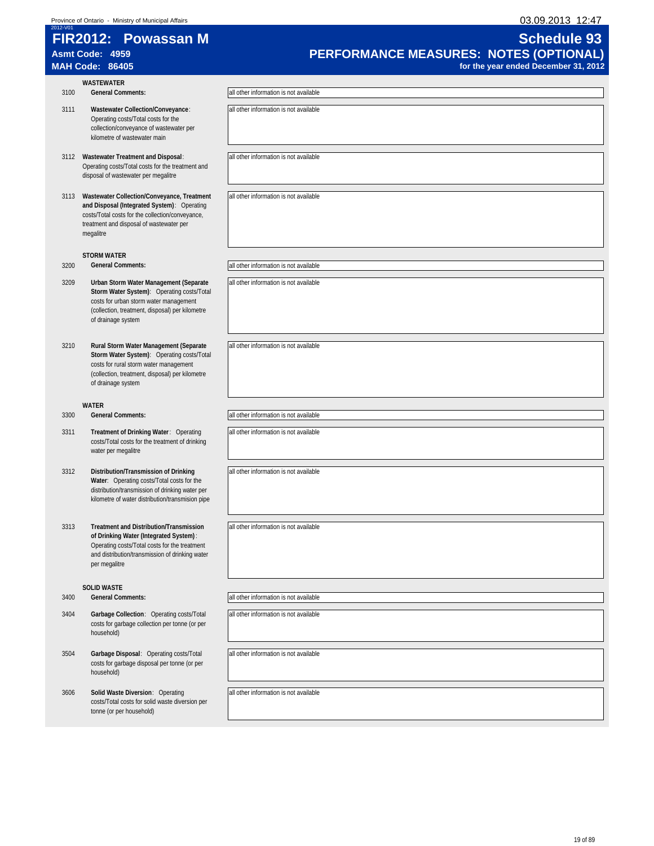| 2012-V01 | Province of Ontario - Ministry of Municipal Affairs                                                                                                                                                           | 03.09.2013 12:47                       |
|----------|---------------------------------------------------------------------------------------------------------------------------------------------------------------------------------------------------------------|----------------------------------------|
|          | FIR2012: Powassan M                                                                                                                                                                                           | <b>Schedule 93</b>                     |
|          | Asmt Code: 4959                                                                                                                                                                                               | PERFORMANCE MEASURES: NOTES (OPTIONAL) |
|          | <b>MAH Code: 86405</b>                                                                                                                                                                                        | for the year ended December 31, 2012   |
|          | <b>WASTEWATER</b>                                                                                                                                                                                             |                                        |
| 3100     | <b>General Comments:</b>                                                                                                                                                                                      | all other information is not available |
| 3111     | Wastewater Collection/Conveyance:<br>Operating costs/Total costs for the<br>collection/conveyance of wastewater per<br>kilometre of wastewater main                                                           | all other information is not available |
|          | 3112 Wastewater Treatment and Disposal:<br>Operating costs/Total costs for the treatment and<br>disposal of wastewater per megalitre                                                                          | all other information is not available |
|          | 3113 Wastewater Collection/Conveyance, Treatment<br>and Disposal (Integrated System): Operating<br>costs/Total costs for the collection/conveyance,<br>treatment and disposal of wastewater per<br>megalitre  | all other information is not available |
|          | <b>STORM WATER</b>                                                                                                                                                                                            |                                        |
| 3200     | <b>General Comments:</b>                                                                                                                                                                                      | all other information is not available |
| 3209     | Urban Storm Water Management (Separate<br>Storm Water System): Operating costs/Total<br>costs for urban storm water management<br>(collection, treatment, disposal) per kilometre<br>of drainage system       | all other information is not available |
| 3210     | Rural Storm Water Management (Separate<br>Storm Water System): Operating costs/Total<br>costs for rural storm water management<br>(collection, treatment, disposal) per kilometre<br>of drainage system       | all other information is not available |
|          | WATER                                                                                                                                                                                                         |                                        |
| 3300     | <b>General Comments:</b>                                                                                                                                                                                      | all other information is not available |
| 3311     | Treatment of Drinking Water: Operating<br>costs/Total costs for the treatment of drinking<br>water per megalitre                                                                                              | all other information is not available |
| 3312     | Distribution/Transmission of Drinking<br>Water: Operating costs/Total costs for the<br>distribution/transmission of drinking water per<br>kilometre of water distribution/transmision pipe                    | all other information is not available |
| 3313     | <b>Treatment and Distribution/Transmission</b><br>of Drinking Water (Integrated System):<br>Operating costs/Total costs for the treatment<br>and distribution/transmission of drinking water<br>per megalitre | all other information is not available |
|          | <b>SOLID WASTE</b>                                                                                                                                                                                            |                                        |
| 3400     | <b>General Comments:</b>                                                                                                                                                                                      | all other information is not available |
| 3404     | Garbage Collection: Operating costs/Total<br>costs for garbage collection per tonne (or per<br>household)                                                                                                     | all other information is not available |
| 3504     | Garbage Disposal: Operating costs/Total<br>costs for garbage disposal per tonne (or per<br>household)                                                                                                         | all other information is not available |
| 3606     | Solid Waste Diversion: Operating<br>costs/Total costs for solid waste diversion per<br>tonne (or per household)                                                                                               | all other information is not available |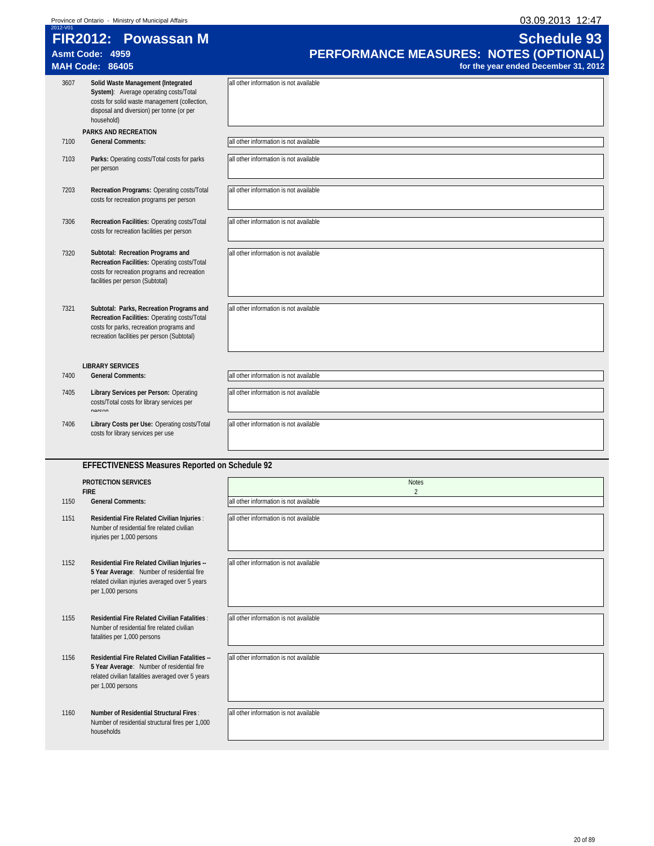| 03.09.2013 12:47 |
|------------------|
|------------------|

| 2012-V01 | FIR2012: Powassan M                                                                                                                                                                      | <b>Schedule 93</b>                                                             |
|----------|------------------------------------------------------------------------------------------------------------------------------------------------------------------------------------------|--------------------------------------------------------------------------------|
|          | Asmt Code: 4959<br><b>MAH Code: 86405</b>                                                                                                                                                | PERFORMANCE MEASURES: NOTES (OPTIONAL)<br>for the year ended December 31, 2012 |
| 3607     | Solid Waste Management (Integrated<br>System): Average operating costs/Total<br>costs for solid waste management (collection,<br>disposal and diversion) per tonne (or per<br>household) | all other information is not available                                         |
| 7100     | PARKS AND RECREATION<br><b>General Comments:</b>                                                                                                                                         | all other information is not available                                         |
| 7103     | Parks: Operating costs/Total costs for parks<br>per person                                                                                                                               | all other information is not available                                         |
| 7203     | Recreation Programs: Operating costs/Total<br>costs for recreation programs per person                                                                                                   | all other information is not available                                         |
| 7306     | Recreation Facilities: Operating costs/Total<br>costs for recreation facilities per person                                                                                               | all other information is not available                                         |
| 7320     | Subtotal: Recreation Programs and<br>Recreation Facilities: Operating costs/Total<br>costs for recreation programs and recreation<br>facilities per person (Subtotal)                    | all other information is not available                                         |
| 7321     | Subtotal: Parks, Recreation Programs and<br>Recreation Facilities: Operating costs/Total<br>costs for parks, recreation programs and<br>recreation facilities per person (Subtotal)      | all other information is not available                                         |
|          | <b>LIBRARY SERVICES</b>                                                                                                                                                                  |                                                                                |
| 7400     | <b>General Comments:</b>                                                                                                                                                                 | all other information is not available                                         |
| 7405     | Library Services per Person: Operating<br>costs/Total costs for library services per<br>norcon                                                                                           | all other information is not available                                         |
| 7406     | Library Costs per Use: Operating costs/Total<br>costs for library services per use                                                                                                       | all other information is not available                                         |
|          | EFFECTIVENESS Measures Reported on Schedule 92                                                                                                                                           |                                                                                |
|          | <b>PROTECTION SERVICES</b><br><b>FIRE</b>                                                                                                                                                | <b>Notes</b><br>$\overline{2}$                                                 |
| 1150     | <b>General Comments:</b>                                                                                                                                                                 | all other information is not available                                         |
| 1151     | Residential Fire Related Civilian Injuries :<br>Number of residential fire related civilian<br>injuries per 1,000 persons                                                                | all other information is not available                                         |
| 1152     | Residential Fire Related Civilian Injuries --<br>5 Year Average: Number of residential fire<br>related civilian injuries averaged over 5 years<br>per 1,000 persons                      | all other information is not available                                         |
| 1155     | Residential Fire Related Civilian Fatalities:<br>Number of residential fire related civilian<br>fatalities per 1,000 persons                                                             | all other information is not available                                         |
| 1156     | Residential Fire Related Civilian Fatalities --<br>5 Year Average: Number of residential fire<br>related civilian fatalities averaged over 5 years<br>per 1,000 persons                  | all other information is not available                                         |
| 1160     | Number of Residential Structural Fires:<br>Number of residential structural fires per 1,000<br>households                                                                                | all other information is not available                                         |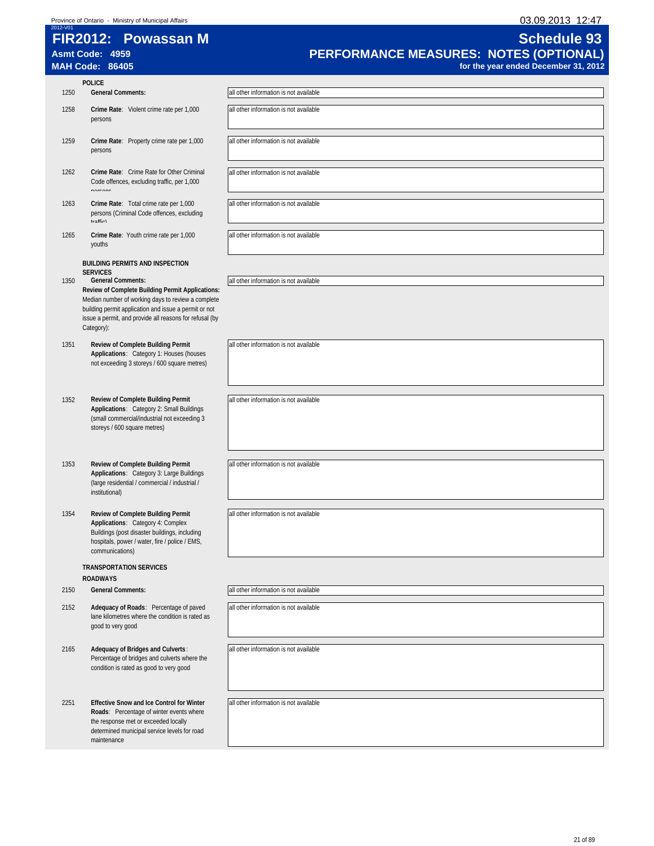| 03.09.2013 12:47 |  |
|------------------|--|
|                  |  |

|      | FIR2012: Powassan M<br>Asmt Code: 4959<br><b>MAH Code: 86405</b>                                                                                                                                                                         | <b>Schedule 93</b><br>PERFORMANCE MEASURES: NOTES (OPTIONAL)<br>for the year ended December 31, 2012 |
|------|------------------------------------------------------------------------------------------------------------------------------------------------------------------------------------------------------------------------------------------|------------------------------------------------------------------------------------------------------|
|      | <b>POLICE</b>                                                                                                                                                                                                                            |                                                                                                      |
| 1250 | <b>General Comments:</b>                                                                                                                                                                                                                 | all other information is not available                                                               |
| 1258 | Crime Rate: Violent crime rate per 1,000<br>persons                                                                                                                                                                                      | all other information is not available                                                               |
| 1259 | Crime Rate: Property crime rate per 1,000<br>persons                                                                                                                                                                                     | all other information is not available                                                               |
| 1262 | Crime Rate: Crime Rate for Other Criminal<br>Code offences, excluding traffic, per 1,000<br>norcone                                                                                                                                      | all other information is not available                                                               |
| 1263 | Crime Rate: Total crime rate per 1,000<br>persons (Criminal Code offences, excluding<br>traffio)                                                                                                                                         | all other information is not available                                                               |
| 1265 | Crime Rate: Youth crime rate per 1,000<br>youths                                                                                                                                                                                         | all other information is not available                                                               |
|      | <b>BUILDING PERMITS AND INSPECTION</b>                                                                                                                                                                                                   |                                                                                                      |
| 1350 | <b>SERVICES</b><br><b>General Comments:</b>                                                                                                                                                                                              | all other information is not available                                                               |
|      | Review of Complete Building Permit Applications:<br>Median number of working days to review a complete<br>building permit application and issue a permit or not<br>issue a permit, and provide all reasons for refusal (by<br>Category): |                                                                                                      |
| 1351 | Review of Complete Building Permit<br>Applications: Category 1: Houses (houses<br>not exceeding 3 storeys / 600 square metres)                                                                                                           | all other information is not available                                                               |
| 1352 | Review of Complete Building Permit<br>Applications: Category 2: Small Buildings<br>(small commercial/industrial not exceeding 3<br>storeys / 600 square metres)                                                                          | all other information is not available                                                               |
| 1353 | Review of Complete Building Permit<br>Applications: Category 3: Large Buildings<br>(large residential / commercial / industrial /<br>institutional)                                                                                      | all other information is not available                                                               |
| 1354 | Review of Complete Building Permit<br>Applications: Category 4: Complex<br>Buildings (post disaster buildings, including<br>hospitals, power / water, fire / police / EMS,<br>communications)                                            | all other information is not available                                                               |
|      | <b>TRANSPORTATION SERVICES</b>                                                                                                                                                                                                           |                                                                                                      |
|      | <b>ROADWAYS</b>                                                                                                                                                                                                                          |                                                                                                      |
| 2150 | <b>General Comments:</b>                                                                                                                                                                                                                 | all other information is not available                                                               |
| 2152 | Adequacy of Roads: Percentage of paved<br>lane kilometres where the condition is rated as<br>good to very good                                                                                                                           | all other information is not available                                                               |
| 2165 | Adequacy of Bridges and Culverts:<br>Percentage of bridges and culverts where the<br>condition is rated as good to very good                                                                                                             | all other information is not available                                                               |
| 2251 | <b>Effective Snow and Ice Control for Winter</b><br>Roads: Percentage of winter events where<br>the response met or exceeded locally<br>determined municipal service levels for road<br>maintenance                                      | all other information is not available                                                               |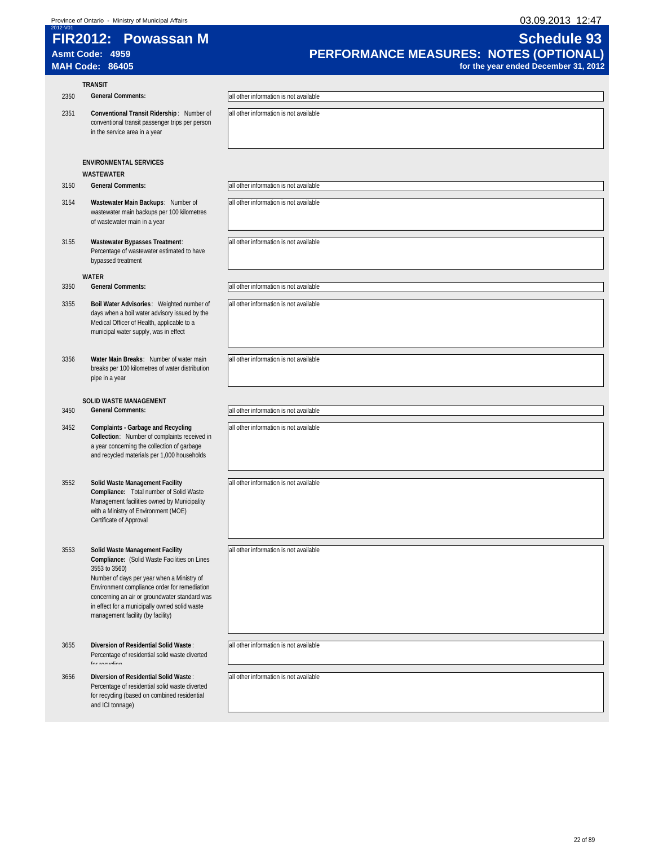| 03.09.2013 12:47<br>Province of Ontario - Ministry of Municipal Affairs<br>2012-V01 |                                                                                                                                                                                                                                                                                                                                       |                                                                                                      |
|-------------------------------------------------------------------------------------|---------------------------------------------------------------------------------------------------------------------------------------------------------------------------------------------------------------------------------------------------------------------------------------------------------------------------------------|------------------------------------------------------------------------------------------------------|
|                                                                                     | FIR2012: Powassan M<br>Asmt Code: 4959<br><b>MAH Code: 86405</b>                                                                                                                                                                                                                                                                      | <b>Schedule 93</b><br>PERFORMANCE MEASURES: NOTES (OPTIONAL)<br>for the year ended December 31, 2012 |
|                                                                                     | <b>TRANSIT</b>                                                                                                                                                                                                                                                                                                                        |                                                                                                      |
| 2350                                                                                | <b>General Comments:</b>                                                                                                                                                                                                                                                                                                              | all other information is not available                                                               |
| 2351                                                                                | Conventional Transit Ridership: Number of<br>conventional transit passenger trips per person<br>in the service area in a year                                                                                                                                                                                                         | all other information is not available                                                               |
|                                                                                     | <b>ENVIRONMENTAL SERVICES</b><br><b>WASTEWATER</b>                                                                                                                                                                                                                                                                                    |                                                                                                      |
| 3150                                                                                | <b>General Comments:</b>                                                                                                                                                                                                                                                                                                              | all other information is not available                                                               |
| 3154                                                                                | Wastewater Main Backups: Number of<br>wastewater main backups per 100 kilometres<br>of wastewater main in a year                                                                                                                                                                                                                      | all other information is not available                                                               |
| 3155                                                                                | Wastewater Bypasses Treatment:<br>Percentage of wastewater estimated to have<br>bypassed treatment                                                                                                                                                                                                                                    | all other information is not available                                                               |
|                                                                                     | <b>WATER</b>                                                                                                                                                                                                                                                                                                                          |                                                                                                      |
| 3350                                                                                | <b>General Comments:</b>                                                                                                                                                                                                                                                                                                              | all other information is not available                                                               |
| 3355                                                                                | Boil Water Advisories: Weighted number of<br>days when a boil water advisory issued by the<br>Medical Officer of Health, applicable to a<br>municipal water supply, was in effect                                                                                                                                                     | all other information is not available                                                               |
| 3356                                                                                | Water Main Breaks: Number of water main<br>breaks per 100 kilometres of water distribution<br>pipe in a year                                                                                                                                                                                                                          | all other information is not available                                                               |
|                                                                                     | <b>SOLID WASTE MANAGEMENT</b>                                                                                                                                                                                                                                                                                                         |                                                                                                      |
| 3450                                                                                | <b>General Comments:</b>                                                                                                                                                                                                                                                                                                              | all other information is not available                                                               |
| 3452                                                                                | <b>Complaints - Garbage and Recycling</b><br>Collection: Number of complaints received in<br>a year concerning the collection of garbage<br>and recycled materials per 1,000 households                                                                                                                                               | all other information is not available                                                               |
| 3552                                                                                | Solid Waste Management Facility<br>Compliance: Total number of Solid Waste<br>Management facilities owned by Municipality<br>with a Ministry of Environment (MOE)<br>Certificate of Approval                                                                                                                                          | all other information is not available                                                               |
| 3553                                                                                | Solid Waste Management Facility<br>Compliance: (Solid Waste Facilities on Lines<br>3553 to 3560)<br>Number of days per year when a Ministry of<br>Environment compliance order for remediation<br>concerning an air or groundwater standard was<br>in effect for a municipally owned solid waste<br>management facility (by facility) | all other information is not available                                                               |
| 3655                                                                                | Diversion of Residential Solid Waste:<br>Percentage of residential solid waste diverted<br>for rocueling                                                                                                                                                                                                                              | all other information is not available                                                               |
| 3656                                                                                | Diversion of Residential Solid Waste:<br>Percentage of residential solid waste diverted<br>for recycling (based on combined residential<br>and ICI tonnage)                                                                                                                                                                           | all other information is not available                                                               |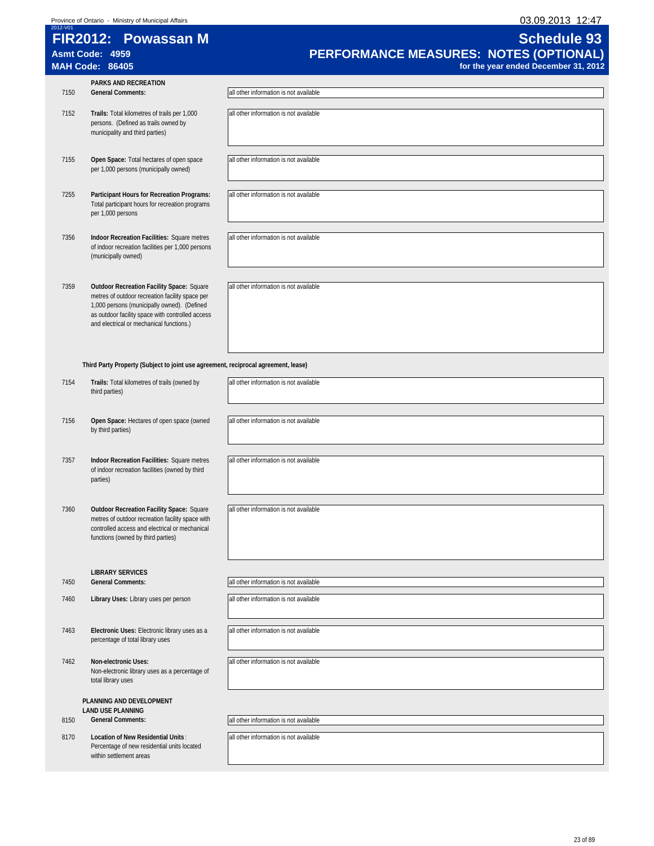Percentage of new residential units located

within settlement areas

| 2012-V01 | FIR2012: Powassan M<br>Asmt Code: 4959<br><b>MAH Code: 86405</b>                                                                                                                                                                                   | <b>Schedule 93</b><br><b>PERFORMANCE MEASURES: NOTES (OPTIONAL)</b><br>for the year ended December 31, 2012 |
|----------|----------------------------------------------------------------------------------------------------------------------------------------------------------------------------------------------------------------------------------------------------|-------------------------------------------------------------------------------------------------------------|
| 7150     | <b>PARKS AND RECREATION</b><br><b>General Comments:</b>                                                                                                                                                                                            | all other information is not available                                                                      |
| 7152     | Trails: Total kilometres of trails per 1,000<br>persons. (Defined as trails owned by<br>municipality and third parties)                                                                                                                            | all other information is not available                                                                      |
| 7155     | Open Space: Total hectares of open space<br>per 1,000 persons (municipally owned)                                                                                                                                                                  | all other information is not available                                                                      |
| 7255     | Participant Hours for Recreation Programs:<br>Total participant hours for recreation programs<br>per 1,000 persons                                                                                                                                 | all other information is not available                                                                      |
| 7356     | Indoor Recreation Facilities: Square metres<br>of indoor recreation facilities per 1,000 persons<br>(municipally owned)                                                                                                                            | all other information is not available                                                                      |
| 7359     | <b>Outdoor Recreation Facility Space: Square</b><br>metres of outdoor recreation facility space per<br>1,000 persons (municipally owned). (Defined<br>as outdoor facility space with controlled access<br>and electrical or mechanical functions.) | all other information is not available                                                                      |

|      | Third Party Property (Subject to joint use agreement, reciprocal agreement, lease)                                                                                                           |                                        |
|------|----------------------------------------------------------------------------------------------------------------------------------------------------------------------------------------------|----------------------------------------|
| 7154 | Trails: Total kilometres of trails (owned by<br>third parties)                                                                                                                               | all other information is not available |
| 7156 | Open Space: Hectares of open space (owned<br>by third parties)                                                                                                                               | all other information is not available |
| 7357 | Indoor Recreation Facilities: Square metres<br>of indoor recreation facilities (owned by third<br>parties)                                                                                   | all other information is not available |
| 7360 | <b>Outdoor Recreation Facility Space: Square</b><br>metres of outdoor recreation facility space with<br>controlled access and electrical or mechanical<br>functions (owned by third parties) | all other information is not available |
|      | <b>LIBRARY SERVICES</b>                                                                                                                                                                      |                                        |
| 7450 | <b>General Comments:</b>                                                                                                                                                                     | all other information is not available |
| 7460 | Library Uses: Library uses per person                                                                                                                                                        | all other information is not available |
| 7463 | Electronic Uses: Electronic library uses as a<br>percentage of total library uses                                                                                                            | all other information is not available |
| 7462 | <b>Non-electronic Uses:</b><br>Non-electronic library uses as a percentage of<br>total library uses                                                                                          | all other information is not available |
|      | PLANNING AND DEVELOPMENT                                                                                                                                                                     |                                        |
| 8150 | <b>LAND USE PLANNING</b><br><b>General Comments:</b>                                                                                                                                         | all other information is not available |
|      |                                                                                                                                                                                              |                                        |
| 8170 | Location of New Residential Units:                                                                                                                                                           | all other information is not available |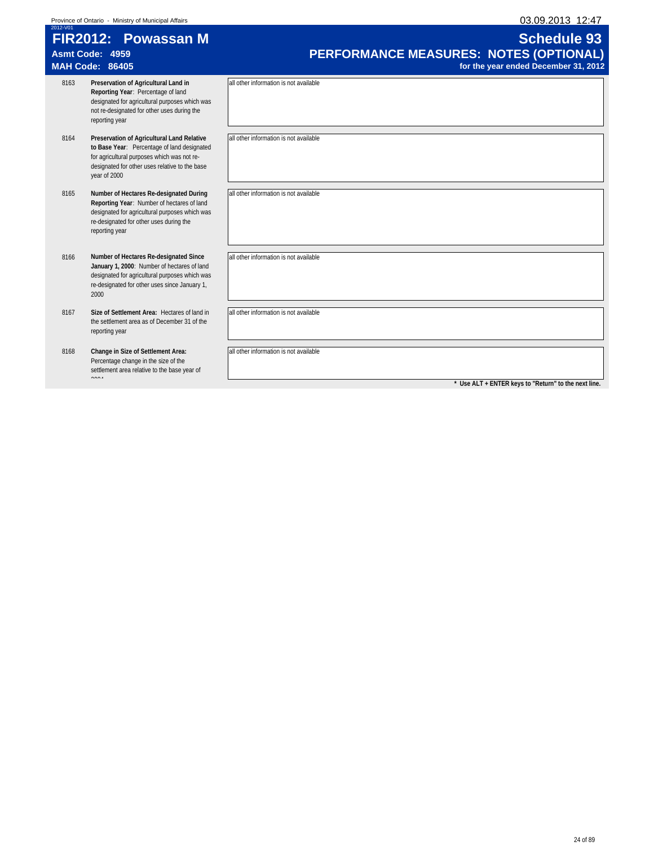| FIR2012: Powasean M                                 | Schedule 93      |
|-----------------------------------------------------|------------------|
| 2012-V01                                            |                  |
| Province of Ontario - Ministry of Municipal Affairs | 03.09.2013 12:47 |

|      | FIR2012: Powassan M<br>Asmt Code: 4959<br><b>MAH Code: 86405</b>                                                                                                                                           | <b>Schedule 93</b><br>PERFORMANCE MEASURES: NOTES (OPTIONAL)<br>for the year ended December 31, 2012 |
|------|------------------------------------------------------------------------------------------------------------------------------------------------------------------------------------------------------------|------------------------------------------------------------------------------------------------------|
| 8163 | Preservation of Agricultural Land in<br>Reporting Year: Percentage of land<br>designated for agricultural purposes which was<br>not re-designated for other uses during the<br>reporting year              | all other information is not available                                                               |
| 8164 | Preservation of Agricultural Land Relative<br>to Base Year: Percentage of land designated<br>for agricultural purposes which was not re-<br>designated for other uses relative to the base<br>year of 2000 | all other information is not available                                                               |
| 8165 | Number of Hectares Re-designated During<br>Reporting Year: Number of hectares of land<br>designated for agricultural purposes which was<br>re-designated for other uses during the<br>reporting year       | all other information is not available                                                               |
| 8166 | Number of Hectares Re-designated Since<br>January 1, 2000: Number of hectares of land<br>designated for agricultural purposes which was<br>re-designated for other uses since January 1,<br>2000           | all other information is not available                                                               |
| 8167 | Size of Settlement Area: Hectares of land in<br>the settlement area as of December 31 of the<br>reporting year                                                                                             | all other information is not available                                                               |
| 8168 | Change in Size of Settlement Area:<br>Percentage change in the size of the<br>settlement area relative to the base year of<br>0.001                                                                        | all other information is not available<br>* Use ALT + ENTER keys to "Return" to the next line.       |
|      |                                                                                                                                                                                                            |                                                                                                      |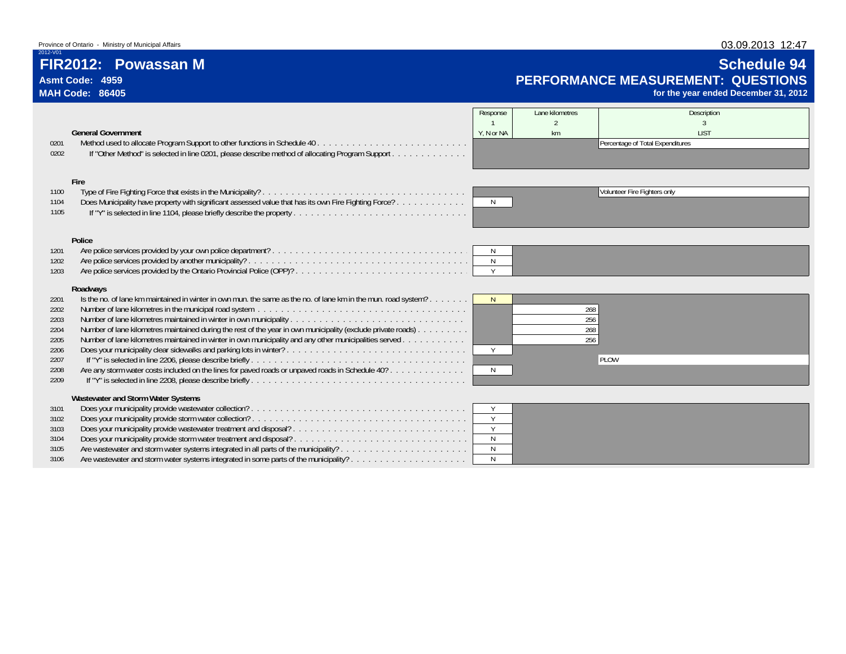# **FIR2012: Powassan M**

### **Asmt Code: 4959MAH Code: 86405**

2012-V01

# **Schedule 94 PERFORMANCE MEASUREMENT: QUESTIONS**

**for the year ended December 31, 2012**

|      |                                                                                                                | Response     | Lane kilometres | Description                      |
|------|----------------------------------------------------------------------------------------------------------------|--------------|-----------------|----------------------------------|
|      |                                                                                                                |              |                 |                                  |
|      | <b>General Government</b>                                                                                      | Y. N or NA   | km              | <b>LIST</b>                      |
| 0201 |                                                                                                                |              |                 | Percentage of Total Expenditures |
| 0202 | If "Other Method" is selected in line 0201, please describe method of allocating Program Support               |              |                 |                                  |
|      |                                                                                                                |              |                 |                                  |
|      |                                                                                                                |              |                 |                                  |
|      | Fire                                                                                                           |              |                 |                                  |
| 1100 |                                                                                                                |              |                 | Volunteer Fire Fighters only     |
| 1104 | Does Municipality have property with significant assessed value that has its own Fire Fighting Force?          | N            |                 |                                  |
| 1105 | If "Y" is selected in line 1104, please briefly describe the property.                                         |              |                 |                                  |
|      |                                                                                                                |              |                 |                                  |
|      | Police                                                                                                         |              |                 |                                  |
| 1201 |                                                                                                                | <sup>N</sup> |                 |                                  |
| 1202 |                                                                                                                | N            |                 |                                  |
| 1203 |                                                                                                                | Y            |                 |                                  |
|      |                                                                                                                |              |                 |                                  |
|      | Roadways                                                                                                       |              |                 |                                  |
| 2201 | Is the no. of lane km maintained in winter in own mun. the same as the no. of lane km in the mun. road system? | N            |                 |                                  |
| 2202 |                                                                                                                |              | 268             |                                  |
| 2203 |                                                                                                                |              | 256             |                                  |
| 2204 | Number of lane kilometres maintained during the rest of the year in own municipality (exclude private roads)   |              | 268             |                                  |
| 2205 | Number of lane kilometres maintained in winter in own municipality and any other municipalities served         |              | 256             |                                  |
| 2206 |                                                                                                                | Y            |                 |                                  |
| 2207 |                                                                                                                |              |                 | PLOW                             |
| 2208 | Are any storm water costs included on the lines for paved roads or unpaved roads in Schedule 40?               | N            |                 |                                  |
| 2209 |                                                                                                                |              |                 |                                  |
|      |                                                                                                                |              |                 |                                  |
|      | Wastewater and Storm Water Systems                                                                             |              |                 |                                  |
| 3101 |                                                                                                                | Y            |                 |                                  |
| 3102 |                                                                                                                | Y            |                 |                                  |
| 3103 | Does your municipality provide wastewater treatment and disposal?                                              | Y            |                 |                                  |
| 3104 |                                                                                                                | $\mathsf{N}$ |                 |                                  |
| 3105 |                                                                                                                | $\mathbb N$  |                 |                                  |
| 3106 | Are wastewater and storm water systems integrated in some parts of the municipality?                           | N            |                 |                                  |

03.09.2013 12:47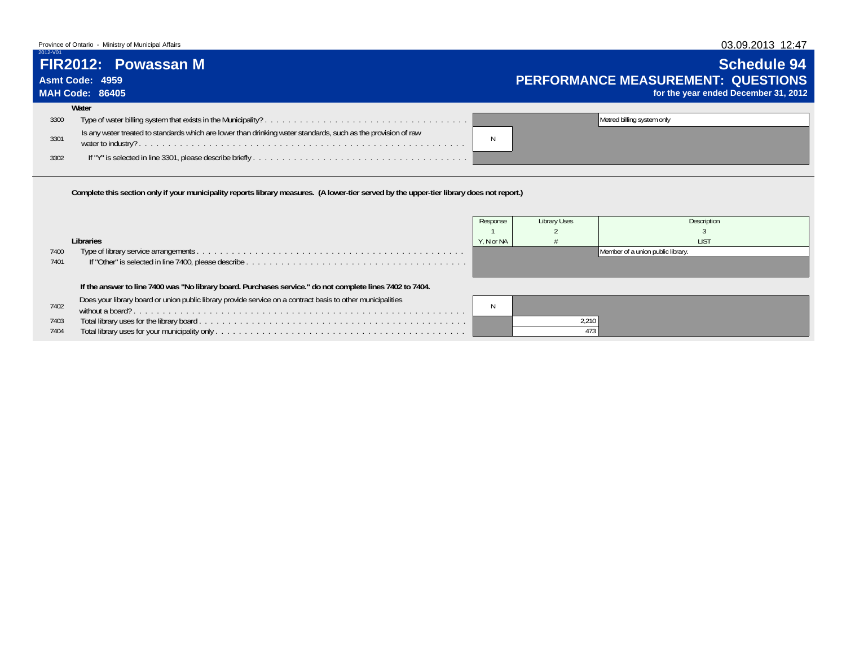### Province of Ontario - Ministry of Municipal Affairs

# **FIR2012: Powassan M**

# **Asmt Code: 4959**

### **MAH Code: 86405**

2012-V01

# **Schedule 94 PERFORMANCE MEASUREMENT: QUESTIONSfor the year ended December 31, 2012**

|      | Water                                                                                                         |  |                            |
|------|---------------------------------------------------------------------------------------------------------------|--|----------------------------|
| 3300 |                                                                                                               |  | Metred billing system only |
| 3301 | Is any water treated to standards which are lower than drinking water standards, such as the provision of raw |  |                            |
| 3302 |                                                                                                               |  |                            |

**Complete this section only if your municipality reports library measures. (A lower-tier served by the upper-tier library does not report.)**

|      |                                                                                                             | Response   | Library Uses | <b>Description</b>                |
|------|-------------------------------------------------------------------------------------------------------------|------------|--------------|-----------------------------------|
|      |                                                                                                             |            |              |                                   |
|      | Libraries                                                                                                   | Y. N or NA |              | <b>IIST</b>                       |
| 7400 |                                                                                                             |            |              | Member of a union public library. |
| 7401 |                                                                                                             |            |              |                                   |
|      |                                                                                                             |            |              |                                   |
|      | If the answer to line 7400 was "No library board. Purchases service." do not complete lines 7402 to 7404.   |            |              |                                   |
|      | Does your library board or union public library provide service on a contract basis to other municipalities |            |              |                                   |
| 7402 |                                                                                                             |            |              |                                   |
| 7403 |                                                                                                             |            | 2.210        |                                   |
| 7404 |                                                                                                             |            |              |                                   |

### 03.09.2013 12:47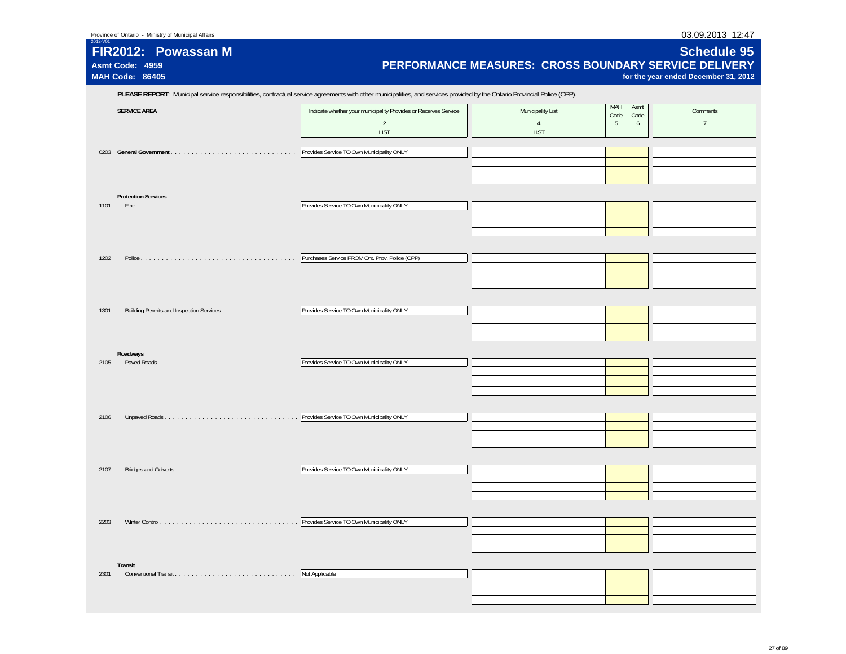| FIR2012: Powassan M<br>Asmt Code: 4959<br><b>MAH Code: 86405</b> | PERFORMANCE MEASURES: CROSS BOUNDARY SERVICE DELIVERY                                                                                                                      |                                                    |                                       | <b>Schedule 95</b><br>for the year ended December 31, 2012 |
|------------------------------------------------------------------|----------------------------------------------------------------------------------------------------------------------------------------------------------------------------|----------------------------------------------------|---------------------------------------|------------------------------------------------------------|
|                                                                  | PLEASE REPORT: Municipal service responsibilities, contractual service agreements with other municipalities, and services provided by the Ontario Provincial Police (OPP). |                                                    |                                       |                                                            |
| <b>SERVICE AREA</b>                                              | Indicate whether your municipality Provides or Receives Service<br>$\overline{2}$<br><b>LIST</b>                                                                           | Municipality List<br>$\overline{4}$<br><b>LIST</b> | MAH<br>Asmt<br>Code<br>Code<br>5<br>6 | Comments<br>$7\overline{ }$                                |
|                                                                  | Provides Service TO Own Municipality ONLY                                                                                                                                  |                                                    |                                       |                                                            |
| <b>Protection Services</b><br>1101                               | Provides Service TO Own Municipality ONLY                                                                                                                                  |                                                    |                                       |                                                            |
|                                                                  |                                                                                                                                                                            |                                                    |                                       |                                                            |
| 1202                                                             | Purchases Service FROM Ont. Prov. Police (OPP)                                                                                                                             |                                                    |                                       |                                                            |
| 1301                                                             | Provides Service TO Own Municipality ONLY                                                                                                                                  |                                                    |                                       |                                                            |
| Roadways                                                         |                                                                                                                                                                            |                                                    |                                       |                                                            |
| 2105                                                             | Provides Service TO Own Municipality ONLY                                                                                                                                  |                                                    |                                       |                                                            |
| 2106                                                             | Provides Service TO Own Municipality ONLY                                                                                                                                  |                                                    |                                       |                                                            |
|                                                                  |                                                                                                                                                                            |                                                    |                                       |                                                            |
| 2107                                                             | Provides Service TO Own Municipality ONLY                                                                                                                                  |                                                    |                                       |                                                            |
| 2203                                                             | Provides Service TO Own Municipality ONLY                                                                                                                                  |                                                    |                                       |                                                            |
| Transit                                                          |                                                                                                                                                                            |                                                    |                                       |                                                            |
| 2301                                                             | Not Applicable                                                                                                                                                             |                                                    |                                       |                                                            |

2012-V01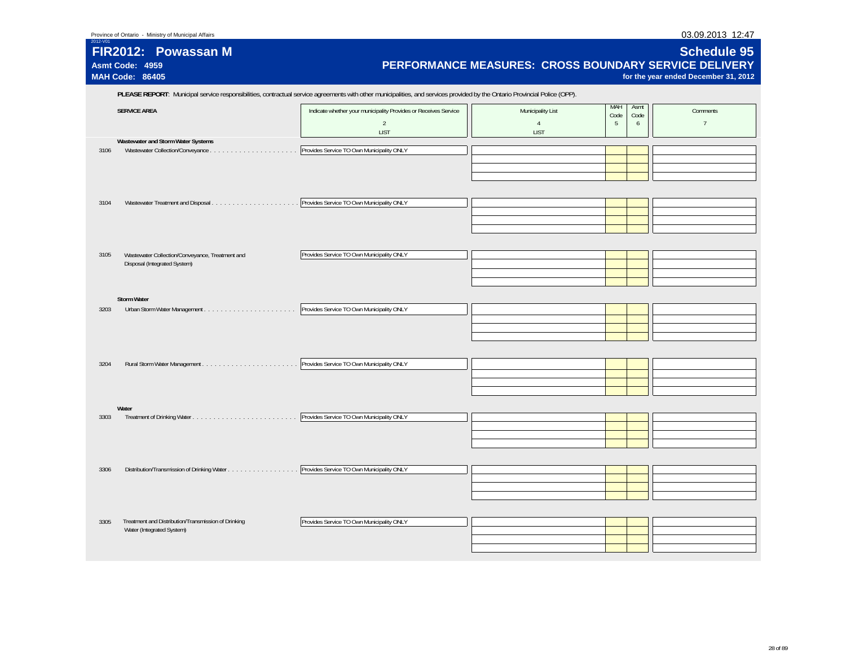| Province of Ontario - Ministry of Municipal Affairs | 03.09.2013 12:47 |
|-----------------------------------------------------|------------------|
|                                                     |                  |

| 2012-V01 | FIR2012: Powassan M<br>Asmt Code: 4959<br><b>MAH Code: 86405</b>                                                                                                           | PERFORMANCE MEASURES: CROSS BOUNDARY SERVICE DELIVERY                                            |                                                    |                                       | <b>Schedule 95</b><br>for the year ended December 31, 2012 |  |  |  |
|----------|----------------------------------------------------------------------------------------------------------------------------------------------------------------------------|--------------------------------------------------------------------------------------------------|----------------------------------------------------|---------------------------------------|------------------------------------------------------------|--|--|--|
|          | PLEASE REPORT: Municipal service responsibilities, contractual service agreements with other municipalities, and services provided by the Ontario Provincial Police (OPP). |                                                                                                  |                                                    |                                       |                                                            |  |  |  |
|          | <b>SERVICE AREA</b>                                                                                                                                                        | Indicate whether your municipality Provides or Receives Service<br>$\overline{2}$<br><b>LIST</b> | Municipality List<br>$\overline{4}$<br><b>LIST</b> | MAH<br>Asmt<br>Code<br>Code<br>5<br>6 | Comments<br>$7^{\circ}$                                    |  |  |  |
| 3106     | Wastewater and Storm Water Systems                                                                                                                                         | Provides Service TO Own Municipality ONLY                                                        |                                                    |                                       |                                                            |  |  |  |
| 3104     |                                                                                                                                                                            | Provides Service TO Own Municipality ONLY                                                        |                                                    |                                       |                                                            |  |  |  |
| 3105     | Wastewater Collection/Conveyance, Treatment and<br>Disposal (Integrated System)                                                                                            | Provides Service TO Own Municipality ONLY                                                        |                                                    |                                       |                                                            |  |  |  |
| 3203     | <b>Storm Water</b>                                                                                                                                                         | Provides Service TO Own Municipality ONLY                                                        |                                                    |                                       |                                                            |  |  |  |
| 3204     |                                                                                                                                                                            | Provides Service TO Own Municipality ONLY                                                        |                                                    |                                       |                                                            |  |  |  |
| 3303     | Water                                                                                                                                                                      | Provides Service TO Own Municipality ONLY                                                        |                                                    |                                       |                                                            |  |  |  |
| 3306     | Distribution/Transmission of Drinking Water                                                                                                                                | Provides Service TO Own Municipality ONLY                                                        |                                                    |                                       |                                                            |  |  |  |
| 3305     | Treatment and Distribution/Transmission of Drinking<br>Water (Integrated System)                                                                                           | Provides Service TO Own Municipality ONLY                                                        |                                                    |                                       |                                                            |  |  |  |